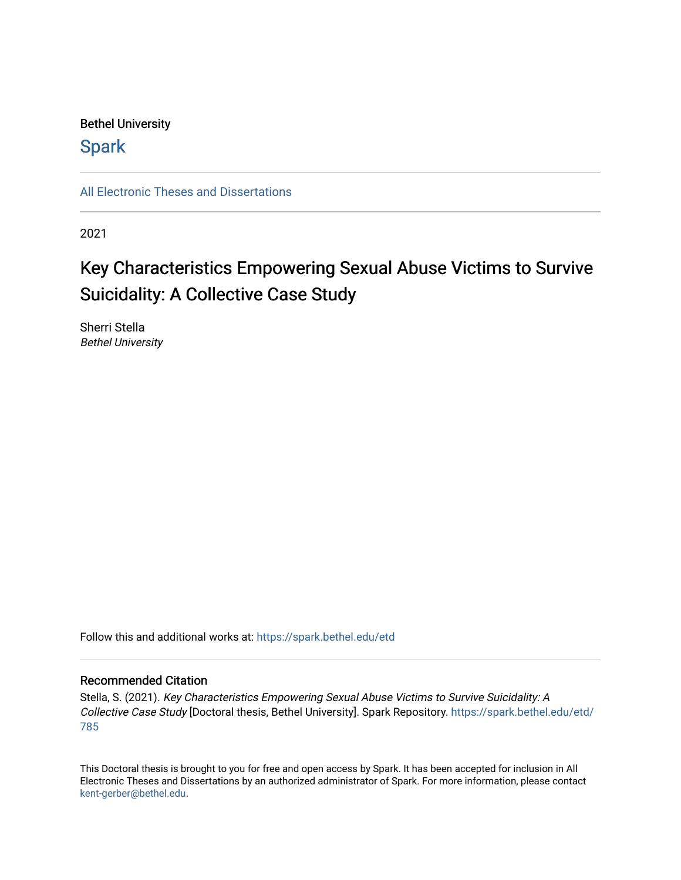# Bethel University

# **Spark**

[All Electronic Theses and Dissertations](https://spark.bethel.edu/etd) 

2021

# Key Characteristics Empowering Sexual Abuse Victims to Survive Suicidality: A Collective Case Study

Sherri Stella Bethel University

Follow this and additional works at: [https://spark.bethel.edu/etd](https://spark.bethel.edu/etd?utm_source=spark.bethel.edu%2Fetd%2F785&utm_medium=PDF&utm_campaign=PDFCoverPages)

# Recommended Citation

Stella, S. (2021). Key Characteristics Empowering Sexual Abuse Victims to Survive Suicidality: A Collective Case Study [Doctoral thesis, Bethel University]. Spark Repository. [https://spark.bethel.edu/etd/](https://spark.bethel.edu/etd/785?utm_source=spark.bethel.edu%2Fetd%2F785&utm_medium=PDF&utm_campaign=PDFCoverPages) [785](https://spark.bethel.edu/etd/785?utm_source=spark.bethel.edu%2Fetd%2F785&utm_medium=PDF&utm_campaign=PDFCoverPages) 

This Doctoral thesis is brought to you for free and open access by Spark. It has been accepted for inclusion in All Electronic Theses and Dissertations by an authorized administrator of Spark. For more information, please contact [kent-gerber@bethel.edu](mailto:kent-gerber@bethel.edu).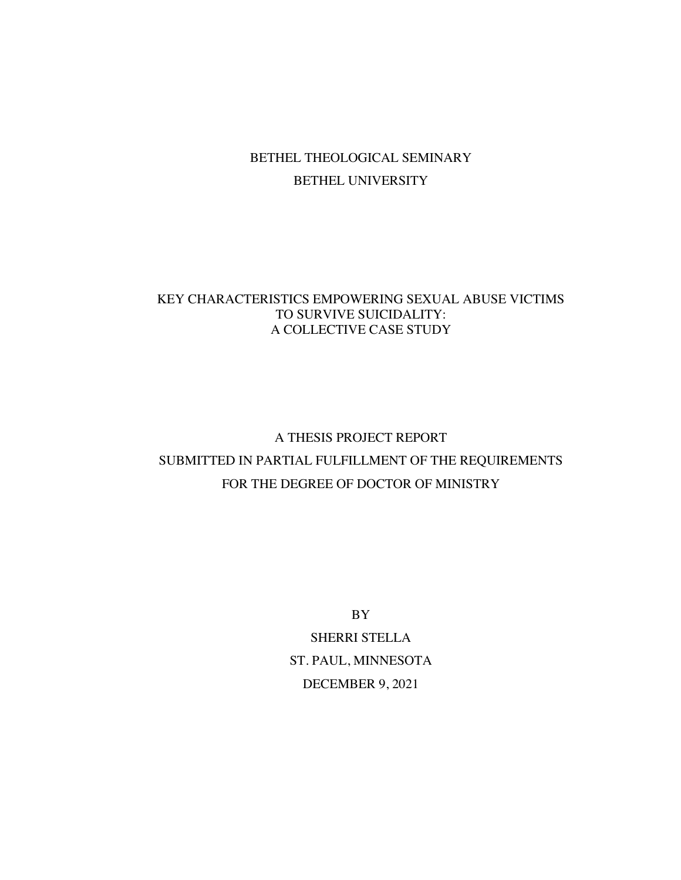# BETHEL THEOLOGICAL SEMINARY BETHEL UNIVERSITY

# KEY CHARACTERISTICS EMPOWERING SEXUAL ABUSE VICTIMS TO SURVIVE SUICIDALITY: A COLLECTIVE CASE STUDY

# A THESIS PROJECT REPORT SUBMITTED IN PARTIAL FULFILLMENT OF THE REQUIREMENTS FOR THE DEGREE OF DOCTOR OF MINISTRY

BY

SHERRI STELLA ST. PAUL, MINNESOTA DECEMBER 9, 2021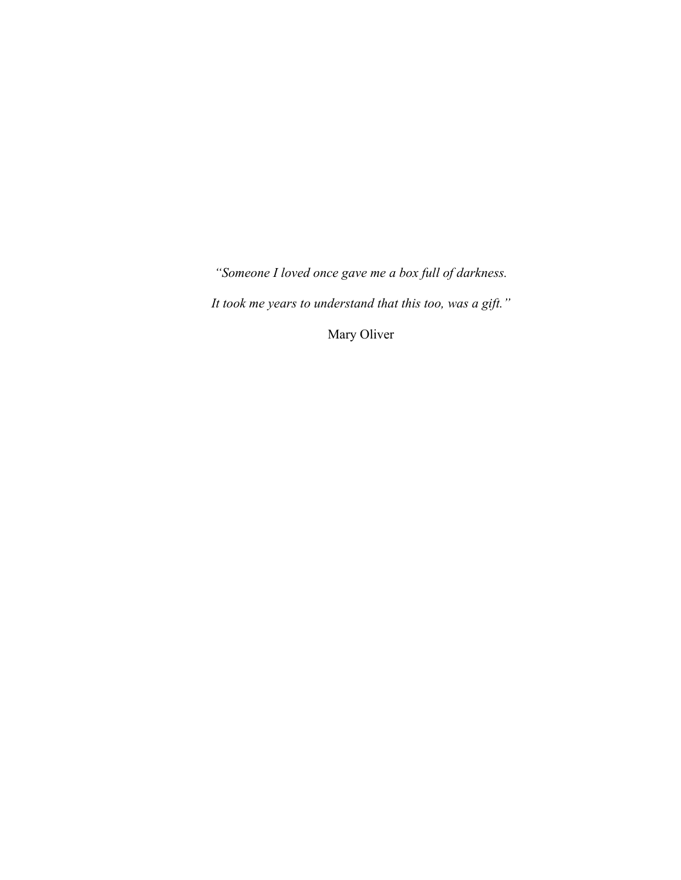*"Someone I loved once gave me a box full of darkness.* 

*It took me years to understand that this too, was a gift."*

Mary Oliver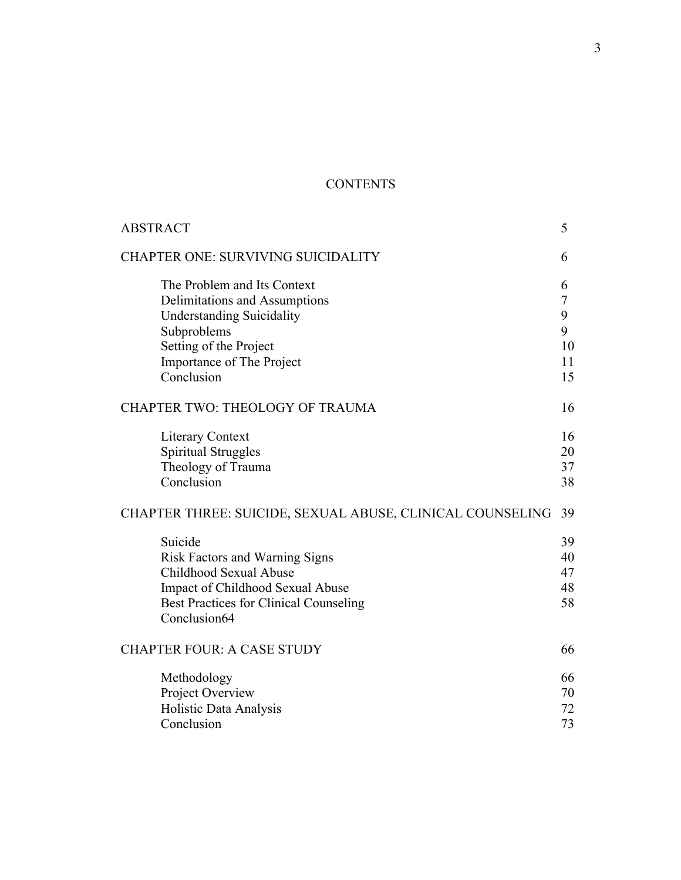# **CONTENTS**

| <b>ABSTRACT</b>                                           | 5  |
|-----------------------------------------------------------|----|
| <b>CHAPTER ONE: SURVIVING SUICIDALITY</b>                 | 6  |
| The Problem and Its Context                               | 6  |
| Delimitations and Assumptions                             | 7  |
| <b>Understanding Suicidality</b>                          | 9  |
| Subproblems                                               | 9  |
| Setting of the Project                                    | 10 |
| <b>Importance of The Project</b>                          | 11 |
| Conclusion                                                | 15 |
| CHAPTER TWO: THEOLOGY OF TRAUMA                           | 16 |
| <b>Literary Context</b>                                   | 16 |
| <b>Spiritual Struggles</b>                                | 20 |
| Theology of Trauma                                        | 37 |
| Conclusion                                                | 38 |
| CHAPTER THREE: SUICIDE, SEXUAL ABUSE, CLINICAL COUNSELING | 39 |
| Suicide                                                   | 39 |
| Risk Factors and Warning Signs                            | 40 |
| Childhood Sexual Abuse                                    | 47 |
| Impact of Childhood Sexual Abuse                          | 48 |
| <b>Best Practices for Clinical Counseling</b>             | 58 |
| Conclusion64                                              |    |
| <b>CHAPTER FOUR: A CASE STUDY</b>                         | 66 |
| Methodology                                               | 66 |
| Project Overview                                          | 70 |
| Holistic Data Analysis                                    | 72 |
| Conclusion                                                | 73 |
|                                                           |    |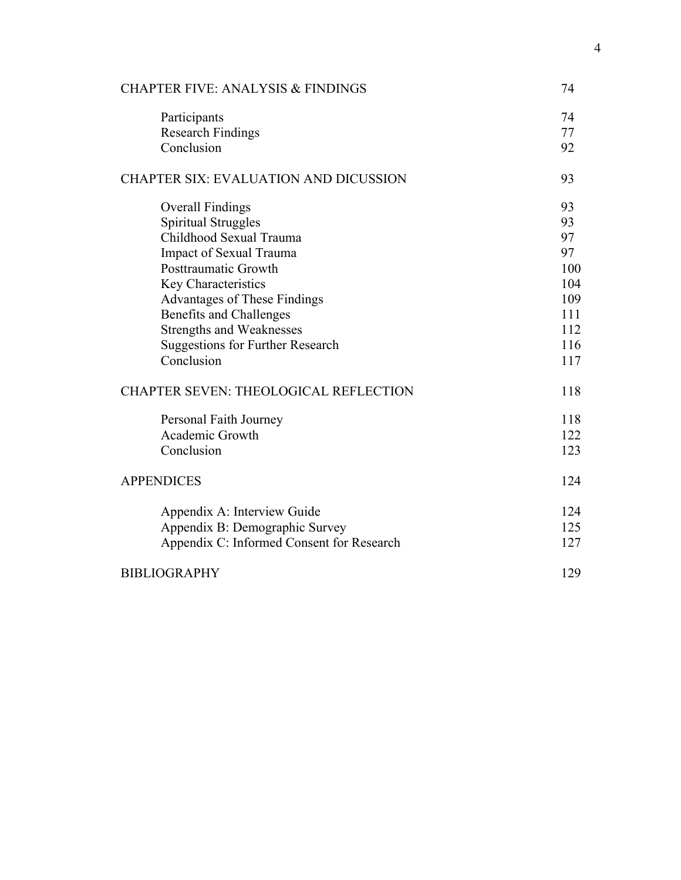| <b>CHAPTER FIVE: ANALYSIS &amp; FINDINGS</b> | 74  |
|----------------------------------------------|-----|
| Participants                                 | 74  |
| <b>Research Findings</b>                     | 77  |
| Conclusion                                   | 92  |
| <b>CHAPTER SIX: EVALUATION AND DICUSSION</b> | 93  |
| <b>Overall Findings</b>                      | 93  |
| <b>Spiritual Struggles</b>                   | 93  |
| Childhood Sexual Trauma                      | 97  |
| <b>Impact of Sexual Trauma</b>               | 97  |
| <b>Posttraumatic Growth</b>                  | 100 |
| Key Characteristics                          | 104 |
| <b>Advantages of These Findings</b>          | 109 |
| <b>Benefits and Challenges</b>               | 111 |
| <b>Strengths and Weaknesses</b>              | 112 |
| <b>Suggestions for Further Research</b>      | 116 |
| Conclusion                                   | 117 |
| <b>CHAPTER SEVEN: THEOLOGICAL REFLECTION</b> | 118 |
| Personal Faith Journey                       | 118 |
| Academic Growth                              | 122 |
| Conclusion                                   | 123 |
| <b>APPENDICES</b>                            | 124 |
| Appendix A: Interview Guide                  | 124 |
| Appendix B: Demographic Survey               | 125 |
| Appendix C: Informed Consent for Research    | 127 |
| <b>BIBLIOGRAPHY</b>                          | 129 |
|                                              |     |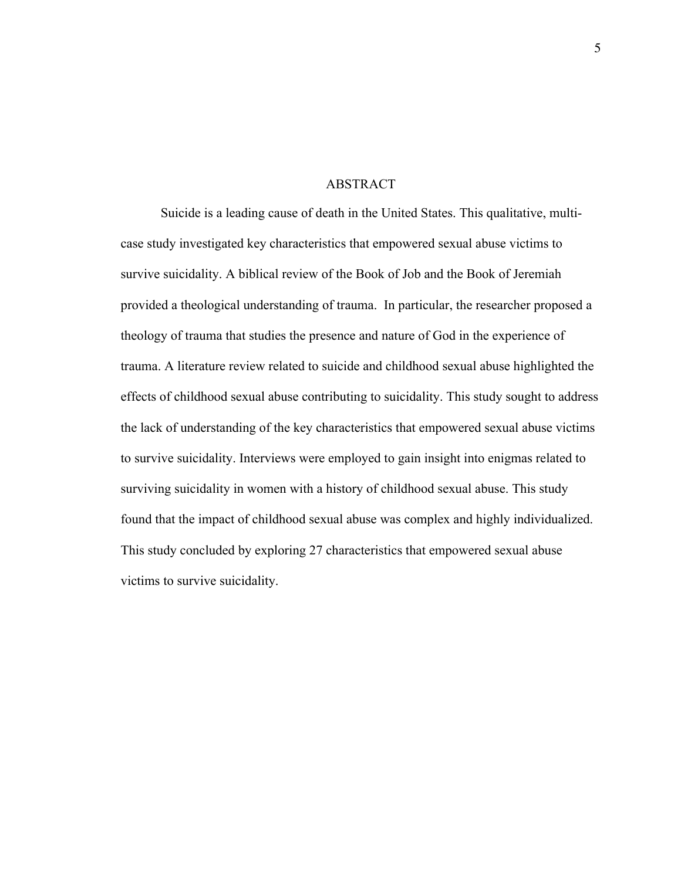### ABSTRACT

Suicide is a leading cause of death in the United States. This qualitative, multicase study investigated key characteristics that empowered sexual abuse victims to survive suicidality. A biblical review of the Book of Job and the Book of Jeremiah provided a theological understanding of trauma. In particular, the researcher proposed a theology of trauma that studies the presence and nature of God in the experience of trauma. A literature review related to suicide and childhood sexual abuse highlighted the effects of childhood sexual abuse contributing to suicidality. This study sought to address the lack of understanding of the key characteristics that empowered sexual abuse victims to survive suicidality. Interviews were employed to gain insight into enigmas related to surviving suicidality in women with a history of childhood sexual abuse. This study found that the impact of childhood sexual abuse was complex and highly individualized. This study concluded by exploring 27 characteristics that empowered sexual abuse victims to survive suicidality.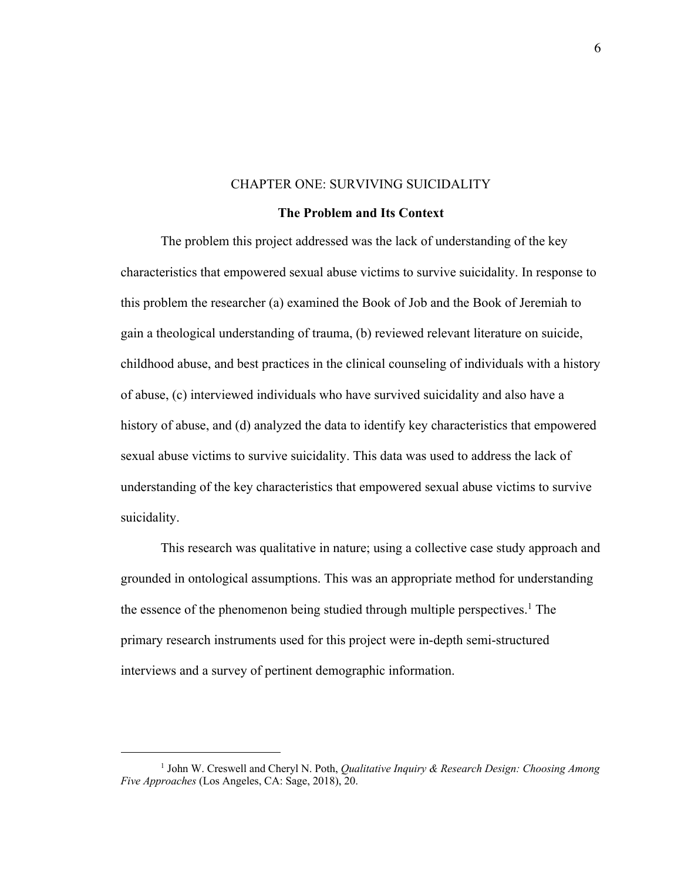# CHAPTER ONE: SURVIVING SUICIDALITY

### **The Problem and Its Context**

The problem this project addressed was the lack of understanding of the key characteristics that empowered sexual abuse victims to survive suicidality. In response to this problem the researcher (a) examined the Book of Job and the Book of Jeremiah to gain a theological understanding of trauma, (b) reviewed relevant literature on suicide, childhood abuse, and best practices in the clinical counseling of individuals with a history of abuse, (c) interviewed individuals who have survived suicidality and also have a history of abuse, and (d) analyzed the data to identify key characteristics that empowered sexual abuse victims to survive suicidality. This data was used to address the lack of understanding of the key characteristics that empowered sexual abuse victims to survive suicidality.

This research was qualitative in nature; using a collective case study approach and grounded in ontological assumptions. This was an appropriate method for understanding the essence of the phenomenon being studied through multiple perspectives.<sup>1</sup> The primary research instruments used for this project were in-depth semi-structured interviews and a survey of pertinent demographic information.

<sup>1</sup> John W. Creswell and Cheryl N. Poth, *Qualitative Inquiry & Research Design: Choosing Among Five Approaches* (Los Angeles, CA: Sage, 2018), 20.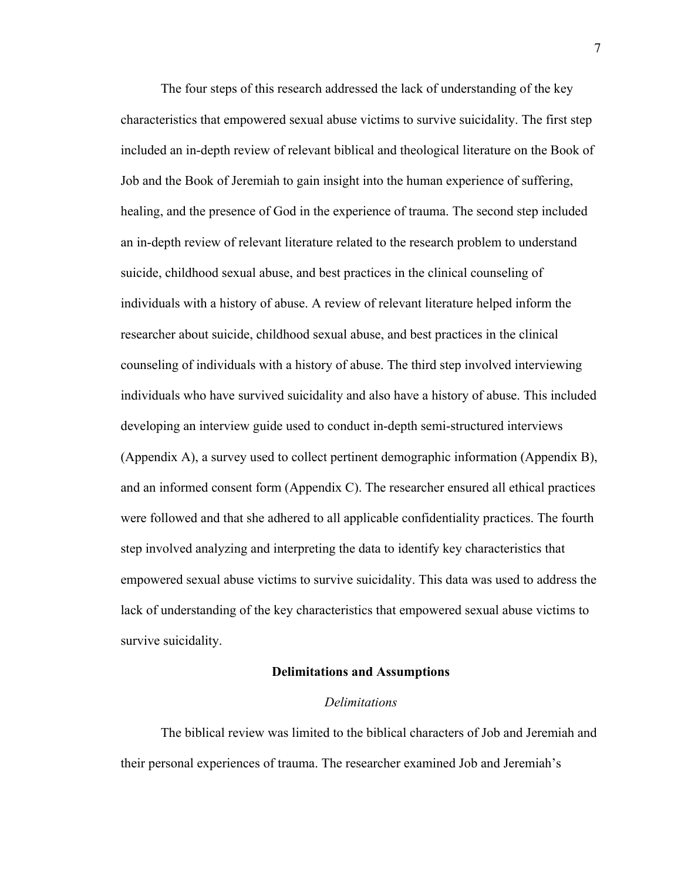The four steps of this research addressed the lack of understanding of the key characteristics that empowered sexual abuse victims to survive suicidality. The first step included an in-depth review of relevant biblical and theological literature on the Book of Job and the Book of Jeremiah to gain insight into the human experience of suffering, healing, and the presence of God in the experience of trauma. The second step included an in-depth review of relevant literature related to the research problem to understand suicide, childhood sexual abuse, and best practices in the clinical counseling of individuals with a history of abuse. A review of relevant literature helped inform the researcher about suicide, childhood sexual abuse, and best practices in the clinical counseling of individuals with a history of abuse. The third step involved interviewing individuals who have survived suicidality and also have a history of abuse. This included developing an interview guide used to conduct in-depth semi-structured interviews (Appendix A), a survey used to collect pertinent demographic information (Appendix B), and an informed consent form (Appendix C). The researcher ensured all ethical practices were followed and that she adhered to all applicable confidentiality practices. The fourth step involved analyzing and interpreting the data to identify key characteristics that empowered sexual abuse victims to survive suicidality. This data was used to address the lack of understanding of the key characteristics that empowered sexual abuse victims to survive suicidality.

# **Delimitations and Assumptions**

# *Delimitations*

The biblical review was limited to the biblical characters of Job and Jeremiah and their personal experiences of trauma. The researcher examined Job and Jeremiah's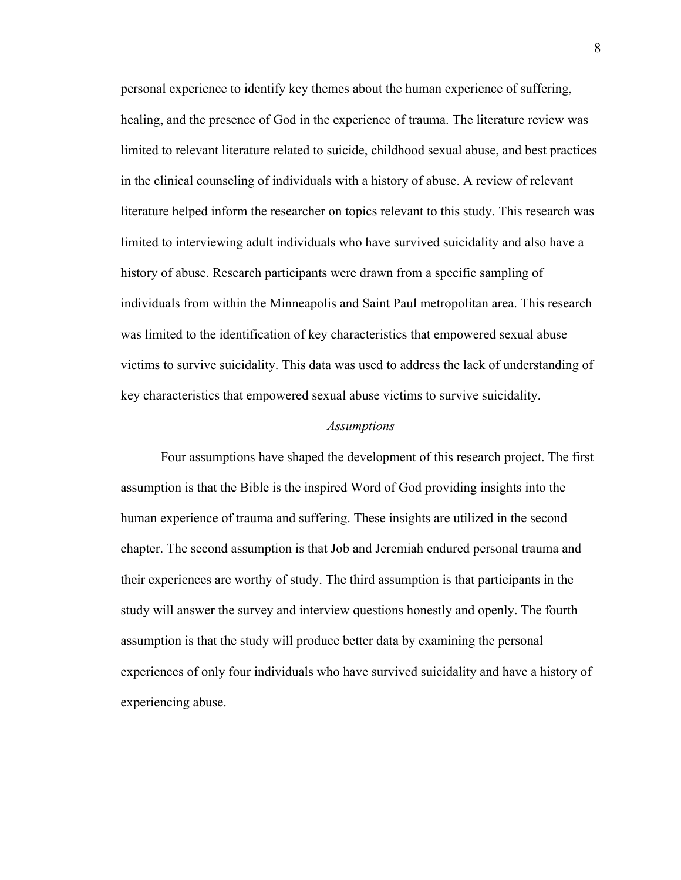personal experience to identify key themes about the human experience of suffering, healing, and the presence of God in the experience of trauma. The literature review was limited to relevant literature related to suicide, childhood sexual abuse, and best practices in the clinical counseling of individuals with a history of abuse. A review of relevant literature helped inform the researcher on topics relevant to this study. This research was limited to interviewing adult individuals who have survived suicidality and also have a history of abuse. Research participants were drawn from a specific sampling of individuals from within the Minneapolis and Saint Paul metropolitan area. This research was limited to the identification of key characteristics that empowered sexual abuse victims to survive suicidality. This data was used to address the lack of understanding of key characteristics that empowered sexual abuse victims to survive suicidality.

# *Assumptions*

Four assumptions have shaped the development of this research project. The first assumption is that the Bible is the inspired Word of God providing insights into the human experience of trauma and suffering. These insights are utilized in the second chapter. The second assumption is that Job and Jeremiah endured personal trauma and their experiences are worthy of study. The third assumption is that participants in the study will answer the survey and interview questions honestly and openly. The fourth assumption is that the study will produce better data by examining the personal experiences of only four individuals who have survived suicidality and have a history of experiencing abuse.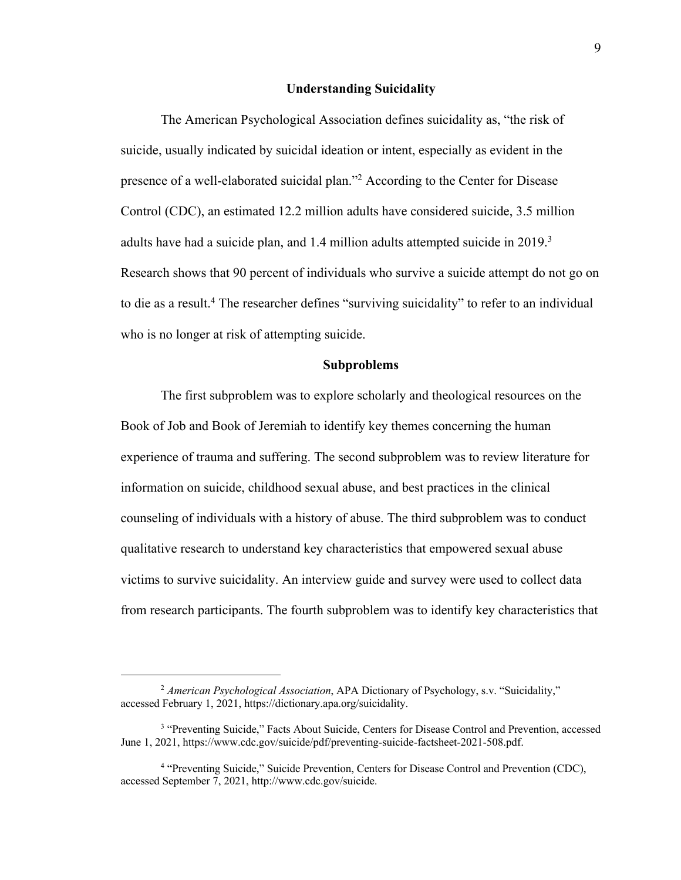## **Understanding Suicidality**

The American Psychological Association defines suicidality as, "the risk of suicide, usually indicated by suicidal ideation or intent, especially as evident in the presence of a well-elaborated suicidal plan."<sup>2</sup> According to the Center for Disease Control (CDC), an estimated 12.2 million adults have considered suicide, 3.5 million adults have had a suicide plan, and 1.4 million adults attempted suicide in 2019.<sup>3</sup> Research shows that 90 percent of individuals who survive a suicide attempt do not go on to die as a result. <sup>4</sup> The researcher defines "surviving suicidality" to refer to an individual who is no longer at risk of attempting suicide.

# **Subproblems**

The first subproblem was to explore scholarly and theological resources on the Book of Job and Book of Jeremiah to identify key themes concerning the human experience of trauma and suffering. The second subproblem was to review literature for information on suicide, childhood sexual abuse, and best practices in the clinical counseling of individuals with a history of abuse. The third subproblem was to conduct qualitative research to understand key characteristics that empowered sexual abuse victims to survive suicidality. An interview guide and survey were used to collect data from research participants. The fourth subproblem was to identify key characteristics that

<sup>2</sup> *American Psychological Association*, APA Dictionary of Psychology, s.v. "Suicidality," accessed February 1, 2021, https://dictionary.apa.org/suicidality.

<sup>&</sup>lt;sup>3</sup> "Preventing Suicide," Facts About Suicide, Centers for Disease Control and Prevention, accessed June 1, 2021, https://www.cdc.gov/suicide/pdf/preventing-suicide-factsheet-2021-508.pdf.

<sup>4</sup> "Preventing Suicide," Suicide Prevention, Centers for Disease Control and Prevention (CDC), accessed September 7, 2021, http://www.cdc.gov/suicide.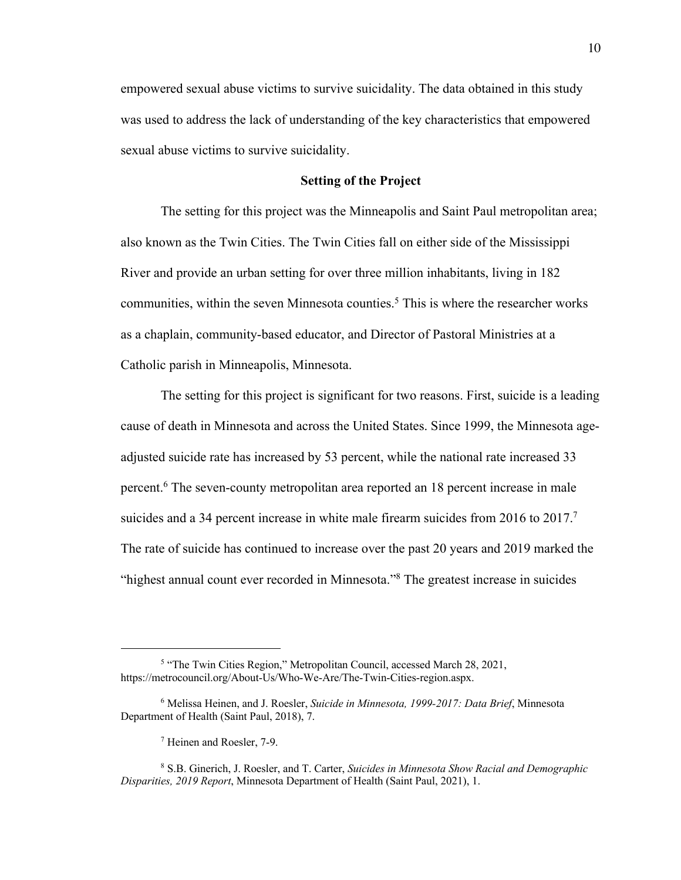empowered sexual abuse victims to survive suicidality. The data obtained in this study was used to address the lack of understanding of the key characteristics that empowered sexual abuse victims to survive suicidality.

# **Setting of the Project**

The setting for this project was the Minneapolis and Saint Paul metropolitan area; also known as the Twin Cities. The Twin Cities fall on either side of the Mississippi River and provide an urban setting for over three million inhabitants, living in 182 communities, within the seven Minnesota counties.<sup>5</sup> This is where the researcher works as a chaplain, community-based educator, and Director of Pastoral Ministries at a Catholic parish in Minneapolis, Minnesota.

The setting for this project is significant for two reasons. First, suicide is a leading cause of death in Minnesota and across the United States. Since 1999, the Minnesota ageadjusted suicide rate has increased by 53 percent, while the national rate increased 33 percent. <sup>6</sup> The seven-county metropolitan area reported an 18 percent increase in male suicides and a 34 percent increase in white male firearm suicides from 2016 to 2017.<sup>7</sup> The rate of suicide has continued to increase over the past 20 years and 2019 marked the "highest annual count ever recorded in Minnesota."<sup>8</sup> The greatest increase in suicides

<sup>5</sup> "The Twin Cities Region," Metropolitan Council, accessed March 28, 2021, https://metrocouncil.org/About-Us/Who-We-Are/The-Twin-Cities-region.aspx.

<sup>6</sup> Melissa Heinen, and J. Roesler, *Suicide in Minnesota, 1999-2017: Data Brief*, Minnesota Department of Health (Saint Paul, 2018), 7.

<sup>7</sup> Heinen and Roesler, 7-9.

<sup>8</sup> S.B. Ginerich, J. Roesler, and T. Carter, *Suicides in Minnesota Show Racial and Demographic Disparities, 2019 Report*, Minnesota Department of Health (Saint Paul, 2021), 1.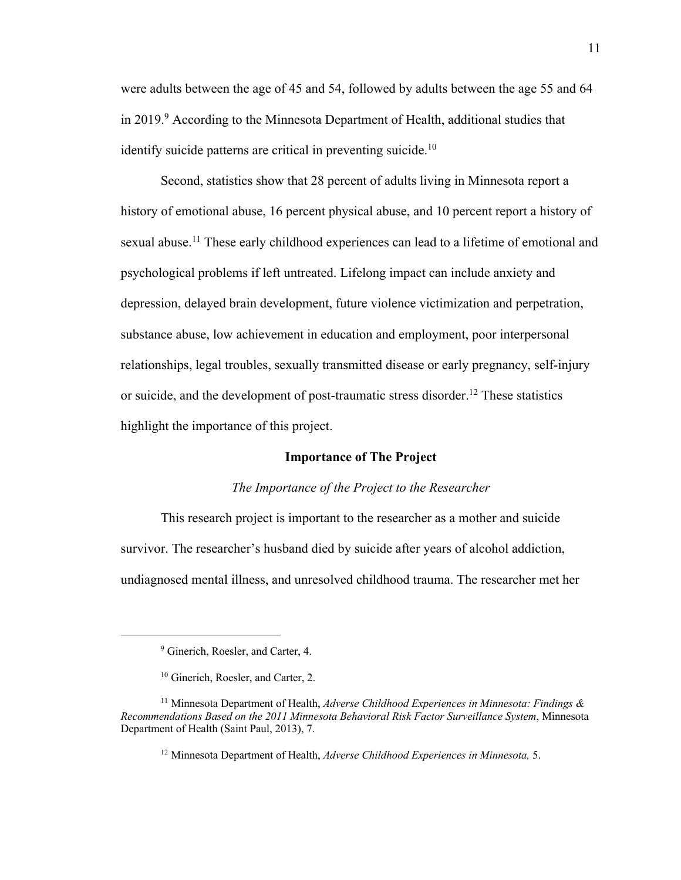were adults between the age of 45 and 54, followed by adults between the age 55 and 64 in 2019.<sup>9</sup> According to the Minnesota Department of Health, additional studies that identify suicide patterns are critical in preventing suicide.<sup>10</sup>

Second, statistics show that 28 percent of adults living in Minnesota report a history of emotional abuse, 16 percent physical abuse, and 10 percent report a history of sexual abuse.<sup>11</sup> These early childhood experiences can lead to a lifetime of emotional and psychological problems if left untreated. Lifelong impact can include anxiety and depression, delayed brain development, future violence victimization and perpetration, substance abuse, low achievement in education and employment, poor interpersonal relationships, legal troubles, sexually transmitted disease or early pregnancy, self-injury or suicide, and the development of post-traumatic stress disorder.<sup>12</sup> These statistics highlight the importance of this project.

## **Importance of The Project**

#### *The Importance of the Project to the Researcher*

This research project is important to the researcher as a mother and suicide survivor. The researcher's husband died by suicide after years of alcohol addiction, undiagnosed mental illness, and unresolved childhood trauma. The researcher met her

<sup>&</sup>lt;sup>9</sup> Ginerich, Roesler, and Carter, 4.

<sup>&</sup>lt;sup>10</sup> Ginerich, Roesler, and Carter, 2.

<sup>11</sup> Minnesota Department of Health, *Adverse Childhood Experiences in Minnesota: Findings & Recommendations Based on the 2011 Minnesota Behavioral Risk Factor Surveillance System*, Minnesota Department of Health (Saint Paul, 2013), 7.

<sup>12</sup> Minnesota Department of Health, *Adverse Childhood Experiences in Minnesota,* 5.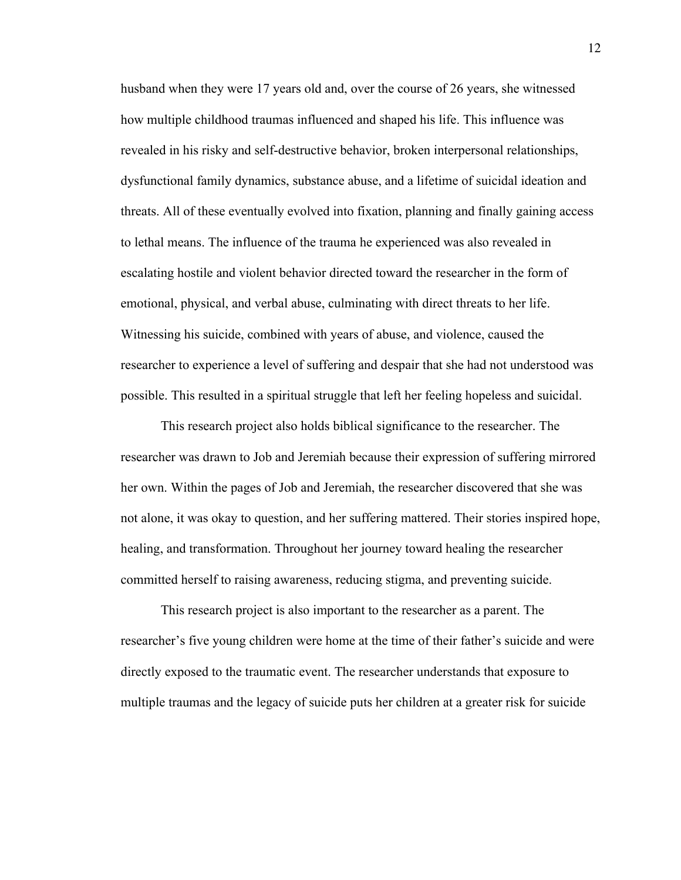husband when they were 17 years old and, over the course of 26 years, she witnessed how multiple childhood traumas influenced and shaped his life. This influence was revealed in his risky and self-destructive behavior, broken interpersonal relationships, dysfunctional family dynamics, substance abuse, and a lifetime of suicidal ideation and threats. All of these eventually evolved into fixation, planning and finally gaining access to lethal means. The influence of the trauma he experienced was also revealed in escalating hostile and violent behavior directed toward the researcher in the form of emotional, physical, and verbal abuse, culminating with direct threats to her life. Witnessing his suicide, combined with years of abuse, and violence, caused the researcher to experience a level of suffering and despair that she had not understood was possible. This resulted in a spiritual struggle that left her feeling hopeless and suicidal.

This research project also holds biblical significance to the researcher. The researcher was drawn to Job and Jeremiah because their expression of suffering mirrored her own. Within the pages of Job and Jeremiah, the researcher discovered that she was not alone, it was okay to question, and her suffering mattered. Their stories inspired hope, healing, and transformation. Throughout her journey toward healing the researcher committed herself to raising awareness, reducing stigma, and preventing suicide.

This research project is also important to the researcher as a parent. The researcher's five young children were home at the time of their father's suicide and were directly exposed to the traumatic event. The researcher understands that exposure to multiple traumas and the legacy of suicide puts her children at a greater risk for suicide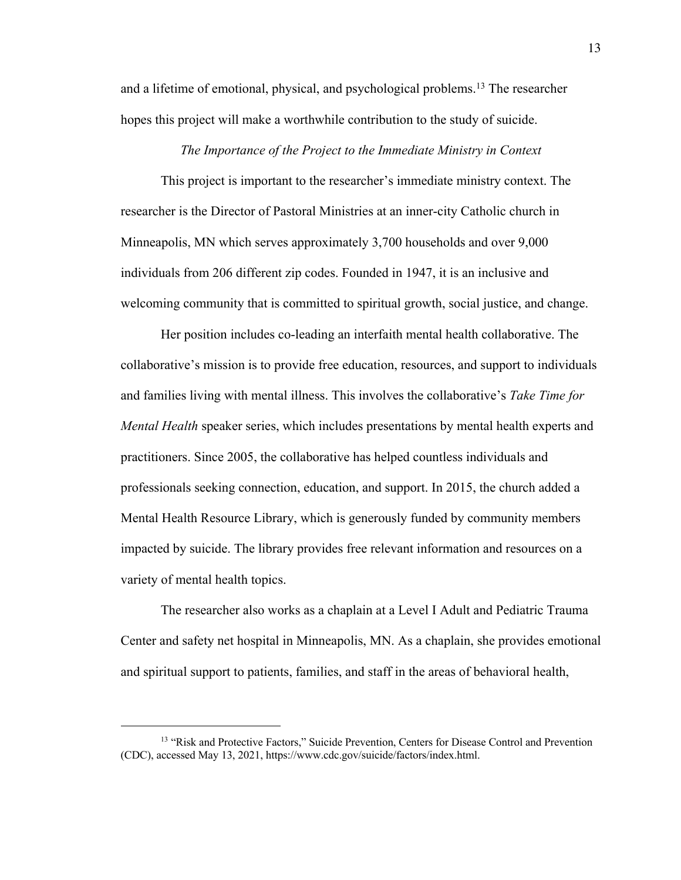and a lifetime of emotional, physical, and psychological problems.<sup>13</sup> The researcher hopes this project will make a worthwhile contribution to the study of suicide.

#### *The Importance of the Project to the Immediate Ministry in Context*

This project is important to the researcher's immediate ministry context. The researcher is the Director of Pastoral Ministries at an inner-city Catholic church in Minneapolis, MN which serves approximately 3,700 households and over 9,000 individuals from 206 different zip codes. Founded in 1947, it is an inclusive and welcoming community that is committed to spiritual growth, social justice, and change.

Her position includes co-leading an interfaith mental health collaborative. The collaborative's mission is to provide free education, resources, and support to individuals and families living with mental illness. This involves the collaborative's *Take Time for Mental Health* speaker series, which includes presentations by mental health experts and practitioners. Since 2005, the collaborative has helped countless individuals and professionals seeking connection, education, and support. In 2015, the church added a Mental Health Resource Library, which is generously funded by community members impacted by suicide. The library provides free relevant information and resources on a variety of mental health topics.

The researcher also works as a chaplain at a Level I Adult and Pediatric Trauma Center and safety net hospital in Minneapolis, MN. As a chaplain, she provides emotional and spiritual support to patients, families, and staff in the areas of behavioral health,

<sup>&</sup>lt;sup>13</sup> "Risk and Protective Factors," Suicide Prevention, Centers for Disease Control and Prevention (CDC), accessed May 13, 2021, https://www.cdc.gov/suicide/factors/index.html.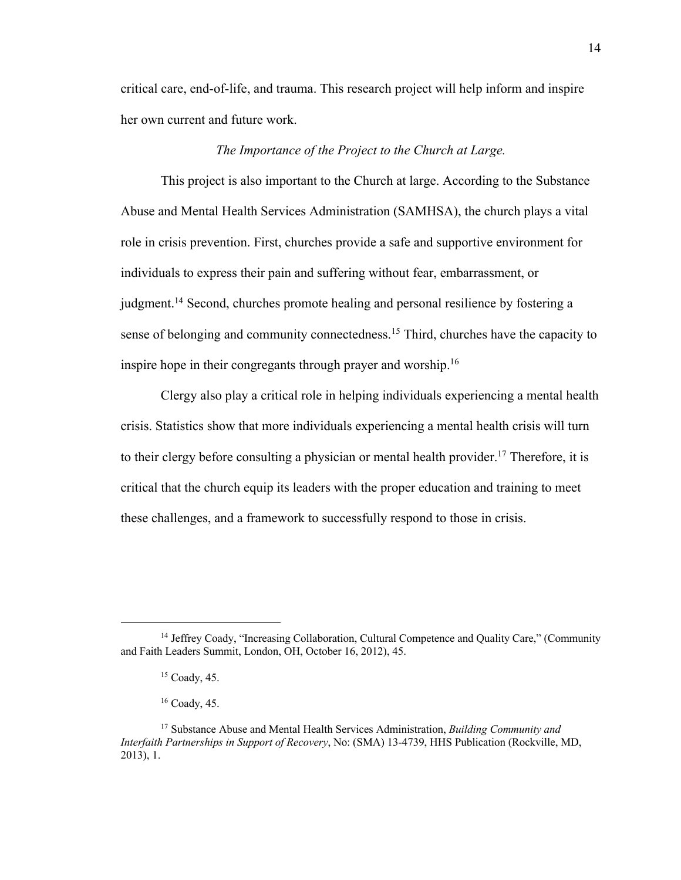critical care, end-of-life, and trauma. This research project will help inform and inspire her own current and future work.

# *The Importance of the Project to the Church at Large.*

This project is also important to the Church at large. According to the Substance Abuse and Mental Health Services Administration (SAMHSA), the church plays a vital role in crisis prevention. First, churches provide a safe and supportive environment for individuals to express their pain and suffering without fear, embarrassment, or judgment.<sup>14</sup> Second, churches promote healing and personal resilience by fostering a sense of belonging and community connectedness.<sup>15</sup> Third, churches have the capacity to inspire hope in their congregants through prayer and worship.<sup>16</sup>

Clergy also play a critical role in helping individuals experiencing a mental health crisis. Statistics show that more individuals experiencing a mental health crisis will turn to their clergy before consulting a physician or mental health provider.<sup>17</sup> Therefore, it is critical that the church equip its leaders with the proper education and training to meet these challenges, and a framework to successfully respond to those in crisis.

<sup>&</sup>lt;sup>14</sup> Jeffrey Coady, "Increasing Collaboration, Cultural Competence and Quality Care," (Community and Faith Leaders Summit, London, OH, October 16, 2012), 45.

 $15$  Coady, 45.

 $16$  Coady, 45.

<sup>17</sup> Substance Abuse and Mental Health Services Administration, *Building Community and Interfaith Partnerships in Support of Recovery*, No: (SMA) 13-4739, HHS Publication (Rockville, MD, 2013), 1.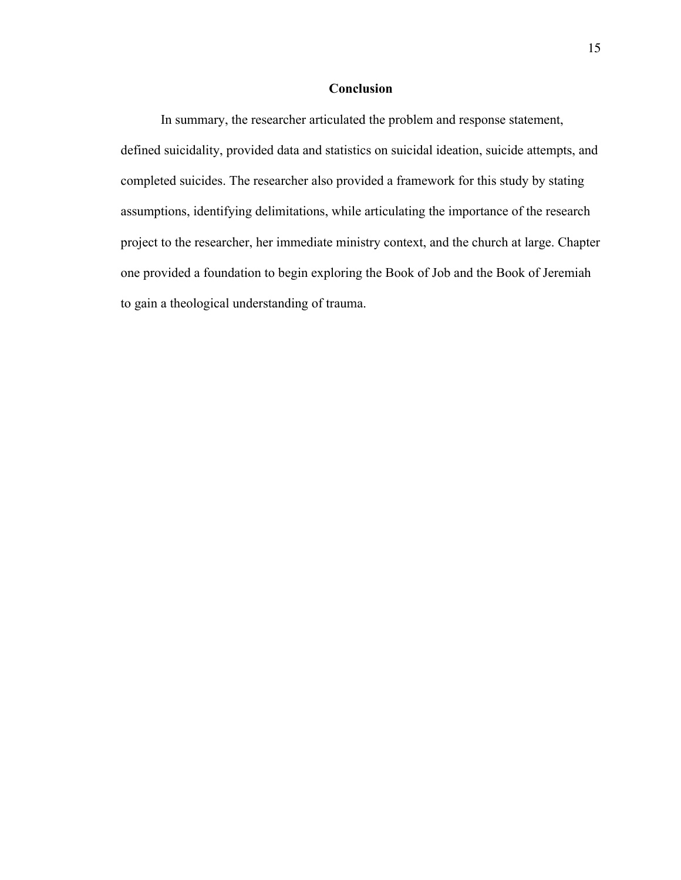# **Conclusion**

In summary, the researcher articulated the problem and response statement, defined suicidality, provided data and statistics on suicidal ideation, suicide attempts, and completed suicides. The researcher also provided a framework for this study by stating assumptions, identifying delimitations, while articulating the importance of the research project to the researcher, her immediate ministry context, and the church at large. Chapter one provided a foundation to begin exploring the Book of Job and the Book of Jeremiah to gain a theological understanding of trauma.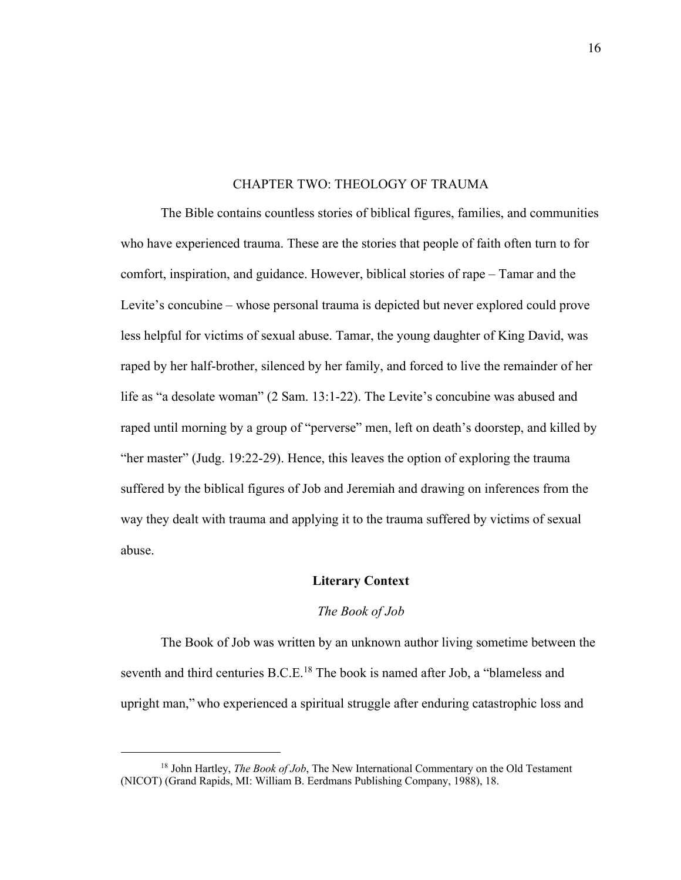# CHAPTER TWO: THEOLOGY OF TRAUMA

The Bible contains countless stories of biblical figures, families, and communities who have experienced trauma. These are the stories that people of faith often turn to for comfort, inspiration, and guidance. However, biblical stories of rape – Tamar and the Levite's concubine – whose personal trauma is depicted but never explored could prove less helpful for victims of sexual abuse. Tamar, the young daughter of King David, was raped by her half-brother, silenced by her family, and forced to live the remainder of her life as "a desolate woman" (2 Sam. 13:1-22). The Levite's concubine was abused and raped until morning by a group of "perverse" men, left on death's doorstep, and killed by "her master" (Judg. 19:22-29). Hence, this leaves the option of exploring the trauma suffered by the biblical figures of Job and Jeremiah and drawing on inferences from the way they dealt with trauma and applying it to the trauma suffered by victims of sexual abuse.

# **Literary Context**

## *The Book of Job*

The Book of Job was written by an unknown author living sometime between the seventh and third centuries B.C.E.<sup>18</sup> The book is named after Job, a "blameless and upright man," who experienced a spiritual struggle after enduring catastrophic loss and

<sup>18</sup> John Hartley, *The Book of Job*, The New International Commentary on the Old Testament (NICOT) (Grand Rapids, MI: William B. Eerdmans Publishing Company, 1988), 18.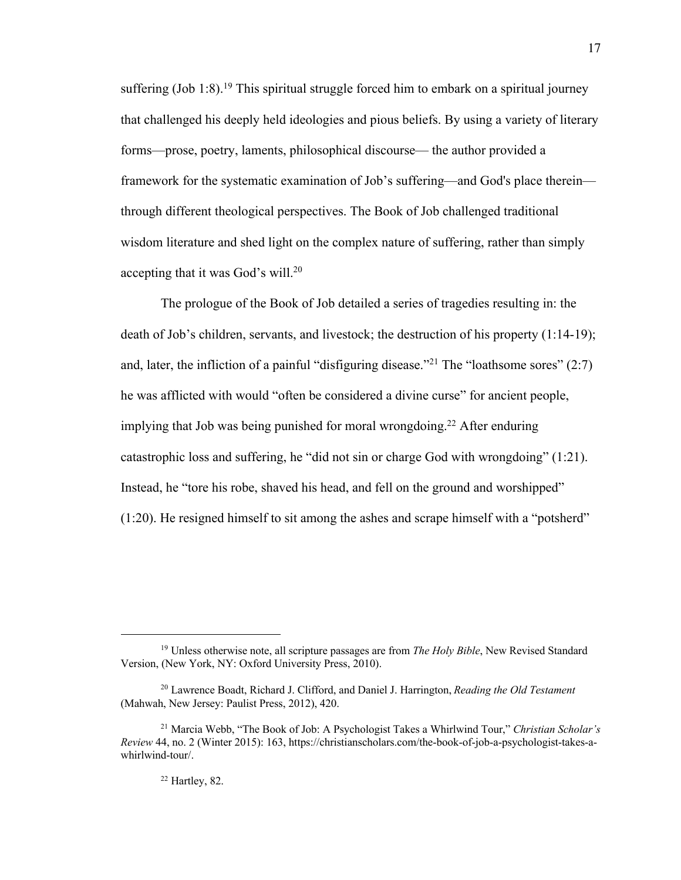suffering  $(Job 1:8)$ .<sup>19</sup> This spiritual struggle forced him to embark on a spiritual journey that challenged his deeply held ideologies and pious beliefs. By using a variety of literary forms—prose, poetry, laments, philosophical discourse— the author provided a framework for the systematic examination of Job's suffering—and God's place therein through different theological perspectives. The Book of Job challenged traditional wisdom literature and shed light on the complex nature of suffering, rather than simply accepting that it was God's will.<sup>20</sup>

The prologue of the Book of Job detailed a series of tragedies resulting in: the death of Job's children, servants, and livestock; the destruction of his property (1:14-19); and, later, the infliction of a painful "disfiguring disease."<sup>21</sup> The "loathsome sores"  $(2:7)$ he was afflicted with would "often be considered a divine curse" for ancient people, implying that Job was being punished for moral wrongdoing.<sup>22</sup> After enduring catastrophic loss and suffering, he "did not sin or charge God with wrongdoing" (1:21). Instead, he "tore his robe, shaved his head, and fell on the ground and worshipped" (1:20). He resigned himself to sit among the ashes and scrape himself with a "potsherd"

<sup>19</sup> Unless otherwise note, all scripture passages are from *The Holy Bible*, New Revised Standard Version, (New York, NY: Oxford University Press, 2010).

<sup>20</sup> Lawrence Boadt, Richard J. Clifford, and Daniel J. Harrington, *Reading the Old Testament* (Mahwah, New Jersey: Paulist Press, 2012), 420.

<sup>21</sup> Marcia Webb, "The Book of Job: A Psychologist Takes a Whirlwind Tour," *Christian Scholar's Review* 44, no. 2 (Winter 2015): 163, https://christianscholars.com/the-book-of-job-a-psychologist-takes-awhirlwind-tour/.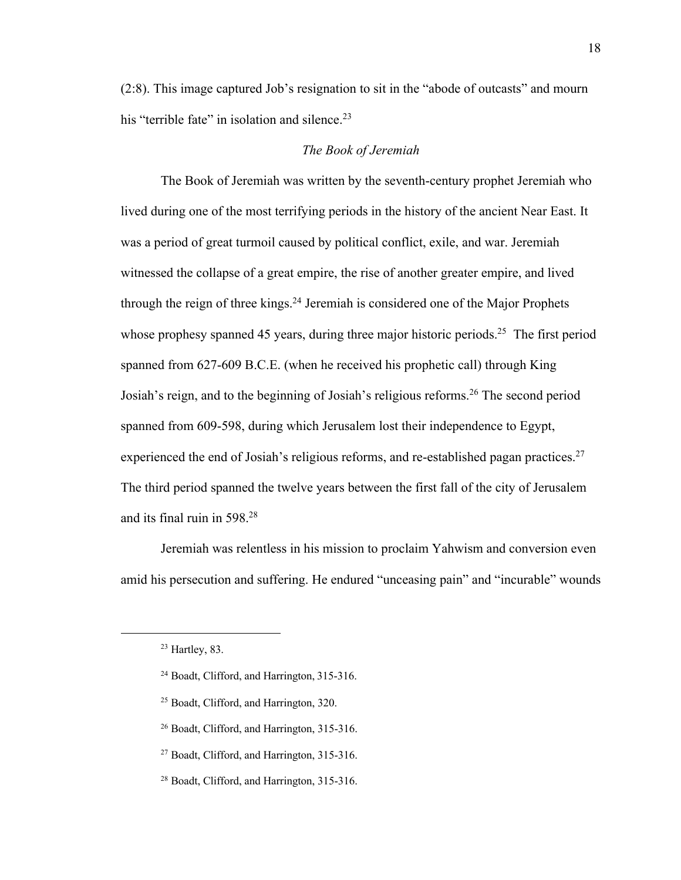(2:8). This image captured Job's resignation to sit in the "abode of outcasts" and mourn his "terrible fate" in isolation and silence.<sup>23</sup>

# *The Book of Jeremiah*

The Book of Jeremiah was written by the seventh-century prophet Jeremiah who lived during one of the most terrifying periods in the history of the ancient Near East. It was a period of great turmoil caused by political conflict, exile, and war. Jeremiah witnessed the collapse of a great empire, the rise of another greater empire, and lived through the reign of three kings. $^{24}$  Jeremiah is considered one of the Major Prophets whose prophesy spanned 45 years, during three major historic periods.<sup>25</sup> The first period spanned from 627-609 B.C.E. (when he received his prophetic call) through King Josiah's reign, and to the beginning of Josiah's religious reforms.<sup>26</sup> The second period spanned from 609-598, during which Jerusalem lost their independence to Egypt, experienced the end of Josiah's religious reforms, and re-established pagan practices.<sup>27</sup> The third period spanned the twelve years between the first fall of the city of Jerusalem and its final ruin in 598.<sup>28</sup>

Jeremiah was relentless in his mission to proclaim Yahwism and conversion even amid his persecution and suffering. He endured "unceasing pain" and "incurable" wounds

 $23$  Hartley, 83.

<sup>24</sup> Boadt, Clifford, and Harrington, 315-316.

<sup>25</sup> Boadt, Clifford, and Harrington, 320.

<sup>26</sup> Boadt, Clifford, and Harrington, 315-316.

<sup>&</sup>lt;sup>27</sup> Boadt, Clifford, and Harrington, 315-316.

<sup>28</sup> Boadt, Clifford, and Harrington, 315-316.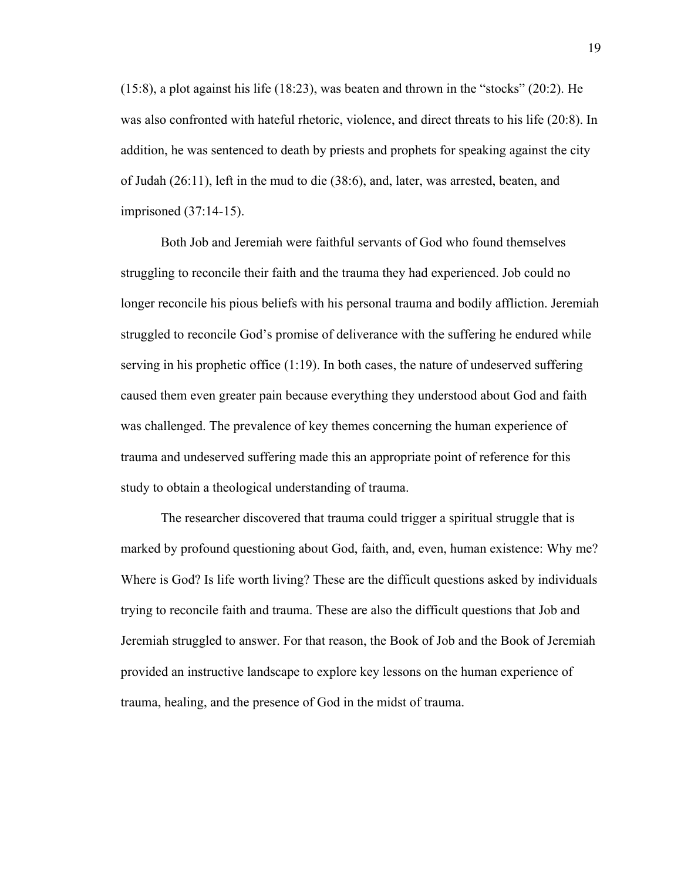(15:8), a plot against his life (18:23), was beaten and thrown in the "stocks" (20:2). He was also confronted with hateful rhetoric, violence, and direct threats to his life (20:8). In addition, he was sentenced to death by priests and prophets for speaking against the city of Judah (26:11), left in the mud to die (38:6), and, later, was arrested, beaten, and imprisoned (37:14-15).

Both Job and Jeremiah were faithful servants of God who found themselves struggling to reconcile their faith and the trauma they had experienced. Job could no longer reconcile his pious beliefs with his personal trauma and bodily affliction. Jeremiah struggled to reconcile God's promise of deliverance with the suffering he endured while serving in his prophetic office (1:19). In both cases, the nature of undeserved suffering caused them even greater pain because everything they understood about God and faith was challenged. The prevalence of key themes concerning the human experience of trauma and undeserved suffering made this an appropriate point of reference for this study to obtain a theological understanding of trauma.

The researcher discovered that trauma could trigger a spiritual struggle that is marked by profound questioning about God, faith, and, even, human existence: Why me? Where is God? Is life worth living? These are the difficult questions asked by individuals trying to reconcile faith and trauma. These are also the difficult questions that Job and Jeremiah struggled to answer. For that reason, the Book of Job and the Book of Jeremiah provided an instructive landscape to explore key lessons on the human experience of trauma, healing, and the presence of God in the midst of trauma.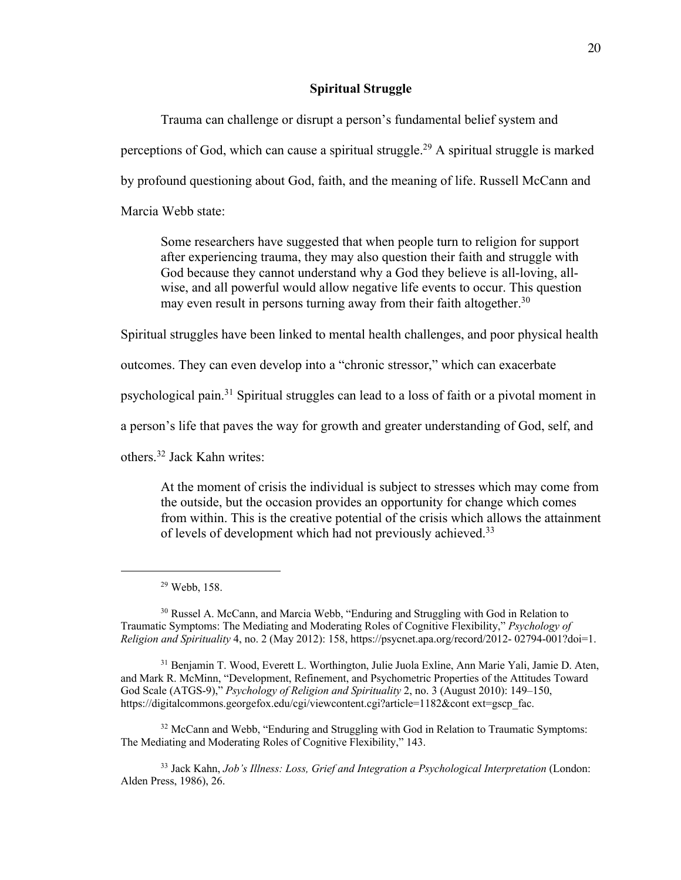# **Spiritual Struggle**

Trauma can challenge or disrupt a person's fundamental belief system and perceptions of God, which can cause a spiritual struggle.<sup>29</sup> A spiritual struggle is marked by profound questioning about God, faith, and the meaning of life. Russell McCann and Marcia Webb state:

Some researchers have suggested that when people turn to religion for support after experiencing trauma, they may also question their faith and struggle with God because they cannot understand why a God they believe is all-loving, allwise, and all powerful would allow negative life events to occur. This question may even result in persons turning away from their faith altogether.<sup>30</sup>

Spiritual struggles have been linked to mental health challenges, and poor physical health

outcomes. They can even develop into a "chronic stressor," which can exacerbate

psychological pain.<sup>31</sup> Spiritual struggles can lead to a loss of faith or a pivotal moment in

a person's life that paves the way for growth and greater understanding of God, self, and

others.<sup>32</sup> Jack Kahn writes:

At the moment of crisis the individual is subject to stresses which may come from the outside, but the occasion provides an opportunity for change which comes from within. This is the creative potential of the crisis which allows the attainment of levels of development which had not previously achieved.<sup>33</sup>

<sup>30</sup> Russel A. McCann, and Marcia Webb, "Enduring and Struggling with God in Relation to Traumatic Symptoms: The Mediating and Moderating Roles of Cognitive Flexibility," *Psychology of Religion and Spirituality* 4, no. 2 (May 2012): 158, https://psycnet.apa.org/record/2012- 02794-001?doi=1.

<sup>31</sup> Benjamin T. Wood, Everett L. Worthington, Julie Juola Exline, Ann Marie Yali, Jamie D. Aten, and Mark R. McMinn, "Development, Refinement, and Psychometric Properties of the Attitudes Toward God Scale (ATGS-9)," *Psychology of Religion and Spirituality* 2, no. 3 (August 2010): 149–150, https://digitalcommons.georgefox.edu/cgi/viewcontent.cgi?article=1182&cont ext=gscp\_fac.

<sup>32</sup> McCann and Webb, "Enduring and Struggling with God in Relation to Traumatic Symptoms: The Mediating and Moderating Roles of Cognitive Flexibility," 143.

<sup>33</sup> Jack Kahn, *Job's Illness: Loss, Grief and Integration a Psychological Interpretation* (London: Alden Press, 1986), 26.

<sup>29</sup> Webb, 158.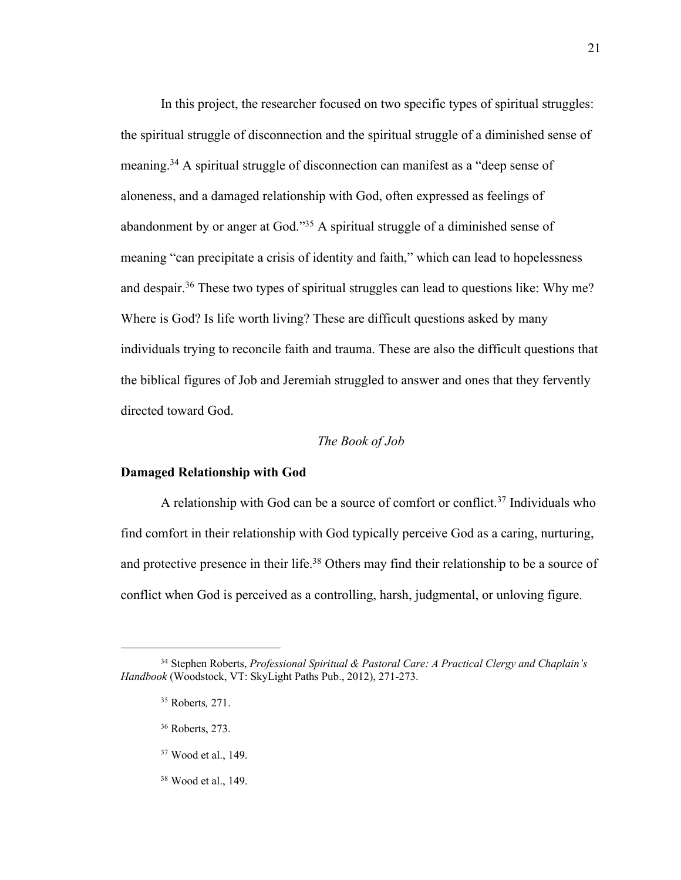In this project, the researcher focused on two specific types of spiritual struggles: the spiritual struggle of disconnection and the spiritual struggle of a diminished sense of meaning.<sup>34</sup> A spiritual struggle of disconnection can manifest as a "deep sense of aloneness, and a damaged relationship with God, often expressed as feelings of abandonment by or anger at God."<sup>35</sup> A spiritual struggle of a diminished sense of meaning "can precipitate a crisis of identity and faith," which can lead to hopelessness and despair.<sup>36</sup> These two types of spiritual struggles can lead to questions like: Why me? Where is God? Is life worth living? These are difficult questions asked by many individuals trying to reconcile faith and trauma. These are also the difficult questions that the biblical figures of Job and Jeremiah struggled to answer and ones that they fervently directed toward God.

# *The Book of Job*

## **Damaged Relationship with God**

A relationship with God can be a source of comfort or conflict.<sup>37</sup> Individuals who find comfort in their relationship with God typically perceive God as a caring, nurturing, and protective presence in their life.<sup>38</sup> Others may find their relationship to be a source of conflict when God is perceived as a controlling, harsh, judgmental, or unloving figure.

- <sup>37</sup> Wood et al., 149.
- <sup>38</sup> Wood et al., 149.

<sup>34</sup> Stephen Roberts, *Professional Spiritual & Pastoral Care: A Practical Clergy and Chaplain's Handbook* (Woodstock, VT: SkyLight Paths Pub., 2012), 271-273.

<sup>35</sup> Roberts*,* 271.

<sup>36</sup> Roberts, 273.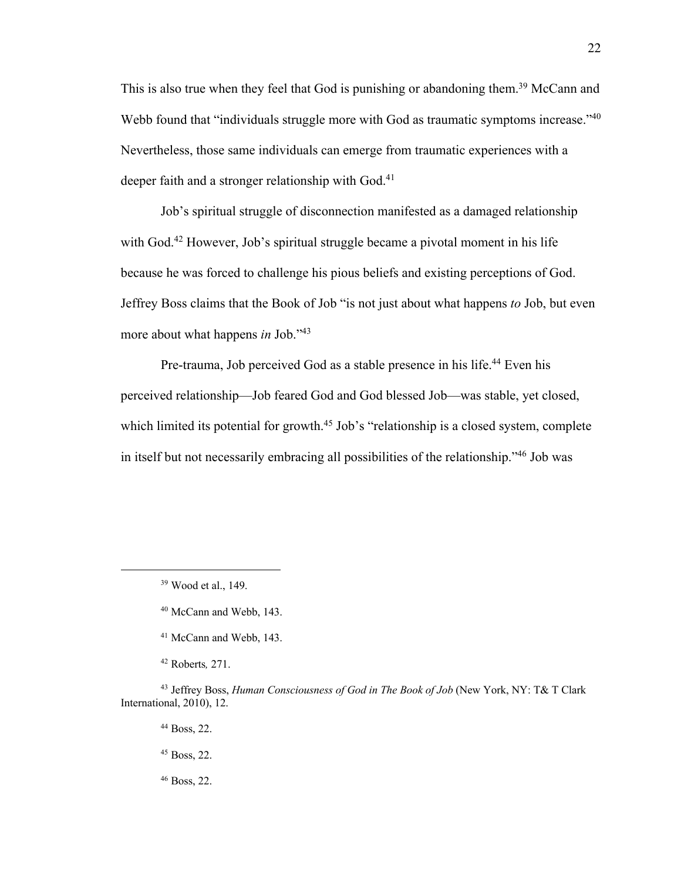This is also true when they feel that God is punishing or abandoning them.<sup>39</sup> McCann and Webb found that "individuals struggle more with God as traumatic symptoms increase."<sup>40</sup> Nevertheless, those same individuals can emerge from traumatic experiences with a deeper faith and a stronger relationship with God.<sup>41</sup>

Job's spiritual struggle of disconnection manifested as a damaged relationship with God.<sup>42</sup> However, Job's spiritual struggle became a pivotal moment in his life because he was forced to challenge his pious beliefs and existing perceptions of God. Jeffrey Boss claims that the Book of Job "is not just about what happens *to* Job, but even more about what happens *in* Job."<sup>43</sup>

Pre-trauma, Job perceived God as a stable presence in his life.<sup>44</sup> Even his perceived relationship—Job feared God and God blessed Job—was stable, yet closed, which limited its potential for growth.<sup>45</sup> Job's "relationship is a closed system, complete in itself but not necessarily embracing all possibilities of the relationship."<sup>46</sup> Job was

<sup>44</sup> Boss, 22.

<sup>46</sup> Boss, 22.

<sup>39</sup> Wood et al., 149.

<sup>40</sup> McCann and Webb, 143.

<sup>41</sup> McCann and Webb, 143.

<sup>42</sup> Roberts*,* 271.

<sup>43</sup> Jeffrey Boss, *Human Consciousness of God in The Book of Job* (New York, NY: T& T Clark International, 2010), 12.

<sup>45</sup> Boss, 22.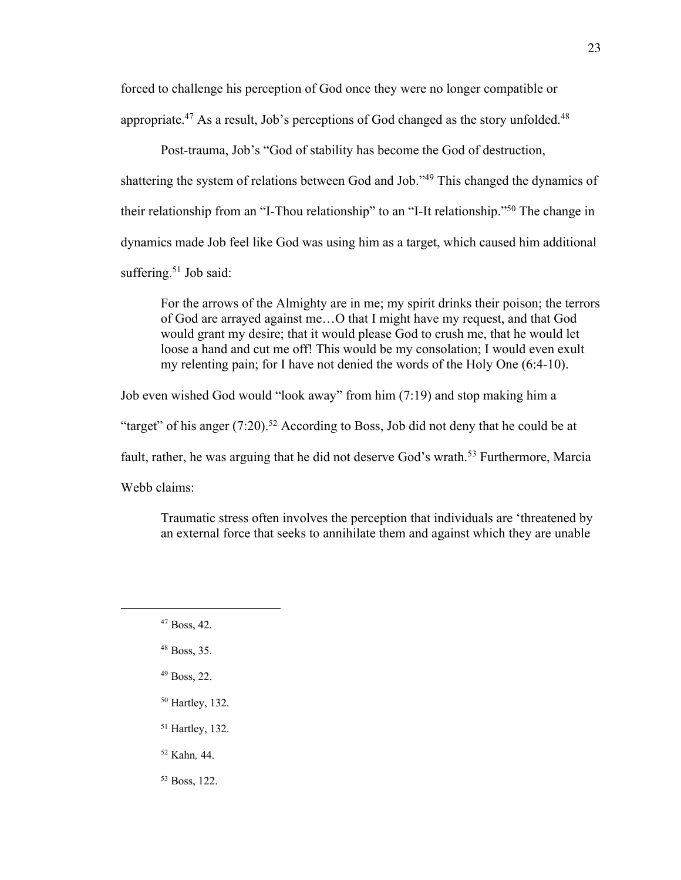forced to challenge his perception of God once they were no longer compatible or appropriate.<sup>47</sup> As a result, Job's perceptions of God changed as the story unfolded.<sup>48</sup>

Post-trauma, Job's "God of stability has become the God of destruction, shattering the system of relations between God and Job."<sup>49</sup> This changed the dynamics of their relationship from an "I-Thou relationship" to an "I-It relationship."<sup>50</sup> The change in dynamics made Job feel like God was using him as a target, which caused him additional suffering.<sup>51</sup> Job said:

For the arrows of the Almighty are in me; my spirit drinks their poison; the terrors of God are arrayed against me…O that I might have my request, and that God would grant my desire; that it would please God to crush me, that he would let loose a hand and cut me off! This would be my consolation; I would even exult my relenting pain; for I have not denied the words of the Holy One (6:4-10).

Job even wished God would "look away" from him (7:19) and stop making him a "target" of his anger  $(7:20)$ .<sup>52</sup> According to Boss, Job did not deny that he could be at fault, rather, he was arguing that he did not deserve God's wrath.<sup>53</sup> Furthermore, Marcia Webb claims:

Traumatic stress often involves the perception that individuals are 'threatened by an external force that seeks to annihilate them and against which they are unable

- <sup>49</sup> Boss, 22.
- <sup>50</sup> Hartley, 132.
- <sup>51</sup> Hartley, 132.
- <sup>52</sup> Kahn*,* 44.
- <sup>53</sup> Boss, 122.

<sup>47</sup> Boss, 42.

<sup>48</sup> Boss, 35.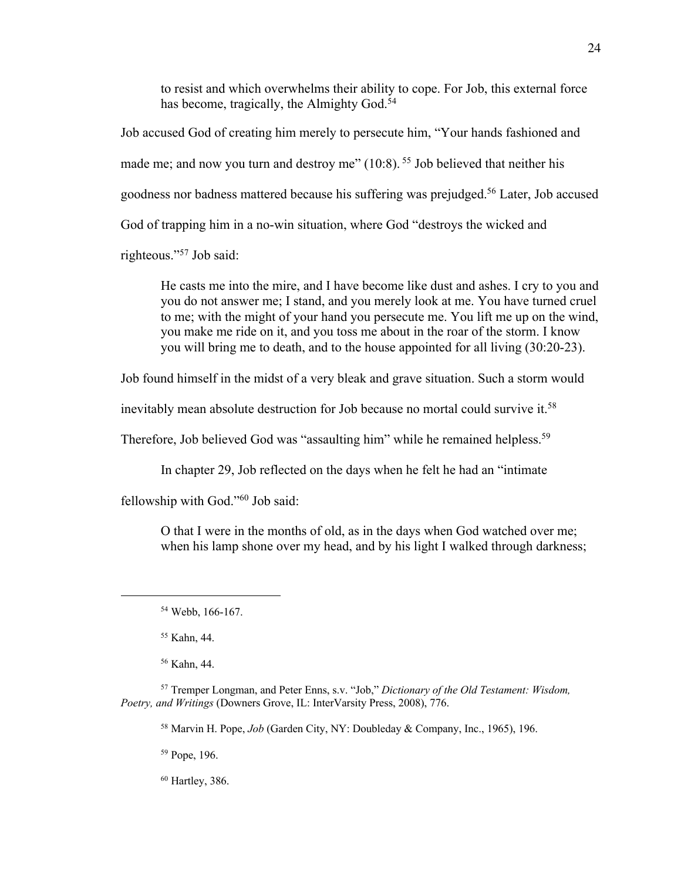to resist and which overwhelms their ability to cope. For Job, this external force has become, tragically, the Almighty God.<sup>54</sup>

Job accused God of creating him merely to persecute him, "Your hands fashioned and made me; and now you turn and destroy me" (10:8). <sup>55</sup> Job believed that neither his goodness nor badness mattered because his suffering was prejudged.<sup>56</sup> Later, Job accused God of trapping him in a no-win situation, where God "destroys the wicked and righteous."<sup>57</sup> Job said:

He casts me into the mire, and I have become like dust and ashes. I cry to you and you do not answer me; I stand, and you merely look at me. You have turned cruel to me; with the might of your hand you persecute me. You lift me up on the wind, you make me ride on it, and you toss me about in the roar of the storm. I know you will bring me to death, and to the house appointed for all living (30:20-23).

Job found himself in the midst of a very bleak and grave situation. Such a storm would

inevitably mean absolute destruction for Job because no mortal could survive it.<sup>58</sup>

Therefore, Job believed God was "assaulting him" while he remained helpless.<sup>59</sup>

In chapter 29, Job reflected on the days when he felt he had an "intimate

fellowship with God."<sup>60</sup> Job said:

O that I were in the months of old, as in the days when God watched over me; when his lamp shone over my head, and by his light I walked through darkness;

<sup>55</sup> Kahn, 44.

<sup>56</sup> Kahn, 44.

<sup>57</sup> Tremper Longman, and Peter Enns, s.v. "Job," *Dictionary of the Old Testament: Wisdom, Poetry, and Writings* (Downers Grove, IL: InterVarsity Press, 2008), 776.

<sup>58</sup> Marvin H. Pope, *Job* (Garden City, NY: Doubleday & Company, Inc., 1965), 196.

<sup>59</sup> Pope, 196.

<sup>60</sup> Hartley, 386.

<sup>54</sup> Webb, 166-167.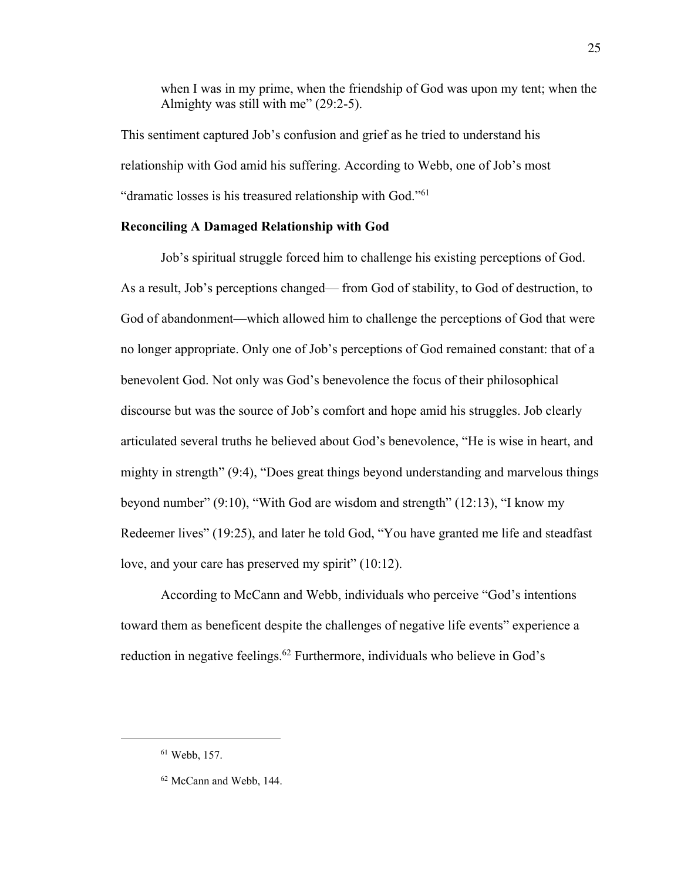when I was in my prime, when the friendship of God was upon my tent; when the Almighty was still with me" (29:2-5).

This sentiment captured Job's confusion and grief as he tried to understand his relationship with God amid his suffering. According to Webb, one of Job's most "dramatic losses is his treasured relationship with God."<sup>61</sup>

# **Reconciling A Damaged Relationship with God**

Job's spiritual struggle forced him to challenge his existing perceptions of God. As a result, Job's perceptions changed— from God of stability, to God of destruction, to God of abandonment—which allowed him to challenge the perceptions of God that were no longer appropriate. Only one of Job's perceptions of God remained constant: that of a benevolent God. Not only was God's benevolence the focus of their philosophical discourse but was the source of Job's comfort and hope amid his struggles. Job clearly articulated several truths he believed about God's benevolence, "He is wise in heart, and mighty in strength" (9:4), "Does great things beyond understanding and marvelous things beyond number" (9:10), "With God are wisdom and strength" (12:13), "I know my Redeemer lives" (19:25), and later he told God, "You have granted me life and steadfast love, and your care has preserved my spirit" (10:12).

According to McCann and Webb, individuals who perceive "God's intentions toward them as beneficent despite the challenges of negative life events" experience a reduction in negative feelings.<sup>62</sup> Furthermore, individuals who believe in God's

<sup>61</sup> Webb, 157.

<sup>62</sup> McCann and Webb, 144.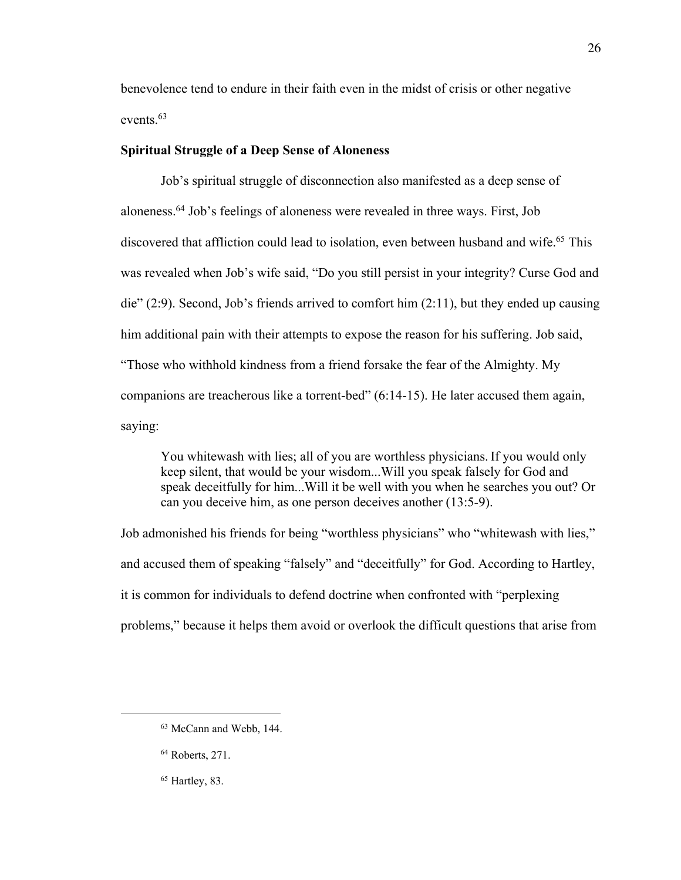benevolence tend to endure in their faith even in the midst of crisis or other negative events.<sup>63</sup>

# **Spiritual Struggle of a Deep Sense of Aloneness**

Job's spiritual struggle of disconnection also manifested as a deep sense of aloneness.<sup>64</sup> Job's feelings of aloneness were revealed in three ways. First, Job discovered that affliction could lead to isolation, even between husband and wife.<sup>65</sup> This was revealed when Job's wife said, "Do you still persist in your integrity? Curse God and die" (2:9). Second, Job's friends arrived to comfort him (2:11), but they ended up causing him additional pain with their attempts to expose the reason for his suffering. Job said, "Those who withhold kindness from a friend forsake the fear of the Almighty. My companions are treacherous like a torrent-bed" (6:14-15). He later accused them again, saying:

You whitewash with lies; all of you are worthless physicians.If you would only keep silent, that would be your wisdom...Will you speak falsely for God and speak deceitfully for him...Will it be well with you when he searches you out? Or can you deceive him, as one person deceives another (13:5-9).

Job admonished his friends for being "worthless physicians" who "whitewash with lies," and accused them of speaking "falsely" and "deceitfully" for God. According to Hartley, it is common for individuals to defend doctrine when confronted with "perplexing problems," because it helps them avoid or overlook the difficult questions that arise from

<sup>63</sup> McCann and Webb, 144.

<sup>64</sup> Roberts, 271.

 $65$  Hartley, 83.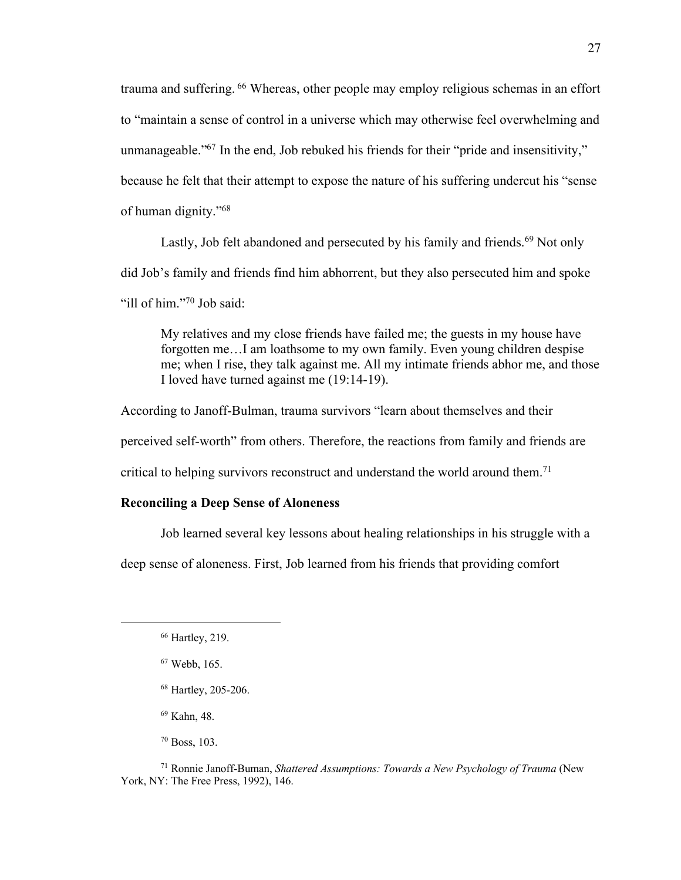trauma and suffering. <sup>66</sup> Whereas, other people may employ religious schemas in an effort to "maintain a sense of control in a universe which may otherwise feel overwhelming and unmanageable."<sup>67</sup> In the end, Job rebuked his friends for their "pride and insensitivity," because he felt that their attempt to expose the nature of his suffering undercut his "sense of human dignity."<sup>68</sup>

Lastly, Job felt abandoned and persecuted by his family and friends.<sup>69</sup> Not only did Job's family and friends find him abhorrent, but they also persecuted him and spoke "ill of him."<sup>70</sup> Job said:

My relatives and my close friends have failed me; the guests in my house have forgotten me…I am loathsome to my own family. Even young children despise me; when I rise, they talk against me. All my intimate friends abhor me, and those I loved have turned against me (19:14-19).

According to Janoff-Bulman, trauma survivors "learn about themselves and their perceived self-worth" from others. Therefore, the reactions from family and friends are critical to helping survivors reconstruct and understand the world around them.<sup>71</sup>

# **Reconciling a Deep Sense of Aloneness**

Job learned several key lessons about healing relationships in his struggle with a

deep sense of aloneness. First, Job learned from his friends that providing comfort

<sup>69</sup> Kahn, 48.

<sup>70</sup> Boss, 103.

<sup>71</sup> Ronnie Janoff-Buman, *Shattered Assumptions: Towards a New Psychology of Trauma* (New York, NY: The Free Press, 1992), 146.

<sup>66</sup> Hartley, 219.

<sup>67</sup> Webb, 165.

<sup>68</sup> Hartley, 205-206.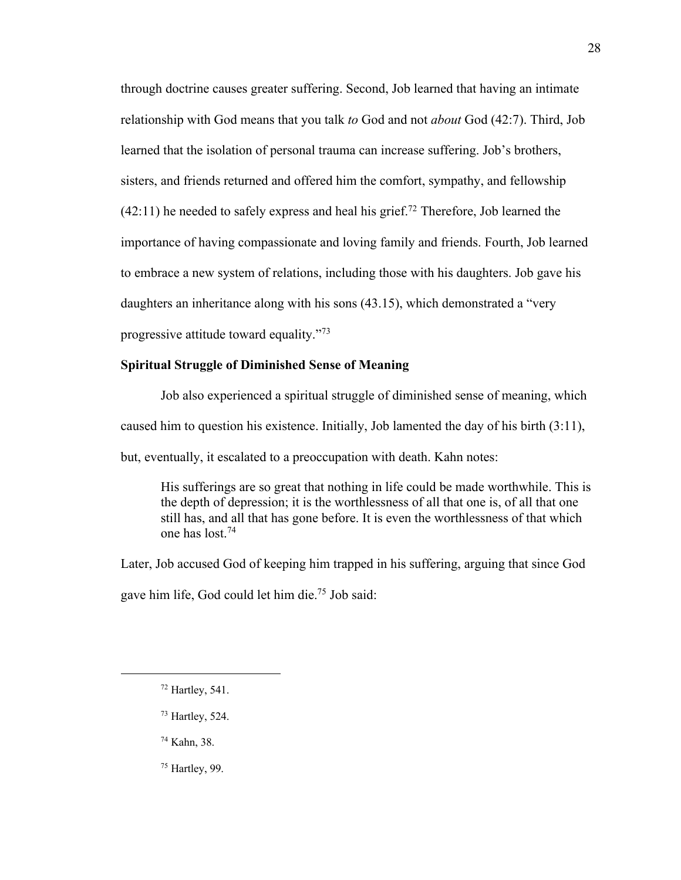through doctrine causes greater suffering. Second, Job learned that having an intimate relationship with God means that you talk *to* God and not *about* God (42:7). Third, Job learned that the isolation of personal trauma can increase suffering. Job's brothers, sisters, and friends returned and offered him the comfort, sympathy, and fellowship  $(42:11)$  he needed to safely express and heal his grief.<sup>72</sup> Therefore, Job learned the importance of having compassionate and loving family and friends. Fourth, Job learned to embrace a new system of relations, including those with his daughters. Job gave his daughters an inheritance along with his sons (43.15), which demonstrated a "very progressive attitude toward equality."<sup>73</sup>

# **Spiritual Struggle of Diminished Sense of Meaning**

Job also experienced a spiritual struggle of diminished sense of meaning, which caused him to question his existence. Initially, Job lamented the day of his birth (3:11), but, eventually, it escalated to a preoccupation with death. Kahn notes:

His sufferings are so great that nothing in life could be made worthwhile. This is the depth of depression; it is the worthlessness of all that one is, of all that one still has, and all that has gone before. It is even the worthlessness of that which one has lost.<sup>74</sup>

Later, Job accused God of keeping him trapped in his suffering, arguing that since God gave him life, God could let him die.<sup>75</sup> Job said:

<sup>73</sup> Hartley, 524.

<sup>74</sup> Kahn, 38.

<sup>75</sup> Hartley, 99.

 $72$  Hartley, 541.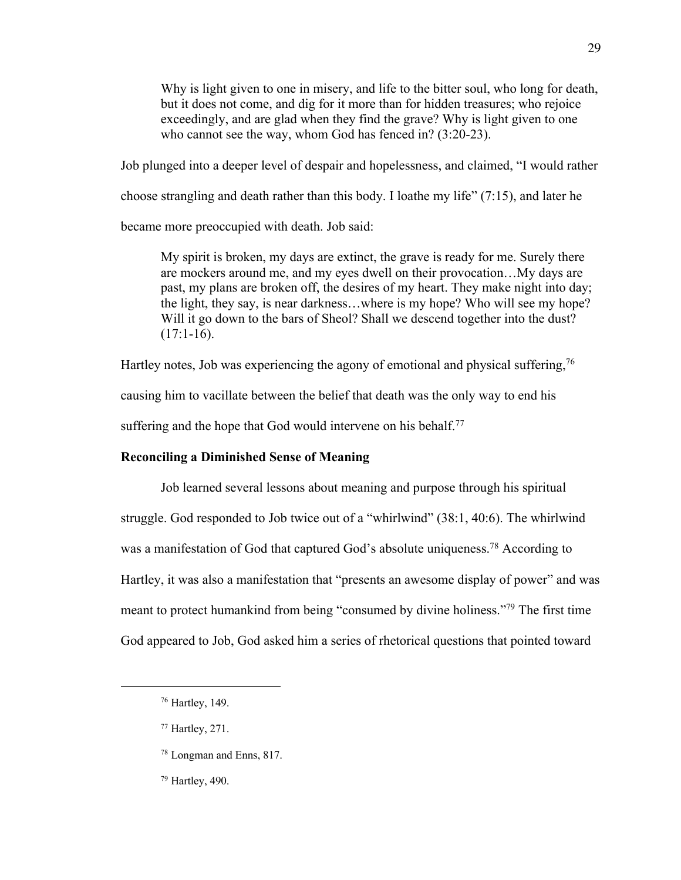Why is light given to one in misery, and life to the bitter soul, who long for death, but it does not come, and dig for it more than for hidden treasures; who rejoice exceedingly, and are glad when they find the grave? Why is light given to one who cannot see the way, whom God has fenced in? (3:20-23).

Job plunged into a deeper level of despair and hopelessness, and claimed, "I would rather

choose strangling and death rather than this body. I loathe my life" (7:15), and later he

became more preoccupied with death. Job said:

My spirit is broken, my days are extinct, the grave is ready for me. Surely there are mockers around me, and my eyes dwell on their provocation…My days are past, my plans are broken off, the desires of my heart. They make night into day; the light, they say, is near darkness…where is my hope? Who will see my hope? Will it go down to the bars of Sheol? Shall we descend together into the dust?  $(17:1-16)$ .

Hartley notes, Job was experiencing the agony of emotional and physical suffering,  $76$ 

causing him to vacillate between the belief that death was the only way to end his

suffering and the hope that God would intervene on his behalf.<sup>77</sup>

# **Reconciling a Diminished Sense of Meaning**

Job learned several lessons about meaning and purpose through his spiritual struggle. God responded to Job twice out of a "whirlwind" (38:1, 40:6). The whirlwind was a manifestation of God that captured God's absolute uniqueness.<sup>78</sup> According to Hartley, it was also a manifestation that "presents an awesome display of power" and was meant to protect humankind from being "consumed by divine holiness."<sup>79</sup> The first time God appeared to Job, God asked him a series of rhetorical questions that pointed toward

- <sup>78</sup> Longman and Enns, 817.
- <sup>79</sup> Hartley, 490.

<sup>76</sup> Hartley, 149.

<sup>77</sup> Hartley, 271.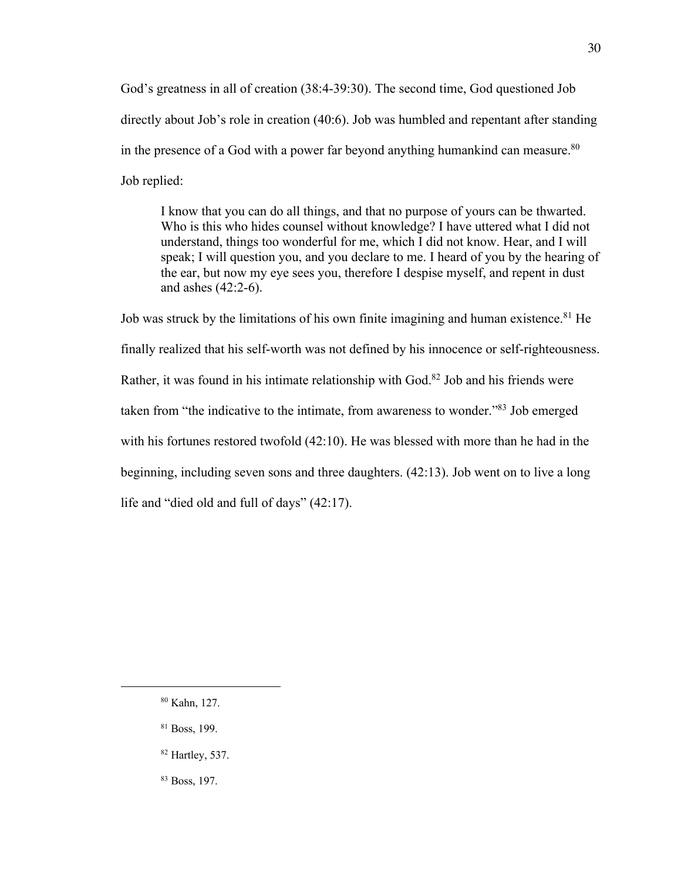God's greatness in all of creation (38:4-39:30). The second time, God questioned Job directly about Job's role in creation (40:6). Job was humbled and repentant after standing in the presence of a God with a power far beyond anything humankind can measure. $80$ Job replied:

I know that you can do all things, and that no purpose of yours can be thwarted. Who is this who hides counsel without knowledge? I have uttered what I did not understand, things too wonderful for me, which I did not know. Hear, and I will speak; I will question you, and you declare to me. I heard of you by the hearing of the ear, but now my eye sees you, therefore I despise myself, and repent in dust and ashes (42:2-6).

Job was struck by the limitations of his own finite imagining and human existence.<sup>81</sup> He finally realized that his self-worth was not defined by his innocence or self-righteousness. Rather, it was found in his intimate relationship with God.<sup>82</sup> Job and his friends were taken from "the indicative to the intimate, from awareness to wonder."<sup>83</sup> Job emerged with his fortunes restored twofold (42:10). He was blessed with more than he had in the beginning, including seven sons and three daughters. (42:13). Job went on to live a long life and "died old and full of days" (42:17).

<sup>80</sup> Kahn, 127.

<sup>81</sup> Boss, 199.

<sup>82</sup> Hartley, 537.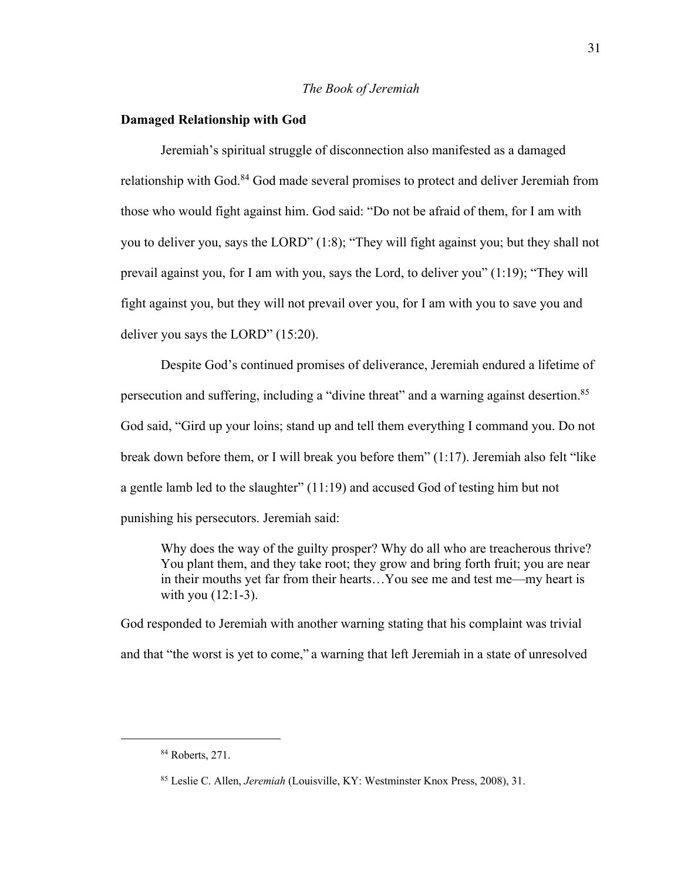# *The Book of Jeremiah*

## **Damaged Relationship with God**

Jeremiah's spiritual struggle of disconnection also manifested as a damaged relationship with God.<sup>84</sup> God made several promises to protect and deliver Jeremiah from those who would fight against him. God said: "Do not be afraid of them, for I am with you to deliver you, says the LORD" (1:8); "They will fight against you; but they shall not prevail against you, for I am with you, says the Lord, to deliver you" (1:19); "They will fight against you, but they will not prevail over you, for I am with you to save you and deliver you says the LORD" (15:20).

Despite God's continued promises of deliverance, Jeremiah endured a lifetime of persecution and suffering, including a "divine threat" and a warning against desertion.<sup>85</sup> God said, "Gird up your loins; stand up and tell them everything I command you. Do not break down before them, or I will break you before them" (1:17). Jeremiah also felt "like a gentle lamb led to the slaughter" (11:19) and accused God of testing him but not punishing his persecutors. Jeremiah said:

Why does the way of the guilty prosper? Why do all who are treacherous thrive? You plant them, and they take root; they grow and bring forth fruit; you are near in their mouths yet far from their hearts…You see me and test me—my heart is with you (12:1-3).

God responded to Jeremiah with another warning stating that his complaint was trivial and that "the worst is yet to come," a warning that left Jeremiah in a state of unresolved

<sup>84</sup> Roberts, 271.

<sup>85</sup> Leslie C. Allen, *Jeremiah* (Louisville, KY: Westminster Knox Press, 2008), 31.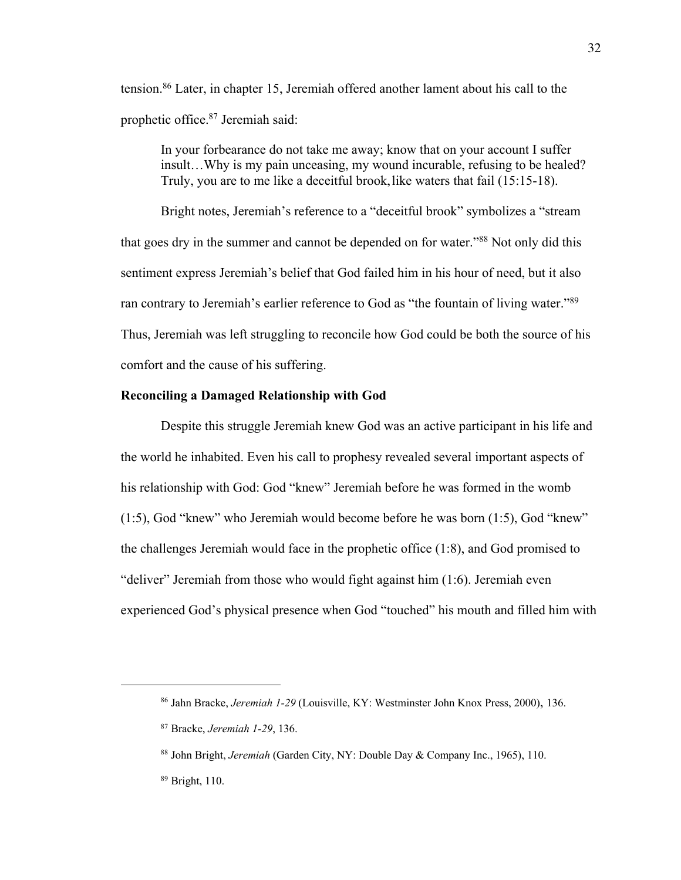tension.<sup>86</sup> Later, in chapter 15, Jeremiah offered another lament about his call to the prophetic office.<sup>87</sup> Jeremiah said:

In your forbearance do not take me away; know that on your account I suffer insult…Why is my pain unceasing, my wound incurable, refusing to be healed? Truly, you are to me like a deceitful brook, like waters that fail (15:15-18).

Bright notes, Jeremiah's reference to a "deceitful brook" symbolizes a "stream that goes dry in the summer and cannot be depended on for water."<sup>88</sup> Not only did this sentiment express Jeremiah's belief that God failed him in his hour of need, but it also ran contrary to Jeremiah's earlier reference to God as "the fountain of living water."<sup>89</sup> Thus, Jeremiah was left struggling to reconcile how God could be both the source of his comfort and the cause of his suffering.

# **Reconciling a Damaged Relationship with God**

Despite this struggle Jeremiah knew God was an active participant in his life and the world he inhabited. Even his call to prophesy revealed several important aspects of his relationship with God: God "knew" Jeremiah before he was formed in the womb (1:5), God "knew" who Jeremiah would become before he was born (1:5), God "knew" the challenges Jeremiah would face in the prophetic office (1:8), and God promised to "deliver" Jeremiah from those who would fight against him (1:6). Jeremiah even experienced God's physical presence when God "touched" his mouth and filled him with

<sup>89</sup> Bright, 110.

<sup>86</sup> Jahn Bracke, *Jeremiah 1-29* (Louisville, KY: Westminster John Knox Press, 2000), 136.

<sup>87</sup> Bracke, *Jeremiah 1-29*, 136.

<sup>88</sup> John Bright, *Jeremiah* (Garden City, NY: Double Day & Company Inc., 1965), 110.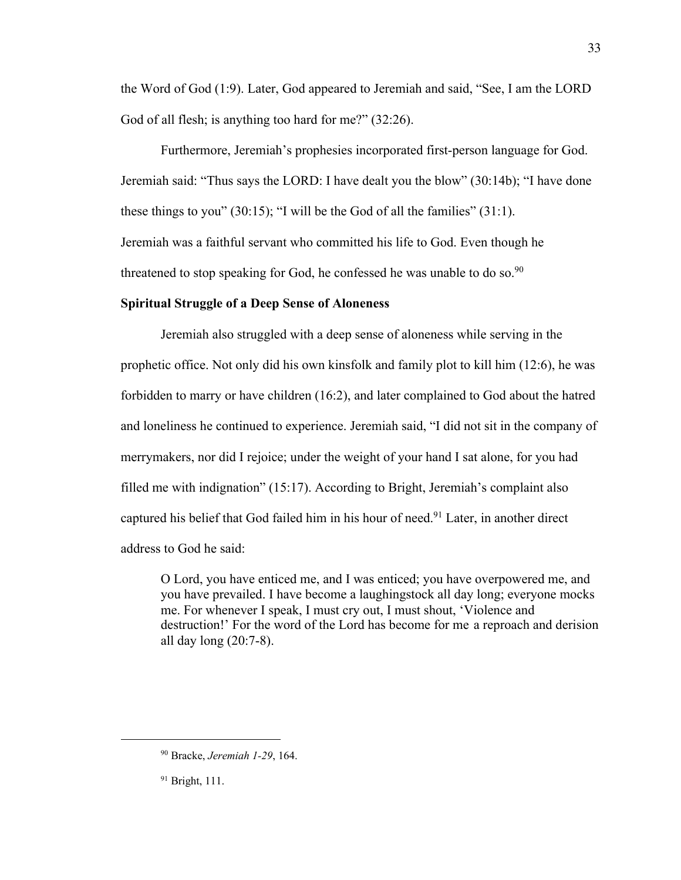the Word of God (1:9). Later, God appeared to Jeremiah and said, "See, I am the LORD God of all flesh; is anything too hard for me?" (32:26).

Furthermore, Jeremiah's prophesies incorporated first-person language for God. Jeremiah said: "Thus says the LORD: I have dealt you the blow" (30:14b); "I have done these things to you" (30:15); "I will be the God of all the families" (31:1). Jeremiah was a faithful servant who committed his life to God. Even though he threatened to stop speaking for God, he confessed he was unable to do so.<sup>90</sup>

### **Spiritual Struggle of a Deep Sense of Aloneness**

Jeremiah also struggled with a deep sense of aloneness while serving in the prophetic office. Not only did his own kinsfolk and family plot to kill him (12:6), he was forbidden to marry or have children (16:2), and later complained to God about the hatred and loneliness he continued to experience. Jeremiah said, "I did not sit in the company of merrymakers, nor did I rejoice; under the weight of your hand I sat alone, for you had filled me with indignation" (15:17). According to Bright, Jeremiah's complaint also captured his belief that God failed him in his hour of need.<sup>91</sup> Later, in another direct address to God he said:

O Lord, you have enticed me, and I was enticed; you have overpowered me, and you have prevailed. I have become a laughingstock all day long; everyone mocks me. For whenever I speak, I must cry out, I must shout, 'Violence and destruction!' For the word of the Lord has become for me a reproach and derision all day long (20:7-8).

<sup>90</sup> Bracke, *Jeremiah 1-29*, 164.

<sup>&</sup>lt;sup>91</sup> Bright, 111.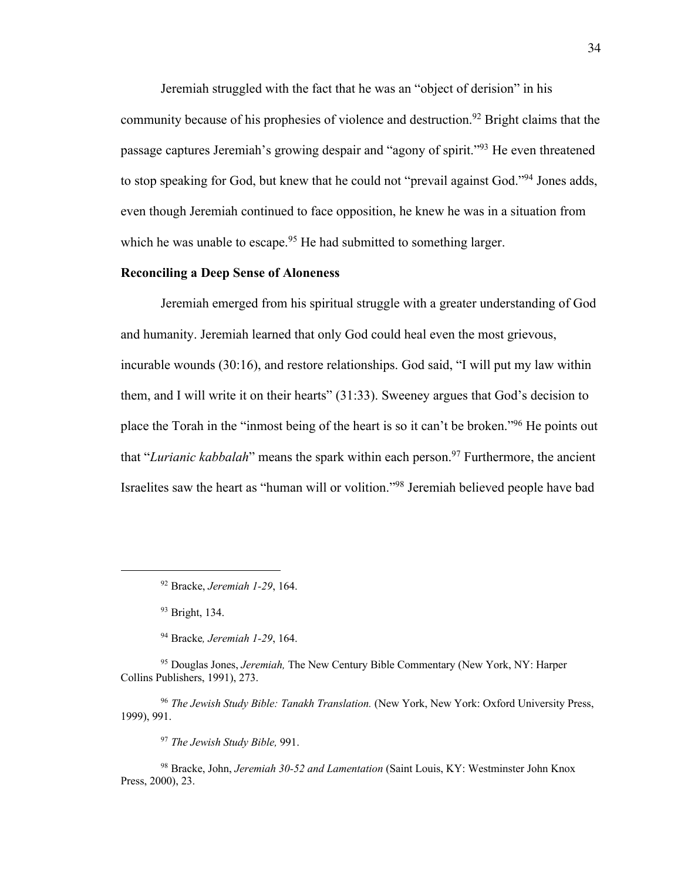Jeremiah struggled with the fact that he was an "object of derision" in his community because of his prophesies of violence and destruction.<sup>92</sup> Bright claims that the passage captures Jeremiah's growing despair and "agony of spirit."<sup>93</sup> He even threatened to stop speaking for God, but knew that he could not "prevail against God."<sup>94</sup> Jones adds, even though Jeremiah continued to face opposition, he knew he was in a situation from which he was unable to escape.<sup>95</sup> He had submitted to something larger.

# **Reconciling a Deep Sense of Aloneness**

Jeremiah emerged from his spiritual struggle with a greater understanding of God and humanity. Jeremiah learned that only God could heal even the most grievous, incurable wounds (30:16), and restore relationships. God said, "I will put my law within them, and I will write it on their hearts" (31:33). Sweeney argues that God's decision to place the Torah in the "inmost being of the heart is so it can't be broken."<sup>96</sup> He points out that "*Lurianic kabbalah*" means the spark within each person.<sup>97</sup> Furthermore, the ancient Israelites saw the heart as "human will or volition."<sup>98</sup> Jeremiah believed people have bad

<sup>94</sup> Bracke*, Jeremiah 1-29*, 164.

<sup>95</sup> Douglas Jones, *Jeremiah,* The New Century Bible Commentary (New York, NY: Harper Collins Publishers, 1991), 273.

<sup>96</sup> *The Jewish Study Bible: Tanakh Translation.* (New York, New York: Oxford University Press, 1999), 991.

<sup>97</sup> *The Jewish Study Bible,* 991.

<sup>98</sup> Bracke, John, *Jeremiah 30-52 and Lamentation* (Saint Louis, KY: Westminster John Knox Press, 2000), 23.

<sup>92</sup> Bracke, *Jeremiah 1-29*, 164.

<sup>93</sup> Bright, 134.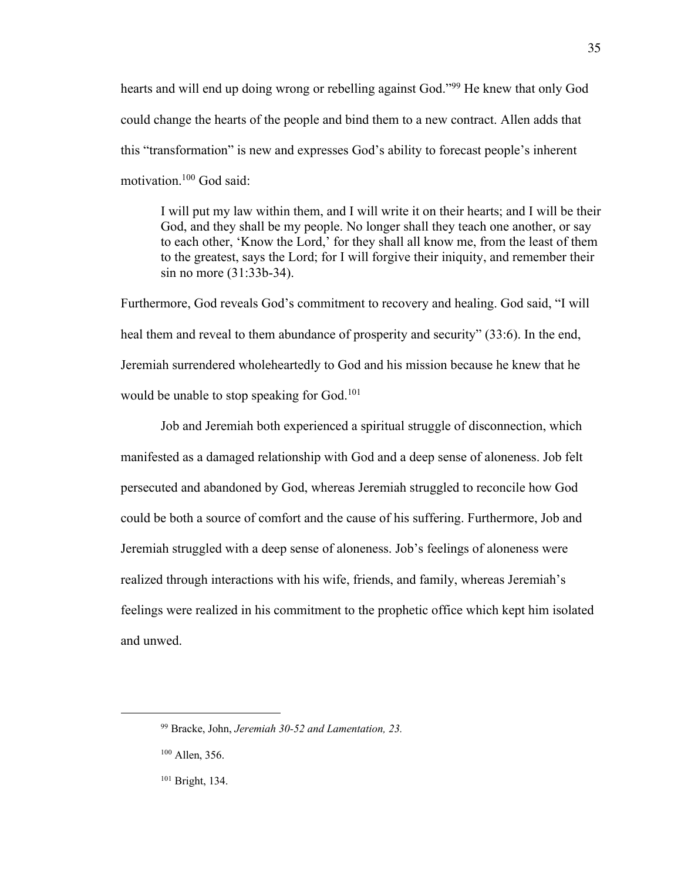hearts and will end up doing wrong or rebelling against God."<sup>99</sup> He knew that only God could change the hearts of the people and bind them to a new contract. Allen adds that this "transformation" is new and expresses God's ability to forecast people's inherent motivation.<sup>100</sup> God said:

I will put my law within them, and I will write it on their hearts; and I will be their God, and they shall be my people. No longer shall they teach one another, or say to each other, 'Know the Lord,' for they shall all know me, from the least of them to the greatest, says the Lord; for I will forgive their iniquity, and remember their sin no more (31:33b-34).

Furthermore, God reveals God's commitment to recovery and healing. God said, "I will heal them and reveal to them abundance of prosperity and security" (33:6). In the end, Jeremiah surrendered wholeheartedly to God and his mission because he knew that he would be unable to stop speaking for God.<sup>101</sup>

Job and Jeremiah both experienced a spiritual struggle of disconnection, which manifested as a damaged relationship with God and a deep sense of aloneness. Job felt persecuted and abandoned by God, whereas Jeremiah struggled to reconcile how God could be both a source of comfort and the cause of his suffering. Furthermore, Job and Jeremiah struggled with a deep sense of aloneness. Job's feelings of aloneness were realized through interactions with his wife, friends, and family, whereas Jeremiah's feelings were realized in his commitment to the prophetic office which kept him isolated and unwed.

<sup>99</sup> Bracke, John, *Jeremiah 30-52 and Lamentation, 23.*

<sup>100</sup> Allen, 356.

<sup>101</sup> Bright, 134.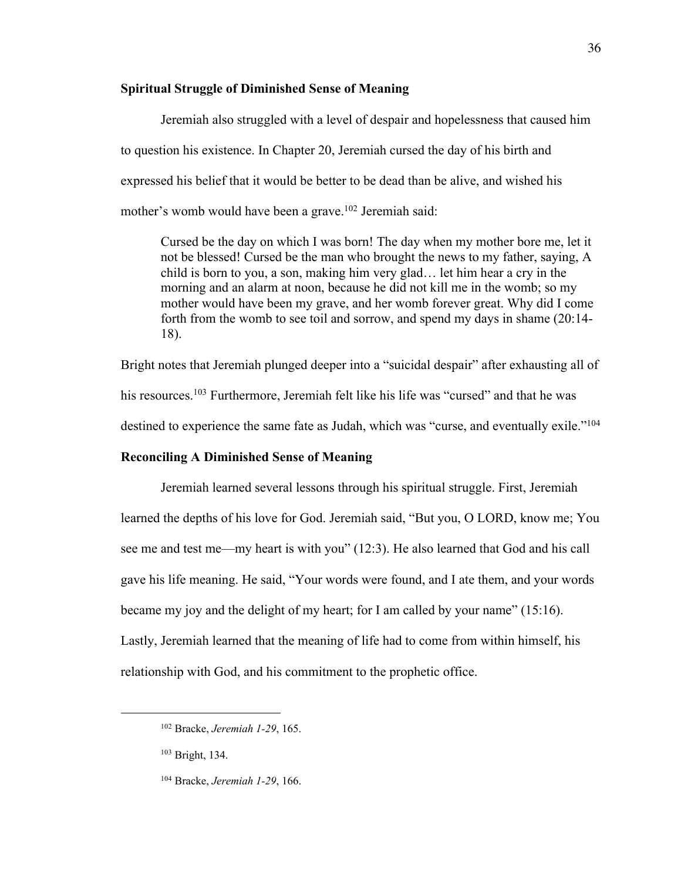## **Spiritual Struggle of Diminished Sense of Meaning**

Jeremiah also struggled with a level of despair and hopelessness that caused him to question his existence. In Chapter 20, Jeremiah cursed the day of his birth and expressed his belief that it would be better to be dead than be alive, and wished his mother's womb would have been a grave.<sup>102</sup> Jeremiah said:

Cursed be the day on which I was born! The day when my mother bore me, let it not be blessed! Cursed be the man who brought the news to my father, saying, A child is born to you, a son, making him very glad… let him hear a cry in the morning and an alarm at noon, because he did not kill me in the womb; so my mother would have been my grave, and her womb forever great. Why did I come forth from the womb to see toil and sorrow, and spend my days in shame (20:14- 18).

Bright notes that Jeremiah plunged deeper into a "suicidal despair" after exhausting all of his resources.<sup>103</sup> Furthermore, Jeremiah felt like his life was "cursed" and that he was destined to experience the same fate as Judah, which was "curse, and eventually exile."<sup>104</sup>

#### **Reconciling A Diminished Sense of Meaning**

Jeremiah learned several lessons through his spiritual struggle. First, Jeremiah learned the depths of his love for God. Jeremiah said, "But you, O LORD, know me; You see me and test me—my heart is with you" (12:3). He also learned that God and his call gave his life meaning. He said, "Your words were found, and I ate them, and your words became my joy and the delight of my heart; for I am called by your name" (15:16). Lastly, Jeremiah learned that the meaning of life had to come from within himself, his relationship with God, and his commitment to the prophetic office.

<sup>102</sup> Bracke, *Jeremiah 1-29*, 165.

<sup>103</sup> Bright, 134.

<sup>104</sup> Bracke, *Jeremiah 1-29*, 166.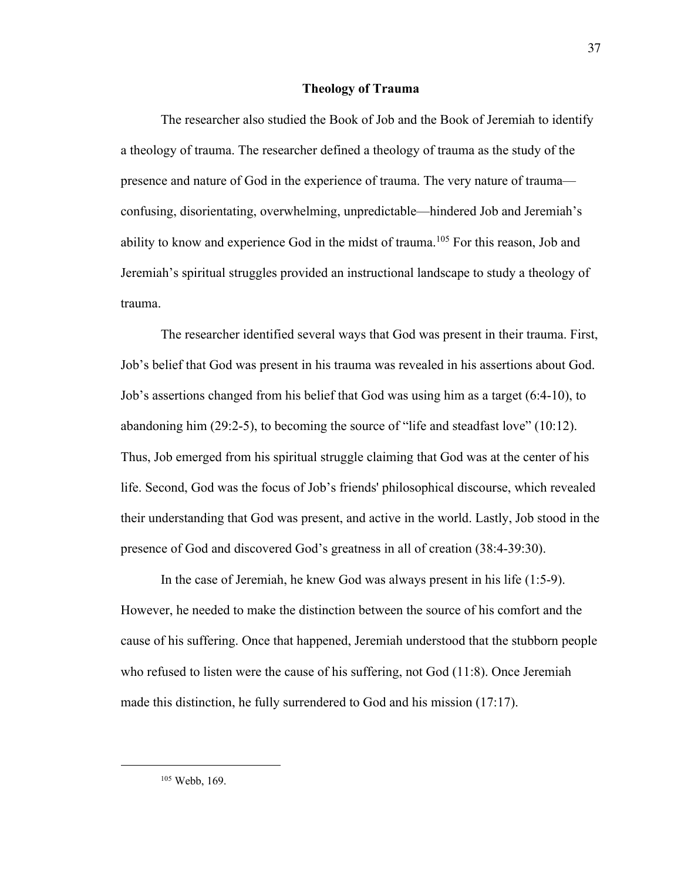### **Theology of Trauma**

The researcher also studied the Book of Job and the Book of Jeremiah to identify a theology of trauma. The researcher defined a theology of trauma as the study of the presence and nature of God in the experience of trauma. The very nature of trauma confusing, disorientating, overwhelming, unpredictable—hindered Job and Jeremiah's ability to know and experience God in the midst of trauma.<sup>105</sup> For this reason, Job and Jeremiah's spiritual struggles provided an instructional landscape to study a theology of trauma.

The researcher identified several ways that God was present in their trauma. First, Job's belief that God was present in his trauma was revealed in his assertions about God. Job's assertions changed from his belief that God was using him as a target (6:4-10), to abandoning him (29:2-5), to becoming the source of "life and steadfast love" (10:12). Thus, Job emerged from his spiritual struggle claiming that God was at the center of his life. Second, God was the focus of Job's friends' philosophical discourse, which revealed their understanding that God was present, and active in the world. Lastly, Job stood in the presence of God and discovered God's greatness in all of creation (38:4-39:30).

In the case of Jeremiah, he knew God was always present in his life (1:5-9). However, he needed to make the distinction between the source of his comfort and the cause of his suffering. Once that happened, Jeremiah understood that the stubborn people who refused to listen were the cause of his suffering, not God (11:8). Once Jeremiah made this distinction, he fully surrendered to God and his mission (17:17).

<sup>105</sup> Webb, 169.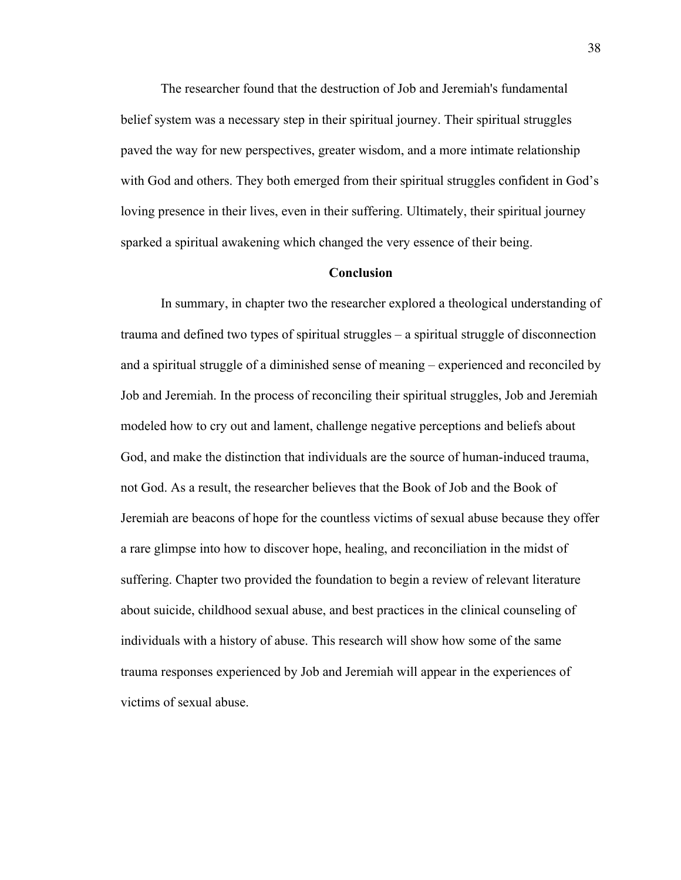The researcher found that the destruction of Job and Jeremiah's fundamental belief system was a necessary step in their spiritual journey. Their spiritual struggles paved the way for new perspectives, greater wisdom, and a more intimate relationship with God and others. They both emerged from their spiritual struggles confident in God's loving presence in their lives, even in their suffering. Ultimately, their spiritual journey sparked a spiritual awakening which changed the very essence of their being.

#### **Conclusion**

In summary, in chapter two the researcher explored a theological understanding of trauma and defined two types of spiritual struggles – a spiritual struggle of disconnection and a spiritual struggle of a diminished sense of meaning – experienced and reconciled by Job and Jeremiah. In the process of reconciling their spiritual struggles, Job and Jeremiah modeled how to cry out and lament, challenge negative perceptions and beliefs about God, and make the distinction that individuals are the source of human-induced trauma, not God. As a result, the researcher believes that the Book of Job and the Book of Jeremiah are beacons of hope for the countless victims of sexual abuse because they offer a rare glimpse into how to discover hope, healing, and reconciliation in the midst of suffering. Chapter two provided the foundation to begin a review of relevant literature about suicide, childhood sexual abuse, and best practices in the clinical counseling of individuals with a history of abuse. This research will show how some of the same trauma responses experienced by Job and Jeremiah will appear in the experiences of victims of sexual abuse.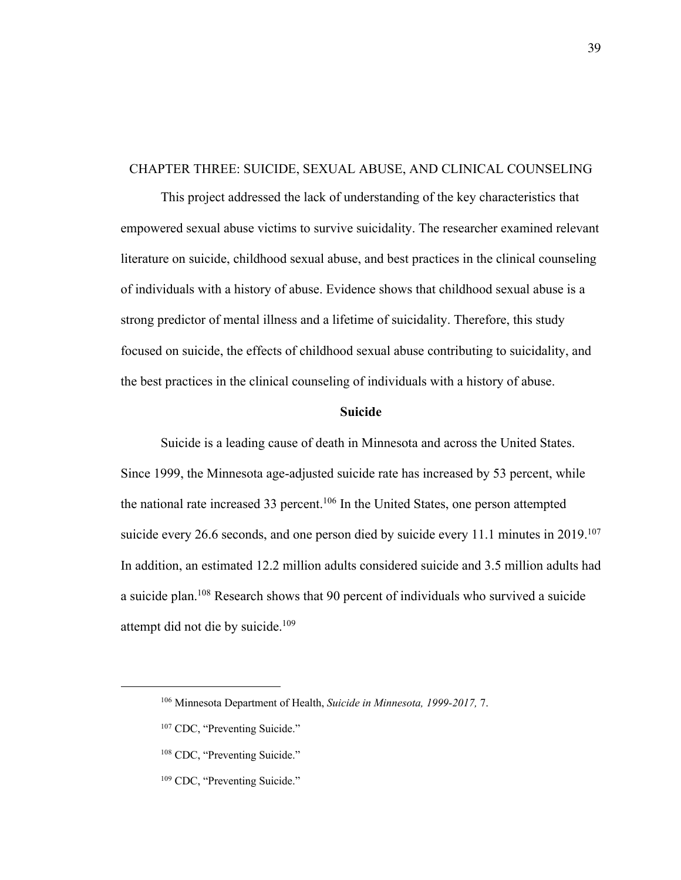# CHAPTER THREE: SUICIDE, SEXUAL ABUSE, AND CLINICAL COUNSELING

This project addressed the lack of understanding of the key characteristics that empowered sexual abuse victims to survive suicidality. The researcher examined relevant literature on suicide, childhood sexual abuse, and best practices in the clinical counseling of individuals with a history of abuse. Evidence shows that childhood sexual abuse is a strong predictor of mental illness and a lifetime of suicidality. Therefore, this study focused on suicide, the effects of childhood sexual abuse contributing to suicidality, and the best practices in the clinical counseling of individuals with a history of abuse.

#### **Suicide**

Suicide is a leading cause of death in Minnesota and across the United States. Since 1999, the Minnesota age-adjusted suicide rate has increased by 53 percent, while the national rate increased 33 percent.<sup>106</sup> In the United States, one person attempted suicide every 26.6 seconds, and one person died by suicide every 11.1 minutes in 2019.<sup>107</sup> In addition, an estimated 12.2 million adults considered suicide and 3.5 million adults had a suicide plan.<sup>108</sup> Research shows that 90 percent of individuals who survived a suicide attempt did not die by suicide.<sup>109</sup>

<sup>106</sup> Minnesota Department of Health, *Suicide in Minnesota, 1999-2017,* 7.

<sup>&</sup>lt;sup>107</sup> CDC, "Preventing Suicide."

<sup>&</sup>lt;sup>108</sup> CDC, "Preventing Suicide."

<sup>&</sup>lt;sup>109</sup> CDC, "Preventing Suicide."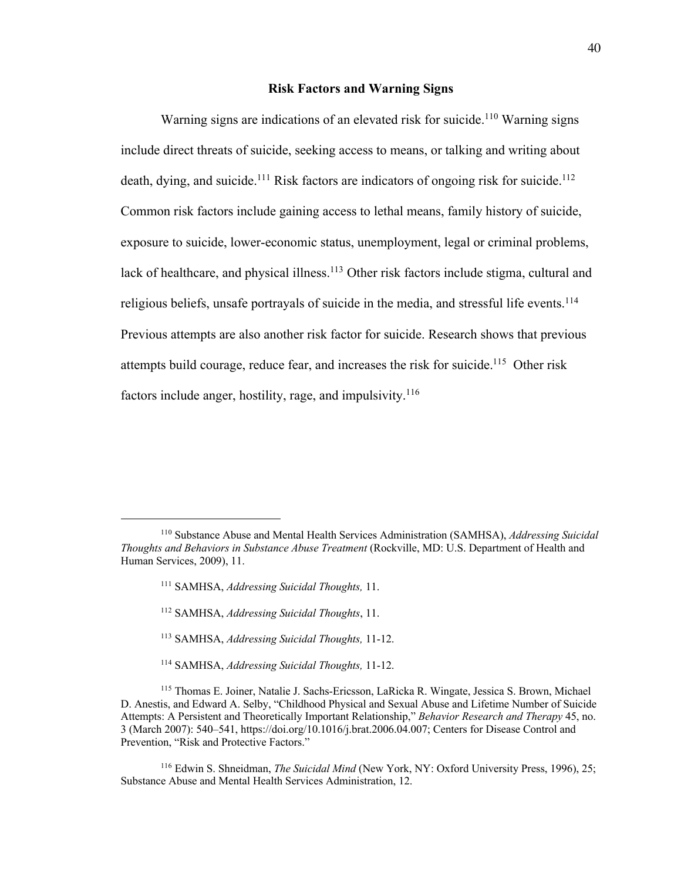#### **Risk Factors and Warning Signs**

Warning signs are indications of an elevated risk for suicide.<sup>110</sup> Warning signs include direct threats of suicide, seeking access to means, or talking and writing about death, dying, and suicide.<sup>111</sup> Risk factors are indicators of ongoing risk for suicide.<sup>112</sup> Common risk factors include gaining access to lethal means, family history of suicide, exposure to suicide, lower-economic status, unemployment, legal or criminal problems, lack of healthcare, and physical illness.<sup>113</sup> Other risk factors include stigma, cultural and religious beliefs, unsafe portrayals of suicide in the media, and stressful life events.<sup>114</sup> Previous attempts are also another risk factor for suicide. Research shows that previous attempts build courage, reduce fear, and increases the risk for suicide.<sup>115</sup> Other risk factors include anger, hostility, rage, and impulsivity.<sup>116</sup>

- <sup>113</sup> SAMHSA, *Addressing Suicidal Thoughts,* 11-12.
- <sup>114</sup> SAMHSA, *Addressing Suicidal Thoughts,* 11-12.

<sup>116</sup> Edwin S. Shneidman, *The Suicidal Mind* (New York, NY: Oxford University Press, 1996), 25; Substance Abuse and Mental Health Services Administration, 12.

<sup>110</sup> Substance Abuse and Mental Health Services Administration (SAMHSA), *Addressing Suicidal Thoughts and Behaviors in Substance Abuse Treatment* (Rockville, MD: U.S. Department of Health and Human Services, 2009), 11.

<sup>111</sup> SAMHSA, *Addressing Suicidal Thoughts,* 11.

<sup>112</sup> SAMHSA, *Addressing Suicidal Thoughts*, 11.

<sup>115</sup> Thomas E. Joiner, Natalie J. Sachs-Ericsson, LaRicka R. Wingate, Jessica S. Brown, Michael D. Anestis, and Edward A. Selby, "Childhood Physical and Sexual Abuse and Lifetime Number of Suicide Attempts: A Persistent and Theoretically Important Relationship," *Behavior Research and Therapy* 45, no. 3 (March 2007): 540–541, https://doi.org/10.1016/j.brat.2006.04.007; Centers for Disease Control and Prevention, "Risk and Protective Factors."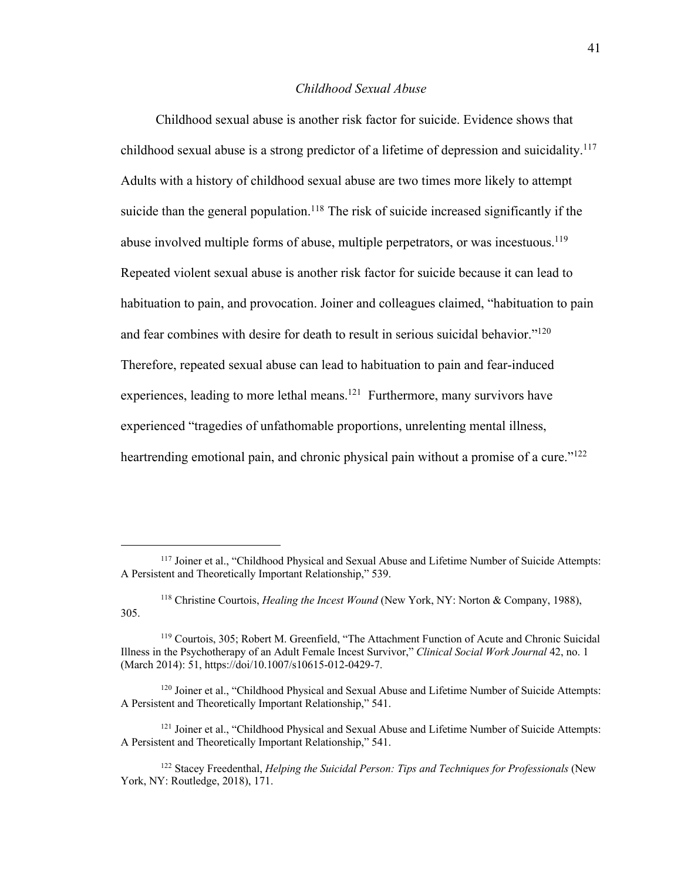## *Childhood Sexual Abuse*

Childhood sexual abuse is another risk factor for suicide. Evidence shows that childhood sexual abuse is a strong predictor of a lifetime of depression and suicidality.<sup>117</sup> Adults with a history of childhood sexual abuse are two times more likely to attempt suicide than the general population.<sup>118</sup> The risk of suicide increased significantly if the abuse involved multiple forms of abuse, multiple perpetrators, or was incestuous.<sup>119</sup> Repeated violent sexual abuse is another risk factor for suicide because it can lead to habituation to pain, and provocation. Joiner and colleagues claimed, "habituation to pain and fear combines with desire for death to result in serious suicidal behavior."<sup>120</sup> Therefore, repeated sexual abuse can lead to habituation to pain and fear-induced experiences, leading to more lethal means.<sup>121</sup> Furthermore, many survivors have experienced "tragedies of unfathomable proportions, unrelenting mental illness, heartrending emotional pain, and chronic physical pain without a promise of a cure."<sup>122</sup>

<sup>&</sup>lt;sup>117</sup> Joiner et al., "Childhood Physical and Sexual Abuse and Lifetime Number of Suicide Attempts: A Persistent and Theoretically Important Relationship," 539.

<sup>118</sup> Christine Courtois, *Healing the Incest Wound* (New York, NY: Norton & Company, 1988), 305.

<sup>119</sup> Courtois, 305; Robert M. Greenfield, "The Attachment Function of Acute and Chronic Suicidal Illness in the Psychotherapy of an Adult Female Incest Survivor," *Clinical Social Work Journal* 42, no. 1 (March 2014): 51, https://doi/10.1007/s10615-012-0429-7.

<sup>&</sup>lt;sup>120</sup> Joiner et al., "Childhood Physical and Sexual Abuse and Lifetime Number of Suicide Attempts: A Persistent and Theoretically Important Relationship," 541.

<sup>&</sup>lt;sup>121</sup> Joiner et al., "Childhood Physical and Sexual Abuse and Lifetime Number of Suicide Attempts: A Persistent and Theoretically Important Relationship," 541.

<sup>122</sup> Stacey Freedenthal, *Helping the Suicidal Person: Tips and Techniques for Professionals* (New York, NY: Routledge, 2018), 171.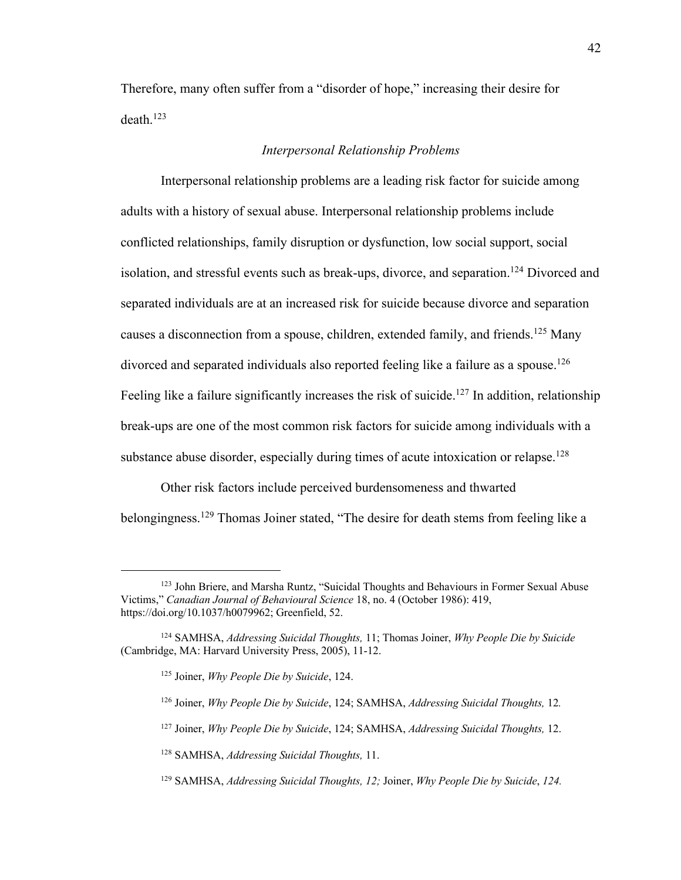Therefore, many often suffer from a "disorder of hope," increasing their desire for death.<sup>123</sup>

## *Interpersonal Relationship Problems*

Interpersonal relationship problems are a leading risk factor for suicide among adults with a history of sexual abuse. Interpersonal relationship problems include conflicted relationships, family disruption or dysfunction, low social support, social isolation, and stressful events such as break-ups, divorce, and separation.<sup>124</sup> Divorced and separated individuals are at an increased risk for suicide because divorce and separation causes a disconnection from a spouse, children, extended family, and friends.<sup>125</sup> Many divorced and separated individuals also reported feeling like a failure as a spouse.<sup>126</sup> Feeling like a failure significantly increases the risk of suicide.<sup>127</sup> In addition, relationship break-ups are one of the most common risk factors for suicide among individuals with a substance abuse disorder, especially during times of acute intoxication or relapse.<sup>128</sup>

Other risk factors include perceived burdensomeness and thwarted belongingness.<sup>129</sup> Thomas Joiner stated, "The desire for death stems from feeling like a

<sup>&</sup>lt;sup>123</sup> John Briere, and Marsha Runtz, "Suicidal Thoughts and Behaviours in Former Sexual Abuse Victims," *Canadian Journal of Behavioural Science* 18, no. 4 (October 1986): 419, https://doi.org/10.1037/h0079962; Greenfield, 52.

<sup>124</sup> SAMHSA, *Addressing Suicidal Thoughts,* 11; Thomas Joiner, *Why People Die by Suicide*  (Cambridge, MA: Harvard University Press, 2005), 11-12.

<sup>125</sup> Joiner, *Why People Die by Suicide*, 124.

<sup>126</sup> Joiner, *Why People Die by Suicide*, 124; SAMHSA, *Addressing Suicidal Thoughts,* 12*.*

<sup>127</sup> Joiner, *Why People Die by Suicide*, 124; SAMHSA, *Addressing Suicidal Thoughts,* 12.

<sup>128</sup> SAMHSA, *Addressing Suicidal Thoughts,* 11.

<sup>129</sup> SAMHSA, *Addressing Suicidal Thoughts, 12;* Joiner, *Why People Die by Suicide*, *124.*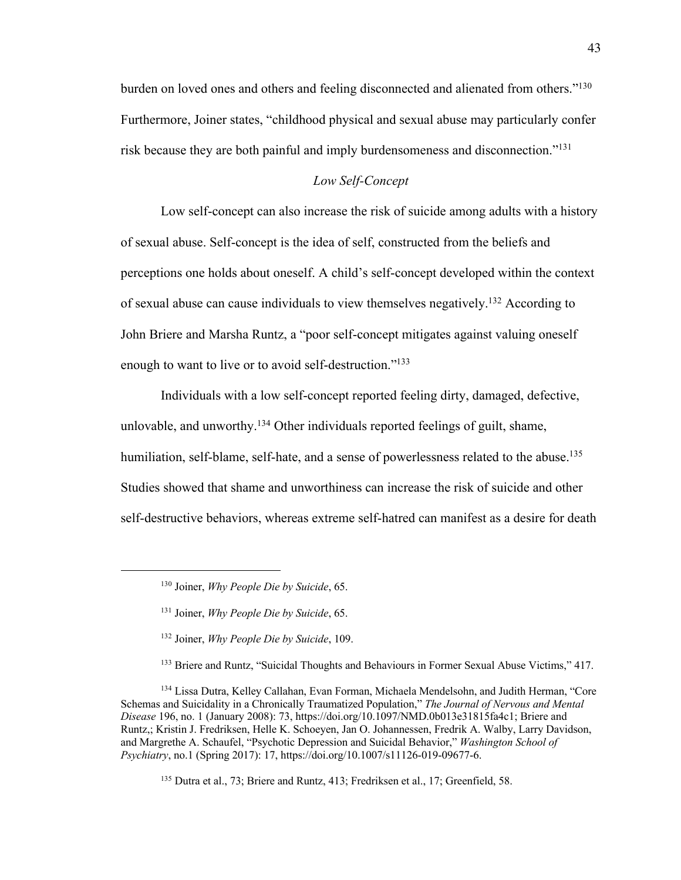burden on loved ones and others and feeling disconnected and alienated from others."<sup>130</sup> Furthermore, Joiner states, "childhood physical and sexual abuse may particularly confer risk because they are both painful and imply burdensomeness and disconnection."<sup>131</sup>

#### *Low Self-Concept*

Low self-concept can also increase the risk of suicide among adults with a history of sexual abuse. Self-concept is the idea of self, constructed from the beliefs and perceptions one holds about oneself. A child's self-concept developed within the context of sexual abuse can cause individuals to view themselves negatively.<sup>132</sup> According to John Briere and Marsha Runtz, a "poor self-concept mitigates against valuing oneself enough to want to live or to avoid self-destruction."<sup>133</sup>

Individuals with a low self-concept reported feeling dirty, damaged, defective, unlovable, and unworthy.<sup>134</sup> Other individuals reported feelings of guilt, shame, humiliation, self-blame, self-hate, and a sense of powerlessness related to the abuse.<sup>135</sup> Studies showed that shame and unworthiness can increase the risk of suicide and other self-destructive behaviors, whereas extreme self-hatred can manifest as a desire for death

<sup>135</sup> Dutra et al., 73; Briere and Runtz, 413; Fredriksen et al., 17; Greenfield, 58.

<sup>130</sup> Joiner, *Why People Die by Suicide*, 65.

<sup>131</sup> Joiner, *Why People Die by Suicide*, 65.

<sup>132</sup> Joiner, *Why People Die by Suicide*, 109.

<sup>133</sup> Briere and Runtz, "Suicidal Thoughts and Behaviours in Former Sexual Abuse Victims," 417.

<sup>134</sup> Lissa Dutra, Kelley Callahan, Evan Forman, Michaela Mendelsohn, and Judith Herman, "Core Schemas and Suicidality in a Chronically Traumatized Population," *The Journal of Nervous and Mental Disease* 196, no. 1 (January 2008): 73, https://doi.org/10.1097/NMD.0b013e31815fa4c1; Briere and Runtz,; Kristin J. Fredriksen, Helle K. Schoeyen, Jan O. Johannessen, Fredrik A. Walby, Larry Davidson, and Margrethe A. Schaufel, "Psychotic Depression and Suicidal Behavior," *Washington School of Psychiatry*, no.1 (Spring 2017): 17, https://doi.org/10.1007/s11126-019-09677-6.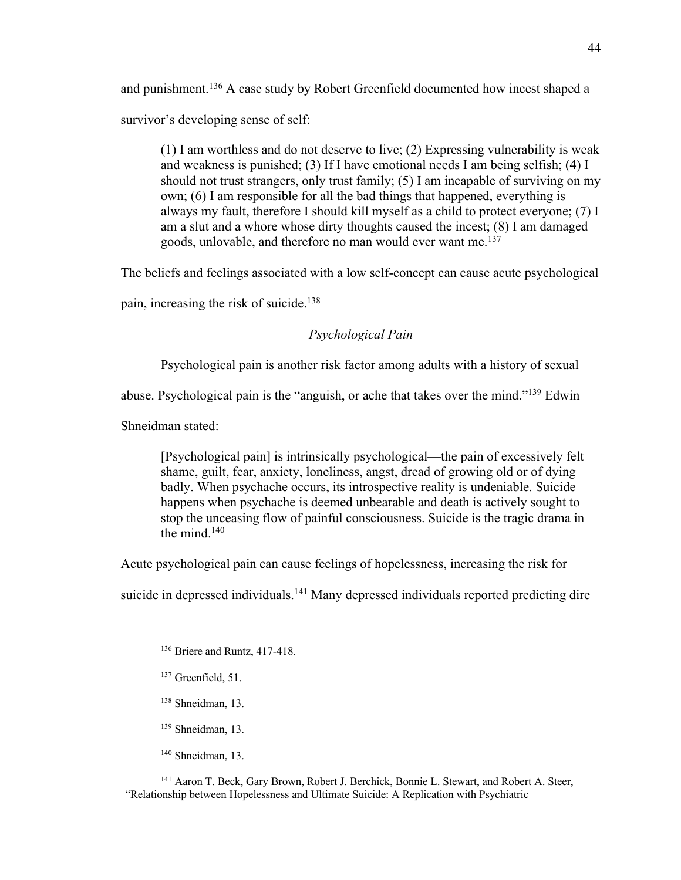and punishment.<sup>136</sup> A case study by Robert Greenfield documented how incest shaped a

survivor's developing sense of self:

(1) I am worthless and do not deserve to live; (2) Expressing vulnerability is weak and weakness is punished; (3) If I have emotional needs I am being selfish; (4) I should not trust strangers, only trust family; (5) I am incapable of surviving on my own; (6) I am responsible for all the bad things that happened, everything is always my fault, therefore I should kill myself as a child to protect everyone; (7) I am a slut and a whore whose dirty thoughts caused the incest; (8) I am damaged goods, unlovable, and therefore no man would ever want me. 137

The beliefs and feelings associated with a low self-concept can cause acute psychological

pain, increasing the risk of suicide.<sup>138</sup>

*Psychological Pain*

Psychological pain is another risk factor among adults with a history of sexual

abuse. Psychological pain is the "anguish, or ache that takes over the mind."<sup>139</sup> Edwin

Shneidman stated:

[Psychological pain] is intrinsically psychological—the pain of excessively felt shame, guilt, fear, anxiety, loneliness, angst, dread of growing old or of dying badly. When psychache occurs, its introspective reality is undeniable. Suicide happens when psychache is deemed unbearable and death is actively sought to stop the unceasing flow of painful consciousness. Suicide is the tragic drama in the mind. $140$ 

Acute psychological pain can cause feelings of hopelessness, increasing the risk for

suicide in depressed individuals.<sup>141</sup> Many depressed individuals reported predicting dire

- <sup>137</sup> Greenfield, 51.
- <sup>138</sup> Shneidman, 13.
- <sup>139</sup> Shneidman, 13.
- <sup>140</sup> Shneidman, 13.

<sup>141</sup> Aaron T. Beck, Gary Brown, Robert J. Berchick, Bonnie L. Stewart, and Robert A. Steer, "Relationship between Hopelessness and Ultimate Suicide: A Replication with Psychiatric

<sup>136</sup> Briere and Runtz, 417-418.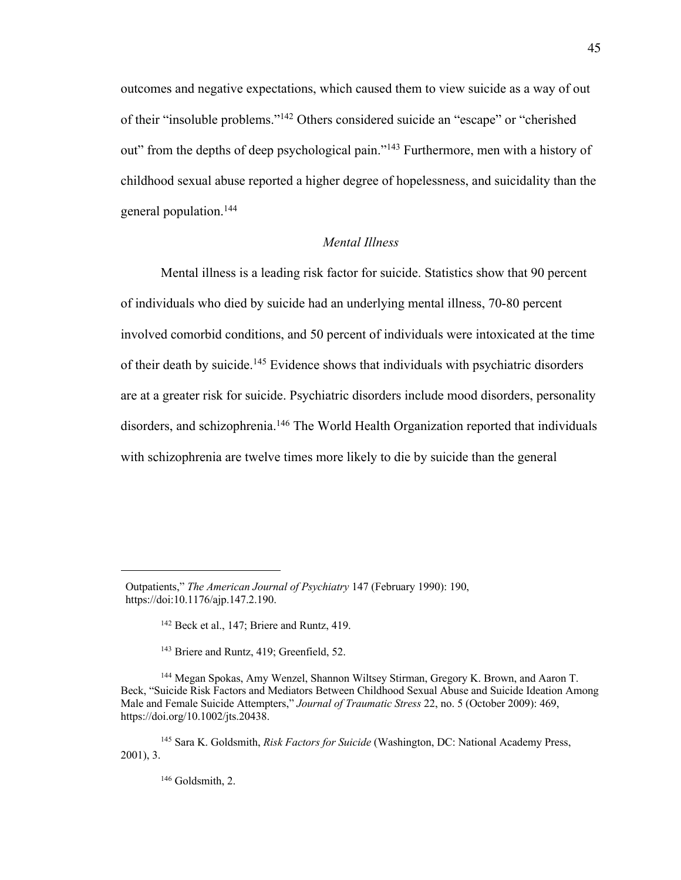outcomes and negative expectations, which caused them to view suicide as a way of out of their "insoluble problems."<sup>142</sup> Others considered suicide an "escape" or "cherished out" from the depths of deep psychological pain."<sup>143</sup> Furthermore, men with a history of childhood sexual abuse reported a higher degree of hopelessness, and suicidality than the general population.<sup>144</sup>

## *Mental Illness*

Mental illness is a leading risk factor for suicide. Statistics show that 90 percent of individuals who died by suicide had an underlying mental illness, 70-80 percent involved comorbid conditions, and 50 percent of individuals were intoxicated at the time of their death by suicide.<sup>145</sup> Evidence shows that individuals with psychiatric disorders are at a greater risk for suicide. Psychiatric disorders include mood disorders, personality disorders, and schizophrenia.<sup>146</sup> The World Health Organization reported that individuals with schizophrenia are twelve times more likely to die by suicide than the general

<sup>143</sup> Briere and Runtz, 419; Greenfield, 52.

<sup>146</sup> Goldsmith, 2.

Outpatients," *The American Journal of Psychiatry* 147 (February 1990): 190, https://doi:10.1176/ajp.147.2.190.

<sup>&</sup>lt;sup>142</sup> Beck et al., 147; Briere and Runtz, 419.

<sup>144</sup> Megan Spokas, Amy Wenzel, Shannon Wiltsey Stirman, Gregory K. Brown, and Aaron T. Beck, "Suicide Risk Factors and Mediators Between Childhood Sexual Abuse and Suicide Ideation Among Male and Female Suicide Attempters," *Journal of Traumatic Stress* 22, no. 5 (October 2009): 469, https://doi.org/10.1002/jts.20438.

<sup>145</sup> Sara K. Goldsmith, *Risk Factors for Suicide* (Washington, DC: National Academy Press, 2001), 3.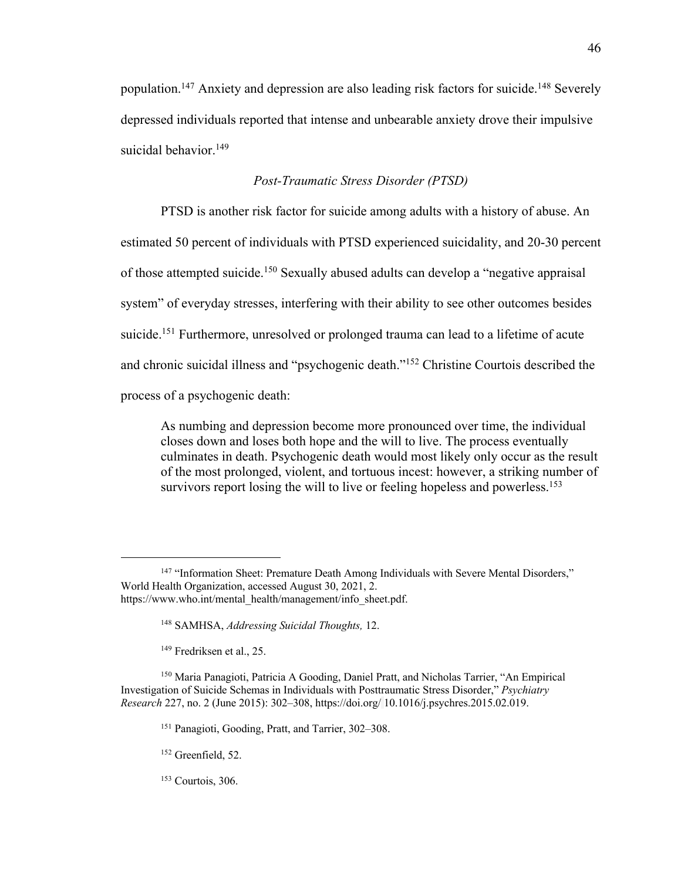population.<sup>147</sup> Anxiety and depression are also leading risk factors for suicide.<sup>148</sup> Severely depressed individuals reported that intense and unbearable anxiety drove their impulsive suicidal behavior.<sup>149</sup>

# *Post-Traumatic Stress Disorder (PTSD)*

PTSD is another risk factor for suicide among adults with a history of abuse. An estimated 50 percent of individuals with PTSD experienced suicidality, and 20-30 percent of those attempted suicide.<sup>150</sup> Sexually abused adults can develop a "negative appraisal system" of everyday stresses, interfering with their ability to see other outcomes besides suicide.<sup>151</sup> Furthermore, unresolved or prolonged trauma can lead to a lifetime of acute and chronic suicidal illness and "psychogenic death."<sup>152</sup> Christine Courtois described the process of a psychogenic death:

As numbing and depression become more pronounced over time, the individual closes down and loses both hope and the will to live. The process eventually culminates in death. Psychogenic death would most likely only occur as the result of the most prolonged, violent, and tortuous incest: however, a striking number of survivors report losing the will to live or feeling hopeless and powerless.<sup>153</sup>

<sup>149</sup> Fredriksen et al., 25.

<sup>&</sup>lt;sup>147</sup> "Information Sheet: Premature Death Among Individuals with Severe Mental Disorders," World Health Organization, accessed August 30, 2021, 2. https://www.who.int/mental\_health/management/info\_sheet.pdf.

<sup>148</sup> SAMHSA, *Addressing Suicidal Thoughts,* 12.

<sup>150</sup> Maria Panagioti, Patricia A Gooding, Daniel Pratt, and Nicholas Tarrier, "An Empirical Investigation of Suicide Schemas in Individuals with Posttraumatic Stress Disorder," *Psychiatry Research* 227, no. 2 (June 2015): 302–308, https://doi.org/ 10.1016/j.psychres.2015.02.019.

<sup>151</sup> Panagioti, Gooding, Pratt, and Tarrier, 302–308.

<sup>&</sup>lt;sup>152</sup> Greenfield, 52.

 $153$  Courtois, 306.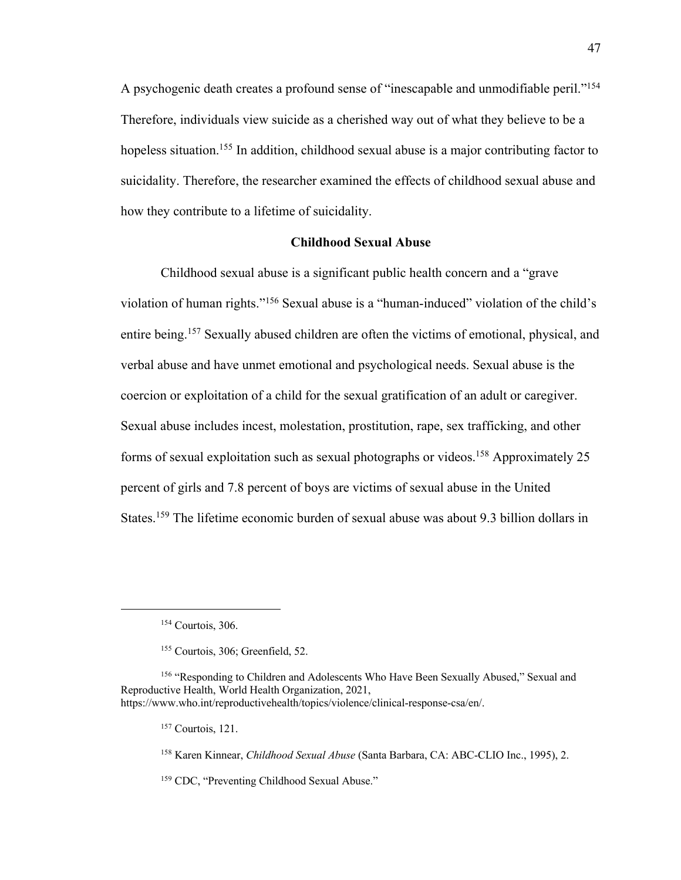A psychogenic death creates a profound sense of "inescapable and unmodifiable peril."<sup>154</sup> Therefore, individuals view suicide as a cherished way out of what they believe to be a hopeless situation.<sup>155</sup> In addition, childhood sexual abuse is a major contributing factor to suicidality. Therefore, the researcher examined the effects of childhood sexual abuse and how they contribute to a lifetime of suicidality.

#### **Childhood Sexual Abuse**

Childhood sexual abuse is a significant public health concern and a "grave violation of human rights."<sup>156</sup> Sexual abuse is a "human-induced" violation of the child's entire being.<sup>157</sup> Sexually abused children are often the victims of emotional, physical, and verbal abuse and have unmet emotional and psychological needs. Sexual abuse is the coercion or exploitation of a child for the sexual gratification of an adult or caregiver. Sexual abuse includes incest, molestation, prostitution, rape, sex trafficking, and other forms of sexual exploitation such as sexual photographs or videos.<sup>158</sup> Approximately 25 percent of girls and 7.8 percent of boys are victims of sexual abuse in the United States.<sup>159</sup> The lifetime economic burden of sexual abuse was about 9.3 billion dollars in

<sup>159</sup> CDC, "Preventing Childhood Sexual Abuse."

<sup>154</sup> Courtois, 306.

<sup>155</sup> Courtois, 306; Greenfield, 52.

<sup>156</sup> "Responding to Children and Adolescents Who Have Been Sexually Abused," Sexual and Reproductive Health, World Health Organization, 2021, https://www.who.int/reproductivehealth/topics/violence/clinical-response-csa/en/.

<sup>157</sup> Courtois, 121.

<sup>158</sup> Karen Kinnear, *Childhood Sexual Abuse* (Santa Barbara, CA: ABC-CLIO Inc., 1995), 2.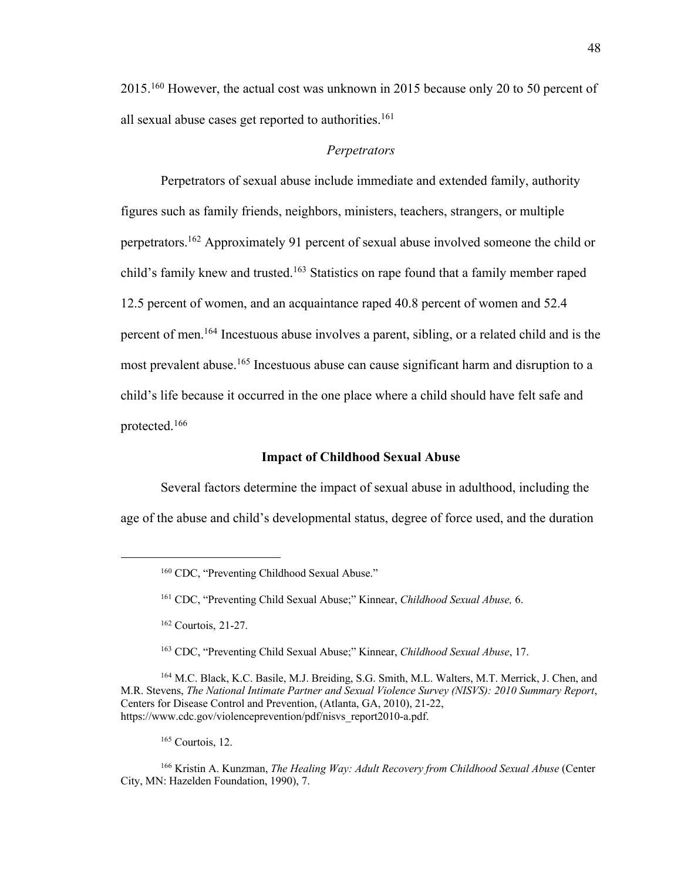2015.<sup>160</sup> However, the actual cost was unknown in 2015 because only 20 to 50 percent of all sexual abuse cases get reported to authorities.<sup>161</sup>

#### *Perpetrators*

Perpetrators of sexual abuse include immediate and extended family, authority figures such as family friends, neighbors, ministers, teachers, strangers, or multiple perpetrators.<sup>162</sup> Approximately 91 percent of sexual abuse involved someone the child or child's family knew and trusted.<sup>163</sup> Statistics on rape found that a family member raped 12.5 percent of women, and an acquaintance raped 40.8 percent of women and 52.4 percent of men.<sup>164</sup> Incestuous abuse involves a parent, sibling, or a related child and is the most prevalent abuse.<sup>165</sup> Incestuous abuse can cause significant harm and disruption to a child's life because it occurred in the one place where a child should have felt safe and protected.<sup>166</sup>

# **Impact of Childhood Sexual Abuse**

Several factors determine the impact of sexual abuse in adulthood, including the age of the abuse and child's developmental status, degree of force used, and the duration

<sup>164</sup> M.C. Black, K.C. Basile, M.J. Breiding, S.G. Smith, M.L. Walters, M.T. Merrick, J. Chen, and M.R. Stevens, *The National Intimate Partner and Sexual Violence Survey (NISVS): 2010 Summary Report*, Centers for Disease Control and Prevention, (Atlanta, GA, 2010), 21-22, https://www.cdc.gov/violenceprevention/pdf/nisvs\_report2010-a.pdf.

<sup>165</sup> Courtois, 12.

<sup>160</sup> CDC, "Preventing Childhood Sexual Abuse."

<sup>161</sup> CDC, "Preventing Child Sexual Abuse;" Kinnear, *Childhood Sexual Abuse,* 6.

<sup>162</sup> Courtois, 21-27.

<sup>163</sup> CDC, "Preventing Child Sexual Abuse;" Kinnear, *Childhood Sexual Abuse*, 17.

<sup>166</sup> Kristin A. Kunzman, *The Healing Way: Adult Recovery from Childhood Sexual Abuse* (Center City, MN: Hazelden Foundation, 1990), 7.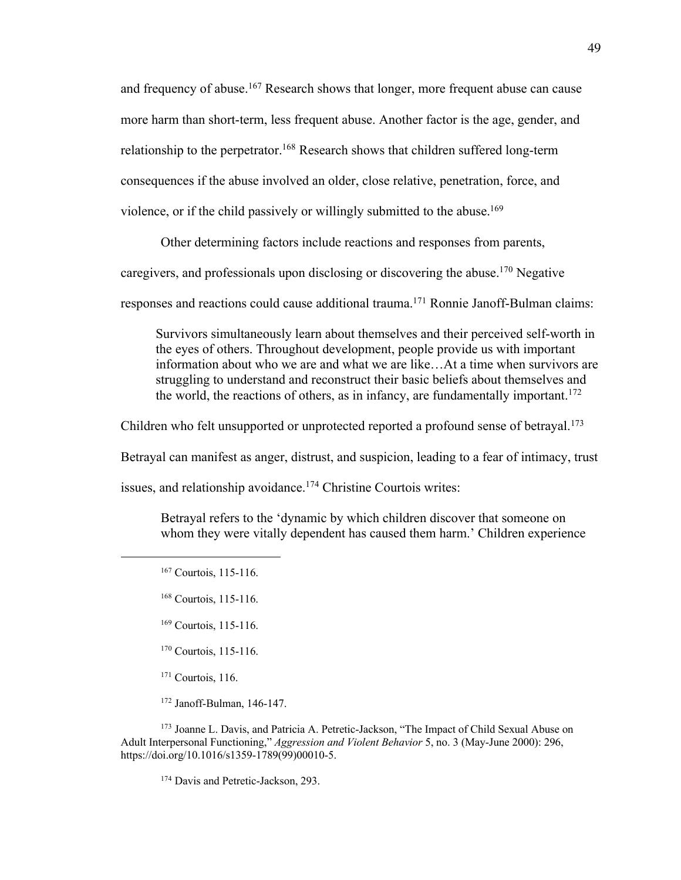and frequency of abuse.<sup>167</sup> Research shows that longer, more frequent abuse can cause more harm than short-term, less frequent abuse. Another factor is the age, gender, and relationship to the perpetrator.<sup>168</sup> Research shows that children suffered long-term consequences if the abuse involved an older, close relative, penetration, force, and violence, or if the child passively or willingly submitted to the abuse. 169

Other determining factors include reactions and responses from parents,

caregivers, and professionals upon disclosing or discovering the abuse.<sup>170</sup> Negative

responses and reactions could cause additional trauma.<sup>171</sup> Ronnie Janoff-Bulman claims:

Survivors simultaneously learn about themselves and their perceived self-worth in the eyes of others. Throughout development, people provide us with important information about who we are and what we are like…At a time when survivors are struggling to understand and reconstruct their basic beliefs about themselves and the world, the reactions of others, as in infancy, are fundamentally important. 172

Children who felt unsupported or unprotected reported a profound sense of betrayal.<sup>173</sup>

Betrayal can manifest as anger, distrust, and suspicion, leading to a fear of intimacy, trust

issues, and relationship avoidance.<sup>174</sup> Christine Courtois writes:

Betrayal refers to the 'dynamic by which children discover that someone on whom they were vitally dependent has caused them harm.' Children experience

- <sup>169</sup> Courtois, 115-116.
- <sup>170</sup> Courtois, 115-116.
- $171$  Courtois, 116.
- <sup>172</sup> Janoff-Bulman, 146-147.

<sup>173</sup> Joanne L. Davis, and Patricia A. Petretic-Jackson, "The Impact of Child Sexual Abuse on Adult Interpersonal Functioning," *Aggression and Violent Behavior* 5, no. 3 (May-June 2000): 296, https://doi.org/10.1016/s1359-1789(99)00010-5.

<sup>174</sup> Davis and Petretic-Jackson, 293.

<sup>167</sup> Courtois, 115-116.

<sup>168</sup> Courtois, 115-116.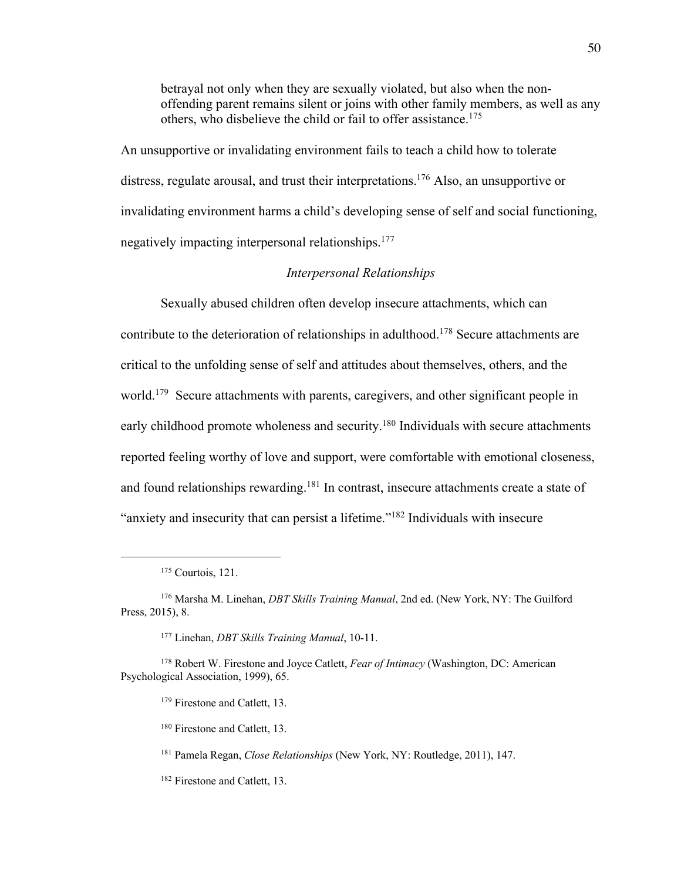betrayal not only when they are sexually violated, but also when the nonoffending parent remains silent or joins with other family members, as well as any others, who disbelieve the child or fail to offer assistance. 175

An unsupportive or invalidating environment fails to teach a child how to tolerate distress, regulate arousal, and trust their interpretations.<sup>176</sup> Also, an unsupportive or invalidating environment harms a child's developing sense of self and social functioning, negatively impacting interpersonal relationships.<sup>177</sup>

## *Interpersonal Relationships*

Sexually abused children often develop insecure attachments, which can contribute to the deterioration of relationships in adulthood.<sup>178</sup> Secure attachments are critical to the unfolding sense of self and attitudes about themselves, others, and the world.<sup>179</sup> Secure attachments with parents, caregivers, and other significant people in early childhood promote wholeness and security.<sup>180</sup> Individuals with secure attachments reported feeling worthy of love and support, were comfortable with emotional closeness, and found relationships rewarding.<sup>181</sup> In contrast, insecure attachments create a state of "anxiety and insecurity that can persist a lifetime."<sup>182</sup> Individuals with insecure

<sup>177</sup> Linehan, *DBT Skills Training Manual*, 10-11.

<sup>180</sup> Firestone and Catlett, 13.

<sup>181</sup> Pamela Regan, *Close Relationships* (New York, NY: Routledge, 2011), 147.

<sup>182</sup> Firestone and Catlett, 13.

<sup>175</sup> Courtois, 121.

<sup>176</sup> Marsha M. Linehan, *DBT Skills Training Manual*, 2nd ed. (New York, NY: The Guilford Press, 2015), 8.

<sup>178</sup> Robert W. Firestone and Joyce Catlett, *Fear of Intimacy* (Washington, DC: American Psychological Association, 1999), 65.

<sup>&</sup>lt;sup>179</sup> Firestone and Catlett, 13.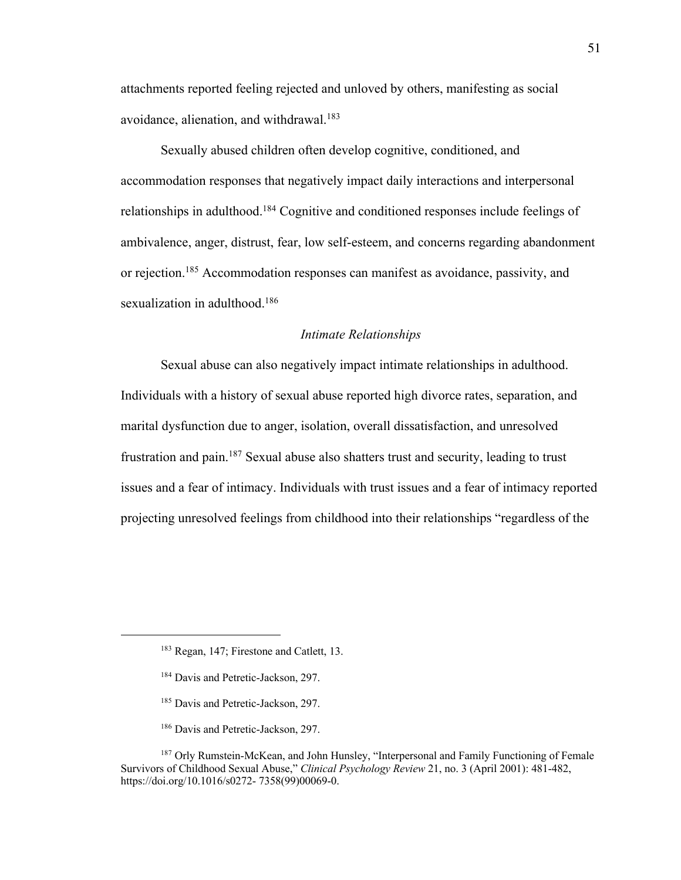attachments reported feeling rejected and unloved by others, manifesting as social avoidance, alienation, and withdrawal. $183$ 

Sexually abused children often develop cognitive, conditioned, and accommodation responses that negatively impact daily interactions and interpersonal relationships in adulthood.<sup>184</sup> Cognitive and conditioned responses include feelings of ambivalence, anger, distrust, fear, low self-esteem, and concerns regarding abandonment or rejection.<sup>185</sup> Accommodation responses can manifest as avoidance, passivity, and sexualization in adulthood.<sup>186</sup>

#### *Intimate Relationships*

Sexual abuse can also negatively impact intimate relationships in adulthood. Individuals with a history of sexual abuse reported high divorce rates, separation, and marital dysfunction due to anger, isolation, overall dissatisfaction, and unresolved frustration and pain.<sup>187</sup> Sexual abuse also shatters trust and security, leading to trust issues and a fear of intimacy. Individuals with trust issues and a fear of intimacy reported projecting unresolved feelings from childhood into their relationships "regardless of the

- <sup>184</sup> Davis and Petretic-Jackson, 297.
- <sup>185</sup> Davis and Petretic-Jackson, 297.
- <sup>186</sup> Davis and Petretic-Jackson, 297.

<sup>183</sup> Regan, 147; Firestone and Catlett, 13.

<sup>&</sup>lt;sup>187</sup> Orly Rumstein-McKean, and John Hunsley, "Interpersonal and Family Functioning of Female Survivors of Childhood Sexual Abuse," *Clinical Psychology Review* 21, no. 3 (April 2001): 481-482, https://doi.org/10.1016/s0272- 7358(99)00069-0.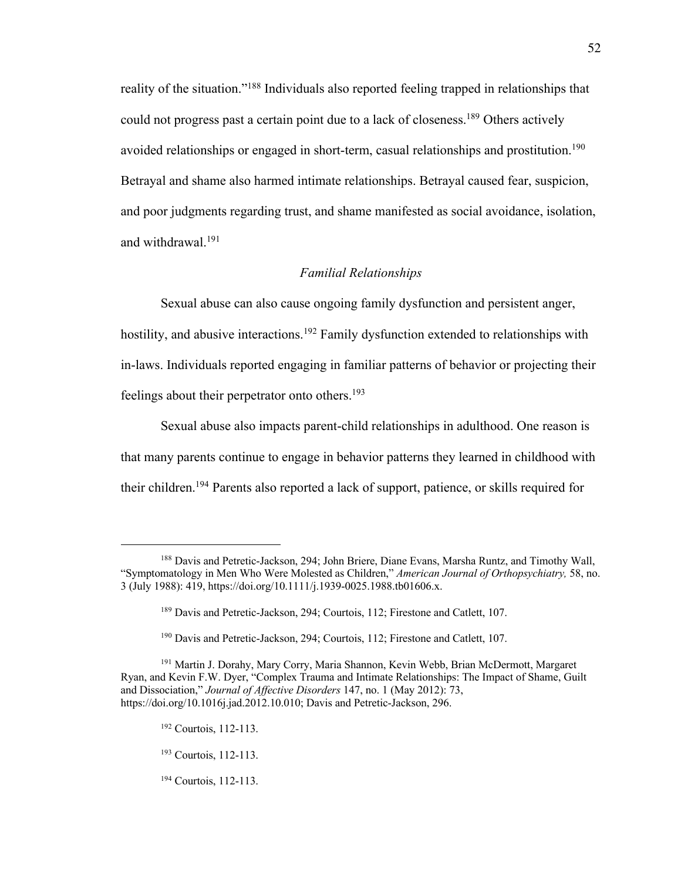reality of the situation."<sup>188</sup> Individuals also reported feeling trapped in relationships that could not progress past a certain point due to a lack of closeness.<sup>189</sup> Others actively avoided relationships or engaged in short-term, casual relationships and prostitution.<sup>190</sup> Betrayal and shame also harmed intimate relationships. Betrayal caused fear, suspicion, and poor judgments regarding trust, and shame manifested as social avoidance, isolation, and withdrawal.<sup>191</sup>

#### *Familial Relationships*

Sexual abuse can also cause ongoing family dysfunction and persistent anger, hostility, and abusive interactions.<sup>192</sup> Family dysfunction extended to relationships with in-laws. Individuals reported engaging in familiar patterns of behavior or projecting their feelings about their perpetrator onto others.<sup>193</sup>

Sexual abuse also impacts parent-child relationships in adulthood. One reason is that many parents continue to engage in behavior patterns they learned in childhood with their children.<sup>194</sup> Parents also reported a lack of support, patience, or skills required for

<sup>188</sup> Davis and Petretic-Jackson, 294; John Briere, Diane Evans, Marsha Runtz, and Timothy Wall, "Symptomatology in Men Who Were Molested as Children," *American Journal of Orthopsychiatry,* 58, no. 3 (July 1988): 419, https://doi.org/10.1111/j.1939-0025.1988.tb01606.x.

<sup>&</sup>lt;sup>189</sup> Davis and Petretic-Jackson, 294; Courtois, 112; Firestone and Catlett, 107.

<sup>190</sup> Davis and Petretic-Jackson, 294; Courtois, 112; Firestone and Catlett, 107.

<sup>191</sup> Martin J. Dorahy, Mary Corry, Maria Shannon, Kevin Webb, Brian McDermott, Margaret Ryan, and Kevin F.W. Dyer, "Complex Trauma and Intimate Relationships: The Impact of Shame, Guilt and Dissociation," *Journal of Affective Disorders* 147, no. 1 (May 2012): 73, https://doi.org/10.1016j.jad.2012.10.010; Davis and Petretic-Jackson, 296.

<sup>192</sup> Courtois, 112-113.

<sup>193</sup> Courtois, 112-113.

<sup>194</sup> Courtois, 112-113.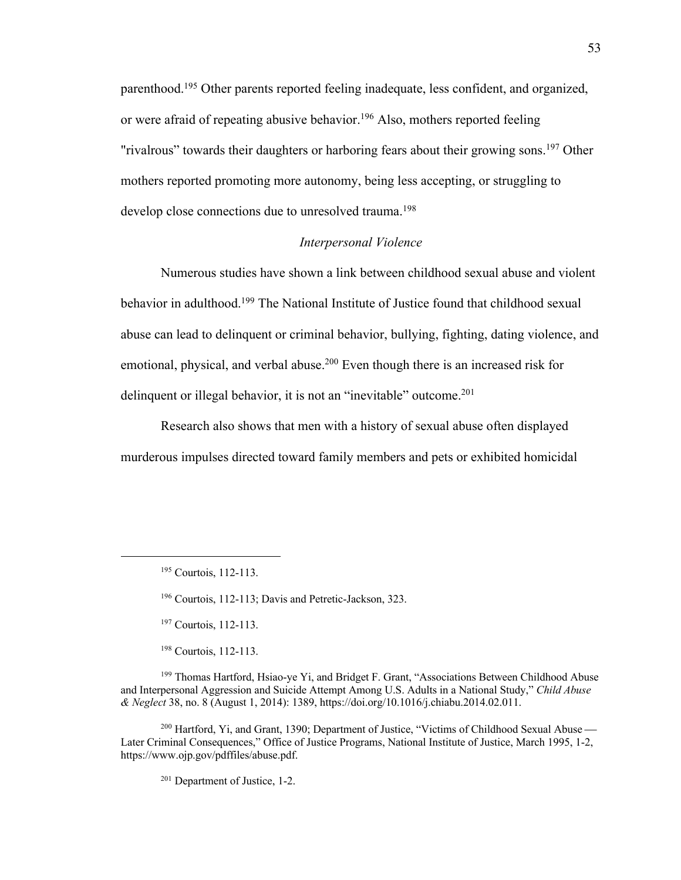parenthood.<sup>195</sup> Other parents reported feeling inadequate, less confident, and organized, or were afraid of repeating abusive behavior.<sup>196</sup> Also, mothers reported feeling "rivalrous" towards their daughters or harboring fears about their growing sons.<sup>197</sup> Other mothers reported promoting more autonomy, being less accepting, or struggling to develop close connections due to unresolved trauma.<sup>198</sup>

## *Interpersonal Violence*

Numerous studies have shown a link between childhood sexual abuse and violent behavior in adulthood.<sup>199</sup> The National Institute of Justice found that childhood sexual abuse can lead to delinquent or criminal behavior, bullying, fighting, dating violence, and emotional, physical, and verbal abuse.<sup>200</sup> Even though there is an increased risk for delinquent or illegal behavior, it is not an "inevitable" outcome.<sup>201</sup>

Research also shows that men with a history of sexual abuse often displayed murderous impulses directed toward family members and pets or exhibited homicidal

<sup>197</sup> Courtois, 112-113.

<sup>198</sup> Courtois, 112-113.

<sup>199</sup> Thomas Hartford, Hsiao-ye Yi, and Bridget F. Grant, "Associations Between Childhood Abuse and Interpersonal Aggression and Suicide Attempt Among U.S. Adults in a National Study," *Child Abuse & Neglect* 38, no. 8 (August 1, 2014): 1389, https://doi.org/10.1016/j.chiabu.2014.02.011.

<sup>200</sup> Hartford, Yi, and Grant, 1390; Department of Justice, "Victims of Childhood Sexual Abuse — Later Criminal Consequences," Office of Justice Programs, National Institute of Justice, March 1995, 1-2, https://www.ojp.gov/pdffiles/abuse.pdf.

<sup>201</sup> Department of Justice, 1-2.

<sup>195</sup> Courtois, 112-113.

<sup>196</sup> Courtois, 112-113; Davis and Petretic-Jackson, 323.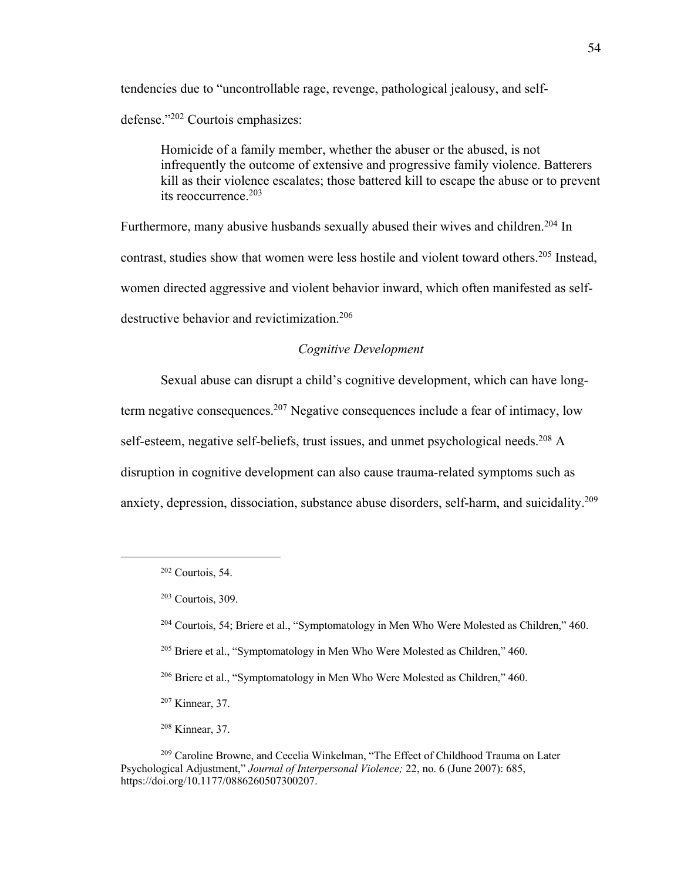tendencies due to "uncontrollable rage, revenge, pathological jealousy, and selfdefense."<sup>202</sup> Courtois emphasizes:

Homicide of a family member, whether the abuser or the abused, is not infrequently the outcome of extensive and progressive family violence. Batterers kill as their violence escalates; those battered kill to escape the abuse or to prevent its reoccurrence.<sup>203</sup>

Furthermore, many abusive husbands sexually abused their wives and children.<sup>204</sup> In contrast, studies show that women were less hostile and violent toward others.<sup>205</sup> Instead, women directed aggressive and violent behavior inward, which often manifested as selfdestructive behavior and revictimization.<sup>206</sup>

## *Cognitive Development*

Sexual abuse can disrupt a child's cognitive development, which can have longterm negative consequences.<sup>207</sup> Negative consequences include a fear of intimacy, low self-esteem, negative self-beliefs, trust issues, and unmet psychological needs.<sup>208</sup> A disruption in cognitive development can also cause trauma-related symptoms such as anxiety, depression, dissociation, substance abuse disorders, self-harm, and suicidality. 209

- <sup>204</sup> Courtois, 54; Briere et al., "Symptomatology in Men Who Were Molested as Children," 460.
- <sup>205</sup> Briere et al., "Symptomatology in Men Who Were Molested as Children," 460.
- <sup>206</sup> Briere et al., "Symptomatology in Men Who Were Molested as Children," 460.
- <sup>207</sup> Kinnear, 37.
- <sup>208</sup> Kinnear, 37.

 $202$  Courtois, 54.

<sup>203</sup> Courtois, 309.

<sup>209</sup> Caroline Browne, and Cecelia Winkelman, "The Effect of Childhood Trauma on Later Psychological Adjustment," *Journal of Interpersonal Violence;* 22, no. 6 (June 2007): 685, https://doi.org/10.1177/0886260507300207.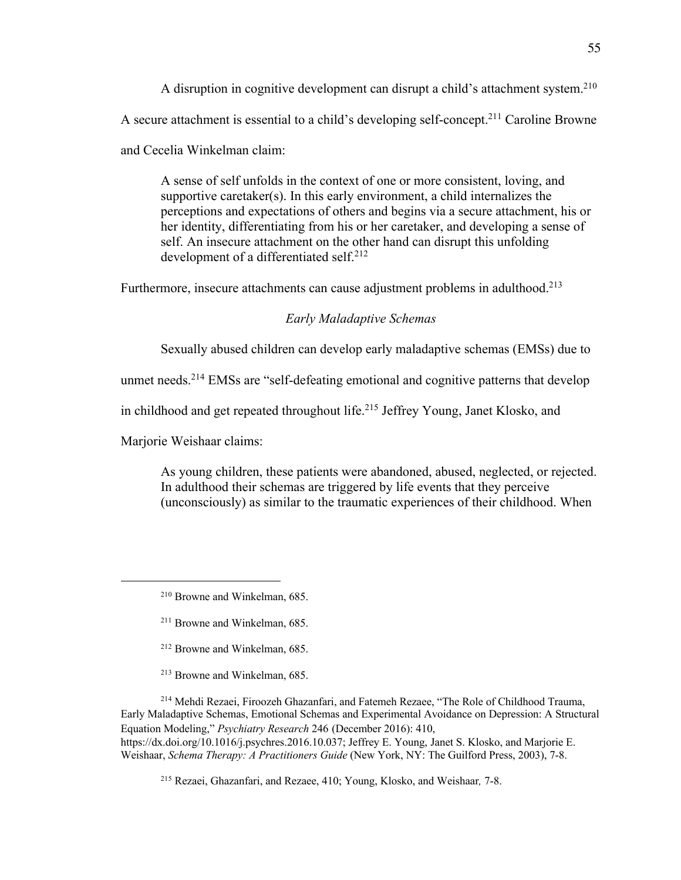A disruption in cognitive development can disrupt a child's attachment system.<sup>210</sup>

A secure attachment is essential to a child's developing self-concept.<sup>211</sup> Caroline Browne

and Cecelia Winkelman claim:

A sense of self unfolds in the context of one or more consistent, loving, and supportive caretaker(s). In this early environment, a child internalizes the perceptions and expectations of others and begins via a secure attachment, his or her identity, differentiating from his or her caretaker, and developing a sense of self. An insecure attachment on the other hand can disrupt this unfolding development of a differentiated self. 212

Furthermore, insecure attachments can cause adjustment problems in adulthood.<sup>213</sup>

## *Early Maladaptive Schemas*

Sexually abused children can develop early maladaptive schemas (EMSs) due to

unmet needs.<sup>214</sup> EMSs are "self-defeating emotional and cognitive patterns that develop

in childhood and get repeated throughout life.<sup>215</sup> Jeffrey Young, Janet Klosko, and

Marjorie Weishaar claims:

As young children, these patients were abandoned, abused, neglected, or rejected. In adulthood their schemas are triggered by life events that they perceive (unconsciously) as similar to the traumatic experiences of their childhood. When

- <sup>212</sup> Browne and Winkelman, 685.
- <sup>213</sup> Browne and Winkelman, 685.

<sup>214</sup> Mehdi Rezaei, Firoozeh Ghazanfari, and Fatemeh Rezaee, "The Role of Childhood Trauma, Early Maladaptive Schemas, Emotional Schemas and Experimental Avoidance on Depression: A Structural Equation Modeling," *Psychiatry Research* 246 (December 2016): 410, https://dx.doi.org/10.1016/j.psychres.2016.10.037; Jeffrey E. Young, Janet S. Klosko, and Marjorie E. Weishaar, *Schema Therapy: A Practitioners Guide* (New York, NY: The Guilford Press, 2003), 7-8.

<sup>215</sup> Rezaei, Ghazanfari, and Rezaee, 410; Young, Klosko, and Weishaar*,* 7-8.

<sup>210</sup> Browne and Winkelman, 685.

<sup>211</sup> Browne and Winkelman, 685.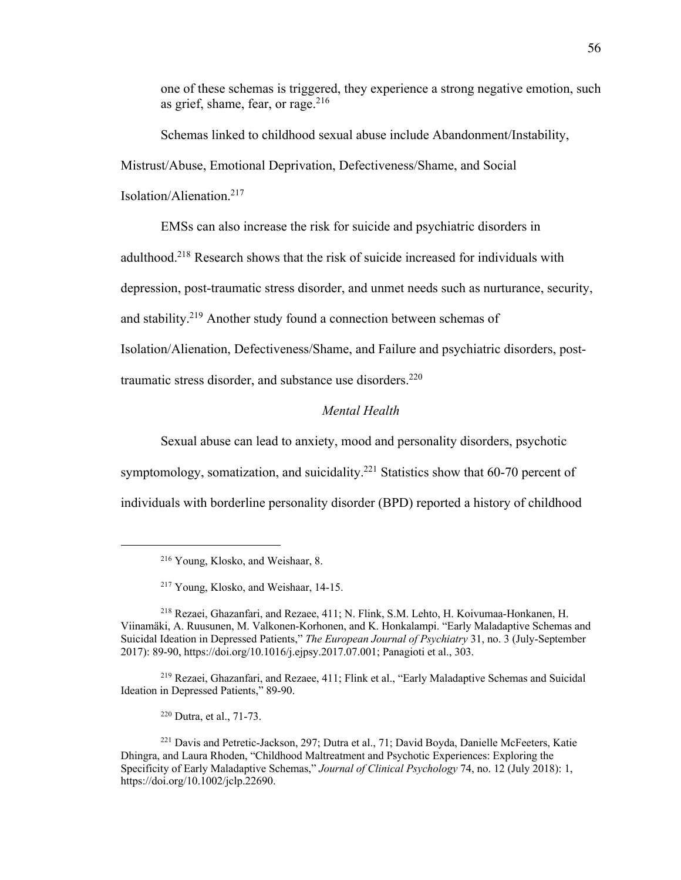one of these schemas is triggered, they experience a strong negative emotion, such as grief, shame, fear, or rage. 216

Schemas linked to childhood sexual abuse include Abandonment/Instability, Mistrust/Abuse, Emotional Deprivation, Defectiveness/Shame, and Social Isolation/Alienation.<sup>217</sup>

EMSs can also increase the risk for suicide and psychiatric disorders in

adulthood.<sup>218</sup> Research shows that the risk of suicide increased for individuals with

depression, post-traumatic stress disorder, and unmet needs such as nurturance, security,

and stability.<sup>219</sup> Another study found a connection between schemas of

Isolation/Alienation, Defectiveness/Shame, and Failure and psychiatric disorders, post-

traumatic stress disorder, and substance use disorders.<sup>220</sup>

# *Mental Health*

Sexual abuse can lead to anxiety, mood and personality disorders, psychotic

symptomology, somatization, and suicidality.<sup>221</sup> Statistics show that  $60-70$  percent of

individuals with borderline personality disorder (BPD) reported a history of childhood

<sup>219</sup> Rezaei, Ghazanfari, and Rezaee, 411; Flink et al., "Early Maladaptive Schemas and Suicidal Ideation in Depressed Patients," 89-90.

<sup>220</sup> Dutra, et al., 71-73.

<sup>216</sup> Young, Klosko, and Weishaar, 8.

<sup>217</sup> Young, Klosko, and Weishaar, 14-15.

<sup>218</sup> Rezaei, Ghazanfari, and Rezaee, 411; N. Flink, S.M. Lehto, H. Koivumaa-Honkanen, H. Viinamäki, A. Ruusunen, M. Valkonen-Korhonen, and K. Honkalampi. "Early Maladaptive Schemas and Suicidal Ideation in Depressed Patients," *The European Journal of Psychiatry* 31, no. 3 (July-September 2017): 89-90, https://doi.org/10.1016/j.ejpsy.2017.07.001; Panagioti et al., 303.

<sup>221</sup> Davis and Petretic-Jackson, 297; Dutra et al., 71; David Boyda, Danielle McFeeters, Katie Dhingra, and Laura Rhoden, "Childhood Maltreatment and Psychotic Experiences: Exploring the Specificity of Early Maladaptive Schemas," *Journal of Clinical Psychology* 74, no. 12 (July 2018): 1, https://doi.org/10.1002/jclp.22690.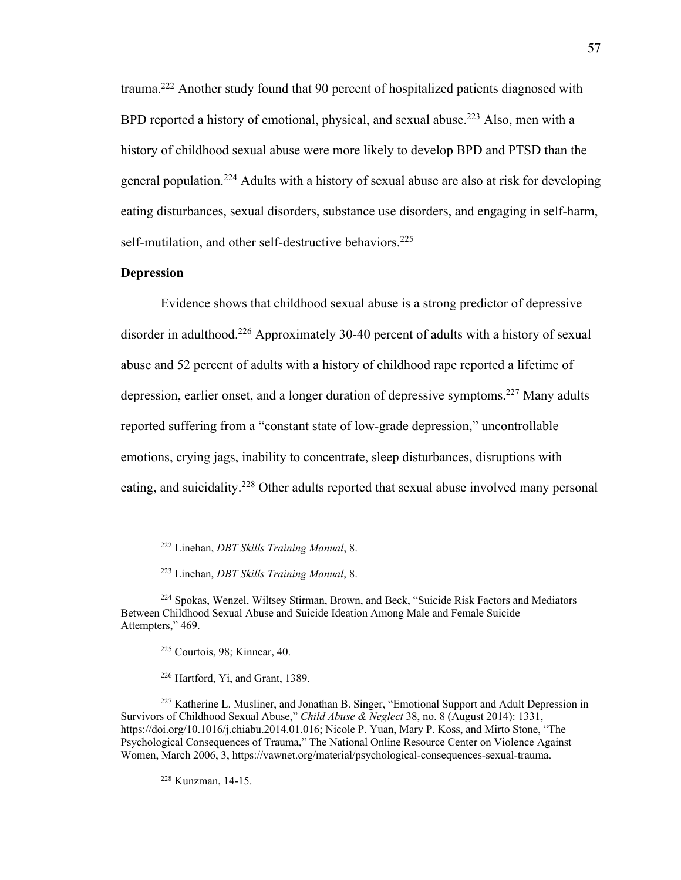trauma.<sup>222</sup> Another study found that 90 percent of hospitalized patients diagnosed with BPD reported a history of emotional, physical, and sexual abuse.<sup>223</sup> Also, men with a history of childhood sexual abuse were more likely to develop BPD and PTSD than the general population.<sup>224</sup> Adults with a history of sexual abuse are also at risk for developing eating disturbances, sexual disorders, substance use disorders, and engaging in self-harm, self-mutilation, and other self-destructive behaviors.<sup>225</sup>

### **Depression**

Evidence shows that childhood sexual abuse is a strong predictor of depressive disorder in adulthood.<sup>226</sup> Approximately 30-40 percent of adults with a history of sexual abuse and 52 percent of adults with a history of childhood rape reported a lifetime of depression, earlier onset, and a longer duration of depressive symptoms.<sup>227</sup> Many adults reported suffering from a "constant state of low-grade depression," uncontrollable emotions, crying jags, inability to concentrate, sleep disturbances, disruptions with eating, and suicidality.<sup>228</sup> Other adults reported that sexual abuse involved many personal

<sup>225</sup> Courtois, 98; Kinnear, 40.

<sup>226</sup> Hartford, Yi, and Grant, 1389.

<sup>228</sup> Kunzman, 14-15.

<sup>222</sup> Linehan, *DBT Skills Training Manual*, 8.

<sup>223</sup> Linehan, *DBT Skills Training Manual*, 8.

<sup>224</sup> Spokas, Wenzel, Wiltsey Stirman, Brown, and Beck, "Suicide Risk Factors and Mediators Between Childhood Sexual Abuse and Suicide Ideation Among Male and Female Suicide Attempters," 469.

<sup>&</sup>lt;sup>227</sup> Katherine L. Musliner, and Jonathan B. Singer, "Emotional Support and Adult Depression in Survivors of Childhood Sexual Abuse," *Child Abuse & Neglect* 38, no. 8 (August 2014): 1331, https://doi.org/10.1016/j.chiabu.2014.01.016; Nicole P. Yuan, Mary P. Koss, and Mirto Stone, "The Psychological Consequences of Trauma," The National Online Resource Center on Violence Against Women, March 2006, 3, https://vawnet.org/material/psychological-consequences-sexual-trauma.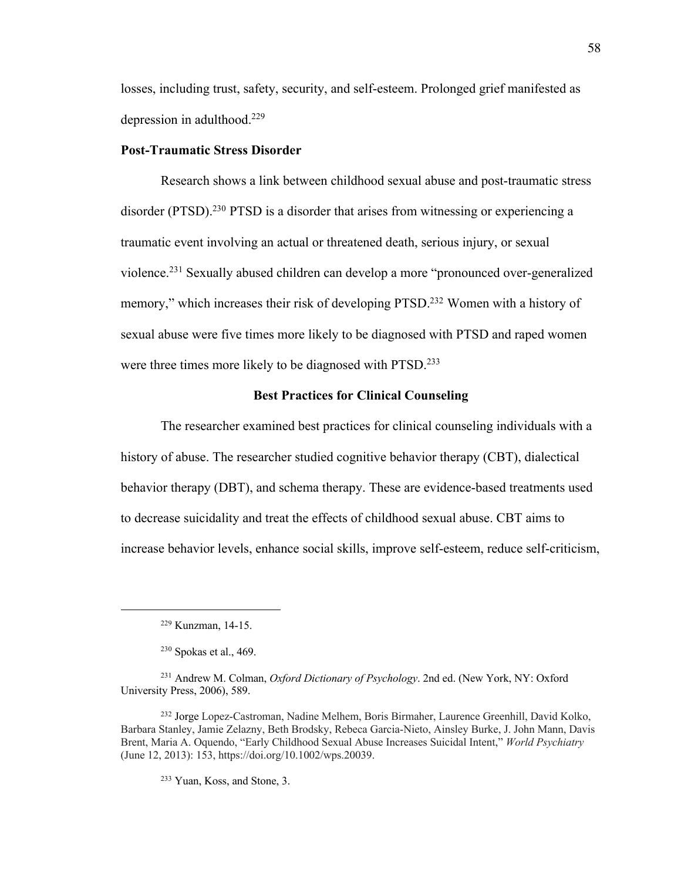losses, including trust, safety, security, and self-esteem. Prolonged grief manifested as depression in adulthood.<sup>229</sup>

### **Post-Traumatic Stress Disorder**

Research shows a link between childhood sexual abuse and post-traumatic stress disorder (PTSD).<sup>230</sup> PTSD is a disorder that arises from witnessing or experiencing a traumatic event involving an actual or threatened death, serious injury, or sexual violence.<sup>231</sup> Sexually abused children can develop a more "pronounced over-generalized memory," which increases their risk of developing PTSD.<sup>232</sup> Women with a history of sexual abuse were five times more likely to be diagnosed with PTSD and raped women were three times more likely to be diagnosed with PTSD.<sup>233</sup>

### **Best Practices for Clinical Counseling**

The researcher examined best practices for clinical counseling individuals with a history of abuse. The researcher studied cognitive behavior therapy (CBT), dialectical behavior therapy (DBT), and schema therapy. These are evidence-based treatments used to decrease suicidality and treat the effects of childhood sexual abuse. CBT aims to increase behavior levels, enhance social skills, improve self-esteem, reduce self-criticism,

<sup>233</sup> Yuan, Koss, and Stone, 3.

<sup>229</sup> Kunzman, 14-15.

<sup>230</sup> Spokas et al., 469.

<sup>231</sup> Andrew M. Colman, *Oxford Dictionary of Psychology*. 2nd ed. (New York, NY: Oxford University Press, 2006), 589.

<sup>232</sup> Jorge Lopez-Castroman, Nadine Melhem, Boris Birmaher, Laurence Greenhill, David Kolko, Barbara Stanley, Jamie Zelazny, Beth Brodsky, Rebeca Garcia-Nieto, Ainsley Burke, J. John Mann, Davis Brent, Maria A. Oquendo, "Early Childhood Sexual Abuse Increases Suicidal Intent," *World Psychiatry* (June 12, 2013): 153, https://doi.org/10.1002/wps.20039.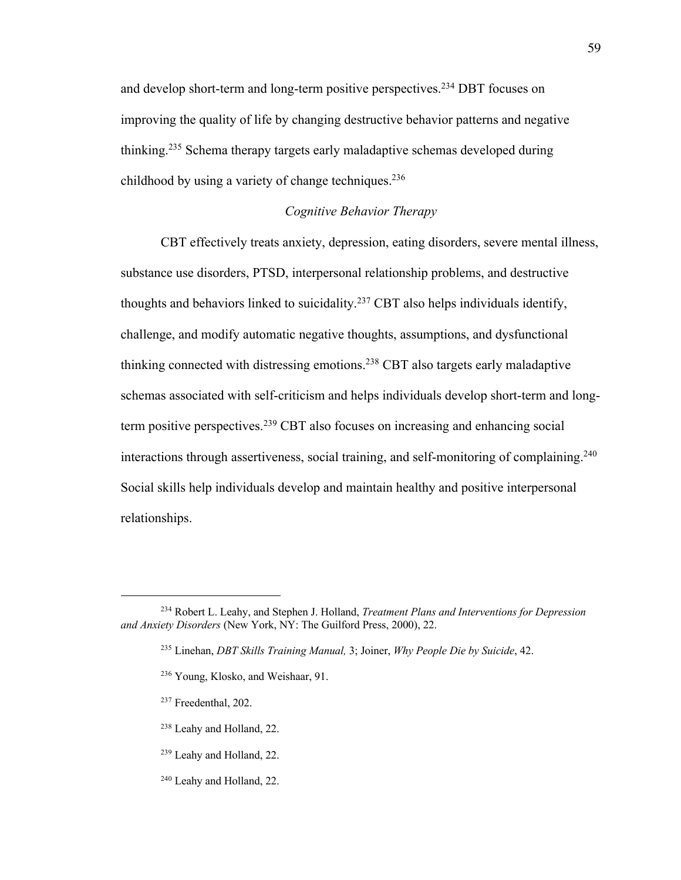and develop short-term and long-term positive perspectives.<sup>234</sup> DBT focuses on improving the quality of life by changing destructive behavior patterns and negative thinking.<sup>235</sup> Schema therapy targets early maladaptive schemas developed during childhood by using a variety of change techniques.<sup>236</sup>

# *Cognitive Behavior Therapy*

CBT effectively treats anxiety, depression, eating disorders, severe mental illness, substance use disorders, PTSD, interpersonal relationship problems, and destructive thoughts and behaviors linked to suicidality.<sup>237</sup> CBT also helps individuals identify, challenge, and modify automatic negative thoughts, assumptions, and dysfunctional thinking connected with distressing emotions.<sup>238</sup> CBT also targets early maladaptive schemas associated with self-criticism and helps individuals develop short-term and longterm positive perspectives.<sup>239</sup> CBT also focuses on increasing and enhancing social interactions through assertiveness, social training, and self-monitoring of complaining.<sup>240</sup> Social skills help individuals develop and maintain healthy and positive interpersonal relationships.

- <sup>238</sup> Leahy and Holland, 22.
- <sup>239</sup> Leahy and Holland, 22.
- <sup>240</sup> Leahy and Holland, 22.

<sup>234</sup> Robert L. Leahy, and Stephen J. Holland, *Treatment Plans and Interventions for Depression and Anxiety Disorders* (New York, NY: The Guilford Press, 2000), 22.

<sup>235</sup> Linehan, *DBT Skills Training Manual,* 3; Joiner, *Why People Die by Suicide*, 42.

<sup>&</sup>lt;sup>236</sup> Young, Klosko, and Weishaar, 91.

<sup>237</sup> Freedenthal, 202.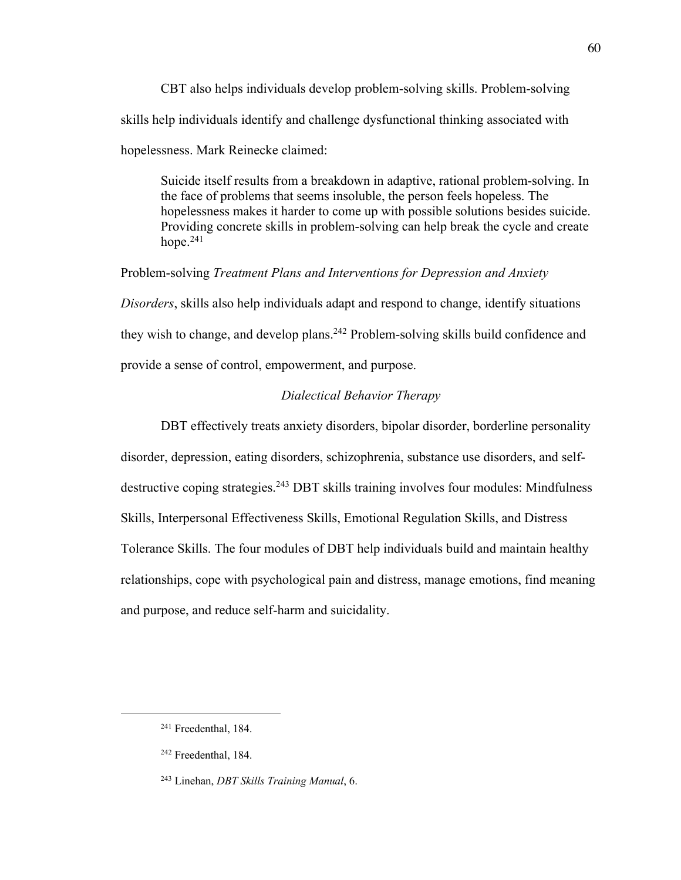CBT also helps individuals develop problem-solving skills. Problem-solving skills help individuals identify and challenge dysfunctional thinking associated with hopelessness. Mark Reinecke claimed:

Suicide itself results from a breakdown in adaptive, rational problem-solving. In the face of problems that seems insoluble, the person feels hopeless. The hopelessness makes it harder to come up with possible solutions besides suicide. Providing concrete skills in problem-solving can help break the cycle and create hope.<sup>241</sup>

Problem-solving *Treatment Plans and Interventions for Depression and Anxiety Disorders*, skills also help individuals adapt and respond to change, identify situations they wish to change, and develop plans.<sup>242</sup> Problem-solving skills build confidence and provide a sense of control, empowerment, and purpose.

## *Dialectical Behavior Therapy*

DBT effectively treats anxiety disorders, bipolar disorder, borderline personality disorder, depression, eating disorders, schizophrenia, substance use disorders, and selfdestructive coping strategies.<sup>243</sup> DBT skills training involves four modules: Mindfulness Skills, Interpersonal Effectiveness Skills, Emotional Regulation Skills, and Distress Tolerance Skills. The four modules of DBT help individuals build and maintain healthy relationships, cope with psychological pain and distress, manage emotions, find meaning and purpose, and reduce self-harm and suicidality.

<sup>241</sup> Freedenthal, 184.

<sup>242</sup> Freedenthal, 184.

<sup>243</sup> Linehan, *DBT Skills Training Manual*, 6.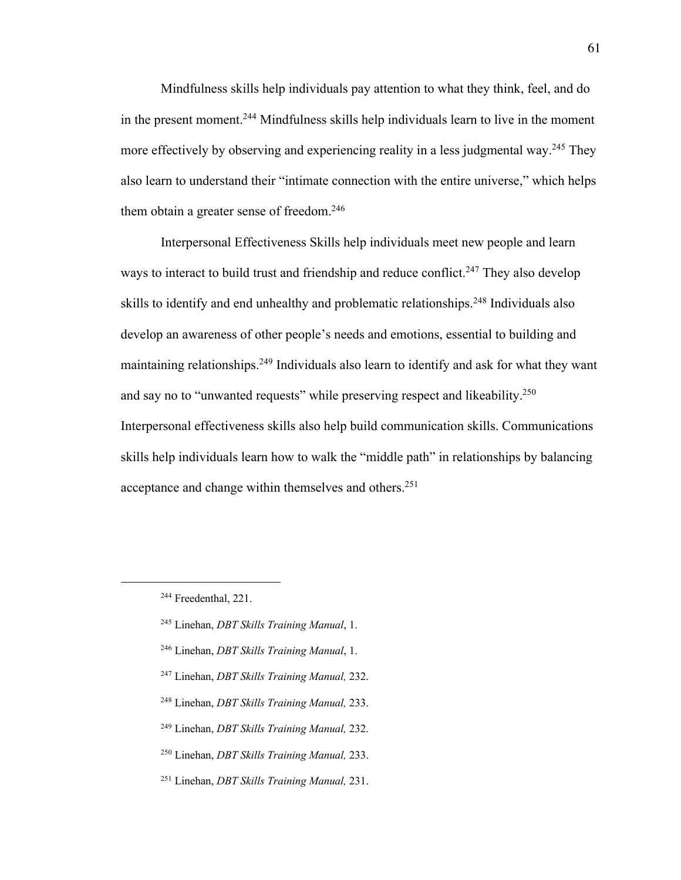Mindfulness skills help individuals pay attention to what they think, feel, and do in the present moment.<sup>244</sup> Mindfulness skills help individuals learn to live in the moment more effectively by observing and experiencing reality in a less judgmental way.<sup>245</sup> They also learn to understand their "intimate connection with the entire universe," which helps them obtain a greater sense of freedom.<sup>246</sup>

Interpersonal Effectiveness Skills help individuals meet new people and learn ways to interact to build trust and friendship and reduce conflict.<sup>247</sup> They also develop skills to identify and end unhealthy and problematic relationships.<sup>248</sup> Individuals also develop an awareness of other people's needs and emotions, essential to building and maintaining relationships.<sup>249</sup> Individuals also learn to identify and ask for what they want and say no to "unwanted requests" while preserving respect and likeability.<sup>250</sup> Interpersonal effectiveness skills also help build communication skills. Communications skills help individuals learn how to walk the "middle path" in relationships by balancing acceptance and change within themselves and others.<sup>251</sup>

- <sup>245</sup> Linehan, *DBT Skills Training Manual*, 1.
- <sup>246</sup> Linehan, *DBT Skills Training Manual*, 1.
- <sup>247</sup> Linehan, *DBT Skills Training Manual,* 232.
- <sup>248</sup> Linehan, *DBT Skills Training Manual,* 233.
- <sup>249</sup> Linehan, *DBT Skills Training Manual,* 232.
- <sup>250</sup> Linehan, *DBT Skills Training Manual,* 233.
- <sup>251</sup> Linehan, *DBT Skills Training Manual,* 231.

<sup>&</sup>lt;sup>244</sup> Freedenthal, 221.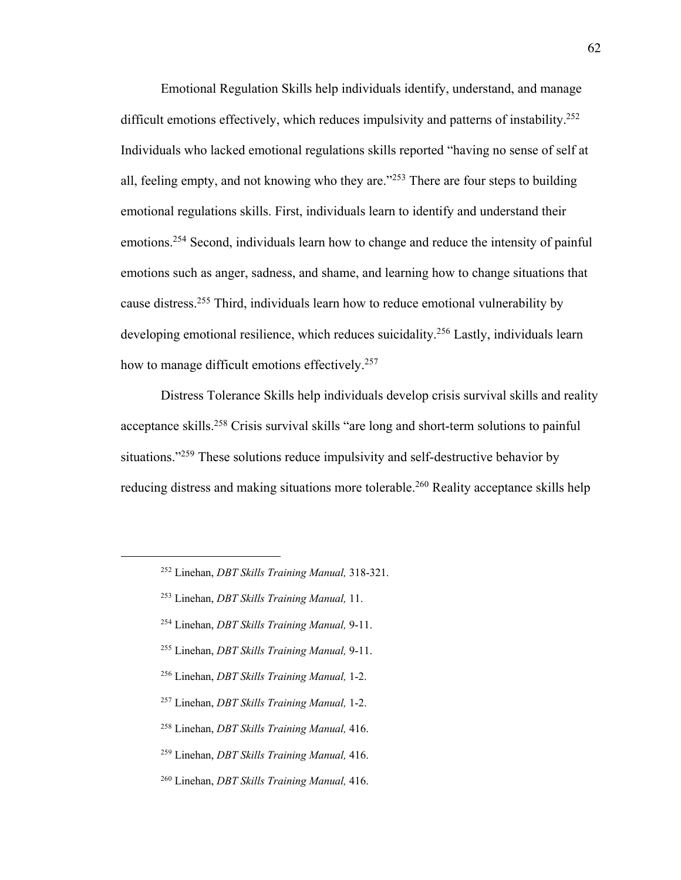Emotional Regulation Skills help individuals identify, understand, and manage difficult emotions effectively, which reduces impulsivity and patterns of instability.<sup>252</sup> Individuals who lacked emotional regulations skills reported "having no sense of self at all, feeling empty, and not knowing who they are."<sup>253</sup> There are four steps to building emotional regulations skills. First, individuals learn to identify and understand their emotions.<sup>254</sup> Second, individuals learn how to change and reduce the intensity of painful emotions such as anger, sadness, and shame, and learning how to change situations that cause distress.<sup>255</sup> Third, individuals learn how to reduce emotional vulnerability by developing emotional resilience, which reduces suicidality.<sup>256</sup> Lastly, individuals learn how to manage difficult emotions effectively.<sup>257</sup>

Distress Tolerance Skills help individuals develop crisis survival skills and reality acceptance skills.<sup>258</sup> Crisis survival skills "are long and short-term solutions to painful situations."<sup>259</sup> These solutions reduce impulsivity and self-destructive behavior by reducing distress and making situations more tolerable.<sup>260</sup> Reality acceptance skills help

- <sup>254</sup> Linehan, *DBT Skills Training Manual,* 9-11.
- <sup>255</sup> Linehan, *DBT Skills Training Manual,* 9-11.
- <sup>256</sup> Linehan, *DBT Skills Training Manual,* 1-2.
- <sup>257</sup> Linehan, *DBT Skills Training Manual,* 1-2.
- <sup>258</sup> Linehan, *DBT Skills Training Manual,* 416.
- <sup>259</sup> Linehan, *DBT Skills Training Manual,* 416.
- <sup>260</sup> Linehan, *DBT Skills Training Manual,* 416.

<sup>252</sup> Linehan, *DBT Skills Training Manual,* 318-321.

<sup>253</sup> Linehan, *DBT Skills Training Manual,* 11.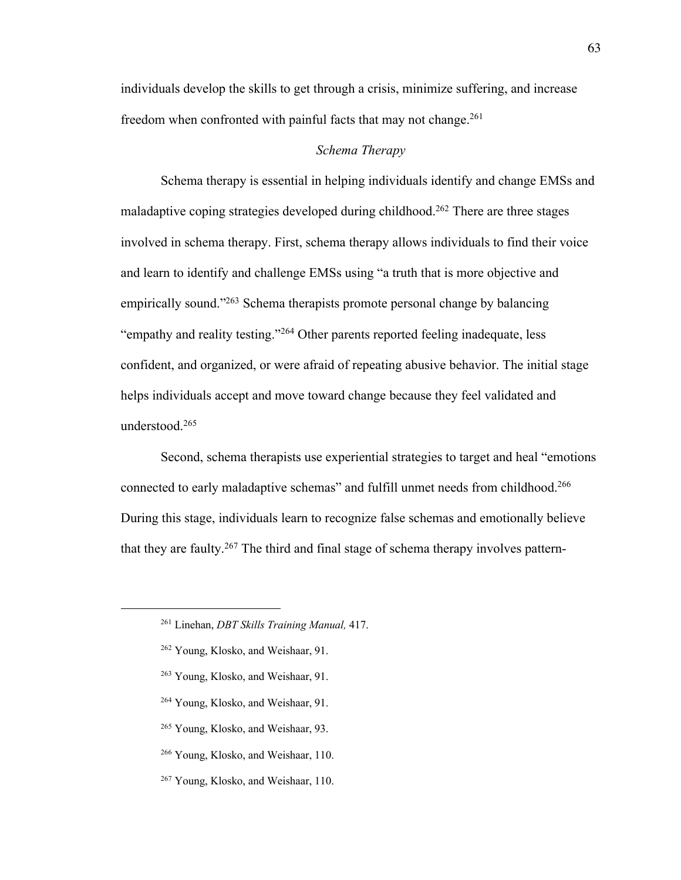individuals develop the skills to get through a crisis, minimize suffering, and increase freedom when confronted with painful facts that may not change.<sup>261</sup>

## *Schema Therapy*

Schema therapy is essential in helping individuals identify and change EMSs and maladaptive coping strategies developed during childhood.<sup>262</sup> There are three stages involved in schema therapy. First, schema therapy allows individuals to find their voice and learn to identify and challenge EMSs using "a truth that is more objective and empirically sound."<sup>263</sup> Schema therapists promote personal change by balancing "empathy and reality testing."<sup>264</sup> Other parents reported feeling inadequate, less confident, and organized, or were afraid of repeating abusive behavior. The initial stage helps individuals accept and move toward change because they feel validated and understood.<sup>265</sup>

Second, schema therapists use experiential strategies to target and heal "emotions connected to early maladaptive schemas" and fulfill unmet needs from childhood.<sup>266</sup> During this stage, individuals learn to recognize false schemas and emotionally believe that they are faulty.<sup>267</sup> The third and final stage of schema therapy involves pattern-

- <sup>263</sup> Young, Klosko, and Weishaar, 91.
- <sup>264</sup> Young, Klosko, and Weishaar, 91.
- <sup>265</sup> Young, Klosko, and Weishaar, 93.
- <sup>266</sup> Young, Klosko, and Weishaar, 110.
- <sup>267</sup> Young, Klosko, and Weishaar, 110.

<sup>261</sup> Linehan, *DBT Skills Training Manual,* 417.

<sup>&</sup>lt;sup>262</sup> Young, Klosko, and Weishaar, 91.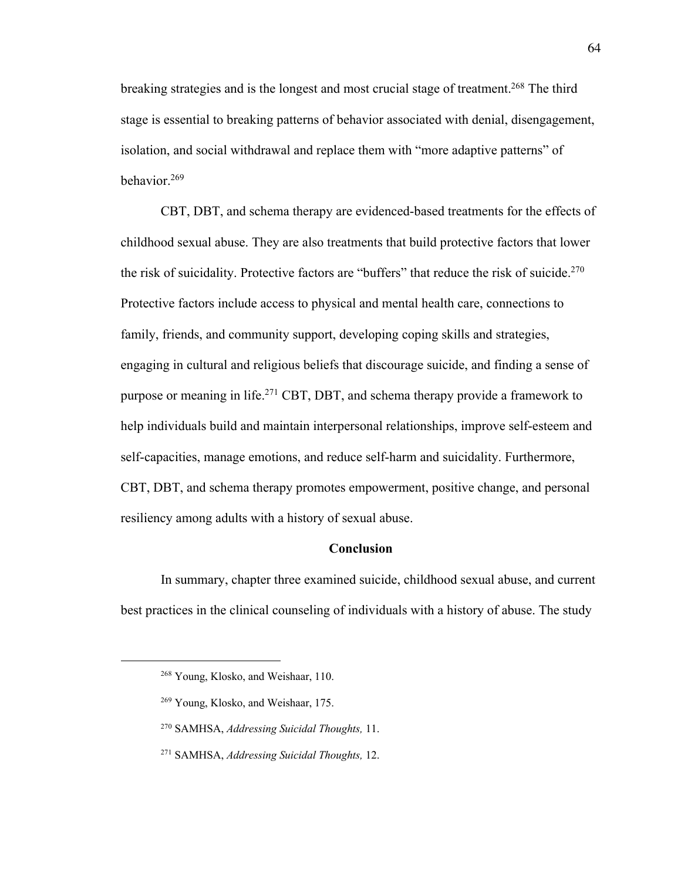breaking strategies and is the longest and most crucial stage of treatment.<sup>268</sup> The third stage is essential to breaking patterns of behavior associated with denial, disengagement, isolation, and social withdrawal and replace them with "more adaptive patterns" of behavior.<sup>269</sup>

CBT, DBT, and schema therapy are evidenced-based treatments for the effects of childhood sexual abuse. They are also treatments that build protective factors that lower the risk of suicidality. Protective factors are "buffers" that reduce the risk of suicide.<sup>270</sup> Protective factors include access to physical and mental health care, connections to family, friends, and community support, developing coping skills and strategies, engaging in cultural and religious beliefs that discourage suicide, and finding a sense of purpose or meaning in life.<sup>271</sup> CBT, DBT, and schema therapy provide a framework to help individuals build and maintain interpersonal relationships, improve self-esteem and self-capacities, manage emotions, and reduce self-harm and suicidality. Furthermore, CBT, DBT, and schema therapy promotes empowerment, positive change, and personal resiliency among adults with a history of sexual abuse.

## **Conclusion**

In summary, chapter three examined suicide, childhood sexual abuse, and current best practices in the clinical counseling of individuals with a history of abuse. The study

<sup>268</sup> Young, Klosko, and Weishaar, 110.

<sup>&</sup>lt;sup>269</sup> Young, Klosko, and Weishaar, 175.

<sup>270</sup> SAMHSA, *Addressing Suicidal Thoughts,* 11.

<sup>271</sup> SAMHSA, *Addressing Suicidal Thoughts,* 12.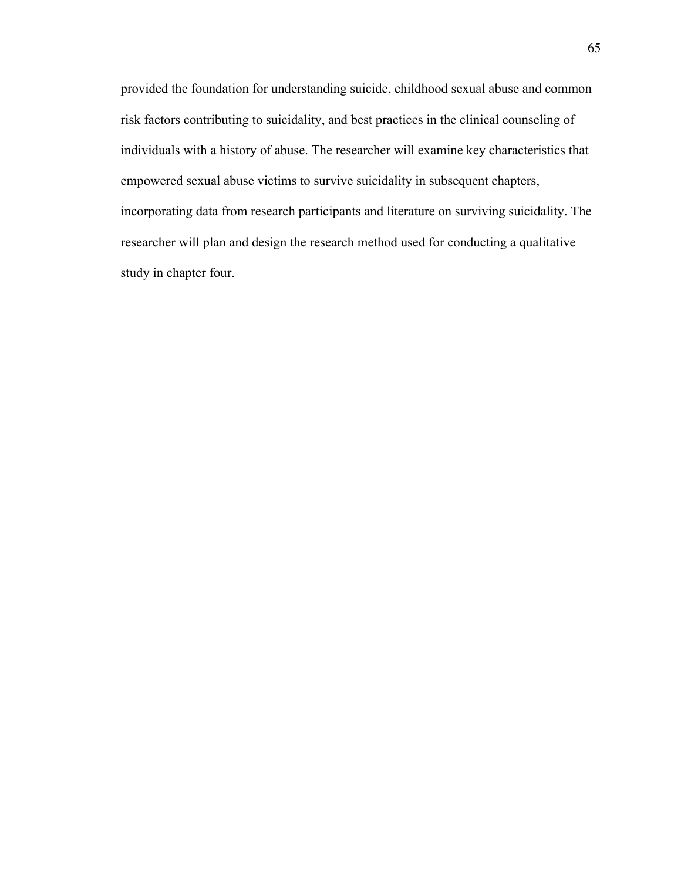provided the foundation for understanding suicide, childhood sexual abuse and common risk factors contributing to suicidality, and best practices in the clinical counseling of individuals with a history of abuse. The researcher will examine key characteristics that empowered sexual abuse victims to survive suicidality in subsequent chapters, incorporating data from research participants and literature on surviving suicidality. The researcher will plan and design the research method used for conducting a qualitative study in chapter four.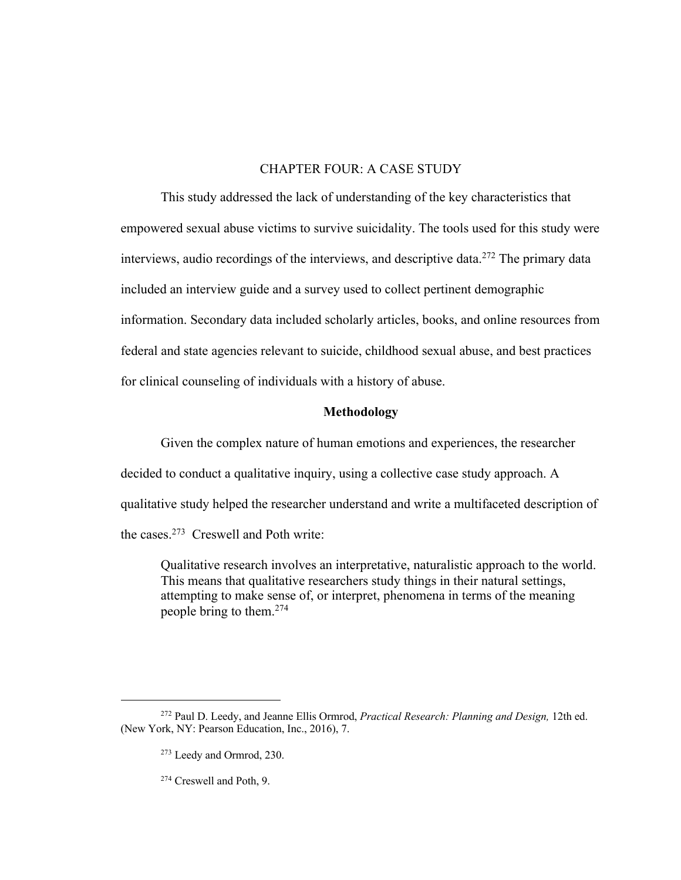# CHAPTER FOUR: A CASE STUDY

This study addressed the lack of understanding of the key characteristics that empowered sexual abuse victims to survive suicidality. The tools used for this study were interviews, audio recordings of the interviews, and descriptive data.<sup>272</sup> The primary data included an interview guide and a survey used to collect pertinent demographic information. Secondary data included scholarly articles, books, and online resources from federal and state agencies relevant to suicide, childhood sexual abuse, and best practices for clinical counseling of individuals with a history of abuse.

### **Methodology**

Given the complex nature of human emotions and experiences, the researcher decided to conduct a qualitative inquiry, using a collective case study approach. A qualitative study helped the researcher understand and write a multifaceted description of the cases.<sup>273</sup> Creswell and Poth write:

Qualitative research involves an interpretative, naturalistic approach to the world. This means that qualitative researchers study things in their natural settings, attempting to make sense of, or interpret, phenomena in terms of the meaning people bring to them.<sup>274</sup>

<sup>272</sup> Paul D. Leedy, and Jeanne Ellis Ormrod, *Practical Research: Planning and Design,* 12th ed. (New York, NY: Pearson Education, Inc., 2016), 7.

<sup>273</sup> Leedy and Ormrod, 230.

<sup>274</sup> Creswell and Poth, 9.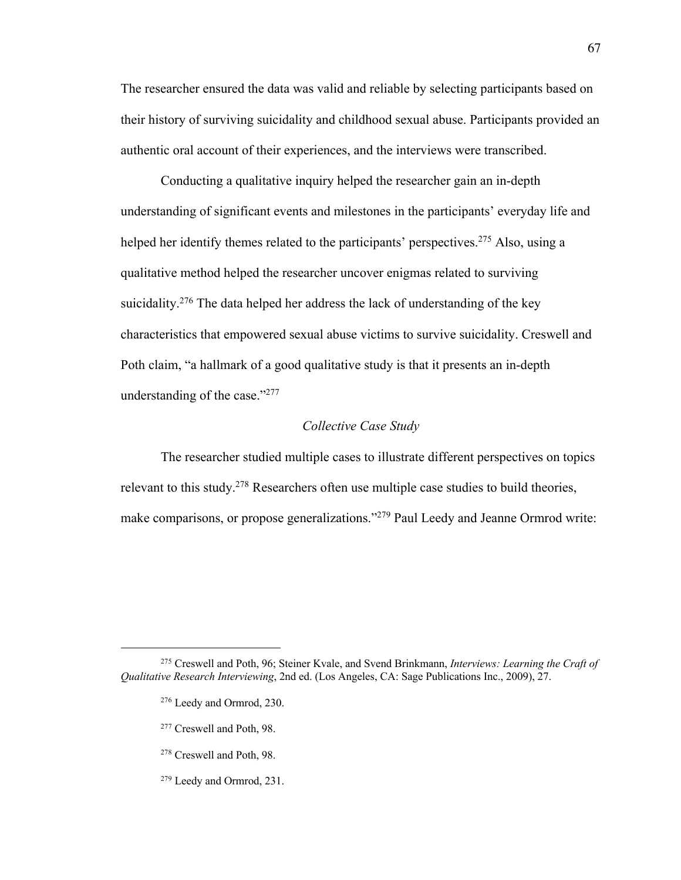The researcher ensured the data was valid and reliable by selecting participants based on their history of surviving suicidality and childhood sexual abuse. Participants provided an authentic oral account of their experiences, and the interviews were transcribed.

Conducting a qualitative inquiry helped the researcher gain an in-depth understanding of significant events and milestones in the participants' everyday life and helped her identify themes related to the participants' perspectives.<sup>275</sup> Also, using a qualitative method helped the researcher uncover enigmas related to surviving suicidality.<sup>276</sup> The data helped her address the lack of understanding of the key characteristics that empowered sexual abuse victims to survive suicidality. Creswell and Poth claim, "a hallmark of a good qualitative study is that it presents an in-depth understanding of the case."<sup>277</sup>

### *Collective Case Study*

The researcher studied multiple cases to illustrate different perspectives on topics relevant to this study.<sup>278</sup> Researchers often use multiple case studies to build theories, make comparisons, or propose generalizations."<sup>279</sup> Paul Leedy and Jeanne Ormrod write:

- <sup>277</sup> Creswell and Poth, 98.
- <sup>278</sup> Creswell and Poth, 98.
- <sup>279</sup> Leedy and Ormrod, 231.

<sup>275</sup> Creswell and Poth, 96; Steiner Kvale, and Svend Brinkmann, *Interviews: Learning the Craft of Qualitative Research Interviewing*, 2nd ed. (Los Angeles, CA: Sage Publications Inc., 2009), 27.

<sup>276</sup> Leedy and Ormrod, 230.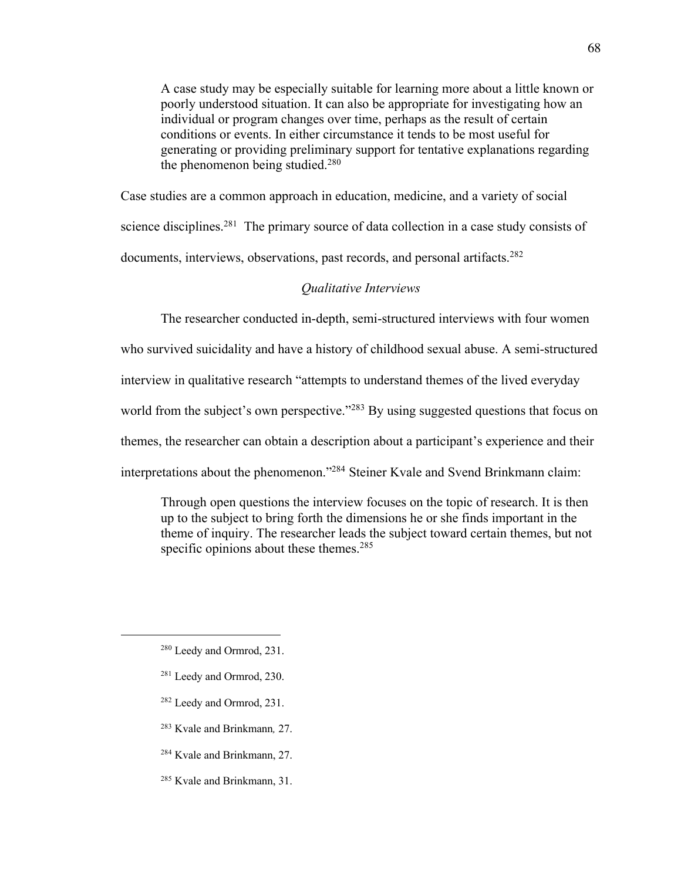A case study may be especially suitable for learning more about a little known or poorly understood situation. It can also be appropriate for investigating how an individual or program changes over time, perhaps as the result of certain conditions or events. In either circumstance it tends to be most useful for generating or providing preliminary support for tentative explanations regarding the phenomenon being studied. $280$ 

Case studies are a common approach in education, medicine, and a variety of social science disciplines.<sup>281</sup> The primary source of data collection in a case study consists of documents, interviews, observations, past records, and personal artifacts.<sup>282</sup>

### *Qualitative Interviews*

The researcher conducted in-depth, semi-structured interviews with four women who survived suicidality and have a history of childhood sexual abuse. A semi-structured interview in qualitative research "attempts to understand themes of the lived everyday world from the subject's own perspective."<sup>283</sup> By using suggested questions that focus on themes, the researcher can obtain a description about a participant's experience and their interpretations about the phenomenon."<sup>284</sup> Steiner Kvale and Svend Brinkmann claim:

Through open questions the interview focuses on the topic of research. It is then up to the subject to bring forth the dimensions he or she finds important in the theme of inquiry. The researcher leads the subject toward certain themes, but not specific opinions about these themes. $285$ 

- <sup>281</sup> Leedy and Ormrod, 230.
- <sup>282</sup> Leedy and Ormrod, 231.
- <sup>283</sup> Kvale and Brinkmann*,* 27.
- <sup>284</sup> Kvale and Brinkmann, 27.
- <sup>285</sup> Kvale and Brinkmann, 31.

<sup>280</sup> Leedy and Ormrod, 231.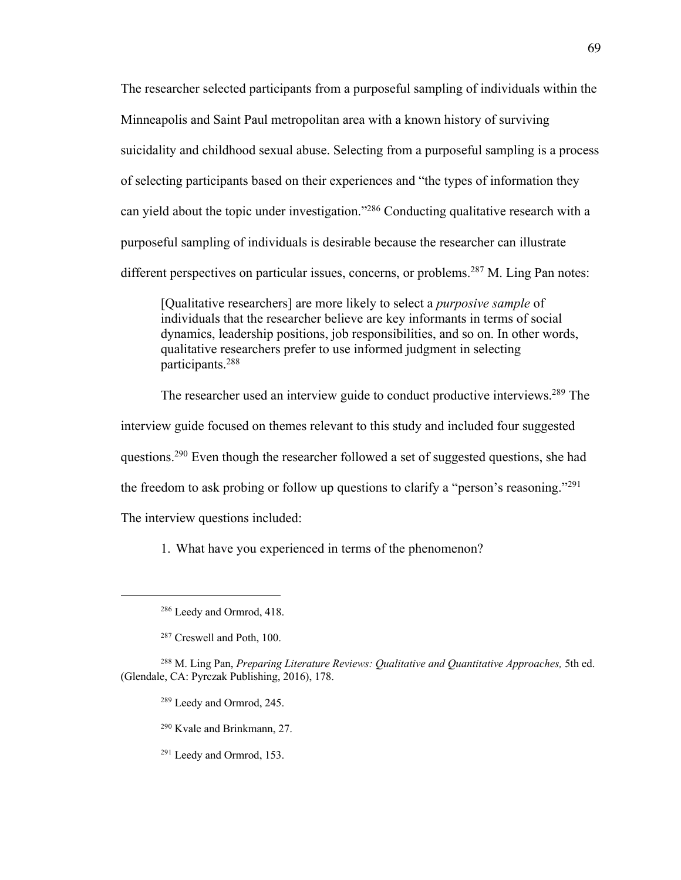The researcher selected participants from a purposeful sampling of individuals within the Minneapolis and Saint Paul metropolitan area with a known history of surviving suicidality and childhood sexual abuse. Selecting from a purposeful sampling is a process of selecting participants based on their experiences and "the types of information they can yield about the topic under investigation."<sup>286</sup> Conducting qualitative research with a purposeful sampling of individuals is desirable because the researcher can illustrate different perspectives on particular issues, concerns, or problems.<sup>287</sup> M. Ling Pan notes:

[Qualitative researchers] are more likely to select a *purposive sample* of individuals that the researcher believe are key informants in terms of social dynamics, leadership positions, job responsibilities, and so on. In other words, qualitative researchers prefer to use informed judgment in selecting participants.<sup>288</sup>

The researcher used an interview guide to conduct productive interviews.<sup>289</sup> The interview guide focused on themes relevant to this study and included four suggested questions.<sup>290</sup> Even though the researcher followed a set of suggested questions, she had the freedom to ask probing or follow up questions to clarify a "person's reasoning."<sup>291</sup> The interview questions included:

1. What have you experienced in terms of the phenomenon?

<sup>289</sup> Leedy and Ormrod, 245.

<sup>290</sup> Kvale and Brinkmann, 27.

<sup>291</sup> Leedy and Ormrod, 153.

<sup>286</sup> Leedy and Ormrod, 418.

<sup>287</sup> Creswell and Poth, 100.

<sup>288</sup> M. Ling Pan, *Preparing Literature Reviews: Qualitative and Quantitative Approaches,* 5th ed. (Glendale, CA: Pyrczak Publishing, 2016), 178.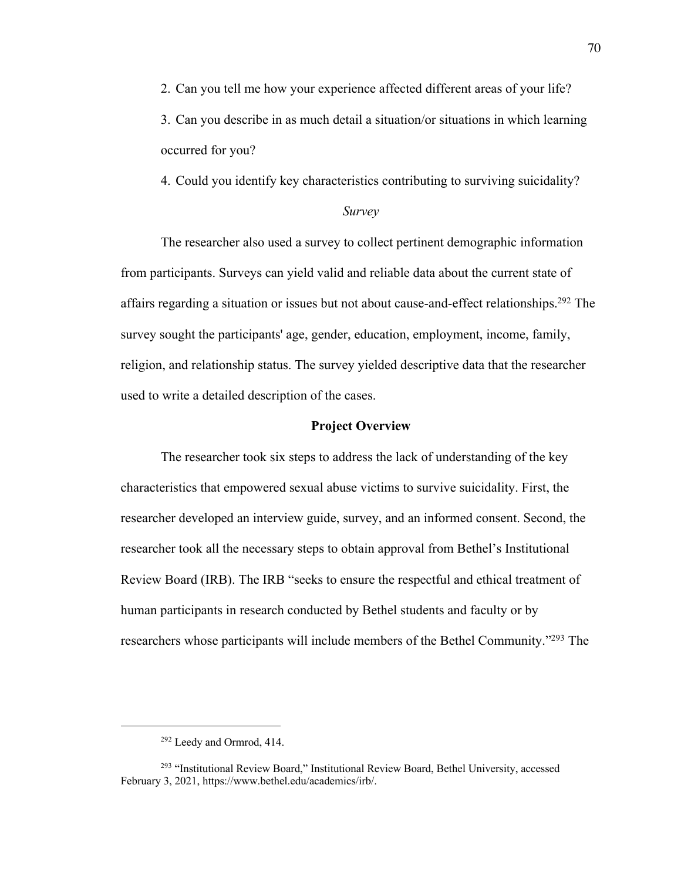2. Can you tell me how your experience affected different areas of your life? 3. Can you describe in as much detail a situation/or situations in which learning occurred for you?

4. Could you identify key characteristics contributing to surviving suicidality?

#### *Survey*

The researcher also used a survey to collect pertinent demographic information from participants. Surveys can yield valid and reliable data about the current state of affairs regarding a situation or issues but not about cause-and-effect relationships.<sup>292</sup> The survey sought the participants' age, gender, education, employment, income, family, religion, and relationship status. The survey yielded descriptive data that the researcher used to write a detailed description of the cases.

### **Project Overview**

The researcher took six steps to address the lack of understanding of the key characteristics that empowered sexual abuse victims to survive suicidality. First, the researcher developed an interview guide, survey, and an informed consent. Second, the researcher took all the necessary steps to obtain approval from Bethel's Institutional Review Board (IRB). The IRB "seeks to ensure the respectful and ethical treatment of human participants in research conducted by Bethel students and faculty or by researchers whose participants will include members of the Bethel Community."<sup>293</sup> The

<sup>292</sup> Leedy and Ormrod, 414.

<sup>293</sup> "Institutional Review Board," Institutional Review Board, Bethel University, accessed February 3, 2021, https://www.bethel.edu/academics/irb/.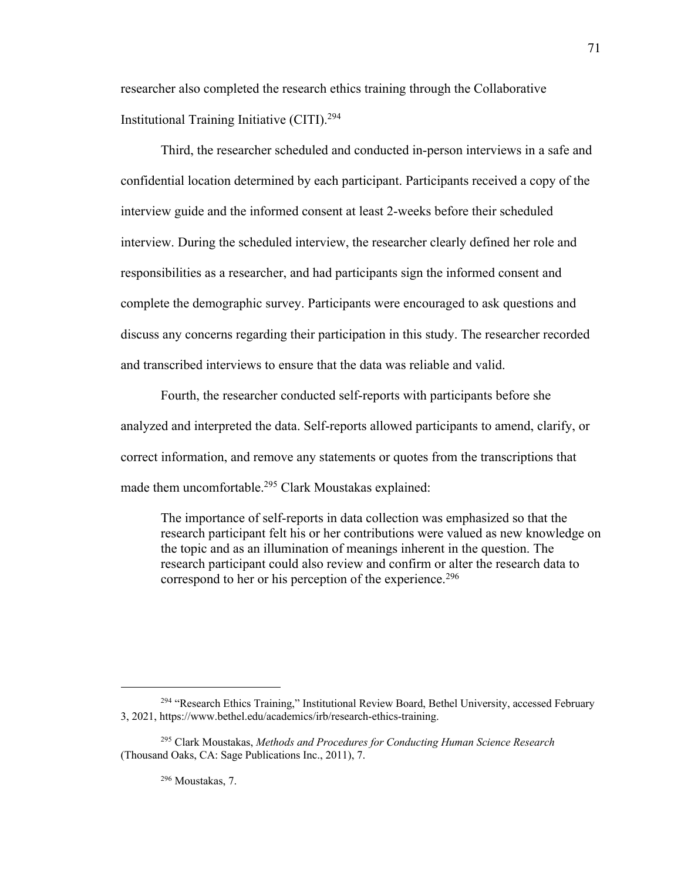researcher also completed the research ethics training through the Collaborative Institutional Training Initiative (CITI).<sup>294</sup>

Third, the researcher scheduled and conducted in-person interviews in a safe and confidential location determined by each participant. Participants received a copy of the interview guide and the informed consent at least 2-weeks before their scheduled interview. During the scheduled interview, the researcher clearly defined her role and responsibilities as a researcher, and had participants sign the informed consent and complete the demographic survey. Participants were encouraged to ask questions and discuss any concerns regarding their participation in this study. The researcher recorded and transcribed interviews to ensure that the data was reliable and valid.

Fourth, the researcher conducted self-reports with participants before she analyzed and interpreted the data. Self-reports allowed participants to amend, clarify, or correct information, and remove any statements or quotes from the transcriptions that made them uncomfortable.<sup>295</sup> Clark Moustakas explained:

The importance of self-reports in data collection was emphasized so that the research participant felt his or her contributions were valued as new knowledge on the topic and as an illumination of meanings inherent in the question. The research participant could also review and confirm or alter the research data to correspond to her or his perception of the experience.<sup>296</sup>

<sup>296</sup> Moustakas, 7.

<sup>&</sup>lt;sup>294</sup> "Research Ethics Training," Institutional Review Board, Bethel University, accessed February 3, 2021, https://www.bethel.edu/academics/irb/research-ethics-training.

<sup>295</sup> Clark Moustakas, *Methods and Procedures for Conducting Human Science Research* (Thousand Oaks, CA: Sage Publications Inc., 2011), 7.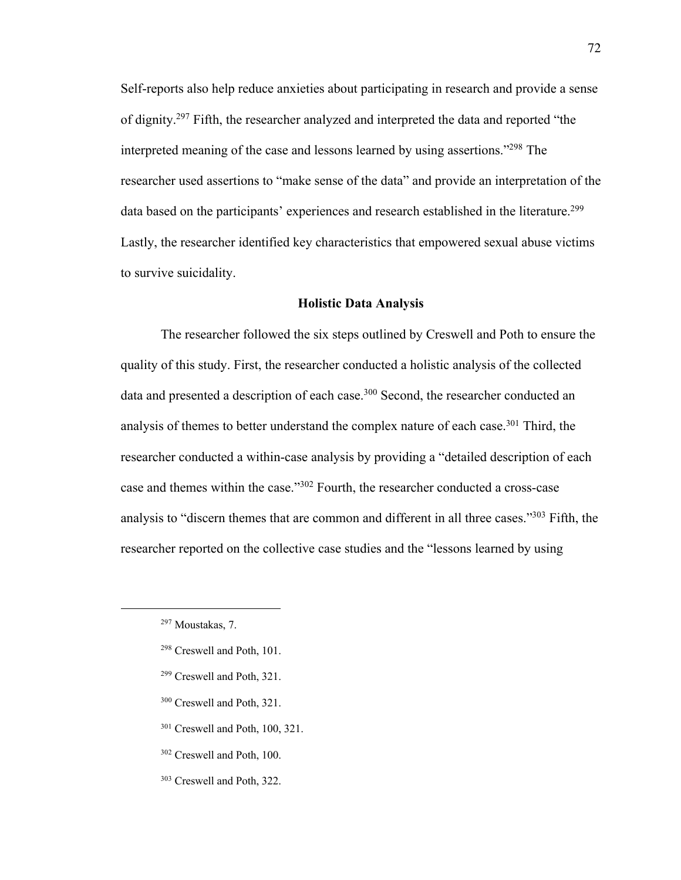Self-reports also help reduce anxieties about participating in research and provide a sense of dignity.<sup>297</sup> Fifth, the researcher analyzed and interpreted the data and reported "the interpreted meaning of the case and lessons learned by using assertions."<sup>298</sup> The researcher used assertions to "make sense of the data" and provide an interpretation of the data based on the participants' experiences and research established in the literature.<sup>299</sup> Lastly, the researcher identified key characteristics that empowered sexual abuse victims to survive suicidality.

### **Holistic Data Analysis**

The researcher followed the six steps outlined by Creswell and Poth to ensure the quality of this study. First, the researcher conducted a holistic analysis of the collected data and presented a description of each case.<sup>300</sup> Second, the researcher conducted an analysis of themes to better understand the complex nature of each case.<sup>301</sup> Third, the researcher conducted a within-case analysis by providing a "detailed description of each case and themes within the case."<sup>302</sup> Fourth, the researcher conducted a cross-case analysis to "discern themes that are common and different in all three cases."<sup>303</sup> Fifth, the researcher reported on the collective case studies and the "lessons learned by using

- <sup>298</sup> Creswell and Poth, 101.
- <sup>299</sup> Creswell and Poth, 321.
- <sup>300</sup> Creswell and Poth, 321.
- <sup>301</sup> Creswell and Poth, 100, 321.
- <sup>302</sup> Creswell and Poth, 100.
- <sup>303</sup> Creswell and Poth, 322.

<sup>297</sup> Moustakas, 7.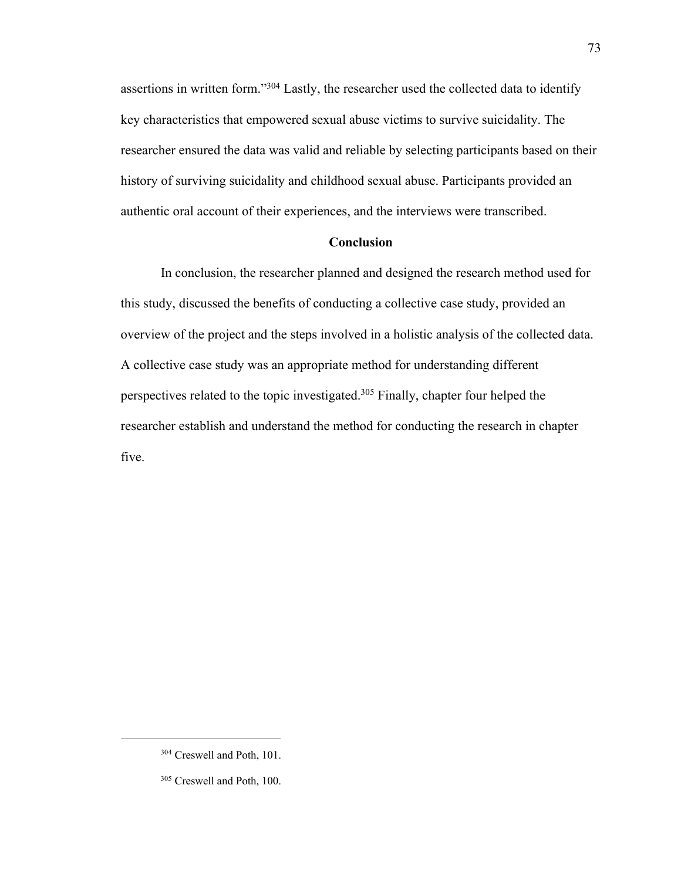assertions in written form."<sup>304</sup> Lastly, the researcher used the collected data to identify key characteristics that empowered sexual abuse victims to survive suicidality. The researcher ensured the data was valid and reliable by selecting participants based on their history of surviving suicidality and childhood sexual abuse. Participants provided an authentic oral account of their experiences, and the interviews were transcribed.

## **Conclusion**

In conclusion, the researcher planned and designed the research method used for this study, discussed the benefits of conducting a collective case study, provided an overview of the project and the steps involved in a holistic analysis of the collected data. A collective case study was an appropriate method for understanding different perspectives related to the topic investigated.<sup>305</sup> Finally, chapter four helped the researcher establish and understand the method for conducting the research in chapter five.

<sup>304</sup> Creswell and Poth, 101.

<sup>305</sup> Creswell and Poth, 100.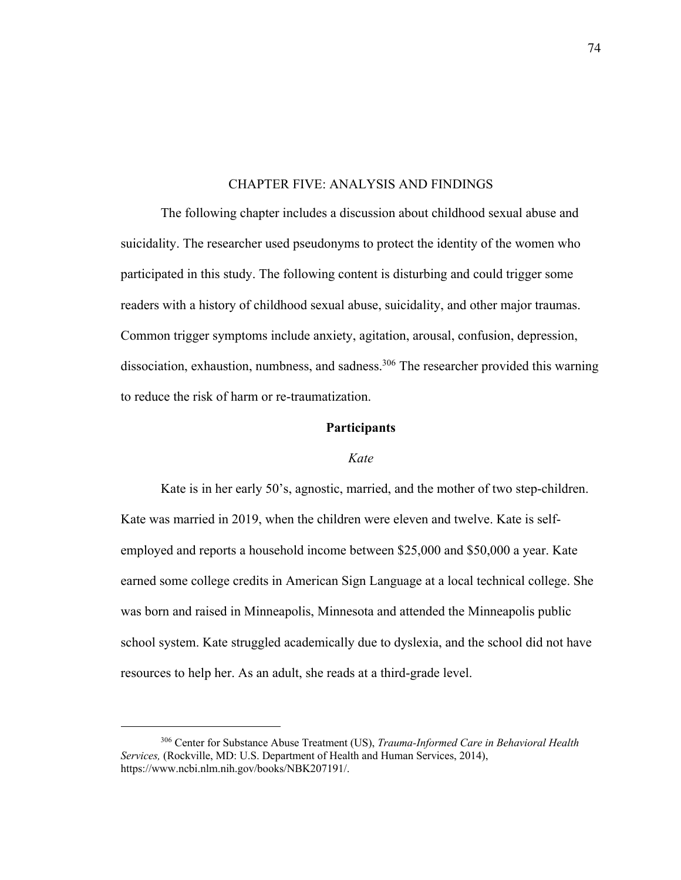# CHAPTER FIVE: ANALYSIS AND FINDINGS

The following chapter includes a discussion about childhood sexual abuse and suicidality. The researcher used pseudonyms to protect the identity of the women who participated in this study. The following content is disturbing and could trigger some readers with a history of childhood sexual abuse, suicidality, and other major traumas. Common trigger symptoms include anxiety, agitation, arousal, confusion, depression, dissociation, exhaustion, numbness, and sadness.<sup>306</sup> The researcher provided this warning to reduce the risk of harm or re-traumatization.

## **Participants**

### *Kate*

Kate is in her early 50's, agnostic, married, and the mother of two step-children. Kate was married in 2019, when the children were eleven and twelve. Kate is selfemployed and reports a household income between \$25,000 and \$50,000 a year. Kate earned some college credits in American Sign Language at a local technical college. She was born and raised in Minneapolis, Minnesota and attended the Minneapolis public school system. Kate struggled academically due to dyslexia, and the school did not have resources to help her. As an adult, she reads at a third-grade level.

<sup>306</sup> Center for Substance Abuse Treatment (US), *Trauma-Informed Care in Behavioral Health Services,* (Rockville, MD: U.S. Department of Health and Human Services, 2014), https://www.ncbi.nlm.nih.gov/books/NBK207191/.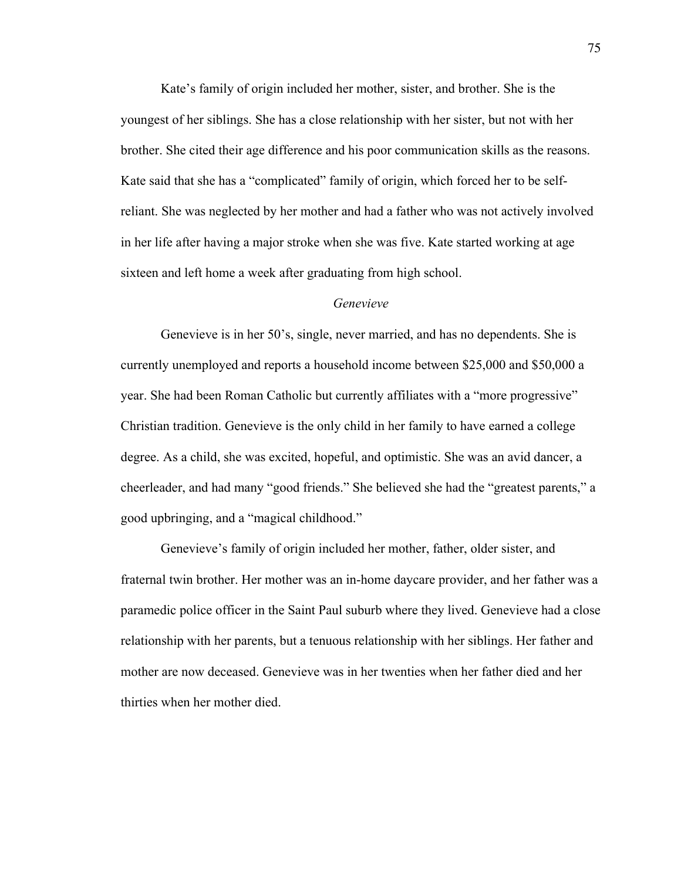Kate's family of origin included her mother, sister, and brother. She is the youngest of her siblings. She has a close relationship with her sister, but not with her brother. She cited their age difference and his poor communication skills as the reasons. Kate said that she has a "complicated" family of origin, which forced her to be selfreliant. She was neglected by her mother and had a father who was not actively involved in her life after having a major stroke when she was five. Kate started working at age sixteen and left home a week after graduating from high school.

# *Genevieve*

Genevieve is in her 50's, single, never married, and has no dependents. She is currently unemployed and reports a household income between \$25,000 and \$50,000 a year. She had been Roman Catholic but currently affiliates with a "more progressive" Christian tradition. Genevieve is the only child in her family to have earned a college degree. As a child, she was excited, hopeful, and optimistic. She was an avid dancer, a cheerleader, and had many "good friends." She believed she had the "greatest parents," a good upbringing, and a "magical childhood."

Genevieve's family of origin included her mother, father, older sister, and fraternal twin brother. Her mother was an in-home daycare provider, and her father was a paramedic police officer in the Saint Paul suburb where they lived. Genevieve had a close relationship with her parents, but a tenuous relationship with her siblings. Her father and mother are now deceased. Genevieve was in her twenties when her father died and her thirties when her mother died.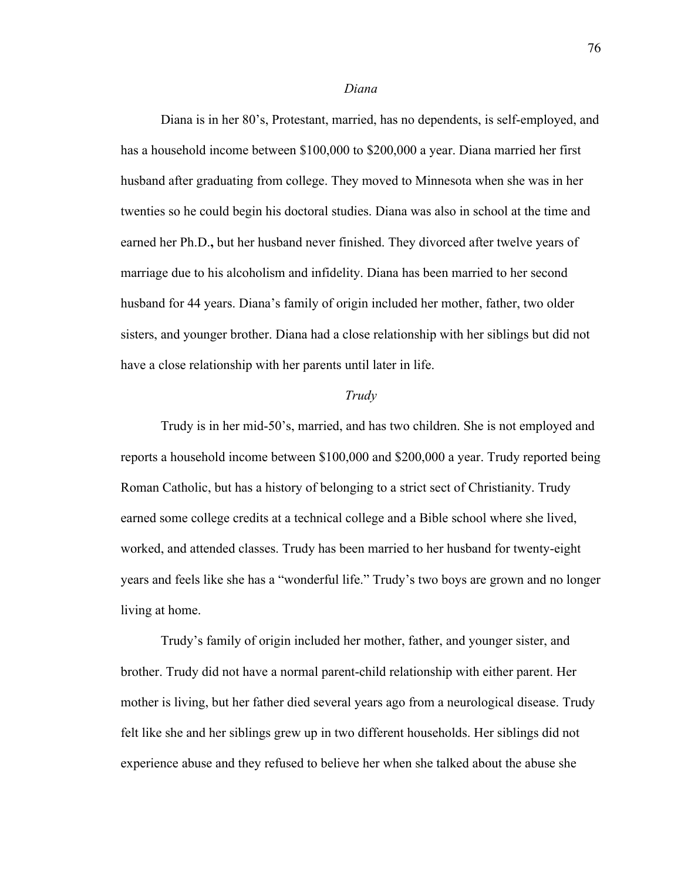#### *Diana*

Diana is in her 80's, Protestant, married, has no dependents, is self-employed, and has a household income between \$100,000 to \$200,000 a year. Diana married her first husband after graduating from college. They moved to Minnesota when she was in her twenties so he could begin his doctoral studies. Diana was also in school at the time and earned her Ph.D.**,** but her husband never finished. They divorced after twelve years of marriage due to his alcoholism and infidelity. Diana has been married to her second husband for 44 years. Diana's family of origin included her mother, father, two older sisters, and younger brother. Diana had a close relationship with her siblings but did not have a close relationship with her parents until later in life.

### *Trudy*

Trudy is in her mid-50's, married, and has two children. She is not employed and reports a household income between \$100,000 and \$200,000 a year. Trudy reported being Roman Catholic, but has a history of belonging to a strict sect of Christianity. Trudy earned some college credits at a technical college and a Bible school where she lived, worked, and attended classes. Trudy has been married to her husband for twenty-eight years and feels like she has a "wonderful life." Trudy's two boys are grown and no longer living at home.

Trudy's family of origin included her mother, father, and younger sister, and brother. Trudy did not have a normal parent-child relationship with either parent. Her mother is living, but her father died several years ago from a neurological disease. Trudy felt like she and her siblings grew up in two different households. Her siblings did not experience abuse and they refused to believe her when she talked about the abuse she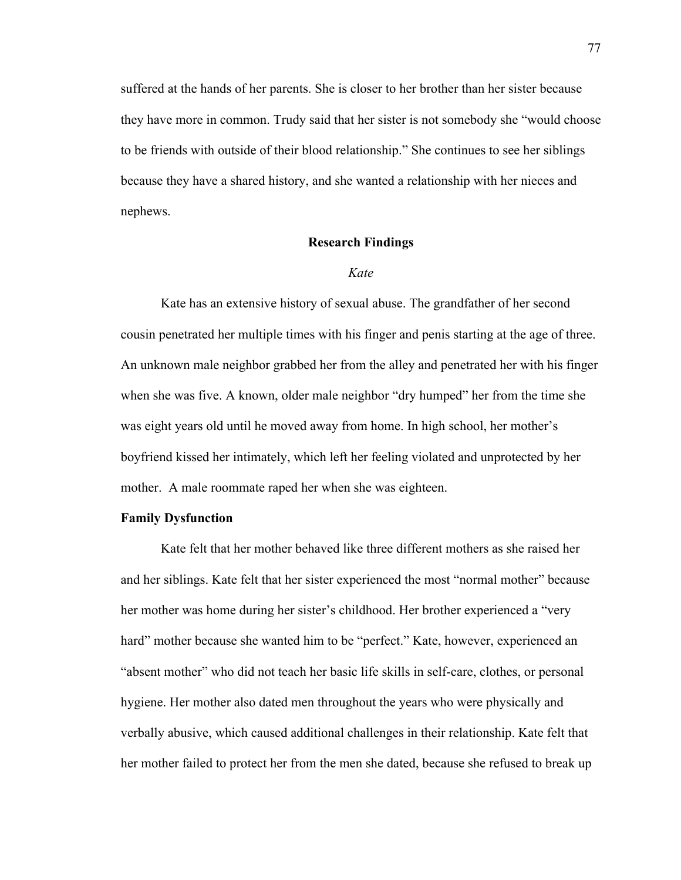suffered at the hands of her parents. She is closer to her brother than her sister because they have more in common. Trudy said that her sister is not somebody she "would choose to be friends with outside of their blood relationship." She continues to see her siblings because they have a shared history, and she wanted a relationship with her nieces and nephews.

### **Research Findings**

#### *Kate*

Kate has an extensive history of sexual abuse. The grandfather of her second cousin penetrated her multiple times with his finger and penis starting at the age of three. An unknown male neighbor grabbed her from the alley and penetrated her with his finger when she was five. A known, older male neighbor "dry humped" her from the time she was eight years old until he moved away from home. In high school, her mother's boyfriend kissed her intimately, which left her feeling violated and unprotected by her mother. A male roommate raped her when she was eighteen.

### **Family Dysfunction**

Kate felt that her mother behaved like three different mothers as she raised her and her siblings. Kate felt that her sister experienced the most "normal mother" because her mother was home during her sister's childhood. Her brother experienced a "very hard" mother because she wanted him to be "perfect." Kate, however, experienced an "absent mother" who did not teach her basic life skills in self-care, clothes, or personal hygiene. Her mother also dated men throughout the years who were physically and verbally abusive, which caused additional challenges in their relationship. Kate felt that her mother failed to protect her from the men she dated, because she refused to break up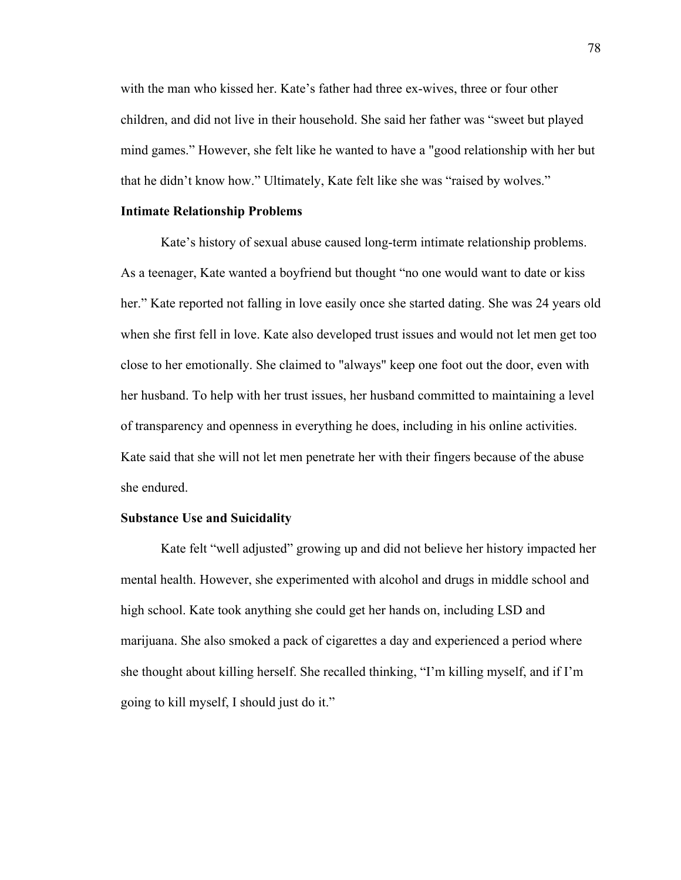with the man who kissed her. Kate's father had three ex-wives, three or four other children, and did not live in their household. She said her father was "sweet but played mind games." However, she felt like he wanted to have a "good relationship with her but that he didn't know how." Ultimately, Kate felt like she was "raised by wolves."

#### **Intimate Relationship Problems**

Kate's history of sexual abuse caused long-term intimate relationship problems. As a teenager, Kate wanted a boyfriend but thought "no one would want to date or kiss her." Kate reported not falling in love easily once she started dating. She was 24 years old when she first fell in love. Kate also developed trust issues and would not let men get too close to her emotionally. She claimed to "always" keep one foot out the door, even with her husband. To help with her trust issues, her husband committed to maintaining a level of transparency and openness in everything he does, including in his online activities. Kate said that she will not let men penetrate her with their fingers because of the abuse she endured.

#### **Substance Use and Suicidality**

Kate felt "well adjusted" growing up and did not believe her history impacted her mental health. However, she experimented with alcohol and drugs in middle school and high school. Kate took anything she could get her hands on, including LSD and marijuana. She also smoked a pack of cigarettes a day and experienced a period where she thought about killing herself. She recalled thinking, "I'm killing myself, and if I'm going to kill myself, I should just do it."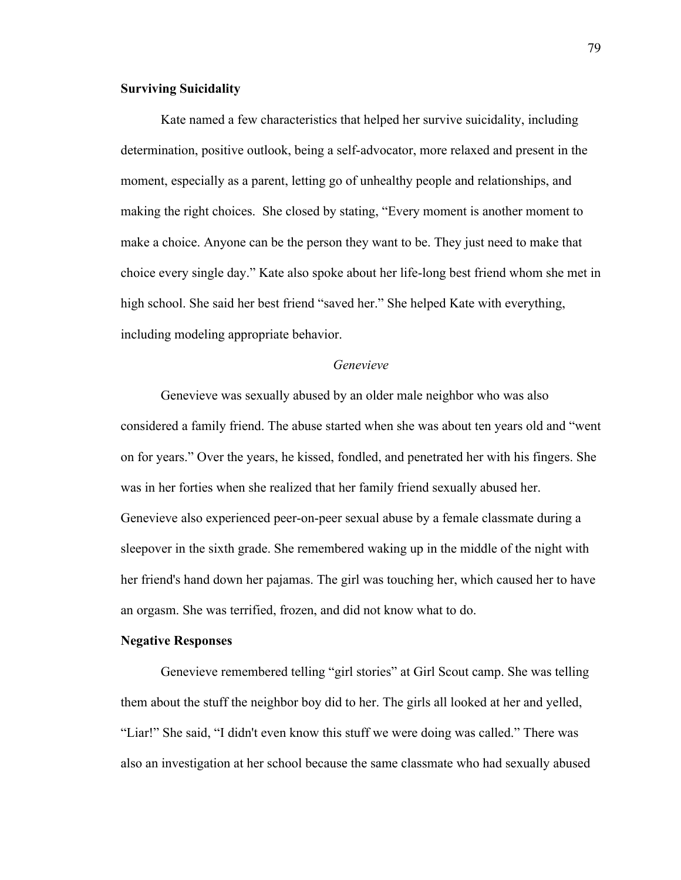# **Surviving Suicidality**

Kate named a few characteristics that helped her survive suicidality, including determination, positive outlook, being a self-advocator, more relaxed and present in the moment, especially as a parent, letting go of unhealthy people and relationships, and making the right choices. She closed by stating, "Every moment is another moment to make a choice. Anyone can be the person they want to be. They just need to make that choice every single day." Kate also spoke about her life-long best friend whom she met in high school. She said her best friend "saved her." She helped Kate with everything, including modeling appropriate behavior.

# *Genevieve*

Genevieve was sexually abused by an older male neighbor who was also considered a family friend. The abuse started when she was about ten years old and "went on for years." Over the years, he kissed, fondled, and penetrated her with his fingers. She was in her forties when she realized that her family friend sexually abused her. Genevieve also experienced peer-on-peer sexual abuse by a female classmate during a sleepover in the sixth grade. She remembered waking up in the middle of the night with her friend's hand down her pajamas. The girl was touching her, which caused her to have an orgasm. She was terrified, frozen, and did not know what to do.

# **Negative Responses**

Genevieve remembered telling "girl stories" at Girl Scout camp. She was telling them about the stuff the neighbor boy did to her. The girls all looked at her and yelled, "Liar!" She said, "I didn't even know this stuff we were doing was called." There was also an investigation at her school because the same classmate who had sexually abused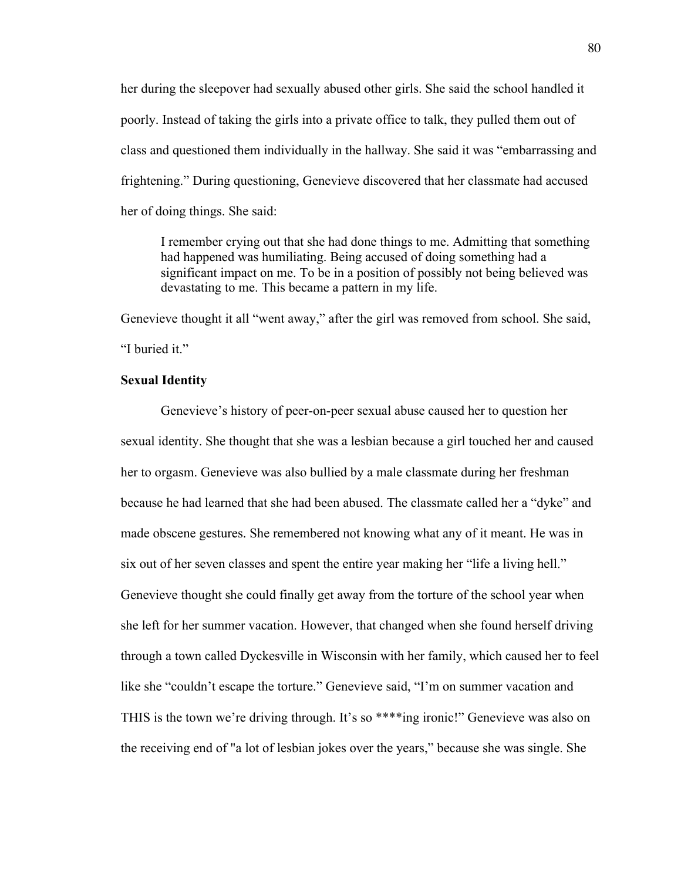her during the sleepover had sexually abused other girls. She said the school handled it poorly. Instead of taking the girls into a private office to talk, they pulled them out of class and questioned them individually in the hallway. She said it was "embarrassing and frightening." During questioning, Genevieve discovered that her classmate had accused her of doing things. She said:

I remember crying out that she had done things to me. Admitting that something had happened was humiliating. Being accused of doing something had a significant impact on me. To be in a position of possibly not being believed was devastating to me. This became a pattern in my life.

Genevieve thought it all "went away," after the girl was removed from school. She said, "I buried it."

# **Sexual Identity**

Genevieve's history of peer-on-peer sexual abuse caused her to question her sexual identity. She thought that she was a lesbian because a girl touched her and caused her to orgasm. Genevieve was also bullied by a male classmate during her freshman because he had learned that she had been abused. The classmate called her a "dyke" and made obscene gestures. She remembered not knowing what any of it meant. He was in six out of her seven classes and spent the entire year making her "life a living hell." Genevieve thought she could finally get away from the torture of the school year when she left for her summer vacation. However, that changed when she found herself driving through a town called Dyckesville in Wisconsin with her family, which caused her to feel like she "couldn't escape the torture." Genevieve said, "I'm on summer vacation and THIS is the town we're driving through. It's so \*\*\*\*ing ironic!" Genevieve was also on the receiving end of "a lot of lesbian jokes over the years," because she was single. She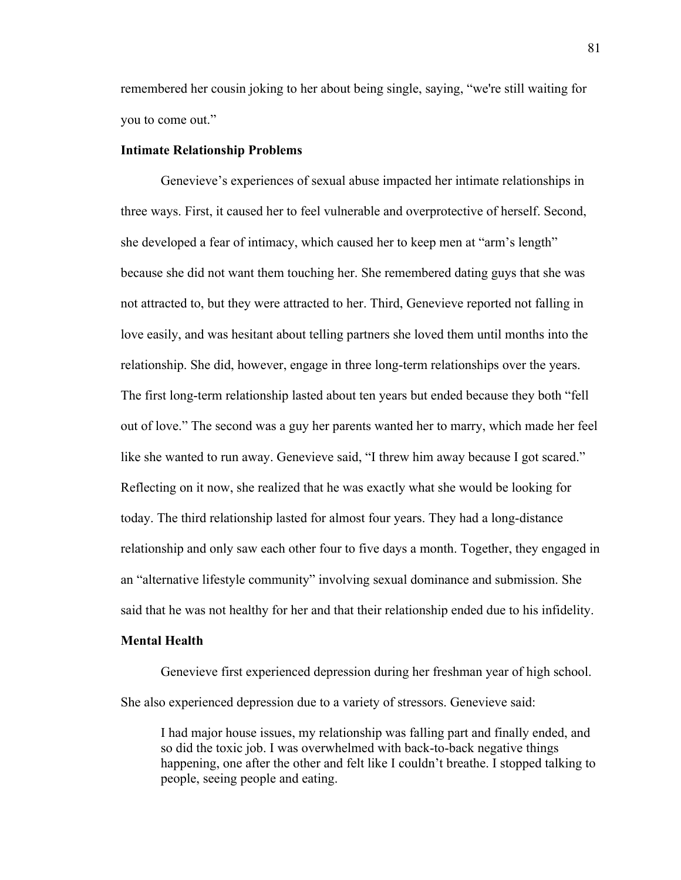remembered her cousin joking to her about being single, saying, "we're still waiting for you to come out."

### **Intimate Relationship Problems**

Genevieve's experiences of sexual abuse impacted her intimate relationships in three ways. First, it caused her to feel vulnerable and overprotective of herself. Second, she developed a fear of intimacy, which caused her to keep men at "arm's length" because she did not want them touching her. She remembered dating guys that she was not attracted to, but they were attracted to her. Third, Genevieve reported not falling in love easily, and was hesitant about telling partners she loved them until months into the relationship. She did, however, engage in three long-term relationships over the years. The first long-term relationship lasted about ten years but ended because they both "fell out of love." The second was a guy her parents wanted her to marry, which made her feel like she wanted to run away. Genevieve said, "I threw him away because I got scared." Reflecting on it now, she realized that he was exactly what she would be looking for today. The third relationship lasted for almost four years. They had a long-distance relationship and only saw each other four to five days a month. Together, they engaged in an "alternative lifestyle community" involving sexual dominance and submission. She said that he was not healthy for her and that their relationship ended due to his infidelity.

# **Mental Health**

Genevieve first experienced depression during her freshman year of high school. She also experienced depression due to a variety of stressors. Genevieve said:

I had major house issues, my relationship was falling part and finally ended, and so did the toxic job. I was overwhelmed with back-to-back negative things happening, one after the other and felt like I couldn't breathe. I stopped talking to people, seeing people and eating.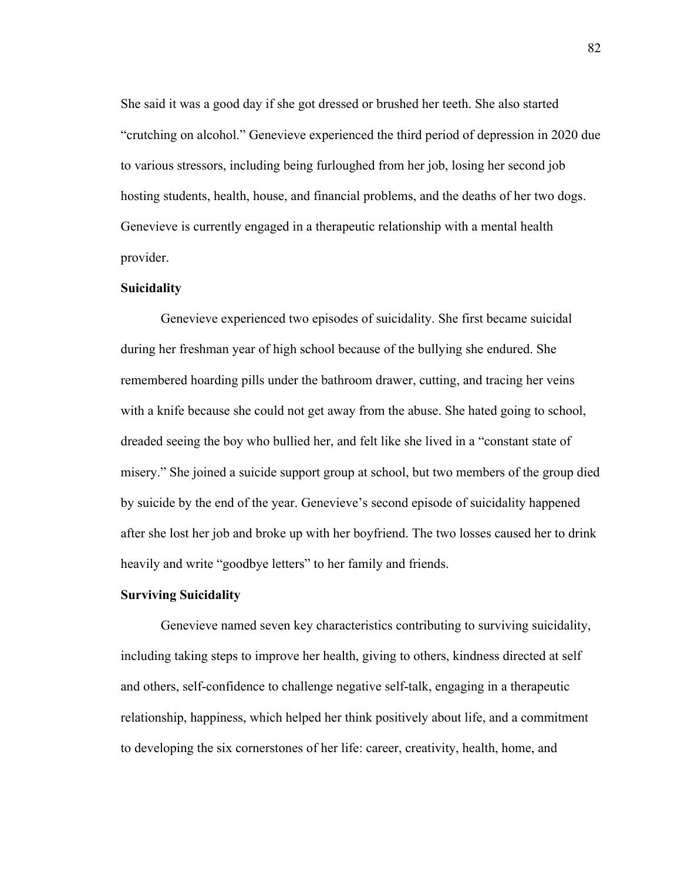She said it was a good day if she got dressed or brushed her teeth. She also started "crutching on alcohol." Genevieve experienced the third period of depression in 2020 due to various stressors, including being furloughed from her job, losing her second job hosting students, health, house, and financial problems, and the deaths of her two dogs. Genevieve is currently engaged in a therapeutic relationship with a mental health provider.

### **Suicidality**

Genevieve experienced two episodes of suicidality. She first became suicidal during her freshman year of high school because of the bullying she endured. She remembered hoarding pills under the bathroom drawer, cutting, and tracing her veins with a knife because she could not get away from the abuse. She hated going to school, dreaded seeing the boy who bullied her, and felt like she lived in a "constant state of misery." She joined a suicide support group at school, but two members of the group died by suicide by the end of the year. Genevieve's second episode of suicidality happened after she lost her job and broke up with her boyfriend. The two losses caused her to drink heavily and write "goodbye letters" to her family and friends.

# **Surviving Suicidality**

Genevieve named seven key characteristics contributing to surviving suicidality, including taking steps to improve her health, giving to others, kindness directed at self and others, self-confidence to challenge negative self-talk, engaging in a therapeutic relationship, happiness, which helped her think positively about life, and a commitment to developing the six cornerstones of her life: career, creativity, health, home, and

82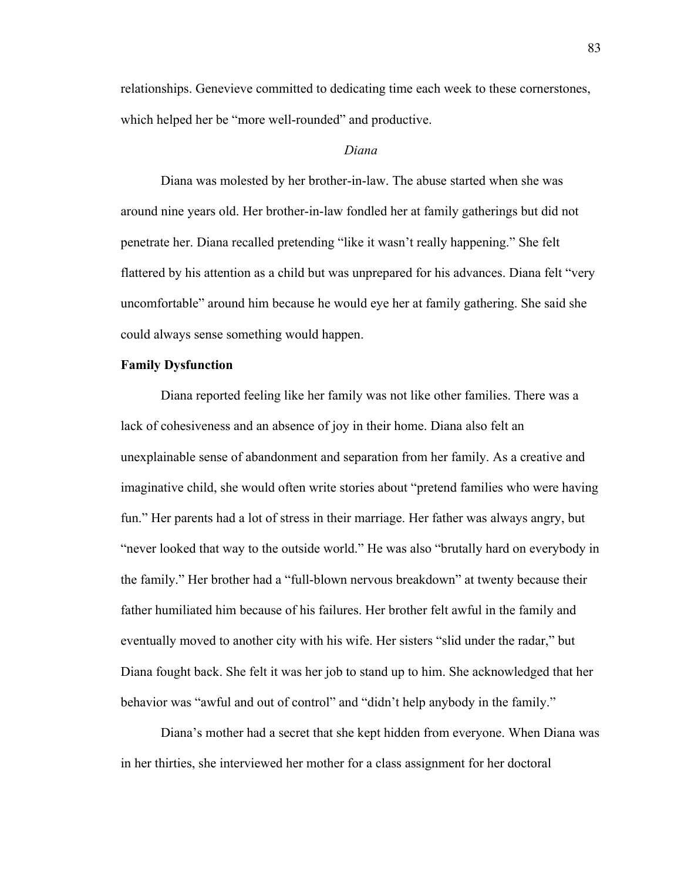relationships. Genevieve committed to dedicating time each week to these cornerstones, which helped her be "more well-rounded" and productive.

### *Diana*

Diana was molested by her brother-in-law. The abuse started when she was around nine years old. Her brother-in-law fondled her at family gatherings but did not penetrate her. Diana recalled pretending "like it wasn't really happening." She felt flattered by his attention as a child but was unprepared for his advances. Diana felt "very uncomfortable" around him because he would eye her at family gathering. She said she could always sense something would happen.

# **Family Dysfunction**

Diana reported feeling like her family was not like other families. There was a lack of cohesiveness and an absence of joy in their home. Diana also felt an unexplainable sense of abandonment and separation from her family. As a creative and imaginative child, she would often write stories about "pretend families who were having fun." Her parents had a lot of stress in their marriage. Her father was always angry, but "never looked that way to the outside world." He was also "brutally hard on everybody in the family." Her brother had a "full-blown nervous breakdown" at twenty because their father humiliated him because of his failures. Her brother felt awful in the family and eventually moved to another city with his wife. Her sisters "slid under the radar," but Diana fought back. She felt it was her job to stand up to him. She acknowledged that her behavior was "awful and out of control" and "didn't help anybody in the family."

Diana's mother had a secret that she kept hidden from everyone. When Diana was in her thirties, she interviewed her mother for a class assignment for her doctoral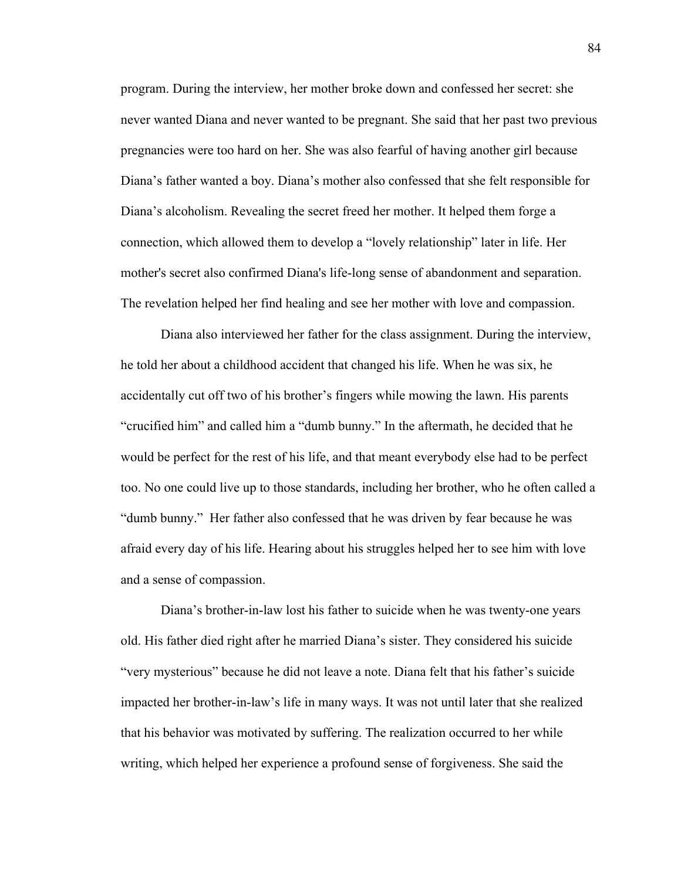program. During the interview, her mother broke down and confessed her secret: she never wanted Diana and never wanted to be pregnant. She said that her past two previous pregnancies were too hard on her. She was also fearful of having another girl because Diana's father wanted a boy. Diana's mother also confessed that she felt responsible for Diana's alcoholism. Revealing the secret freed her mother. It helped them forge a connection, which allowed them to develop a "lovely relationship" later in life. Her mother's secret also confirmed Diana's life-long sense of abandonment and separation. The revelation helped her find healing and see her mother with love and compassion.

Diana also interviewed her father for the class assignment. During the interview, he told her about a childhood accident that changed his life. When he was six, he accidentally cut off two of his brother's fingers while mowing the lawn. His parents "crucified him" and called him a "dumb bunny." In the aftermath, he decided that he would be perfect for the rest of his life, and that meant everybody else had to be perfect too. No one could live up to those standards, including her brother, who he often called a "dumb bunny." Her father also confessed that he was driven by fear because he was afraid every day of his life. Hearing about his struggles helped her to see him with love and a sense of compassion.

Diana's brother-in-law lost his father to suicide when he was twenty-one years old. His father died right after he married Diana's sister. They considered his suicide "very mysterious" because he did not leave a note. Diana felt that his father's suicide impacted her brother-in-law's life in many ways. It was not until later that she realized that his behavior was motivated by suffering. The realization occurred to her while writing, which helped her experience a profound sense of forgiveness. She said the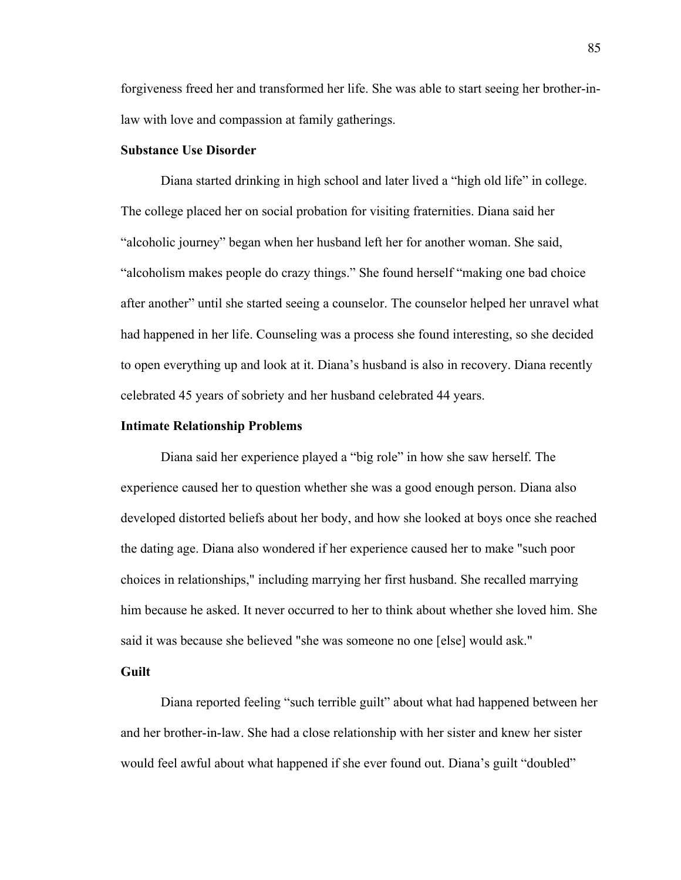forgiveness freed her and transformed her life. She was able to start seeing her brother-inlaw with love and compassion at family gatherings.

# **Substance Use Disorder**

Diana started drinking in high school and later lived a "high old life" in college. The college placed her on social probation for visiting fraternities. Diana said her "alcoholic journey" began when her husband left her for another woman. She said, "alcoholism makes people do crazy things." She found herself "making one bad choice after another" until she started seeing a counselor. The counselor helped her unravel what had happened in her life. Counseling was a process she found interesting, so she decided to open everything up and look at it. Diana's husband is also in recovery. Diana recently celebrated 45 years of sobriety and her husband celebrated 44 years.

#### **Intimate Relationship Problems**

Diana said her experience played a "big role" in how she saw herself. The experience caused her to question whether she was a good enough person. Diana also developed distorted beliefs about her body, and how she looked at boys once she reached the dating age. Diana also wondered if her experience caused her to make "such poor choices in relationships," including marrying her first husband. She recalled marrying him because he asked. It never occurred to her to think about whether she loved him. She said it was because she believed "she was someone no one [else] would ask."

## **Guilt**

Diana reported feeling "such terrible guilt" about what had happened between her and her brother-in-law. She had a close relationship with her sister and knew her sister would feel awful about what happened if she ever found out. Diana's guilt "doubled"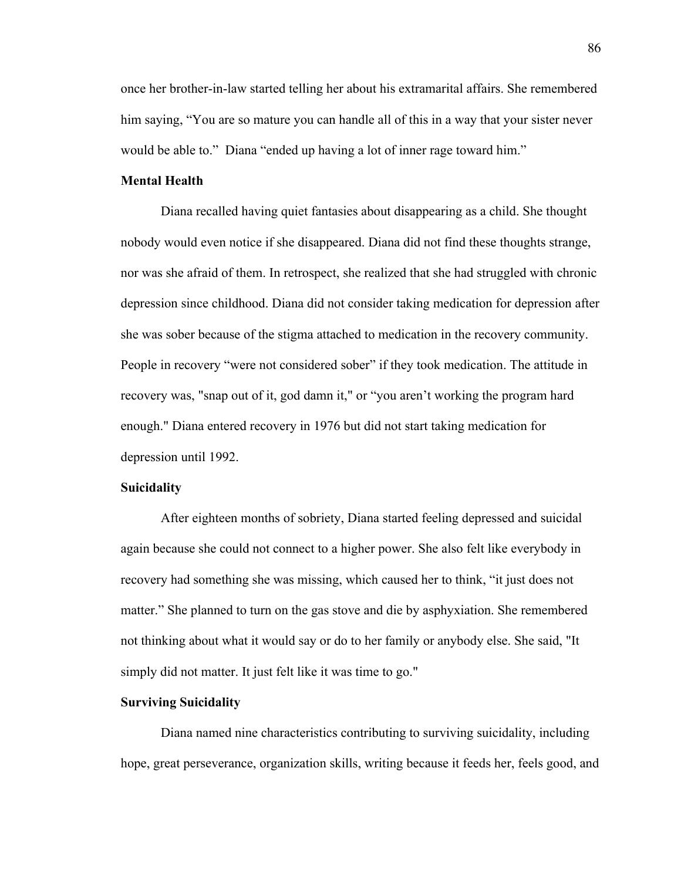once her brother-in-law started telling her about his extramarital affairs. She remembered him saying, "You are so mature you can handle all of this in a way that your sister never would be able to." Diana "ended up having a lot of inner rage toward him."

## **Mental Health**

Diana recalled having quiet fantasies about disappearing as a child. She thought nobody would even notice if she disappeared. Diana did not find these thoughts strange, nor was she afraid of them. In retrospect, she realized that she had struggled with chronic depression since childhood. Diana did not consider taking medication for depression after she was sober because of the stigma attached to medication in the recovery community. People in recovery "were not considered sober" if they took medication. The attitude in recovery was, "snap out of it, god damn it," or "you aren't working the program hard enough." Diana entered recovery in 1976 but did not start taking medication for depression until 1992.

### **Suicidality**

After eighteen months of sobriety, Diana started feeling depressed and suicidal again because she could not connect to a higher power. She also felt like everybody in recovery had something she was missing, which caused her to think, "it just does not matter." She planned to turn on the gas stove and die by asphyxiation. She remembered not thinking about what it would say or do to her family or anybody else. She said, "It simply did not matter. It just felt like it was time to go."

# **Surviving Suicidality**

Diana named nine characteristics contributing to surviving suicidality, including hope, great perseverance, organization skills, writing because it feeds her, feels good, and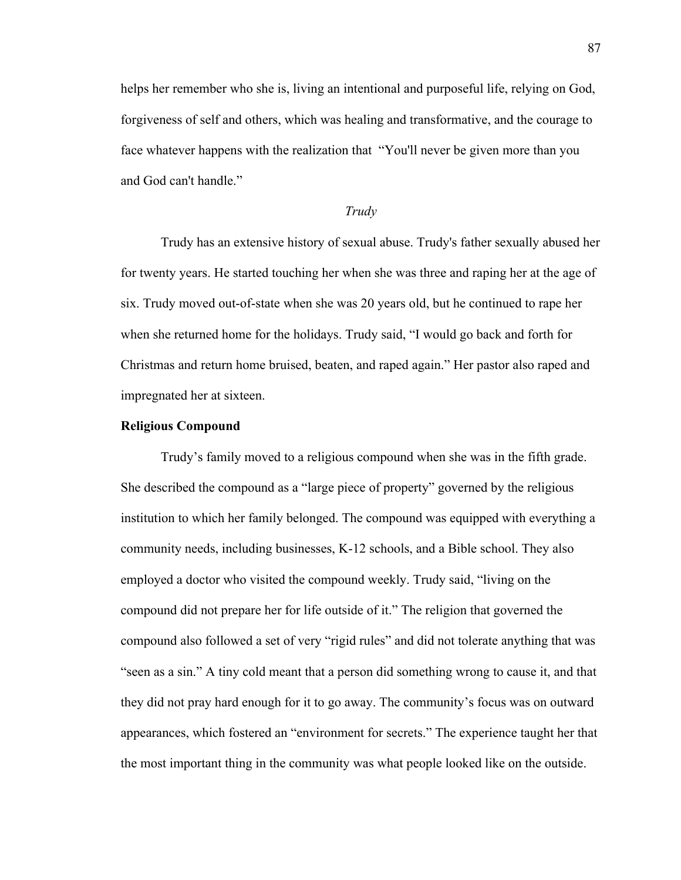helps her remember who she is, living an intentional and purposeful life, relying on God, forgiveness of self and others, which was healing and transformative, and the courage to face whatever happens with the realization that "You'll never be given more than you and God can't handle."

## *Trudy*

Trudy has an extensive history of sexual abuse. Trudy's father sexually abused her for twenty years. He started touching her when she was three and raping her at the age of six. Trudy moved out-of-state when she was 20 years old, but he continued to rape her when she returned home for the holidays. Trudy said, "I would go back and forth for Christmas and return home bruised, beaten, and raped again." Her pastor also raped and impregnated her at sixteen.

# **Religious Compound**

Trudy's family moved to a religious compound when she was in the fifth grade. She described the compound as a "large piece of property" governed by the religious institution to which her family belonged. The compound was equipped with everything a community needs, including businesses, K-12 schools, and a Bible school. They also employed a doctor who visited the compound weekly. Trudy said, "living on the compound did not prepare her for life outside of it." The religion that governed the compound also followed a set of very "rigid rules" and did not tolerate anything that was "seen as a sin." A tiny cold meant that a person did something wrong to cause it, and that they did not pray hard enough for it to go away. The community's focus was on outward appearances, which fostered an "environment for secrets." The experience taught her that the most important thing in the community was what people looked like on the outside.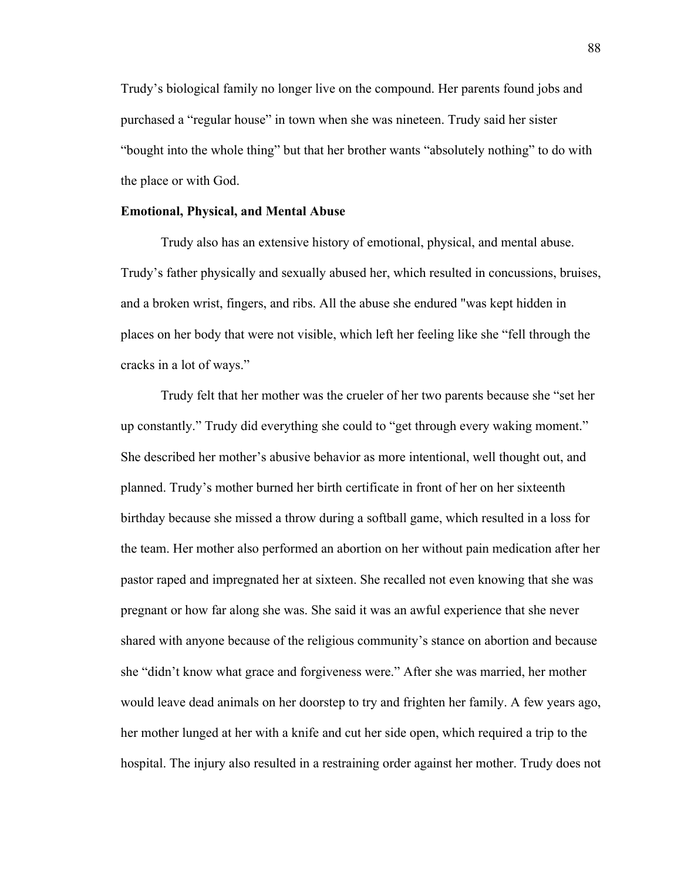Trudy's biological family no longer live on the compound. Her parents found jobs and purchased a "regular house" in town when she was nineteen. Trudy said her sister "bought into the whole thing" but that her brother wants "absolutely nothing" to do with the place or with God.

#### **Emotional, Physical, and Mental Abuse**

Trudy also has an extensive history of emotional, physical, and mental abuse. Trudy's father physically and sexually abused her, which resulted in concussions, bruises, and a broken wrist, fingers, and ribs. All the abuse she endured "was kept hidden in places on her body that were not visible, which left her feeling like she "fell through the cracks in a lot of ways."

Trudy felt that her mother was the crueler of her two parents because she "set her up constantly." Trudy did everything she could to "get through every waking moment." She described her mother's abusive behavior as more intentional, well thought out, and planned. Trudy's mother burned her birth certificate in front of her on her sixteenth birthday because she missed a throw during a softball game, which resulted in a loss for the team. Her mother also performed an abortion on her without pain medication after her pastor raped and impregnated her at sixteen. She recalled not even knowing that she was pregnant or how far along she was. She said it was an awful experience that she never shared with anyone because of the religious community's stance on abortion and because she "didn't know what grace and forgiveness were." After she was married, her mother would leave dead animals on her doorstep to try and frighten her family. A few years ago, her mother lunged at her with a knife and cut her side open, which required a trip to the hospital. The injury also resulted in a restraining order against her mother. Trudy does not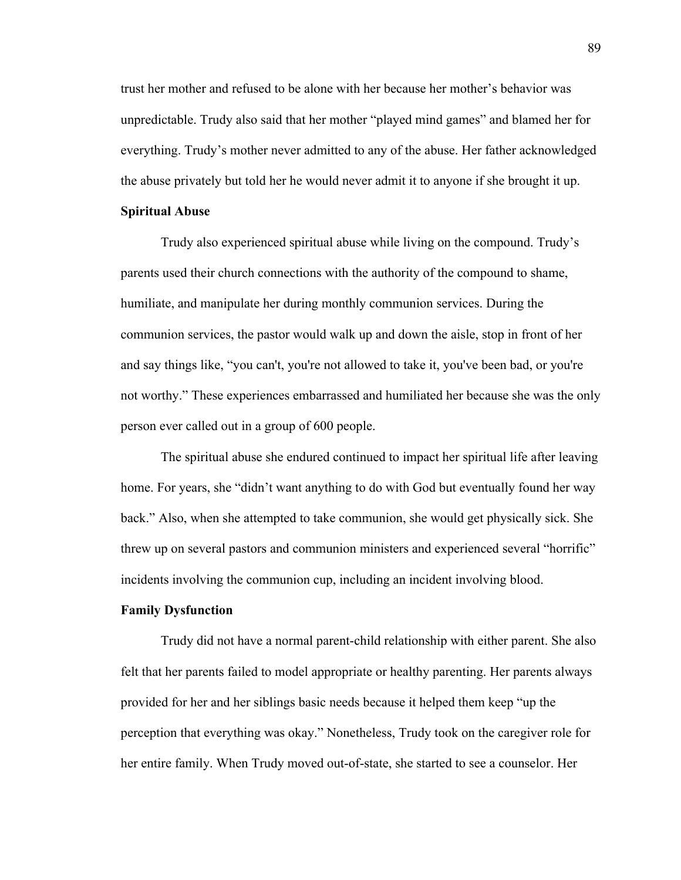trust her mother and refused to be alone with her because her mother's behavior was unpredictable. Trudy also said that her mother "played mind games" and blamed her for everything. Trudy's mother never admitted to any of the abuse. Her father acknowledged the abuse privately but told her he would never admit it to anyone if she brought it up.

### **Spiritual Abuse**

Trudy also experienced spiritual abuse while living on the compound. Trudy's parents used their church connections with the authority of the compound to shame, humiliate, and manipulate her during monthly communion services. During the communion services, the pastor would walk up and down the aisle, stop in front of her and say things like, "you can't, you're not allowed to take it, you've been bad, or you're not worthy." These experiences embarrassed and humiliated her because she was the only person ever called out in a group of 600 people.

The spiritual abuse she endured continued to impact her spiritual life after leaving home. For years, she "didn't want anything to do with God but eventually found her way back." Also, when she attempted to take communion, she would get physically sick. She threw up on several pastors and communion ministers and experienced several "horrific" incidents involving the communion cup, including an incident involving blood.

### **Family Dysfunction**

Trudy did not have a normal parent-child relationship with either parent. She also felt that her parents failed to model appropriate or healthy parenting. Her parents always provided for her and her siblings basic needs because it helped them keep "up the perception that everything was okay." Nonetheless, Trudy took on the caregiver role for her entire family. When Trudy moved out-of-state, she started to see a counselor. Her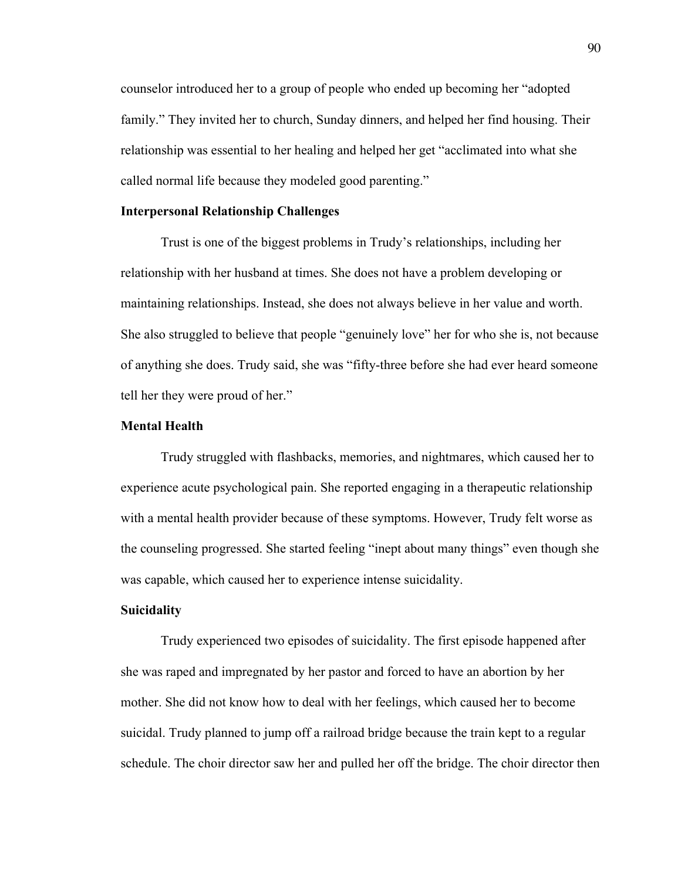counselor introduced her to a group of people who ended up becoming her "adopted family." They invited her to church, Sunday dinners, and helped her find housing. Their relationship was essential to her healing and helped her get "acclimated into what she called normal life because they modeled good parenting."

### **Interpersonal Relationship Challenges**

Trust is one of the biggest problems in Trudy's relationships, including her relationship with her husband at times. She does not have a problem developing or maintaining relationships. Instead, she does not always believe in her value and worth. She also struggled to believe that people "genuinely love" her for who she is, not because of anything she does. Trudy said, she was "fifty-three before she had ever heard someone tell her they were proud of her."

# **Mental Health**

Trudy struggled with flashbacks, memories, and nightmares, which caused her to experience acute psychological pain. She reported engaging in a therapeutic relationship with a mental health provider because of these symptoms. However, Trudy felt worse as the counseling progressed. She started feeling "inept about many things" even though she was capable, which caused her to experience intense suicidality.

### **Suicidality**

Trudy experienced two episodes of suicidality. The first episode happened after she was raped and impregnated by her pastor and forced to have an abortion by her mother. She did not know how to deal with her feelings, which caused her to become suicidal. Trudy planned to jump off a railroad bridge because the train kept to a regular schedule. The choir director saw her and pulled her off the bridge. The choir director then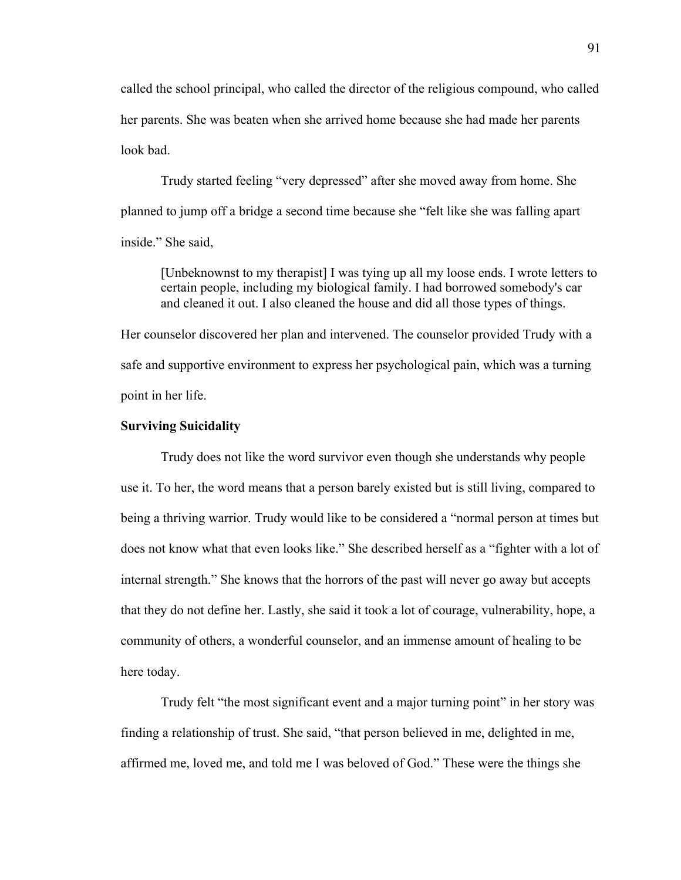called the school principal, who called the director of the religious compound, who called her parents. She was beaten when she arrived home because she had made her parents look bad.

Trudy started feeling "very depressed" after she moved away from home. She planned to jump off a bridge a second time because she "felt like she was falling apart inside." She said,

[Unbeknownst to my therapist] I was tying up all my loose ends. I wrote letters to certain people, including my biological family. I had borrowed somebody's car and cleaned it out. I also cleaned the house and did all those types of things.

Her counselor discovered her plan and intervened. The counselor provided Trudy with a safe and supportive environment to express her psychological pain, which was a turning point in her life.

### **Surviving Suicidality**

Trudy does not like the word survivor even though she understands why people use it. To her, the word means that a person barely existed but is still living, compared to being a thriving warrior. Trudy would like to be considered a "normal person at times but does not know what that even looks like." She described herself as a "fighter with a lot of internal strength." She knows that the horrors of the past will never go away but accepts that they do not define her. Lastly, she said it took a lot of courage, vulnerability, hope, a community of others, a wonderful counselor, and an immense amount of healing to be here today.

Trudy felt "the most significant event and a major turning point" in her story was finding a relationship of trust. She said, "that person believed in me, delighted in me, affirmed me, loved me, and told me I was beloved of God." These were the things she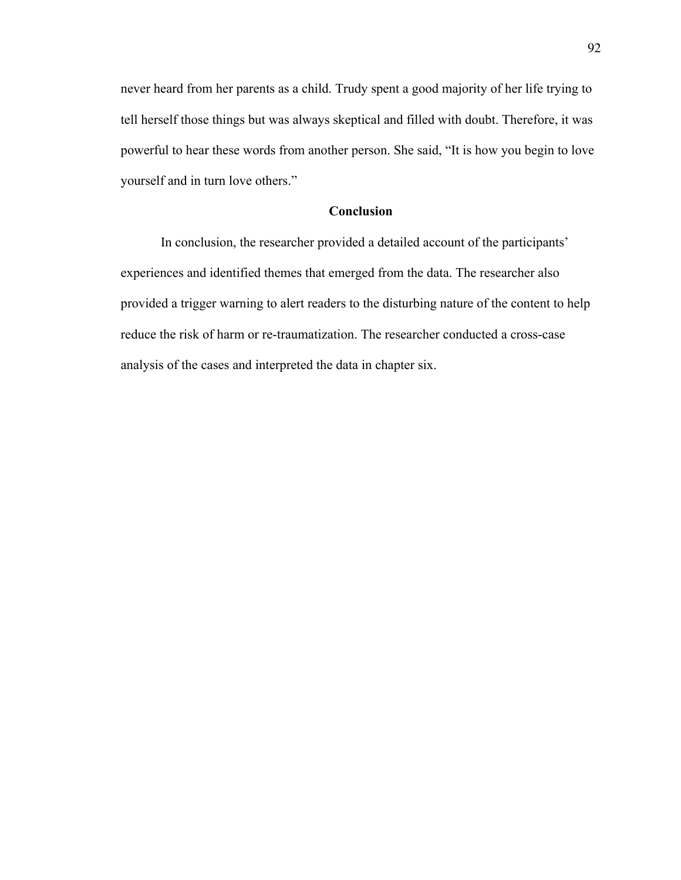never heard from her parents as a child. Trudy spent a good majority of her life trying to tell herself those things but was always skeptical and filled with doubt. Therefore, it was powerful to hear these words from another person. She said, "It is how you begin to love yourself and in turn love others."

# **Conclusion**

In conclusion, the researcher provided a detailed account of the participants' experiences and identified themes that emerged from the data. The researcher also provided a trigger warning to alert readers to the disturbing nature of the content to help reduce the risk of harm or re-traumatization. The researcher conducted a cross-case analysis of the cases and interpreted the data in chapter six.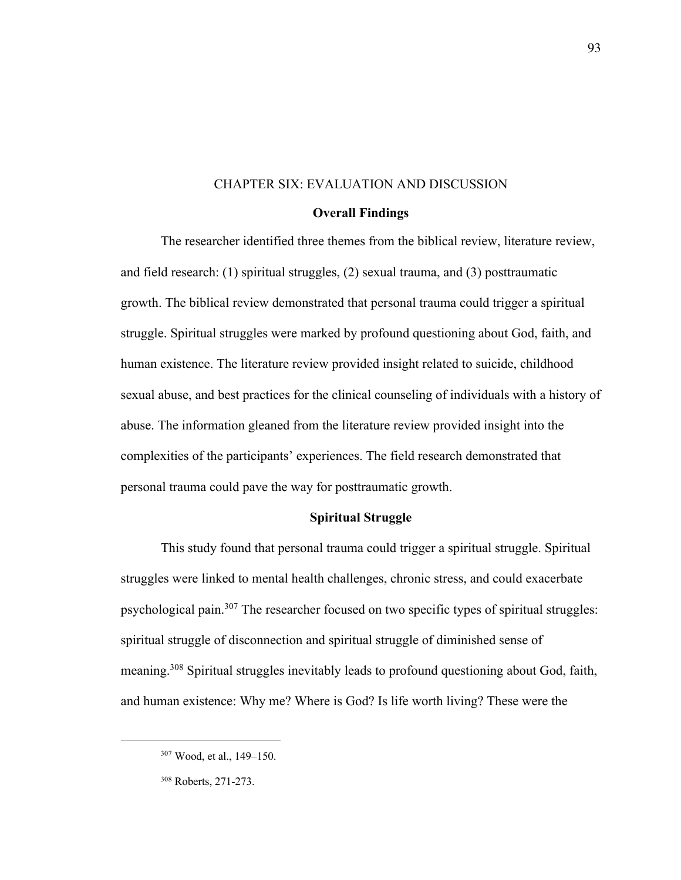# CHAPTER SIX: EVALUATION AND DISCUSSION

### **Overall Findings**

The researcher identified three themes from the biblical review, literature review, and field research: (1) spiritual struggles, (2) sexual trauma, and (3) posttraumatic growth. The biblical review demonstrated that personal trauma could trigger a spiritual struggle. Spiritual struggles were marked by profound questioning about God, faith, and human existence. The literature review provided insight related to suicide, childhood sexual abuse, and best practices for the clinical counseling of individuals with a history of abuse. The information gleaned from the literature review provided insight into the complexities of the participants' experiences. The field research demonstrated that personal trauma could pave the way for posttraumatic growth.

# **Spiritual Struggle**

This study found that personal trauma could trigger a spiritual struggle. Spiritual struggles were linked to mental health challenges, chronic stress, and could exacerbate psychological pain.<sup>307</sup> The researcher focused on two specific types of spiritual struggles: spiritual struggle of disconnection and spiritual struggle of diminished sense of meaning.<sup>308</sup> Spiritual struggles inevitably leads to profound questioning about God, faith, and human existence: Why me? Where is God? Is life worth living? These were the

<sup>307</sup> Wood, et al., 149–150.

<sup>308</sup> Roberts, 271-273.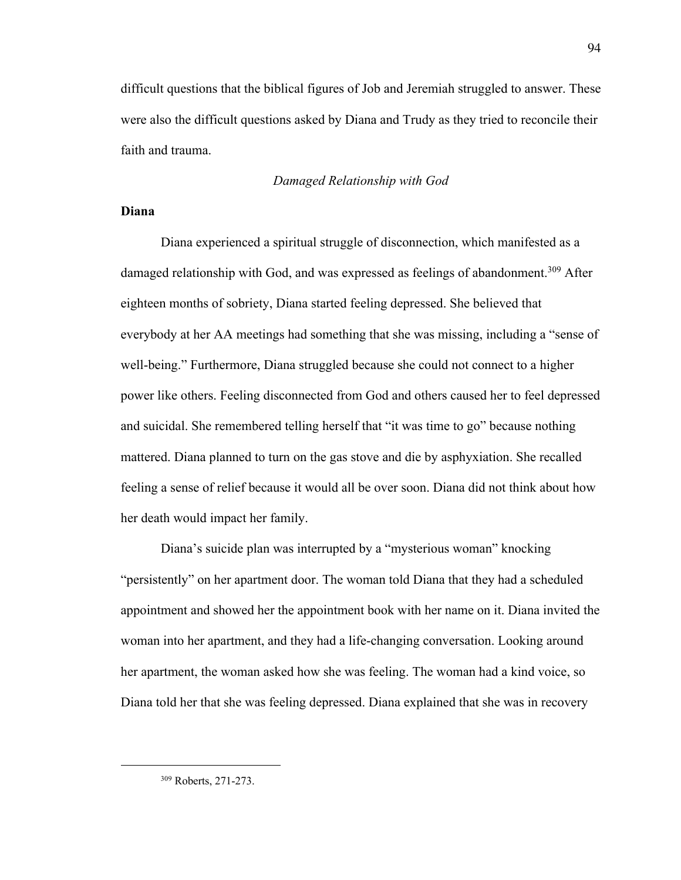difficult questions that the biblical figures of Job and Jeremiah struggled to answer. These were also the difficult questions asked by Diana and Trudy as they tried to reconcile their faith and trauma.

### *Damaged Relationship with God*

# **Diana**

Diana experienced a spiritual struggle of disconnection, which manifested as a damaged relationship with God, and was expressed as feelings of abandonment.<sup>309</sup> After eighteen months of sobriety, Diana started feeling depressed. She believed that everybody at her AA meetings had something that she was missing, including a "sense of well-being." Furthermore, Diana struggled because she could not connect to a higher power like others. Feeling disconnected from God and others caused her to feel depressed and suicidal. She remembered telling herself that "it was time to go" because nothing mattered. Diana planned to turn on the gas stove and die by asphyxiation. She recalled feeling a sense of relief because it would all be over soon. Diana did not think about how her death would impact her family.

Diana's suicide plan was interrupted by a "mysterious woman" knocking "persistently" on her apartment door. The woman told Diana that they had a scheduled appointment and showed her the appointment book with her name on it. Diana invited the woman into her apartment, and they had a life-changing conversation. Looking around her apartment, the woman asked how she was feeling. The woman had a kind voice, so Diana told her that she was feeling depressed. Diana explained that she was in recovery

<sup>309</sup> Roberts, 271-273.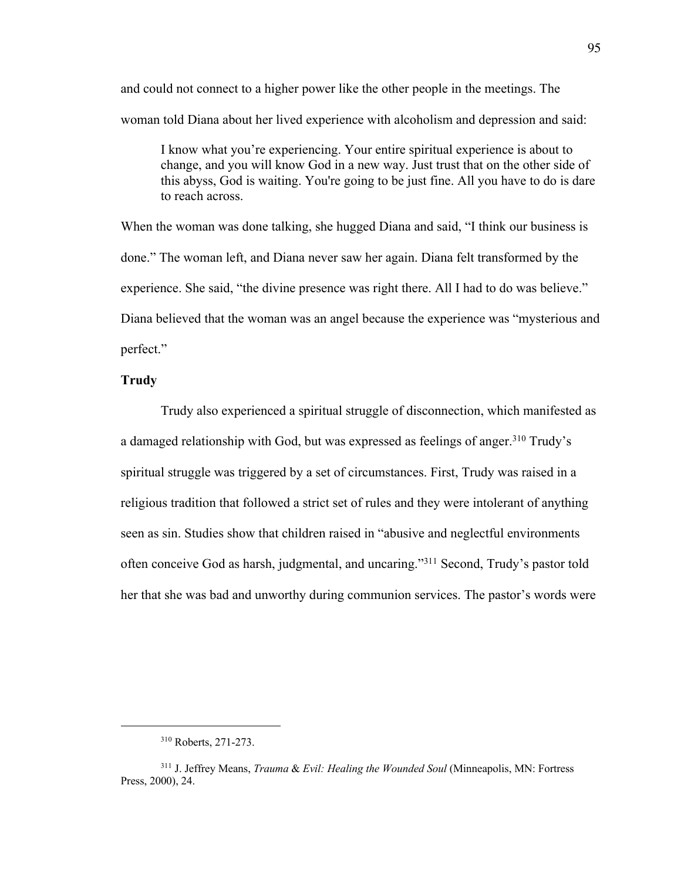and could not connect to a higher power like the other people in the meetings. The woman told Diana about her lived experience with alcoholism and depression and said:

I know what you're experiencing. Your entire spiritual experience is about to change, and you will know God in a new way. Just trust that on the other side of this abyss, God is waiting. You're going to be just fine. All you have to do is dare to reach across.

When the woman was done talking, she hugged Diana and said, "I think our business is done." The woman left, and Diana never saw her again. Diana felt transformed by the experience. She said, "the divine presence was right there. All I had to do was believe." Diana believed that the woman was an angel because the experience was "mysterious and perfect."

# **Trudy**

Trudy also experienced a spiritual struggle of disconnection, which manifested as a damaged relationship with God, but was expressed as feelings of anger.<sup>310</sup> Trudy's spiritual struggle was triggered by a set of circumstances. First, Trudy was raised in a religious tradition that followed a strict set of rules and they were intolerant of anything seen as sin. Studies show that children raised in "abusive and neglectful environments often conceive God as harsh, judgmental, and uncaring."<sup>311</sup> Second, Trudy's pastor told her that she was bad and unworthy during communion services. The pastor's words were

<sup>310</sup> Roberts, 271-273.

<sup>311</sup> J. Jeffrey Means, *Trauma* & *Evil: Healing the Wounded Soul* (Minneapolis, MN: Fortress Press, 2000), 24.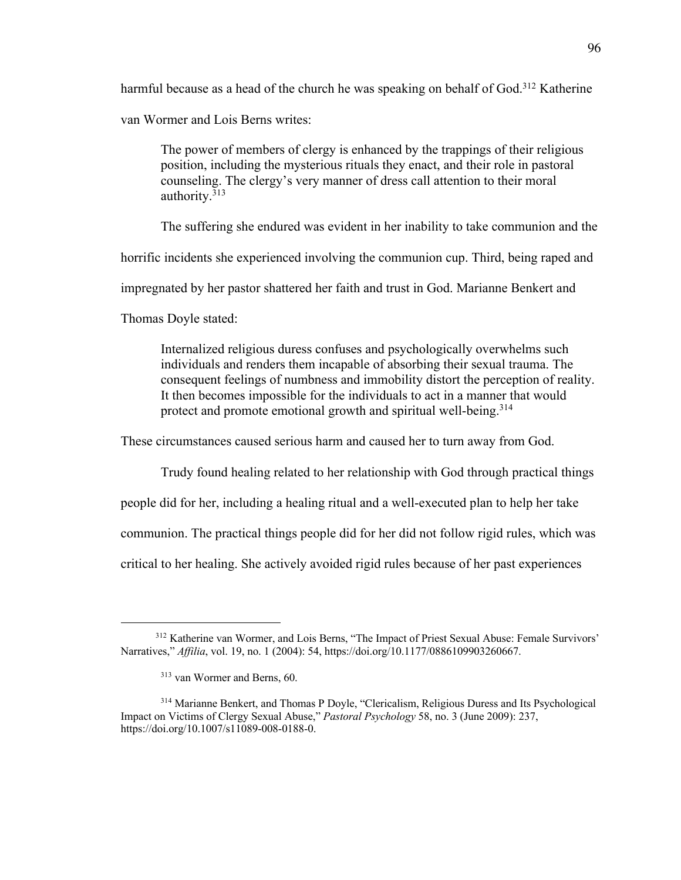harmful because as a head of the church he was speaking on behalf of God.<sup>312</sup> Katherine

van Wormer and Lois Berns writes:

The power of members of clergy is enhanced by the trappings of their religious position, including the mysterious rituals they enact, and their role in pastoral counseling. The clergy's very manner of dress call attention to their moral authority.<sup>313</sup>

The suffering she endured was evident in her inability to take communion and the

horrific incidents she experienced involving the communion cup. Third, being raped and

impregnated by her pastor shattered her faith and trust in God. Marianne Benkert and

Thomas Doyle stated:

Internalized religious duress confuses and psychologically overwhelms such individuals and renders them incapable of absorbing their sexual trauma. The consequent feelings of numbness and immobility distort the perception of reality. It then becomes impossible for the individuals to act in a manner that would protect and promote emotional growth and spiritual well-being.<sup>314</sup>

These circumstances caused serious harm and caused her to turn away from God.

Trudy found healing related to her relationship with God through practical things

people did for her, including a healing ritual and a well-executed plan to help her take

communion. The practical things people did for her did not follow rigid rules, which was

critical to her healing. She actively avoided rigid rules because of her past experiences

<sup>312</sup> Katherine van Wormer, and Lois Berns, "The Impact of Priest Sexual Abuse: Female Survivors' Narratives," *Affilia*, vol. 19, no. 1 (2004): 54, https://doi.org/10.1177/0886109903260667.

<sup>313</sup> van Wormer and Berns, 60.

<sup>314</sup> Marianne Benkert, and Thomas P Doyle, "Clericalism, Religious Duress and Its Psychological Impact on Victims of Clergy Sexual Abuse," *Pastoral Psychology* 58, no. 3 (June 2009): 237, https://doi.org/10.1007/s11089-008-0188-0.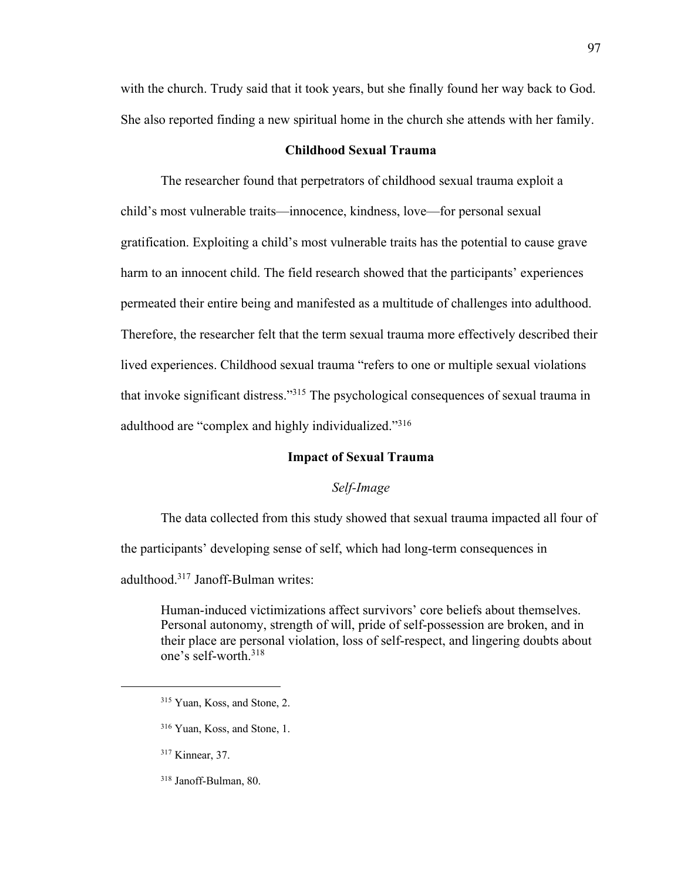with the church. Trudy said that it took years, but she finally found her way back to God. She also reported finding a new spiritual home in the church she attends with her family.

## **Childhood Sexual Trauma**

The researcher found that perpetrators of childhood sexual trauma exploit a child's most vulnerable traits—innocence, kindness, love—for personal sexual gratification. Exploiting a child's most vulnerable traits has the potential to cause grave harm to an innocent child. The field research showed that the participants' experiences permeated their entire being and manifested as a multitude of challenges into adulthood. Therefore, the researcher felt that the term sexual trauma more effectively described their lived experiences. Childhood sexual trauma "refers to one or multiple sexual violations that invoke significant distress."<sup>315</sup> The psychological consequences of sexual trauma in adulthood are "complex and highly individualized."<sup>316</sup>

### **Impact of Sexual Trauma**

### *Self-Image*

The data collected from this study showed that sexual trauma impacted all four of the participants' developing sense of self, which had long-term consequences in adulthood.<sup>317</sup> Janoff-Bulman writes:

Human-induced victimizations affect survivors' core beliefs about themselves. Personal autonomy, strength of will, pride of self-possession are broken, and in their place are personal violation, loss of self-respect, and lingering doubts about one's self-worth.<sup>318</sup>

<sup>315</sup> Yuan, Koss, and Stone, 2.

<sup>316</sup> Yuan, Koss, and Stone, 1.

<sup>317</sup> Kinnear, 37.

<sup>318</sup> Janoff-Bulman, 80.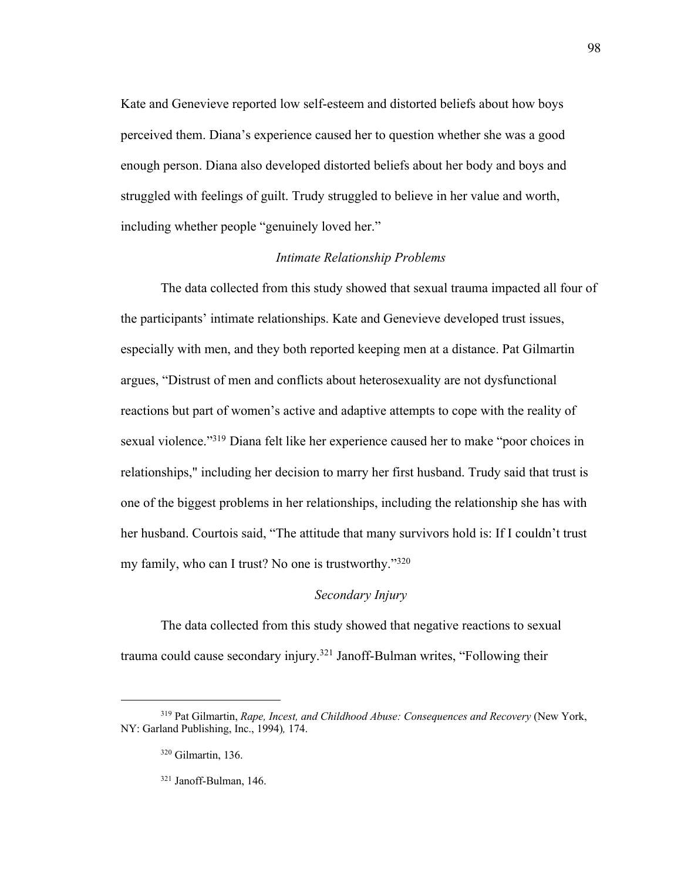Kate and Genevieve reported low self-esteem and distorted beliefs about how boys perceived them. Diana's experience caused her to question whether she was a good enough person. Diana also developed distorted beliefs about her body and boys and struggled with feelings of guilt. Trudy struggled to believe in her value and worth, including whether people "genuinely loved her."

# *Intimate Relationship Problems*

The data collected from this study showed that sexual trauma impacted all four of the participants' intimate relationships. Kate and Genevieve developed trust issues, especially with men, and they both reported keeping men at a distance. Pat Gilmartin argues, "Distrust of men and conflicts about heterosexuality are not dysfunctional reactions but part of women's active and adaptive attempts to cope with the reality of sexual violence."<sup>319</sup> Diana felt like her experience caused her to make "poor choices in relationships," including her decision to marry her first husband. Trudy said that trust is one of the biggest problems in her relationships, including the relationship she has with her husband. Courtois said, "The attitude that many survivors hold is: If I couldn't trust my family, who can I trust? No one is trustworthy."<sup>320</sup>

# *Secondary Injury*

The data collected from this study showed that negative reactions to sexual trauma could cause secondary injury.<sup>321</sup> Janoff-Bulman writes, "Following their

<sup>&</sup>lt;sup>319</sup> Pat Gilmartin, *Rape, Incest, and Childhood Abuse: Consequences and Recovery* (New York, NY: Garland Publishing, Inc., 1994)*,* 174.

<sup>320</sup> Gilmartin, 136.

<sup>321</sup> Janoff-Bulman, 146.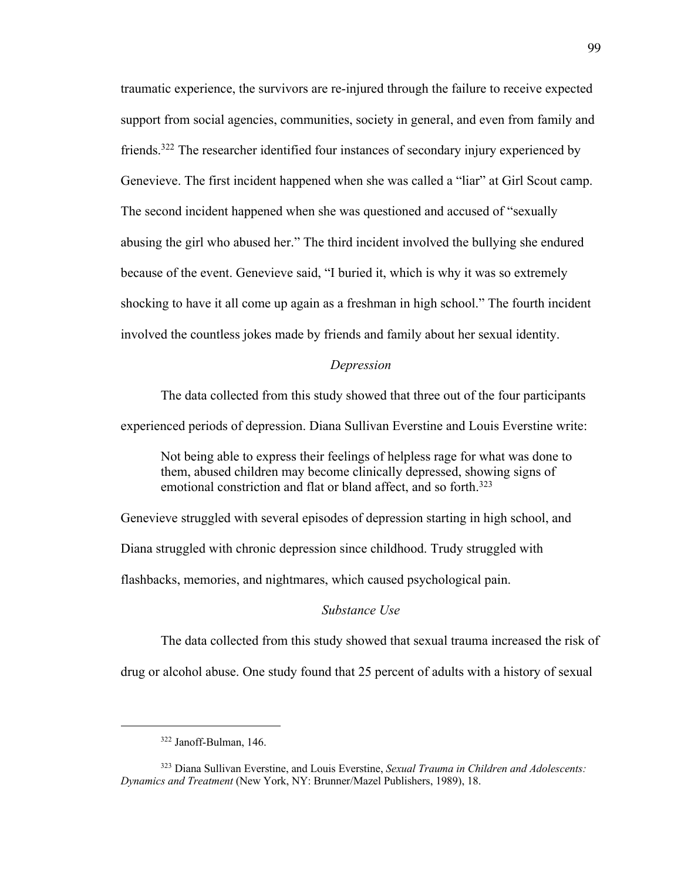traumatic experience, the survivors are re-injured through the failure to receive expected support from social agencies, communities, society in general, and even from family and friends.<sup>322</sup> The researcher identified four instances of secondary injury experienced by Genevieve. The first incident happened when she was called a "liar" at Girl Scout camp. The second incident happened when she was questioned and accused of "sexually abusing the girl who abused her." The third incident involved the bullying she endured because of the event. Genevieve said, "I buried it, which is why it was so extremely shocking to have it all come up again as a freshman in high school." The fourth incident involved the countless jokes made by friends and family about her sexual identity.

#### *Depression*

The data collected from this study showed that three out of the four participants experienced periods of depression. Diana Sullivan Everstine and Louis Everstine write:

Not being able to express their feelings of helpless rage for what was done to them, abused children may become clinically depressed, showing signs of emotional constriction and flat or bland affect, and so forth.<sup>323</sup>

Genevieve struggled with several episodes of depression starting in high school, and Diana struggled with chronic depression since childhood. Trudy struggled with flashbacks, memories, and nightmares, which caused psychological pain.

### *Substance Use*

The data collected from this study showed that sexual trauma increased the risk of drug or alcohol abuse. One study found that 25 percent of adults with a history of sexual

<sup>322</sup> Janoff-Bulman, 146.

<sup>323</sup> Diana Sullivan Everstine, and Louis Everstine, *Sexual Trauma in Children and Adolescents: Dynamics and Treatment* (New York, NY: Brunner/Mazel Publishers, 1989), 18.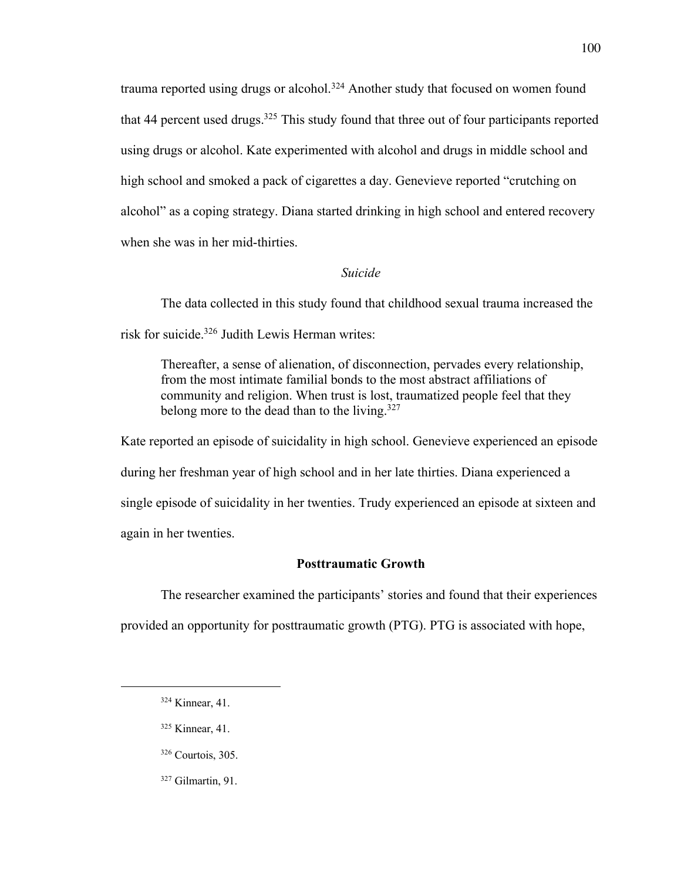trauma reported using drugs or alcohol.<sup>324</sup> Another study that focused on women found that 44 percent used drugs.<sup>325</sup> This study found that three out of four participants reported using drugs or alcohol. Kate experimented with alcohol and drugs in middle school and high school and smoked a pack of cigarettes a day. Genevieve reported "crutching on alcohol" as a coping strategy. Diana started drinking in high school and entered recovery when she was in her mid-thirties.

# *Suicide*

The data collected in this study found that childhood sexual trauma increased the risk for suicide.<sup>326</sup> Judith Lewis Herman writes:

Thereafter, a sense of alienation, of disconnection, pervades every relationship, from the most intimate familial bonds to the most abstract affiliations of community and religion. When trust is lost, traumatized people feel that they belong more to the dead than to the living.<sup>327</sup>

Kate reported an episode of suicidality in high school. Genevieve experienced an episode during her freshman year of high school and in her late thirties. Diana experienced a single episode of suicidality in her twenties. Trudy experienced an episode at sixteen and again in her twenties.

## **Posttraumatic Growth**

The researcher examined the participants' stories and found that their experiences

provided an opportunity for posttraumatic growth (PTG). PTG is associated with hope,

- <sup>325</sup> Kinnear, 41.
- <sup>326</sup> Courtois, 305.
- <sup>327</sup> Gilmartin, 91.

<sup>324</sup> Kinnear, 41.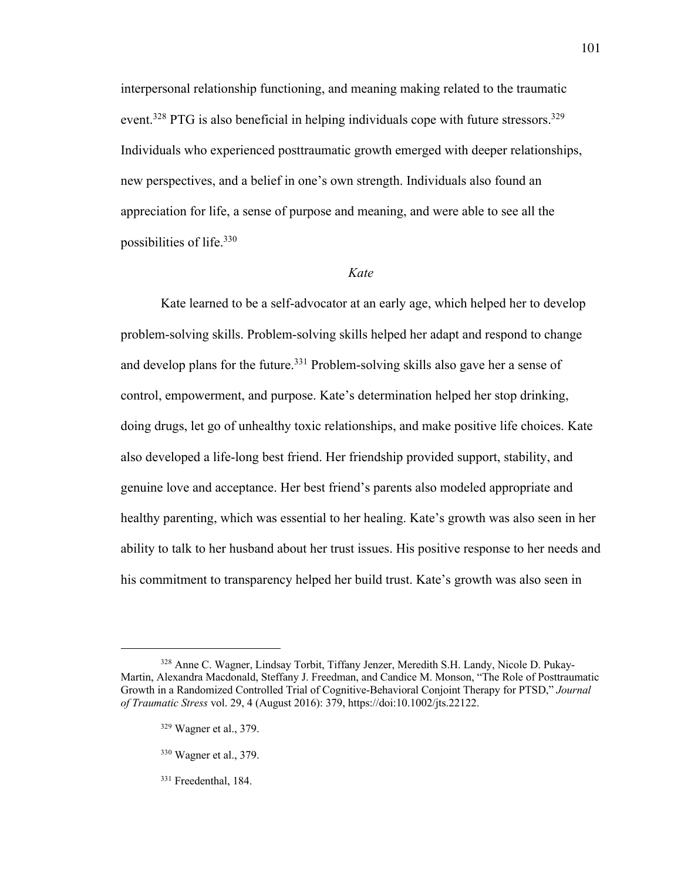interpersonal relationship functioning, and meaning making related to the traumatic event.<sup>328</sup> PTG is also beneficial in helping individuals cope with future stressors.<sup>329</sup> Individuals who experienced posttraumatic growth emerged with deeper relationships, new perspectives, and a belief in one's own strength. Individuals also found an appreciation for life, a sense of purpose and meaning, and were able to see all the possibilities of life.<sup>330</sup>

#### *Kate*

Kate learned to be a self-advocator at an early age, which helped her to develop problem-solving skills. Problem-solving skills helped her adapt and respond to change and develop plans for the future.<sup>331</sup> Problem-solving skills also gave her a sense of control, empowerment, and purpose. Kate's determination helped her stop drinking, doing drugs, let go of unhealthy toxic relationships, and make positive life choices. Kate also developed a life-long best friend. Her friendship provided support, stability, and genuine love and acceptance. Her best friend's parents also modeled appropriate and healthy parenting, which was essential to her healing. Kate's growth was also seen in her ability to talk to her husband about her trust issues. His positive response to her needs and his commitment to transparency helped her build trust. Kate's growth was also seen in

<sup>328</sup> Anne C. Wagner, Lindsay Torbit, Tiffany Jenzer, Meredith S.H. Landy, Nicole D. Pukay-Martin, Alexandra Macdonald, Steffany J. Freedman, and Candice M. Monson, "The Role of Posttraumatic Growth in a Randomized Controlled Trial of Cognitive-Behavioral Conjoint Therapy for PTSD," *Journal of Traumatic Stress* vol. 29, 4 (August 2016): 379, https://doi:10.1002/jts.22122.

<sup>329</sup> Wagner et al., 379.

<sup>330</sup> Wagner et al., 379.

<sup>&</sup>lt;sup>331</sup> Freedenthal, 184.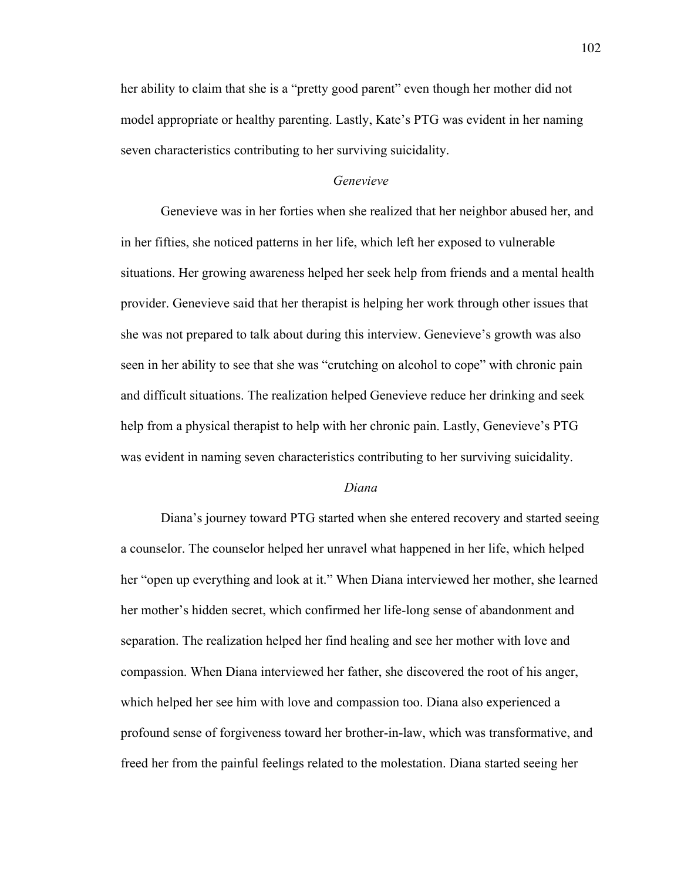her ability to claim that she is a "pretty good parent" even though her mother did not model appropriate or healthy parenting. Lastly, Kate's PTG was evident in her naming seven characteristics contributing to her surviving suicidality.

## *Genevieve*

Genevieve was in her forties when she realized that her neighbor abused her, and in her fifties, she noticed patterns in her life, which left her exposed to vulnerable situations. Her growing awareness helped her seek help from friends and a mental health provider. Genevieve said that her therapist is helping her work through other issues that she was not prepared to talk about during this interview. Genevieve's growth was also seen in her ability to see that she was "crutching on alcohol to cope" with chronic pain and difficult situations. The realization helped Genevieve reduce her drinking and seek help from a physical therapist to help with her chronic pain. Lastly, Genevieve's PTG was evident in naming seven characteristics contributing to her surviving suicidality.

### *Diana*

Diana's journey toward PTG started when she entered recovery and started seeing a counselor. The counselor helped her unravel what happened in her life, which helped her "open up everything and look at it." When Diana interviewed her mother, she learned her mother's hidden secret, which confirmed her life-long sense of abandonment and separation. The realization helped her find healing and see her mother with love and compassion. When Diana interviewed her father, she discovered the root of his anger, which helped her see him with love and compassion too. Diana also experienced a profound sense of forgiveness toward her brother-in-law, which was transformative, and freed her from the painful feelings related to the molestation. Diana started seeing her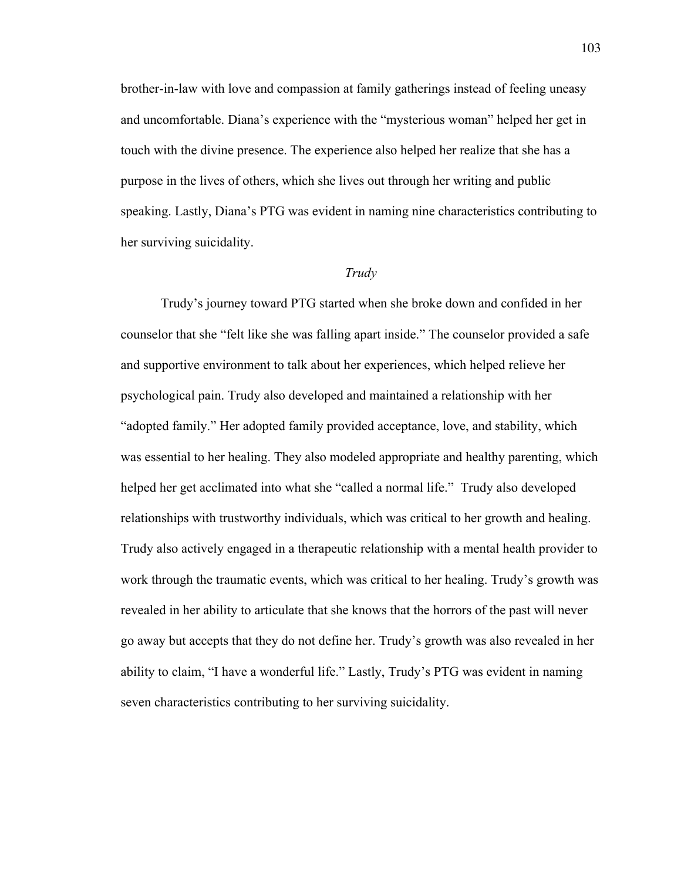brother-in-law with love and compassion at family gatherings instead of feeling uneasy and uncomfortable. Diana's experience with the "mysterious woman" helped her get in touch with the divine presence. The experience also helped her realize that she has a purpose in the lives of others, which she lives out through her writing and public speaking. Lastly, Diana's PTG was evident in naming nine characteristics contributing to her surviving suicidality.

#### *Trudy*

Trudy's journey toward PTG started when she broke down and confided in her counselor that she "felt like she was falling apart inside." The counselor provided a safe and supportive environment to talk about her experiences, which helped relieve her psychological pain. Trudy also developed and maintained a relationship with her "adopted family." Her adopted family provided acceptance, love, and stability, which was essential to her healing. They also modeled appropriate and healthy parenting, which helped her get acclimated into what she "called a normal life." Trudy also developed relationships with trustworthy individuals, which was critical to her growth and healing. Trudy also actively engaged in a therapeutic relationship with a mental health provider to work through the traumatic events, which was critical to her healing. Trudy's growth was revealed in her ability to articulate that she knows that the horrors of the past will never go away but accepts that they do not define her. Trudy's growth was also revealed in her ability to claim, "I have a wonderful life." Lastly, Trudy's PTG was evident in naming seven characteristics contributing to her surviving suicidality.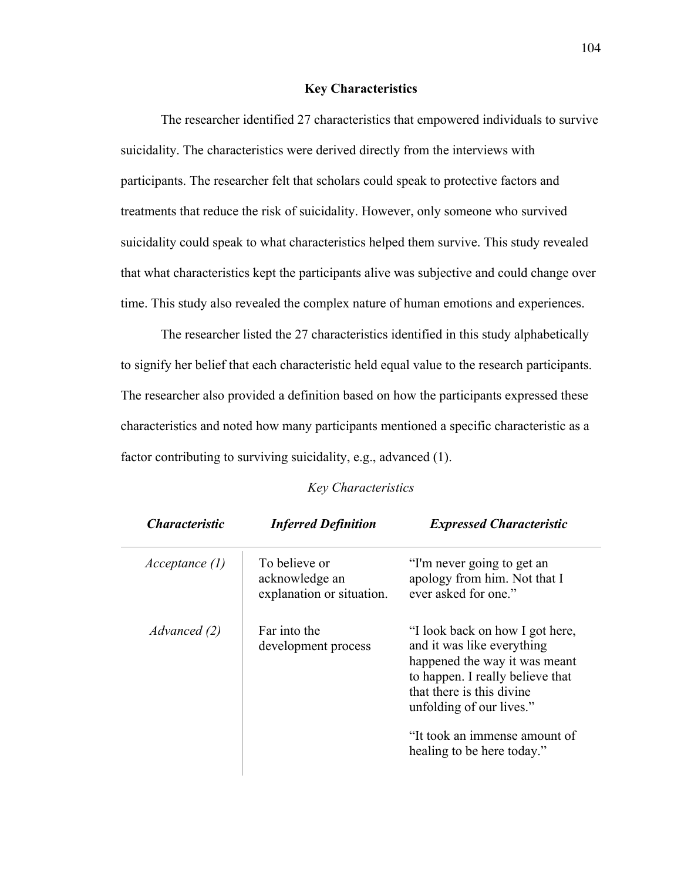## **Key Characteristics**

The researcher identified 27 characteristics that empowered individuals to survive suicidality. The characteristics were derived directly from the interviews with participants. The researcher felt that scholars could speak to protective factors and treatments that reduce the risk of suicidality. However, only someone who survived suicidality could speak to what characteristics helped them survive. This study revealed that what characteristics kept the participants alive was subjective and could change over time. This study also revealed the complex nature of human emotions and experiences.

The researcher listed the 27 characteristics identified in this study alphabetically to signify her belief that each characteristic held equal value to the research participants. The researcher also provided a definition based on how the participants expressed these characteristics and noted how many participants mentioned a specific characteristic as a factor contributing to surviving suicidality, e.g., advanced (1).

### *Key Characteristics*

*Characteristic Inferred Definition Expressed Characteristic*

| Acceptance (1) | To believe or<br>acknowledge an<br>explanation or situation. | "I'm never going to get an<br>apology from him. Not that I<br>ever asked for one."                                                                                                                                                                         |
|----------------|--------------------------------------------------------------|------------------------------------------------------------------------------------------------------------------------------------------------------------------------------------------------------------------------------------------------------------|
| Advanced (2)   | Far into the<br>development process                          | "I look back on how I got here,<br>and it was like everything<br>happened the way it was meant<br>to happen. I really believe that<br>that there is this divine<br>unfolding of our lives."<br>"It took an immense amount of<br>healing to be here today." |

104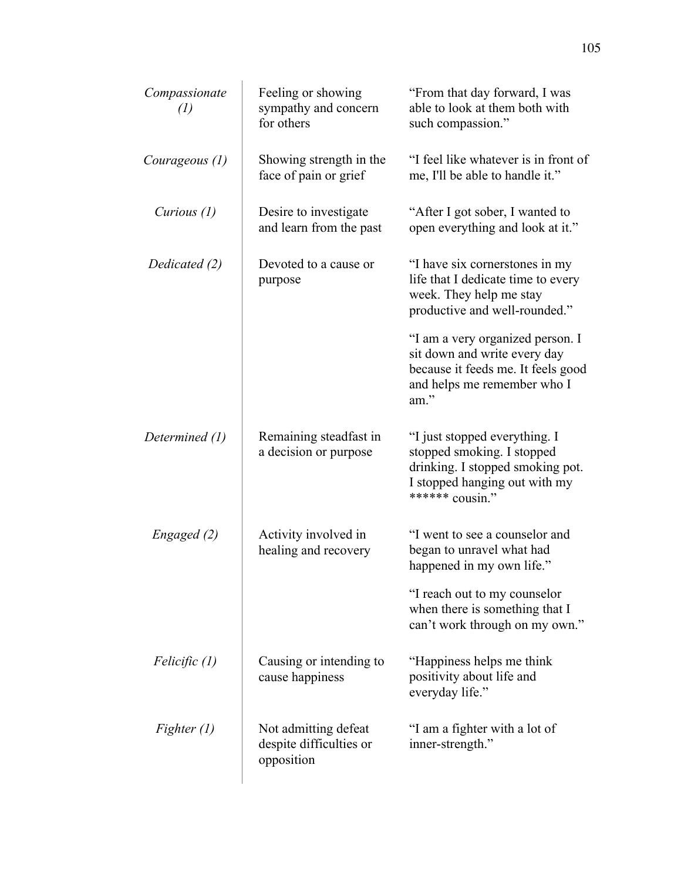| Compassionate<br>(1) | Feeling or showing<br>sympathy and concern<br>for others      | "From that day forward, I was<br>able to look at them both with<br>such compassion."                                                                |
|----------------------|---------------------------------------------------------------|-----------------------------------------------------------------------------------------------------------------------------------------------------|
| Courageous (1)       | Showing strength in the<br>face of pain or grief              | "I feel like whatever is in front of<br>me, I'll be able to handle it."                                                                             |
| Curious $(1)$        | Desire to investigate<br>and learn from the past              | "After I got sober, I wanted to<br>open everything and look at it."                                                                                 |
| Dedicated (2)        | Devoted to a cause or<br>purpose                              | "I have six cornerstones in my<br>life that I dedicate time to every<br>week. They help me stay<br>productive and well-rounded."                    |
|                      |                                                               | "I am a very organized person. I<br>sit down and write every day<br>because it feeds me. It feels good<br>and helps me remember who I<br>am."       |
| Determined (1)       | Remaining steadfast in<br>a decision or purpose               | "I just stopped everything. I<br>stopped smoking. I stopped<br>drinking. I stopped smoking pot.<br>I stopped hanging out with my<br>****** cousin." |
| Engaged (2)          | Activity involved in<br>healing and recovery                  | "I went to see a counselor and<br>began to unravel what had<br>happened in my own life."                                                            |
|                      |                                                               | "I reach out to my counselor<br>when there is something that I<br>can't work through on my own."                                                    |
| Felicific (1)        | Causing or intending to<br>cause happiness                    | "Happiness helps me think"<br>positivity about life and<br>everyday life."                                                                          |
| Fighter $(1)$        | Not admitting defeat<br>despite difficulties or<br>opposition | "I am a fighter with a lot of<br>inner-strength."                                                                                                   |
|                      |                                                               |                                                                                                                                                     |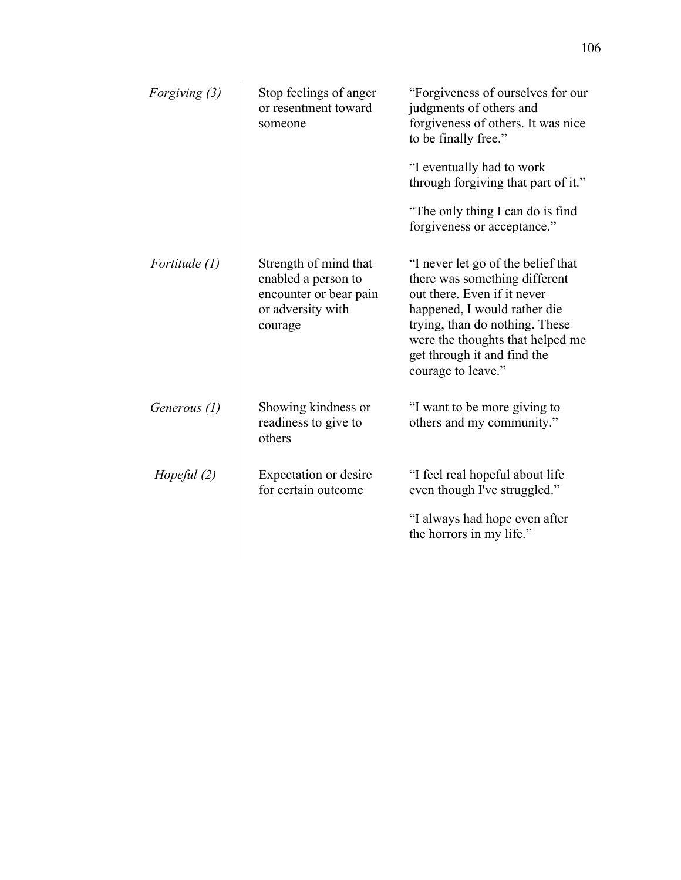| Forgiving (3) | Stop feelings of anger<br>or resentment toward<br>someone                                              | "Forgiveness of ourselves for our<br>judgments of others and<br>forgiveness of others. It was nice<br>to be finally free."                                                                                                                                    |
|---------------|--------------------------------------------------------------------------------------------------------|---------------------------------------------------------------------------------------------------------------------------------------------------------------------------------------------------------------------------------------------------------------|
|               |                                                                                                        | "I eventually had to work<br>through forgiving that part of it."                                                                                                                                                                                              |
|               |                                                                                                        | "The only thing I can do is find"<br>forgiveness or acceptance."                                                                                                                                                                                              |
| Fortitude (1) | Strength of mind that<br>enabled a person to<br>encounter or bear pain<br>or adversity with<br>courage | "I never let go of the belief that<br>there was something different<br>out there. Even if it never<br>happened, I would rather die<br>trying, than do nothing. These<br>were the thoughts that helped me<br>get through it and find the<br>courage to leave." |
| Generous (1)  | Showing kindness or<br>readiness to give to<br>others                                                  | "I want to be more giving to<br>others and my community."                                                                                                                                                                                                     |
| Hopeful $(2)$ | Expectation or desire<br>for certain outcome                                                           | "I feel real hopeful about life<br>even though I've struggled."                                                                                                                                                                                               |
|               |                                                                                                        | "I always had hope even after<br>the horrors in my life."                                                                                                                                                                                                     |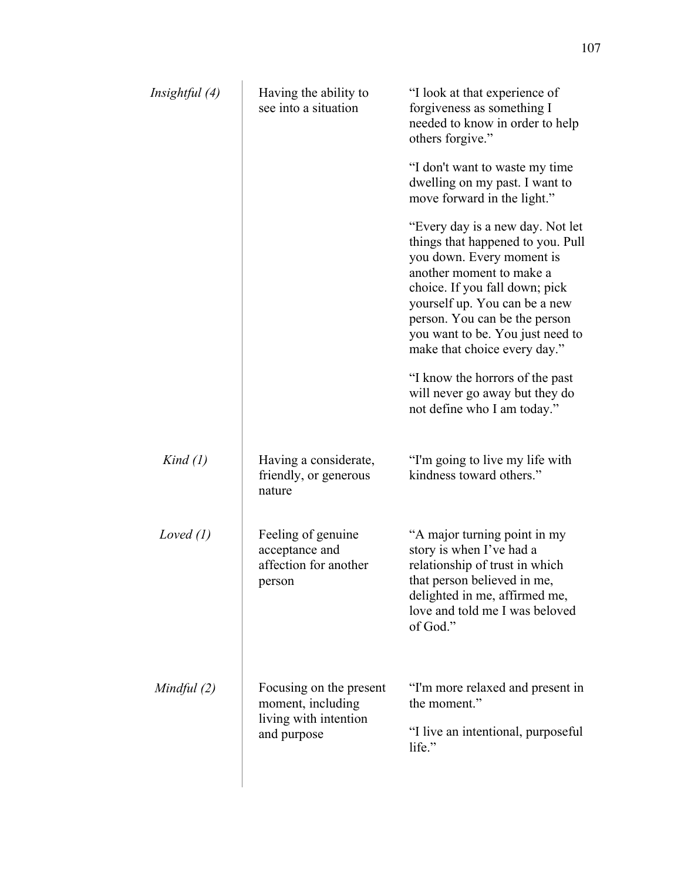| Insightful (4) | Having the ability to<br>see into a situation                                        | "I look at that experience of<br>forgiveness as something I<br>needed to know in order to help<br>others forgive."                                                                                                                                                                                     |
|----------------|--------------------------------------------------------------------------------------|--------------------------------------------------------------------------------------------------------------------------------------------------------------------------------------------------------------------------------------------------------------------------------------------------------|
|                |                                                                                      | "I don't want to waste my time"<br>dwelling on my past. I want to<br>move forward in the light."                                                                                                                                                                                                       |
|                |                                                                                      | "Every day is a new day. Not let<br>things that happened to you. Pull<br>you down. Every moment is<br>another moment to make a<br>choice. If you fall down; pick<br>yourself up. You can be a new<br>person. You can be the person<br>you want to be. You just need to<br>make that choice every day." |
|                |                                                                                      | "I know the horrors of the past"<br>will never go away but they do<br>not define who I am today."                                                                                                                                                                                                      |
| Kind (1)       | Having a considerate,<br>friendly, or generous<br>nature                             | "I'm going to live my life with<br>kindness toward others."                                                                                                                                                                                                                                            |
| Loved $(l)$    | Feeling of genuine<br>acceptance and<br>affection for another<br>person              | "A major turning point in my<br>story is when I've had a<br>relationship of trust in which<br>that person believed in me,<br>delighted in me, affirmed me,<br>love and told me I was beloved<br>of God."                                                                                               |
| Mindful (2)    | Focusing on the present<br>moment, including<br>living with intention<br>and purpose | "I'm more relaxed and present in<br>the moment."<br>"I live an intentional, purposeful<br>life."                                                                                                                                                                                                       |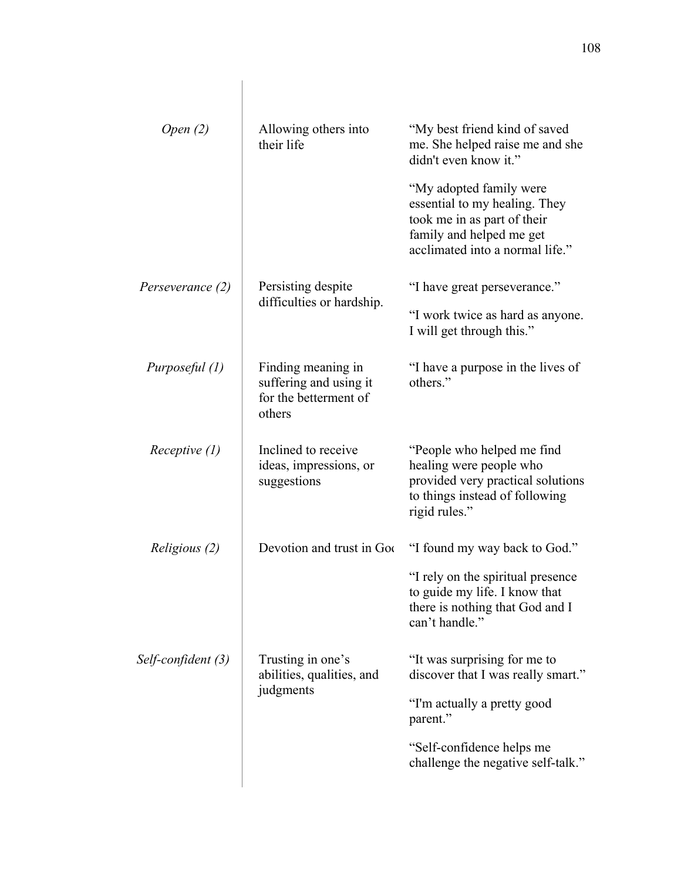| Open $(2)$           | Allowing others into<br>their life                                              | "My best friend kind of saved<br>me. She helped raise me and she<br>didn't even know it."                                                              |
|----------------------|---------------------------------------------------------------------------------|--------------------------------------------------------------------------------------------------------------------------------------------------------|
|                      |                                                                                 | "My adopted family were<br>essential to my healing. They<br>took me in as part of their<br>family and helped me get<br>acclimated into a normal life." |
| Perseverance (2)     | Persisting despite<br>difficulties or hardship.                                 | "I have great perseverance."                                                                                                                           |
|                      |                                                                                 | "I work twice as hard as anyone.<br>I will get through this."                                                                                          |
| Purposeful (1)       | Finding meaning in<br>suffering and using it<br>for the betterment of<br>others | "I have a purpose in the lives of<br>others."                                                                                                          |
| Receptive (1)        | Inclined to receive<br>ideas, impressions, or<br>suggestions                    | "People who helped me find"<br>healing were people who<br>provided very practical solutions<br>to things instead of following<br>rigid rules."         |
| <i>Religious (2)</i> | Devotion and trust in Goo                                                       | "I found my way back to God."                                                                                                                          |
|                      |                                                                                 | "I rely on the spiritual presence<br>to guide my life. I know that<br>there is nothing that God and I<br>can't handle."                                |
| Self-confident (3)   | Trusting in one's<br>abilities, qualities, and<br>judgments                     | "It was surprising for me to<br>discover that I was really smart."                                                                                     |
|                      |                                                                                 | "I'm actually a pretty good<br>parent."                                                                                                                |
|                      |                                                                                 | "Self-confidence helps me<br>challenge the negative self-talk."                                                                                        |
|                      |                                                                                 |                                                                                                                                                        |

 $\overline{\phantom{a}}$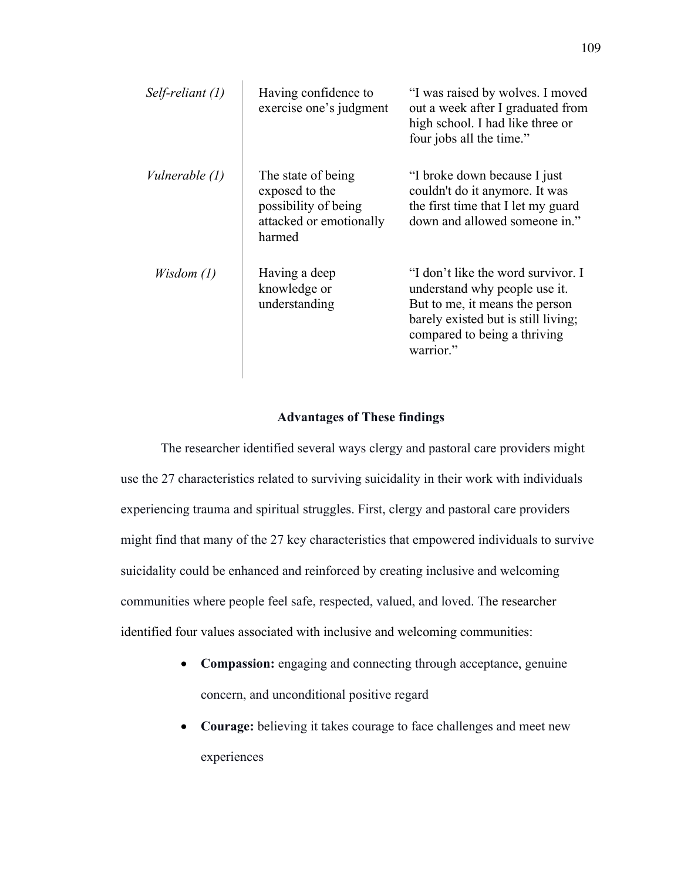| Self-reliant (1) | Having confidence to<br>exercise one's judgment                                                   | "I was raised by wolves. I moved<br>out a week after I graduated from<br>high school. I had like three or<br>four jobs all the time."                                                     |
|------------------|---------------------------------------------------------------------------------------------------|-------------------------------------------------------------------------------------------------------------------------------------------------------------------------------------------|
| Vulnerable (1)   | The state of being<br>exposed to the<br>possibility of being<br>attacked or emotionally<br>harmed | "I broke down because I just<br>couldn't do it anymore. It was<br>the first time that I let my guard<br>down and allowed someone in."                                                     |
| Wisdom(1)        | Having a deep<br>knowledge or<br>understanding                                                    | "I don't like the word survivor. I<br>understand why people use it.<br>But to me, it means the person<br>barely existed but is still living;<br>compared to being a thriving<br>warrior." |

### **Advantages of These findings**

The researcher identified several ways clergy and pastoral care providers might use the 27 characteristics related to surviving suicidality in their work with individuals experiencing trauma and spiritual struggles. First, clergy and pastoral care providers might find that many of the 27 key characteristics that empowered individuals to survive suicidality could be enhanced and reinforced by creating inclusive and welcoming communities where people feel safe, respected, valued, and loved. The researcher identified four values associated with inclusive and welcoming communities:

- **Compassion:** engaging and connecting through acceptance, genuine concern, and unconditional positive regard
- **Courage:** believing it takes courage to face challenges and meet new experiences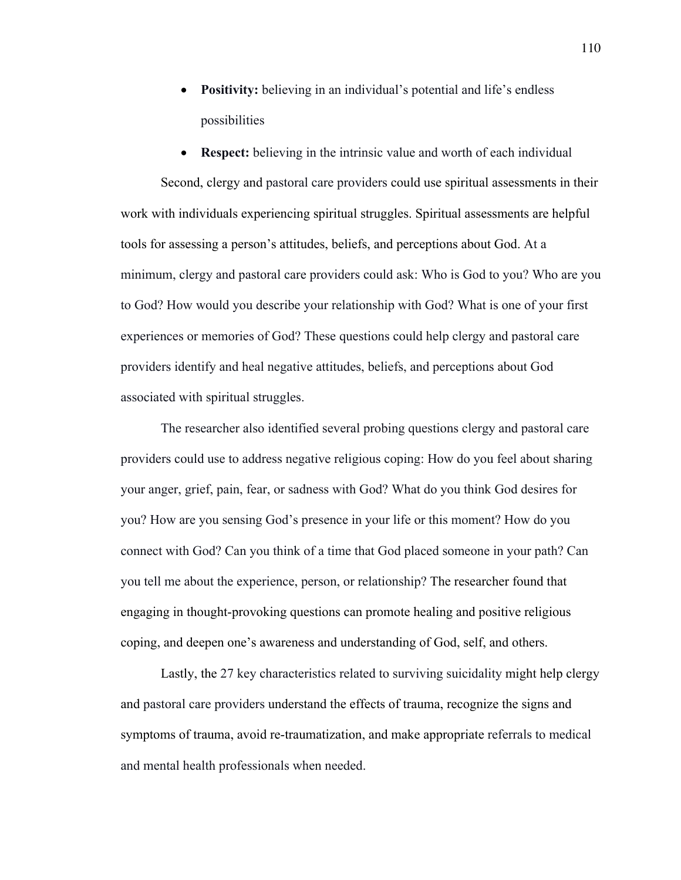- **Positivity:** believing in an individual's potential and life's endless possibilities
- **Respect:** believing in the intrinsic value and worth of each individual

Second, clergy and pastoral care providers could use spiritual assessments in their work with individuals experiencing spiritual struggles. Spiritual assessments are helpful tools for assessing a person's attitudes, beliefs, and perceptions about God. At a minimum, clergy and pastoral care providers could ask: Who is God to you? Who are you to God? How would you describe your relationship with God? What is one of your first experiences or memories of God? These questions could help clergy and pastoral care providers identify and heal negative attitudes, beliefs, and perceptions about God associated with spiritual struggles.

The researcher also identified several probing questions clergy and pastoral care providers could use to address negative religious coping: How do you feel about sharing your anger, grief, pain, fear, or sadness with God? What do you think God desires for you? How are you sensing God's presence in your life or this moment? How do you connect with God? Can you think of a time that God placed someone in your path? Can you tell me about the experience, person, or relationship? The researcher found that engaging in thought-provoking questions can promote healing and positive religious coping, and deepen one's awareness and understanding of God, self, and others.

Lastly, the 27 key characteristics related to surviving suicidality might help clergy and pastoral care providers understand the effects of trauma, recognize the signs and symptoms of trauma, avoid re-traumatization, and make appropriate referrals to medical and mental health professionals when needed.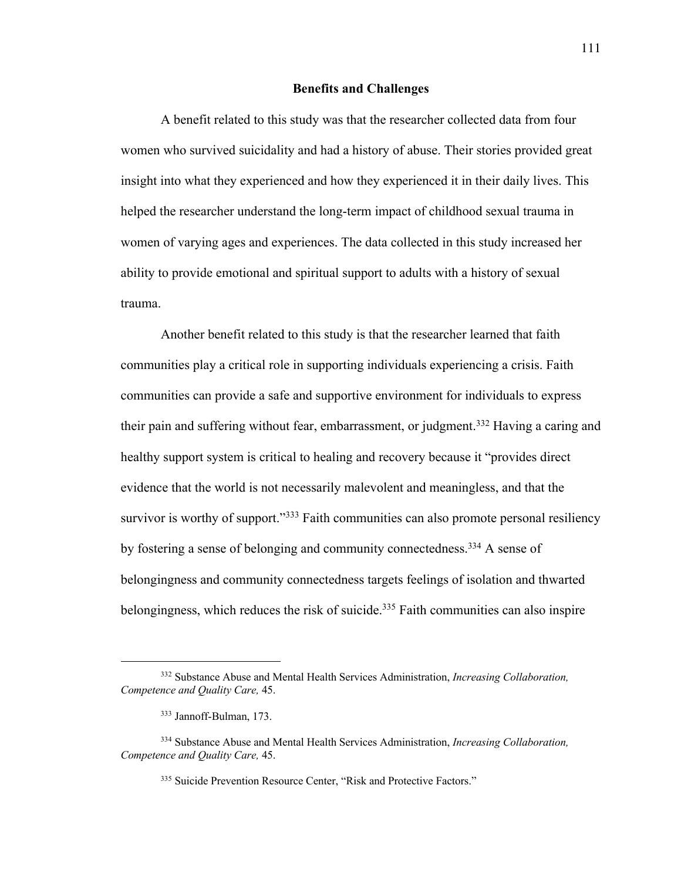#### **Benefits and Challenges**

A benefit related to this study was that the researcher collected data from four women who survived suicidality and had a history of abuse. Their stories provided great insight into what they experienced and how they experienced it in their daily lives. This helped the researcher understand the long-term impact of childhood sexual trauma in women of varying ages and experiences. The data collected in this study increased her ability to provide emotional and spiritual support to adults with a history of sexual trauma.

Another benefit related to this study is that the researcher learned that faith communities play a critical role in supporting individuals experiencing a crisis. Faith communities can provide a safe and supportive environment for individuals to express their pain and suffering without fear, embarrassment, or judgment.<sup>332</sup> Having a caring and healthy support system is critical to healing and recovery because it "provides direct evidence that the world is not necessarily malevolent and meaningless, and that the survivor is worthy of support."<sup>333</sup> Faith communities can also promote personal resiliency by fostering a sense of belonging and community connectedness. <sup>334</sup> A sense of belongingness and community connectedness targets feelings of isolation and thwarted belongingness, which reduces the risk of suicide.<sup>335</sup> Faith communities can also inspire

<sup>332</sup> Substance Abuse and Mental Health Services Administration, *Increasing Collaboration, Competence and Quality Care,* 45.

<sup>333</sup> Jannoff-Bulman, 173.

<sup>334</sup> Substance Abuse and Mental Health Services Administration, *Increasing Collaboration, Competence and Quality Care,* 45.

<sup>335</sup> Suicide Prevention Resource Center, "Risk and Protective Factors."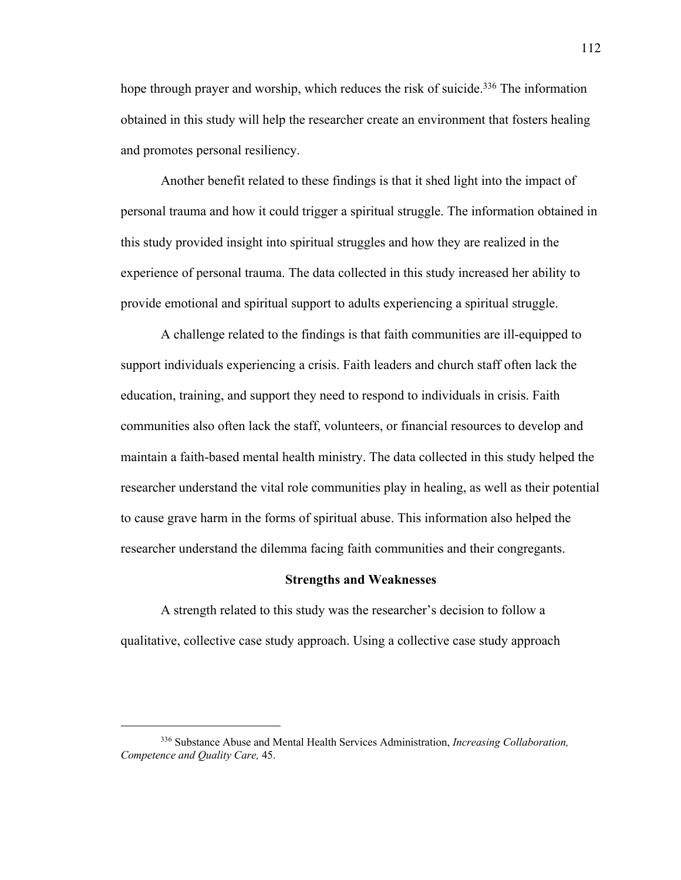hope through prayer and worship, which reduces the risk of suicide.<sup>336</sup> The information obtained in this study will help the researcher create an environment that fosters healing and promotes personal resiliency.

Another benefit related to these findings is that it shed light into the impact of personal trauma and how it could trigger a spiritual struggle. The information obtained in this study provided insight into spiritual struggles and how they are realized in the experience of personal trauma. The data collected in this study increased her ability to provide emotional and spiritual support to adults experiencing a spiritual struggle.

A challenge related to the findings is that faith communities are ill-equipped to support individuals experiencing a crisis. Faith leaders and church staff often lack the education, training, and support they need to respond to individuals in crisis. Faith communities also often lack the staff, volunteers, or financial resources to develop and maintain a faith-based mental health ministry. The data collected in this study helped the researcher understand the vital role communities play in healing, as well as their potential to cause grave harm in the forms of spiritual abuse. This information also helped the researcher understand the dilemma facing faith communities and their congregants.

#### **Strengths and Weaknesses**

A strength related to this study was the researcher's decision to follow a qualitative, collective case study approach. Using a collective case study approach 112

<sup>336</sup> Substance Abuse and Mental Health Services Administration, *Increasing Collaboration, Competence and Quality Care,* 45.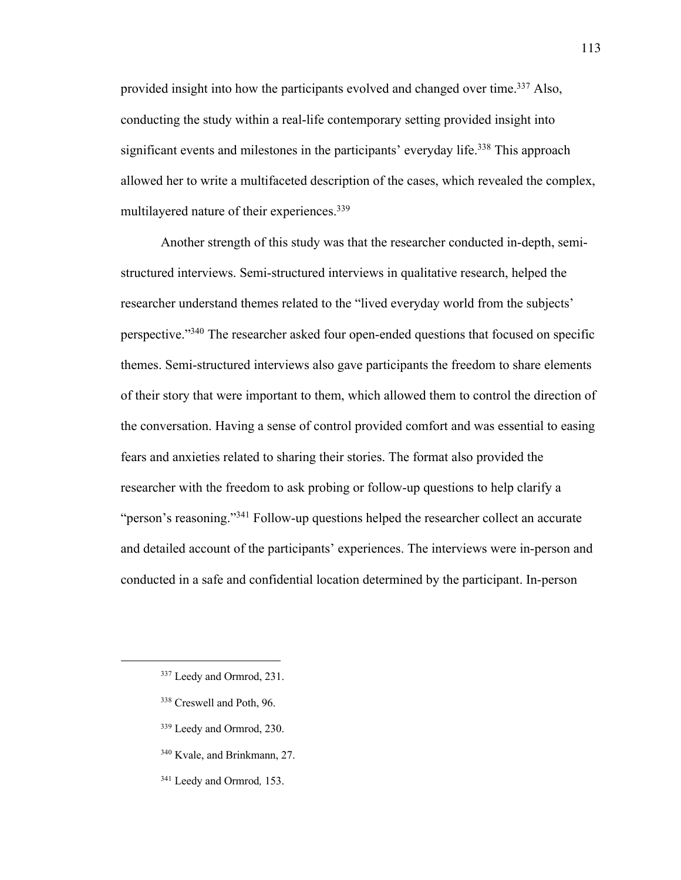provided insight into how the participants evolved and changed over time.<sup>337</sup> Also, conducting the study within a real-life contemporary setting provided insight into significant events and milestones in the participants' everyday life.<sup>338</sup> This approach allowed her to write a multifaceted description of the cases, which revealed the complex, multilayered nature of their experiences.<sup>339</sup>

Another strength of this study was that the researcher conducted in-depth, semistructured interviews. Semi-structured interviews in qualitative research, helped the researcher understand themes related to the "lived everyday world from the subjects' perspective."<sup>340</sup> The researcher asked four open-ended questions that focused on specific themes. Semi-structured interviews also gave participants the freedom to share elements of their story that were important to them, which allowed them to control the direction of the conversation. Having a sense of control provided comfort and was essential to easing fears and anxieties related to sharing their stories. The format also provided the researcher with the freedom to ask probing or follow-up questions to help clarify a "person's reasoning."<sup>341</sup> Follow-up questions helped the researcher collect an accurate and detailed account of the participants' experiences. The interviews were in-person and conducted in a safe and confidential location determined by the participant. In-person

- <sup>338</sup> Creswell and Poth, 96.
- <sup>339</sup> Leedy and Ormrod, 230.
- <sup>340</sup> Kvale, and Brinkmann, 27.
- <sup>341</sup> Leedy and Ormrod*,* 153.

<sup>337</sup> Leedy and Ormrod, 231.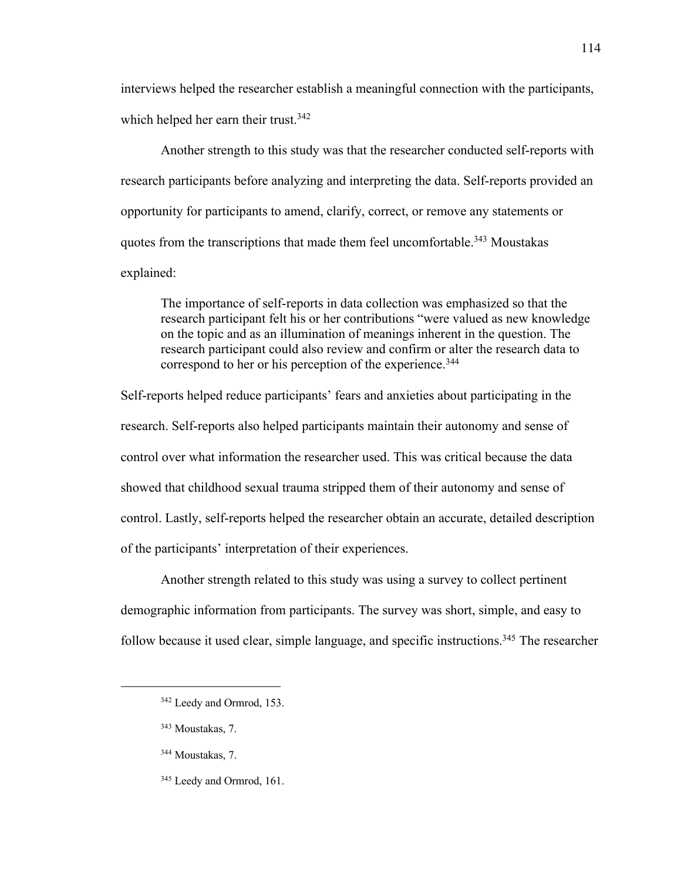interviews helped the researcher establish a meaningful connection with the participants, which helped her earn their trust.<sup>342</sup>

Another strength to this study was that the researcher conducted self-reports with research participants before analyzing and interpreting the data. Self-reports provided an opportunity for participants to amend, clarify, correct, or remove any statements or quotes from the transcriptions that made them feel uncomfortable.<sup>343</sup> Moustakas explained:

The importance of self-reports in data collection was emphasized so that the research participant felt his or her contributions "were valued as new knowledge on the topic and as an illumination of meanings inherent in the question. The research participant could also review and confirm or alter the research data to correspond to her or his perception of the experience.<sup>344</sup>

Self-reports helped reduce participants' fears and anxieties about participating in the research. Self-reports also helped participants maintain their autonomy and sense of control over what information the researcher used. This was critical because the data showed that childhood sexual trauma stripped them of their autonomy and sense of control. Lastly, self-reports helped the researcher obtain an accurate, detailed description of the participants' interpretation of their experiences.

Another strength related to this study was using a survey to collect pertinent demographic information from participants. The survey was short, simple, and easy to follow because it used clear, simple language, and specific instructions.<sup>345</sup> The researcher

<sup>342</sup> Leedy and Ormrod, 153.

<sup>343</sup> Moustakas, 7.

<sup>344</sup> Moustakas, 7.

<sup>345</sup> Leedy and Ormrod, 161.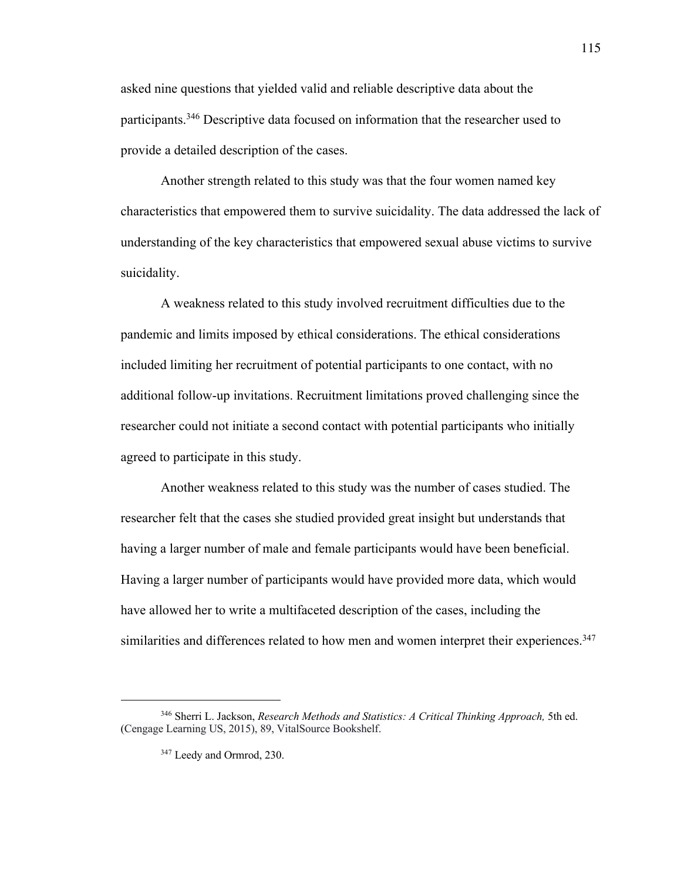asked nine questions that yielded valid and reliable descriptive data about the participants.<sup>346</sup> Descriptive data focused on information that the researcher used to provide a detailed description of the cases.

Another strength related to this study was that the four women named key characteristics that empowered them to survive suicidality. The data addressed the lack of understanding of the key characteristics that empowered sexual abuse victims to survive suicidality.

A weakness related to this study involved recruitment difficulties due to the pandemic and limits imposed by ethical considerations. The ethical considerations included limiting her recruitment of potential participants to one contact, with no additional follow-up invitations. Recruitment limitations proved challenging since the researcher could not initiate a second contact with potential participants who initially agreed to participate in this study.

Another weakness related to this study was the number of cases studied. The researcher felt that the cases she studied provided great insight but understands that having a larger number of male and female participants would have been beneficial. Having a larger number of participants would have provided more data, which would have allowed her to write a multifaceted description of the cases, including the similarities and differences related to how men and women interpret their experiences.<sup>347</sup>

<sup>&</sup>lt;sup>346</sup> Sherri L. Jackson, *Research Methods and Statistics: A Critical Thinking Approach*, 5th ed. (Cengage Learning US, 2015), 89, VitalSource Bookshelf.

<sup>347</sup> Leedy and Ormrod, 230.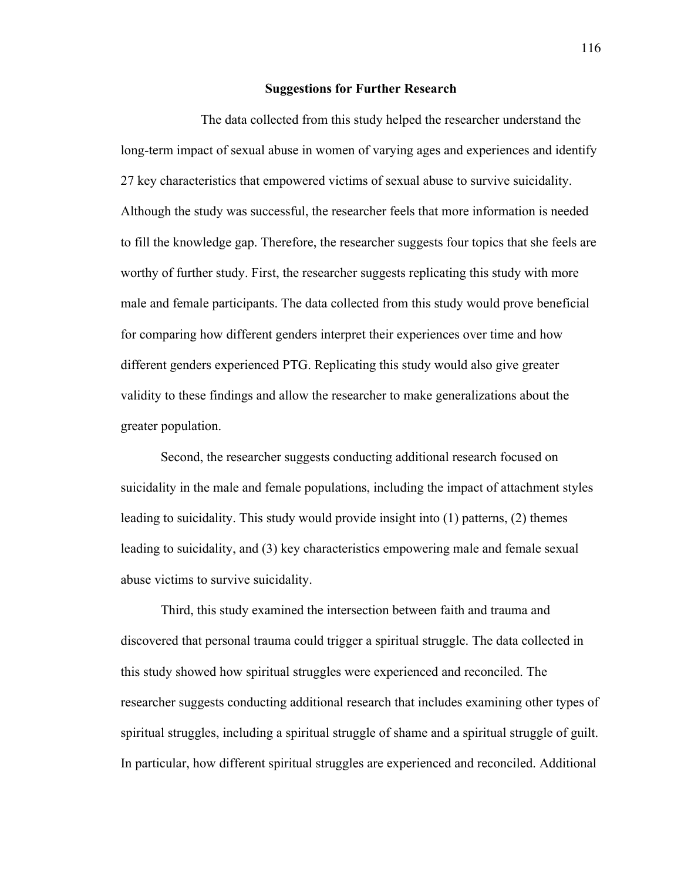#### **Suggestions for Further Research**

The data collected from this study helped the researcher understand the long-term impact of sexual abuse in women of varying ages and experiences and identify 27 key characteristics that empowered victims of sexual abuse to survive suicidality. Although the study was successful, the researcher feels that more information is needed to fill the knowledge gap. Therefore, the researcher suggests four topics that she feels are worthy of further study. First, the researcher suggests replicating this study with more male and female participants. The data collected from this study would prove beneficial for comparing how different genders interpret their experiences over time and how different genders experienced PTG. Replicating this study would also give greater validity to these findings and allow the researcher to make generalizations about the greater population.

Second, the researcher suggests conducting additional research focused on suicidality in the male and female populations, including the impact of attachment styles leading to suicidality. This study would provide insight into (1) patterns, (2) themes leading to suicidality, and (3) key characteristics empowering male and female sexual abuse victims to survive suicidality.

Third, this study examined the intersection between faith and trauma and discovered that personal trauma could trigger a spiritual struggle. The data collected in this study showed how spiritual struggles were experienced and reconciled. The researcher suggests conducting additional research that includes examining other types of spiritual struggles, including a spiritual struggle of shame and a spiritual struggle of guilt. In particular, how different spiritual struggles are experienced and reconciled. Additional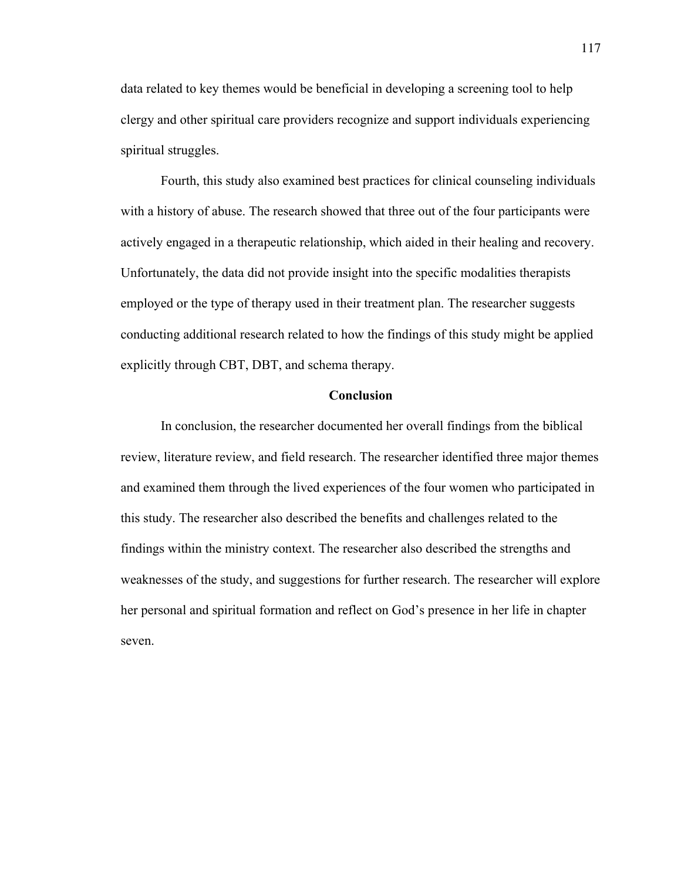data related to key themes would be beneficial in developing a screening tool to help clergy and other spiritual care providers recognize and support individuals experiencing spiritual struggles.

Fourth, this study also examined best practices for clinical counseling individuals with a history of abuse. The research showed that three out of the four participants were actively engaged in a therapeutic relationship, which aided in their healing and recovery. Unfortunately, the data did not provide insight into the specific modalities therapists employed or the type of therapy used in their treatment plan. The researcher suggests conducting additional research related to how the findings of this study might be applied explicitly through CBT, DBT, and schema therapy.

### **Conclusion**

In conclusion, the researcher documented her overall findings from the biblical review, literature review, and field research. The researcher identified three major themes and examined them through the lived experiences of the four women who participated in this study. The researcher also described the benefits and challenges related to the findings within the ministry context. The researcher also described the strengths and weaknesses of the study, and suggestions for further research. The researcher will explore her personal and spiritual formation and reflect on God's presence in her life in chapter seven.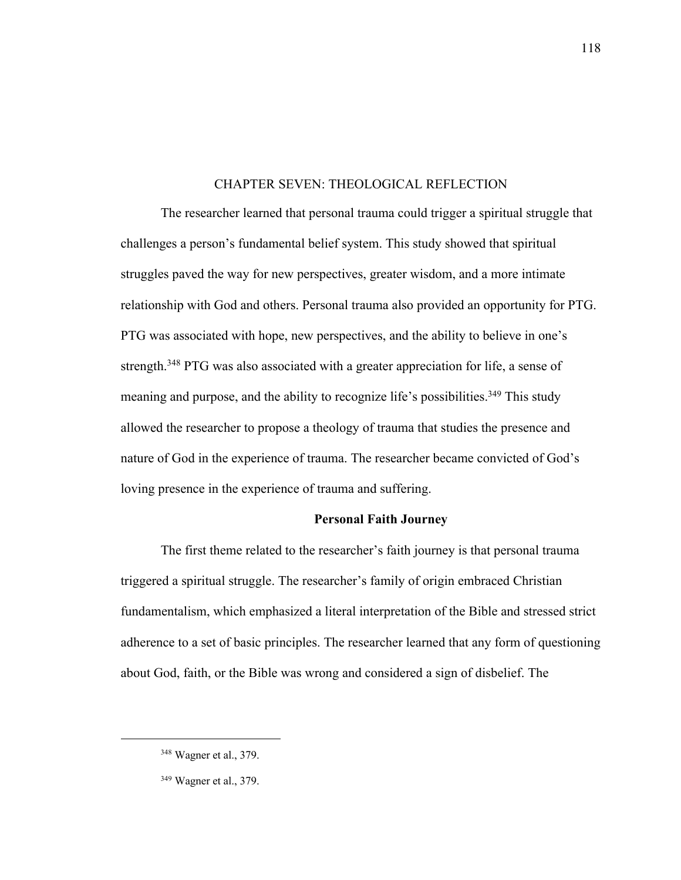### CHAPTER SEVEN: THEOLOGICAL REFLECTION

The researcher learned that personal trauma could trigger a spiritual struggle that challenges a person's fundamental belief system. This study showed that spiritual struggles paved the way for new perspectives, greater wisdom, and a more intimate relationship with God and others. Personal trauma also provided an opportunity for PTG. PTG was associated with hope, new perspectives, and the ability to believe in one's strength.<sup>348</sup> PTG was also associated with a greater appreciation for life, a sense of meaning and purpose, and the ability to recognize life's possibilities.<sup>349</sup> This study allowed the researcher to propose a theology of trauma that studies the presence and nature of God in the experience of trauma. The researcher became convicted of God's loving presence in the experience of trauma and suffering.

### **Personal Faith Journey**

The first theme related to the researcher's faith journey is that personal trauma triggered a spiritual struggle. The researcher's family of origin embraced Christian fundamentalism, which emphasized a literal interpretation of the Bible and stressed strict adherence to a set of basic principles. The researcher learned that any form of questioning about God, faith, or the Bible was wrong and considered a sign of disbelief. The

<sup>348</sup> Wagner et al., 379.

<sup>349</sup> Wagner et al., 379.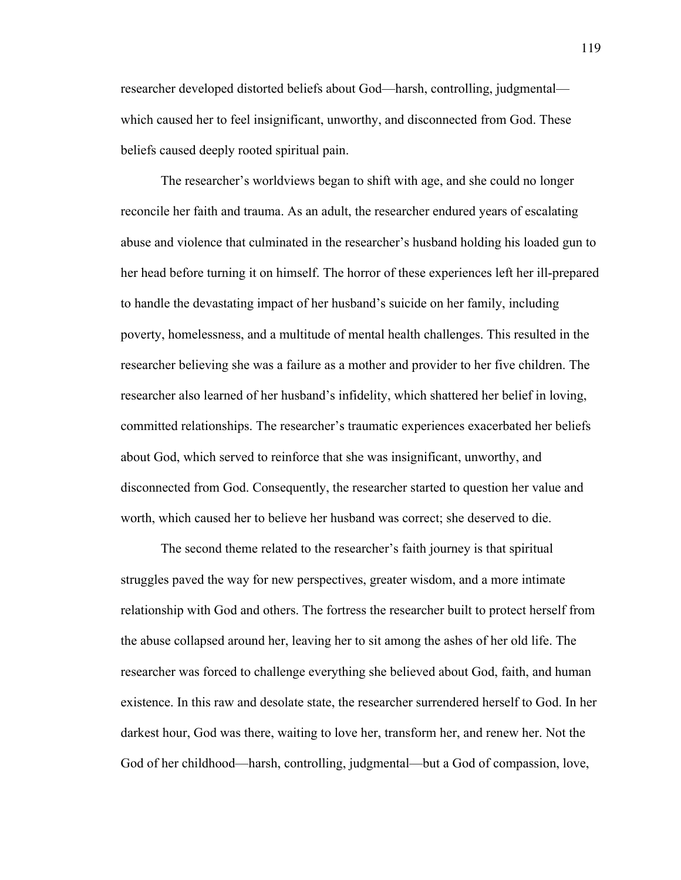researcher developed distorted beliefs about God—harsh, controlling, judgmental which caused her to feel insignificant, unworthy, and disconnected from God. These beliefs caused deeply rooted spiritual pain.

The researcher's worldviews began to shift with age, and she could no longer reconcile her faith and trauma. As an adult, the researcher endured years of escalating abuse and violence that culminated in the researcher's husband holding his loaded gun to her head before turning it on himself. The horror of these experiences left her ill-prepared to handle the devastating impact of her husband's suicide on her family, including poverty, homelessness, and a multitude of mental health challenges. This resulted in the researcher believing she was a failure as a mother and provider to her five children. The researcher also learned of her husband's infidelity, which shattered her belief in loving, committed relationships. The researcher's traumatic experiences exacerbated her beliefs about God, which served to reinforce that she was insignificant, unworthy, and disconnected from God. Consequently, the researcher started to question her value and worth, which caused her to believe her husband was correct; she deserved to die.

The second theme related to the researcher's faith journey is that spiritual struggles paved the way for new perspectives, greater wisdom, and a more intimate relationship with God and others. The fortress the researcher built to protect herself from the abuse collapsed around her, leaving her to sit among the ashes of her old life. The researcher was forced to challenge everything she believed about God, faith, and human existence. In this raw and desolate state, the researcher surrendered herself to God. In her darkest hour, God was there, waiting to love her, transform her, and renew her. Not the God of her childhood—harsh, controlling, judgmental—but a God of compassion, love,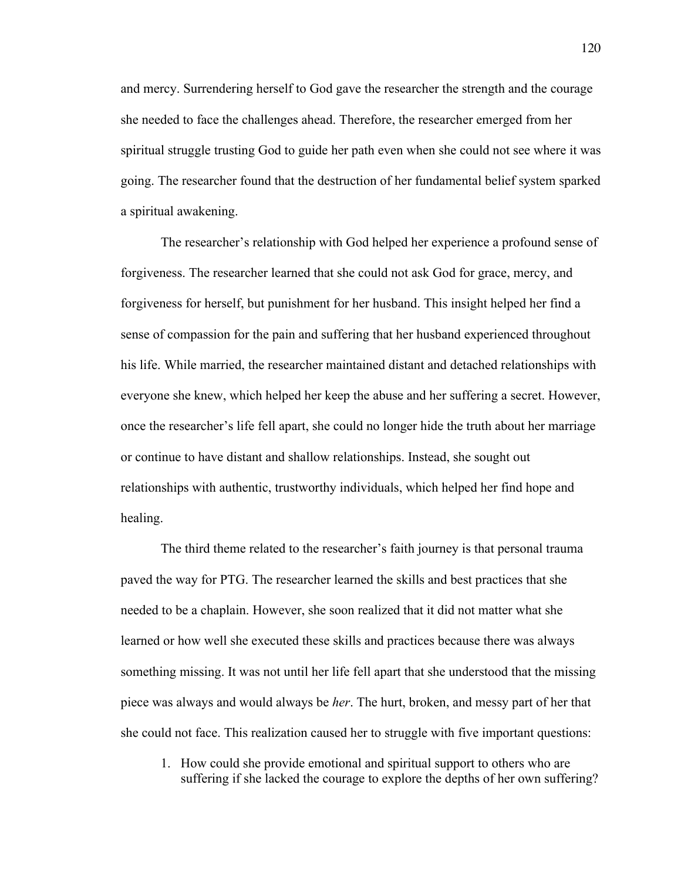and mercy. Surrendering herself to God gave the researcher the strength and the courage she needed to face the challenges ahead. Therefore, the researcher emerged from her spiritual struggle trusting God to guide her path even when she could not see where it was going. The researcher found that the destruction of her fundamental belief system sparked a spiritual awakening.

The researcher's relationship with God helped her experience a profound sense of forgiveness. The researcher learned that she could not ask God for grace, mercy, and forgiveness for herself, but punishment for her husband. This insight helped her find a sense of compassion for the pain and suffering that her husband experienced throughout his life. While married, the researcher maintained distant and detached relationships with everyone she knew, which helped her keep the abuse and her suffering a secret. However, once the researcher's life fell apart, she could no longer hide the truth about her marriage or continue to have distant and shallow relationships. Instead, she sought out relationships with authentic, trustworthy individuals, which helped her find hope and healing.

The third theme related to the researcher's faith journey is that personal trauma paved the way for PTG. The researcher learned the skills and best practices that she needed to be a chaplain. However, she soon realized that it did not matter what she learned or how well she executed these skills and practices because there was always something missing. It was not until her life fell apart that she understood that the missing piece was always and would always be *her*. The hurt, broken, and messy part of her that she could not face. This realization caused her to struggle with five important questions:

1. How could she provide emotional and spiritual support to others who are suffering if she lacked the courage to explore the depths of her own suffering?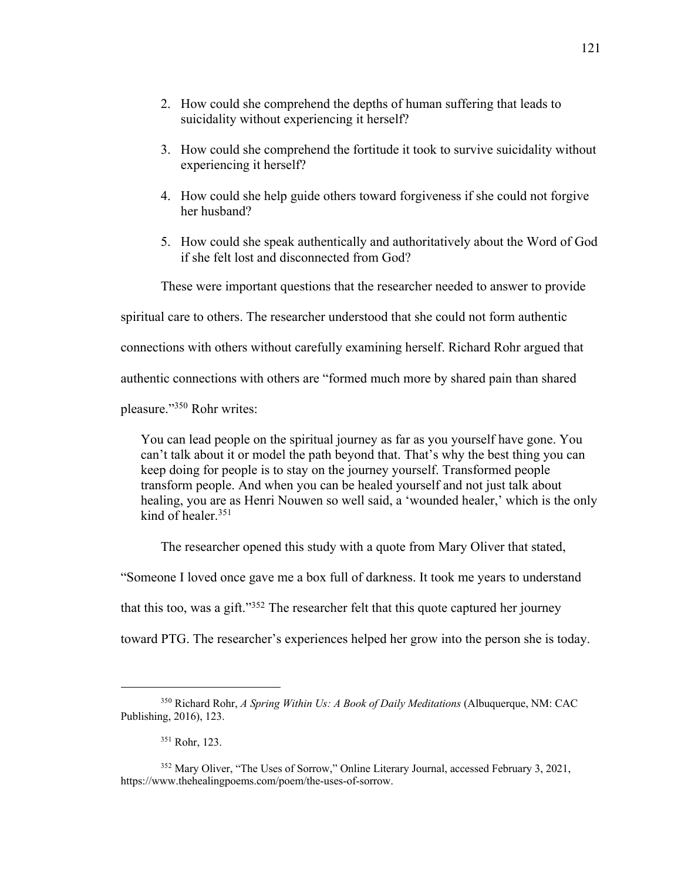- 2. How could she comprehend the depths of human suffering that leads to suicidality without experiencing it herself?
- 3. How could she comprehend the fortitude it took to survive suicidality without experiencing it herself?
- 4. How could she help guide others toward forgiveness if she could not forgive her husband?
- 5. How could she speak authentically and authoritatively about the Word of God if she felt lost and disconnected from God?

These were important questions that the researcher needed to answer to provide

spiritual care to others. The researcher understood that she could not form authentic

connections with others without carefully examining herself. Richard Rohr argued that

authentic connections with others are "formed much more by shared pain than shared

pleasure."<sup>350</sup> Rohr writes:

You can lead people on the spiritual journey as far as you yourself have gone. You can't talk about it or model the path beyond that. That's why the best thing you can keep doing for people is to stay on the journey yourself. Transformed people transform people. And when you can be healed yourself and not just talk about healing, you are as Henri Nouwen so well said, a 'wounded healer,' which is the only kind of healer.<sup>351</sup>

The researcher opened this study with a quote from Mary Oliver that stated,

"Someone I loved once gave me a box full of darkness. It took me years to understand

that this too, was a gift."<sup>352</sup> The researcher felt that this quote captured her journey

toward PTG. The researcher's experiences helped her grow into the person she is today.

<sup>350</sup> Richard Rohr, *A Spring Within Us: A Book of Daily Meditations* (Albuquerque, NM: CAC Publishing, 2016), 123.

<sup>351</sup> Rohr, 123.

<sup>352</sup> Mary Oliver, "The Uses of Sorrow," Online Literary Journal, accessed February 3, 2021, https://www.thehealingpoems.com/poem/the-uses-of-sorrow.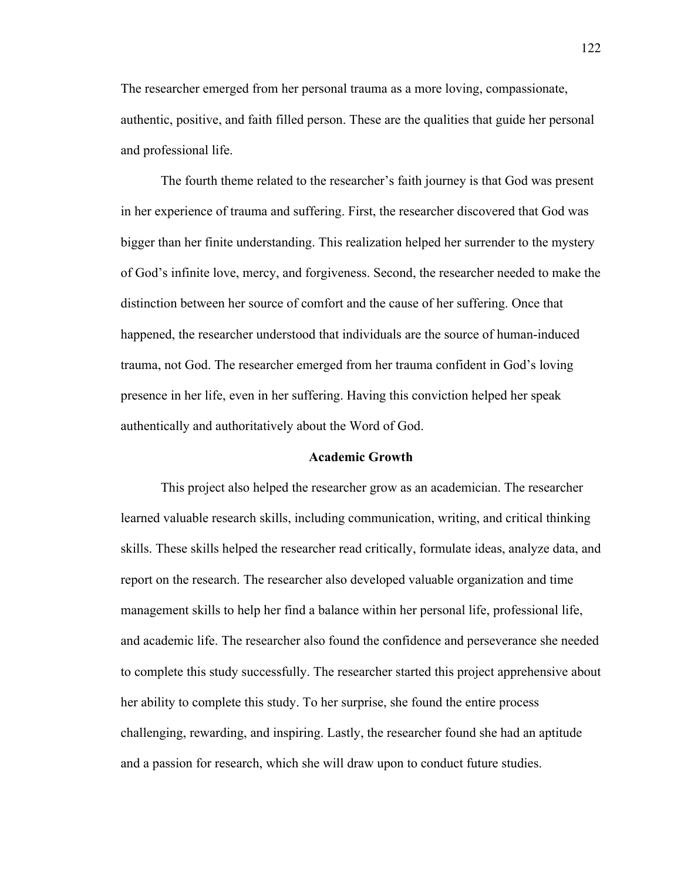The researcher emerged from her personal trauma as a more loving, compassionate, authentic, positive, and faith filled person. These are the qualities that guide her personal and professional life.

The fourth theme related to the researcher's faith journey is that God was present in her experience of trauma and suffering. First, the researcher discovered that God was bigger than her finite understanding. This realization helped her surrender to the mystery of God's infinite love, mercy, and forgiveness. Second, the researcher needed to make the distinction between her source of comfort and the cause of her suffering. Once that happened, the researcher understood that individuals are the source of human-induced trauma, not God. The researcher emerged from her trauma confident in God's loving presence in her life, even in her suffering. Having this conviction helped her speak authentically and authoritatively about the Word of God.

#### **Academic Growth**

This project also helped the researcher grow as an academician. The researcher learned valuable research skills, including communication, writing, and critical thinking skills. These skills helped the researcher read critically, formulate ideas, analyze data, and report on the research. The researcher also developed valuable organization and time management skills to help her find a balance within her personal life, professional life, and academic life. The researcher also found the confidence and perseverance she needed to complete this study successfully. The researcher started this project apprehensive about her ability to complete this study. To her surprise, she found the entire process challenging, rewarding, and inspiring. Lastly, the researcher found she had an aptitude and a passion for research, which she will draw upon to conduct future studies.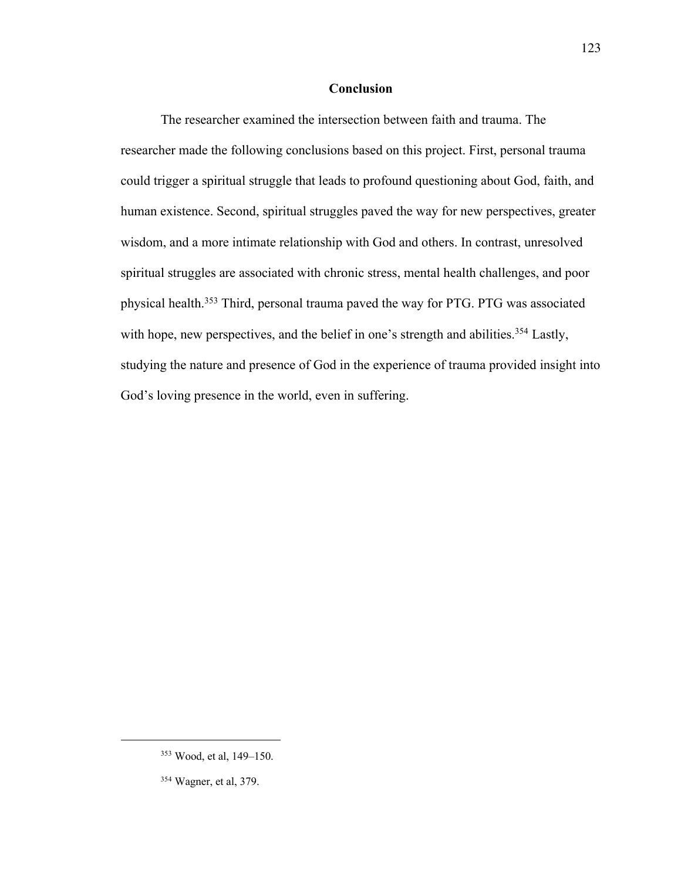### **Conclusion**

The researcher examined the intersection between faith and trauma. The researcher made the following conclusions based on this project. First, personal trauma could trigger a spiritual struggle that leads to profound questioning about God, faith, and human existence. Second, spiritual struggles paved the way for new perspectives, greater wisdom, and a more intimate relationship with God and others. In contrast, unresolved spiritual struggles are associated with chronic stress, mental health challenges, and poor physical health.<sup>353</sup> Third, personal trauma paved the way for PTG. PTG was associated with hope, new perspectives, and the belief in one's strength and abilities.<sup>354</sup> Lastly, studying the nature and presence of God in the experience of trauma provided insight into God's loving presence in the world, even in suffering.

<sup>353</sup> Wood, et al, 149–150.

<sup>354</sup> Wagner, et al, 379.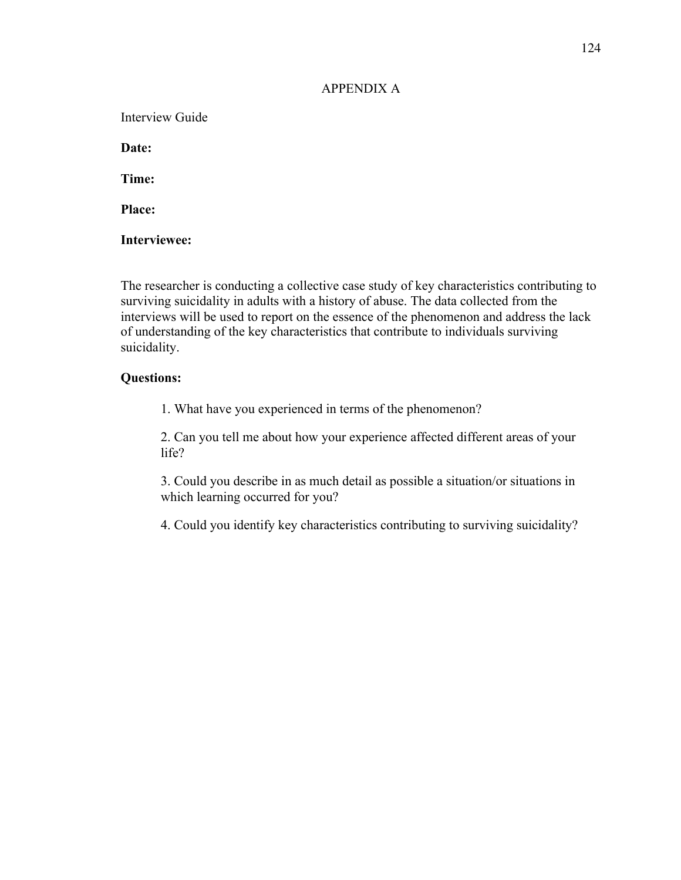### APPENDIX A

Interview Guide

**Date:** 

**Time:**

**Place:**

**Interviewee:**

The researcher is conducting a collective case study of key characteristics contributing to surviving suicidality in adults with a history of abuse. The data collected from the interviews will be used to report on the essence of the phenomenon and address the lack of understanding of the key characteristics that contribute to individuals surviving suicidality.

## **Questions:**

1. What have you experienced in terms of the phenomenon?

2. Can you tell me about how your experience affected different areas of your life?

3. Could you describe in as much detail as possible a situation/or situations in which learning occurred for you?

4. Could you identify key characteristics contributing to surviving suicidality?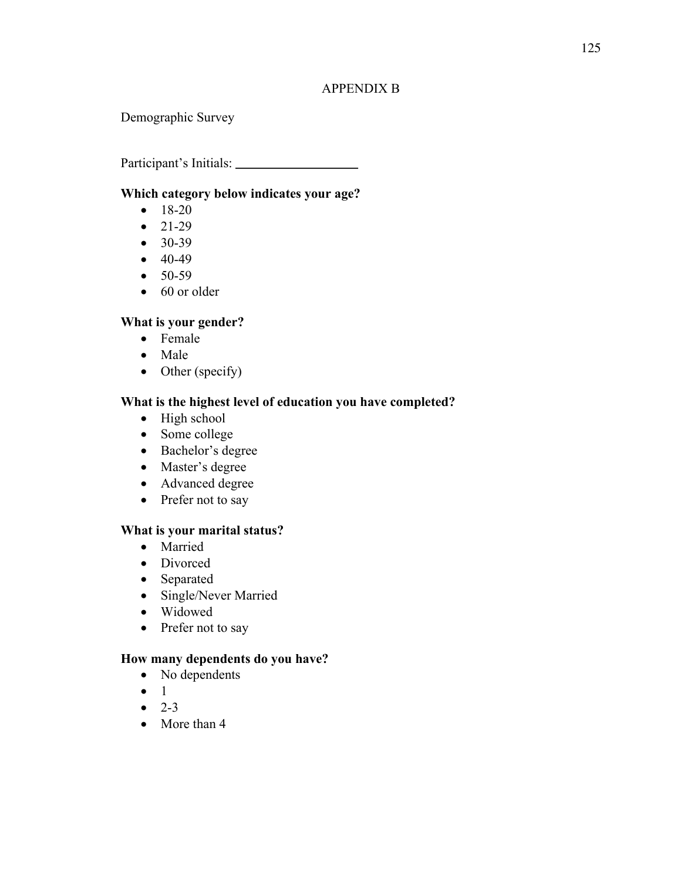# 125

### APPENDIX B

Demographic Survey

Participant's Initials:

## **Which category below indicates your age?**

- $18-20$
- $21-29$
- 30-39
- $40-49$
- $50-59$
- 60 or older

# **What is your gender?**

- Female
- Male
- Other (specify)

# **What is the highest level of education you have completed?**

- High school
- Some college
- Bachelor's degree
- Master's degree
- Advanced degree
- Prefer not to say

## **What is your marital status?**

- Married
- Divorced
- Separated
- Single/Never Married
- Widowed
- Prefer not to say

## **How many dependents do you have?**

- No dependents
- 1
- $-2-3$
- More than 4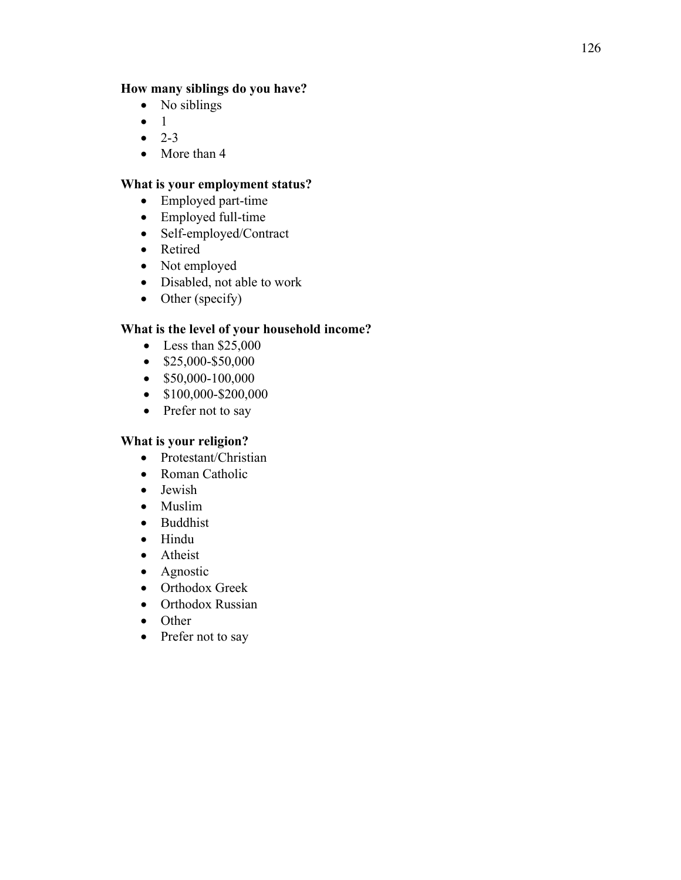## **How many siblings do you have?**

- No siblings
- 1
- $2 3$
- More than 4

# **What is your employment status?**

- Employed part-time
- Employed full-time
- Self-employed/Contract
- Retired
- Not employed
- Disabled, not able to work
- Other (specify)

# **What is the level of your household income?**

- Less than \$25,000
- \$25,000-\$50,000
- $$50,000-100,000$
- \$100,000-\$200,000
- Prefer not to say

# **What is your religion?**

- Protestant/Christian
- Roman Catholic
- Jewish
- Muslim
- Buddhist
- Hindu
- Atheist
- Agnostic
- Orthodox Greek
- Orthodox Russian
- Other
- Prefer not to say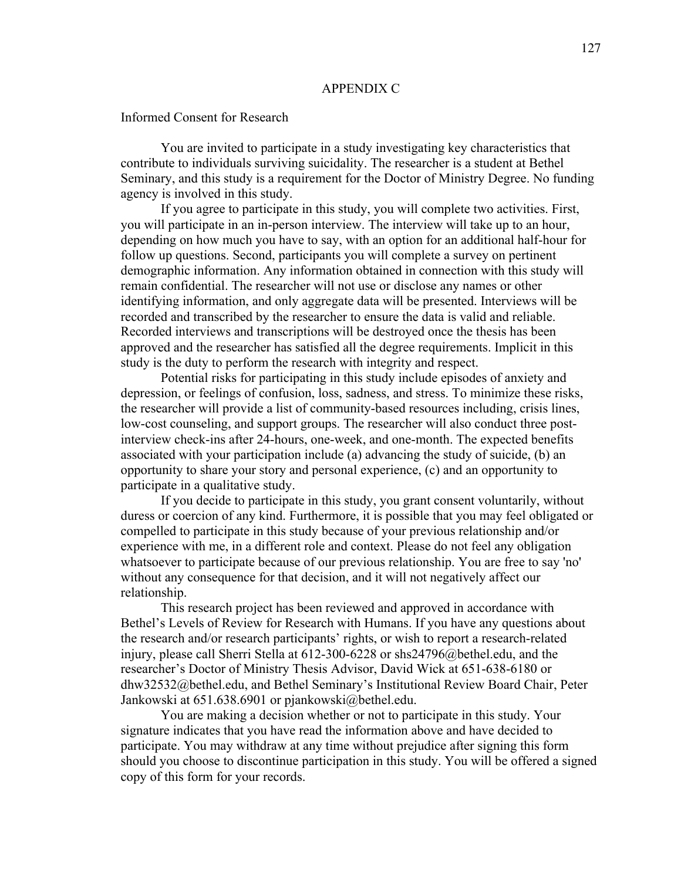#### APPENDIX C

Informed Consent for Research

You are invited to participate in a study investigating key characteristics that contribute to individuals surviving suicidality. The researcher is a student at Bethel Seminary, and this study is a requirement for the Doctor of Ministry Degree. No funding agency is involved in this study.

If you agree to participate in this study, you will complete two activities. First, you will participate in an in-person interview. The interview will take up to an hour, depending on how much you have to say, with an option for an additional half-hour for follow up questions. Second, participants you will complete a survey on pertinent demographic information. Any information obtained in connection with this study will remain confidential. The researcher will not use or disclose any names or other identifying information, and only aggregate data will be presented. Interviews will be recorded and transcribed by the researcher to ensure the data is valid and reliable. Recorded interviews and transcriptions will be destroyed once the thesis has been approved and the researcher has satisfied all the degree requirements. Implicit in this study is the duty to perform the research with integrity and respect.

Potential risks for participating in this study include episodes of anxiety and depression, or feelings of confusion, loss, sadness, and stress. To minimize these risks, the researcher will provide a list of community-based resources including, crisis lines, low-cost counseling, and support groups. The researcher will also conduct three postinterview check-ins after 24-hours, one-week, and one-month. The expected benefits associated with your participation include (a) advancing the study of suicide, (b) an opportunity to share your story and personal experience, (c) and an opportunity to participate in a qualitative study.

If you decide to participate in this study, you grant consent voluntarily, without duress or coercion of any kind. Furthermore, it is possible that you may feel obligated or compelled to participate in this study because of your previous relationship and/or experience with me, in a different role and context. Please do not feel any obligation whatsoever to participate because of our previous relationship. You are free to say 'no' without any consequence for that decision, and it will not negatively affect our relationship.

This research project has been reviewed and approved in accordance with Bethel's Levels of Review for Research with Humans. If you have any questions about the research and/or research participants' rights, or wish to report a research-related injury, please call Sherri Stella at 612-300-6228 or shs24796@bethel.edu, and the researcher's Doctor of Ministry Thesis Advisor, David Wick at 651-638-6180 or dhw32532@bethel.edu, and Bethel Seminary's Institutional Review Board Chair, Peter Jankowski at 651.638.6901 or pjankowski@bethel.edu.

You are making a decision whether or not to participate in this study. Your signature indicates that you have read the information above and have decided to participate. You may withdraw at any time without prejudice after signing this form should you choose to discontinue participation in this study. You will be offered a signed copy of this form for your records.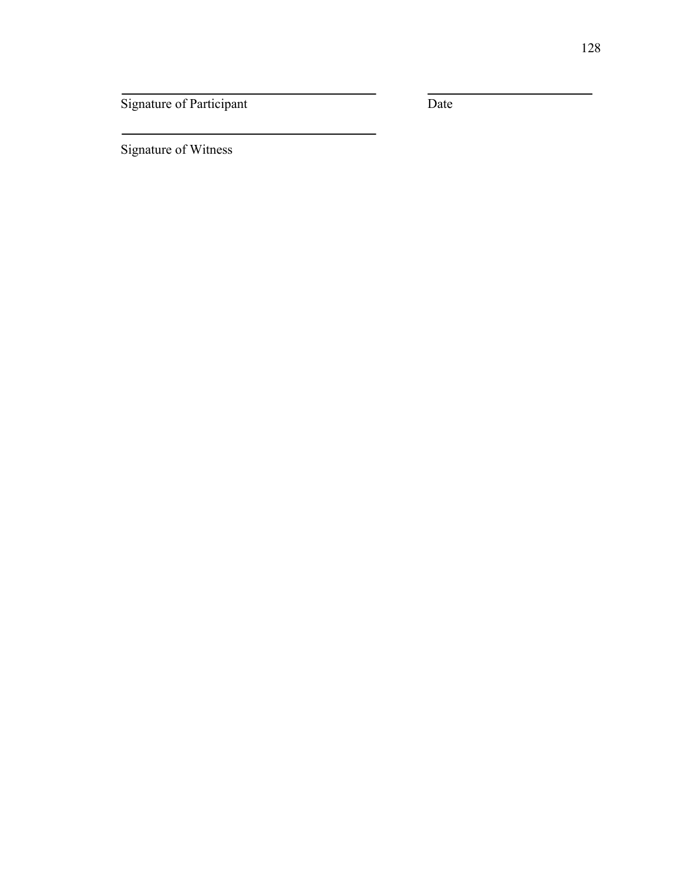Signature of Participant Date

Signature of Witness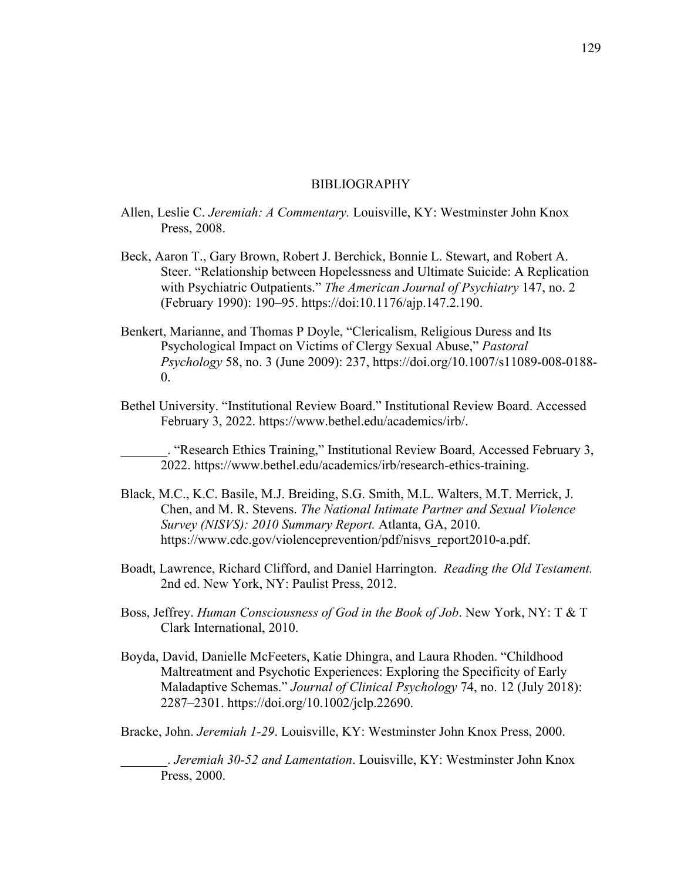### BIBLIOGRAPHY

- Allen, Leslie C. *Jeremiah: A Commentary.* Louisville, KY: Westminster John Knox Press, 2008.
- Beck, Aaron T., Gary Brown, Robert J. Berchick, Bonnie L. Stewart, and Robert A. Steer. "Relationship between Hopelessness and Ultimate Suicide: A Replication with Psychiatric Outpatients." *The American Journal of Psychiatry* 147, no. 2 (February 1990): 190–95. https://doi:10.1176/ajp.147.2.190.
- Benkert, Marianne, and Thomas P Doyle, "Clericalism, Religious Duress and Its Psychological Impact on Victims of Clergy Sexual Abuse," *Pastoral Psychology* 58, no. 3 (June 2009): 237, https://doi.org/10.1007/s11089-008-0188- 0.
- Bethel University. "Institutional Review Board." Institutional Review Board. Accessed February 3, 2022. https://www.bethel.edu/academics/irb/.

\_\_\_\_\_\_\_. "Research Ethics Training," Institutional Review Board, Accessed February 3, 2022. https://www.bethel.edu/academics/irb/research-ethics-training.

- Black, M.C., K.C. Basile, M.J. Breiding, S.G. Smith, M.L. Walters, M.T. Merrick, J. Chen, and M. R. Stevens. *The National Intimate Partner and Sexual Violence Survey (NISVS): 2010 Summary Report.* Atlanta, GA, 2010. https://www.cdc.gov/violenceprevention/pdf/nisvs\_report2010-a.pdf.
- Boadt, Lawrence, Richard Clifford, and Daniel Harrington. *Reading the Old Testament.*  2nd ed. New York, NY: Paulist Press, 2012.
- Boss, Jeffrey. *Human Consciousness of God in the Book of Job*. New York, NY: T & T Clark International, 2010.
- Boyda, David, Danielle McFeeters, Katie Dhingra, and Laura Rhoden. "Childhood Maltreatment and Psychotic Experiences: Exploring the Specificity of Early Maladaptive Schemas." *Journal of Clinical Psychology* 74, no. 12 (July 2018): 2287–2301. https://doi.org/10.1002/jclp.22690.

Bracke, John. *Jeremiah 1-29*. Louisville, KY: Westminster John Knox Press, 2000.

\_\_\_\_\_\_\_. *Jeremiah 30-52 and Lamentation*. Louisville, KY: Westminster John Knox Press, 2000.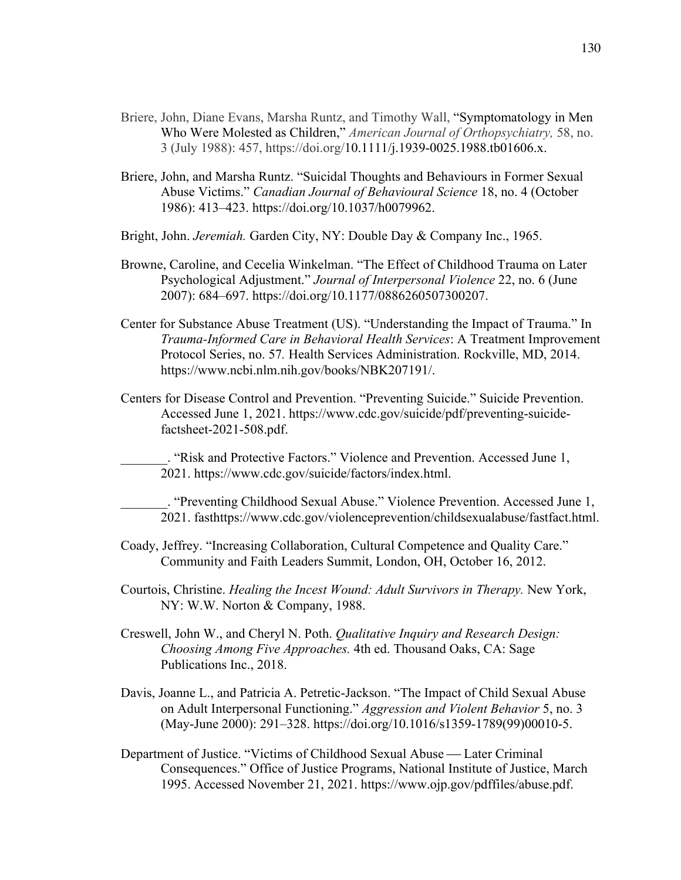- Briere, John, Diane Evans, Marsha Runtz, and Timothy Wall, "Symptomatology in Men Who Were Molested as Children," *American Journal of Orthopsychiatry,* 58, no. 3 (July 1988): 457, https://doi.org/10.1111/j.1939-0025.1988.tb01606.x.
- Briere, John, and Marsha Runtz. "Suicidal Thoughts and Behaviours in Former Sexual Abuse Victims." *Canadian Journal of Behavioural Science* 18, no. 4 (October 1986): 413–423. https://doi.org/10.1037/h0079962.
- Bright, John. *Jeremiah.* Garden City, NY: Double Day & Company Inc., 1965.
- Browne, Caroline, and Cecelia Winkelman. "The Effect of Childhood Trauma on Later Psychological Adjustment." *Journal of Interpersonal Violence* 22, no. 6 (June 2007): 684–697. https://doi.org/10.1177/0886260507300207.
- Center for Substance Abuse Treatment (US). "Understanding the Impact of Trauma." In *Trauma-Informed Care in Behavioral Health Services*: A Treatment Improvement Protocol Series, no. 57*.* Health Services Administration. Rockville, MD, 2014. https://www.ncbi.nlm.nih.gov/books/NBK207191/.
- Centers for Disease Control and Prevention. "Preventing Suicide." Suicide Prevention. Accessed June 1, 2021. https://www.cdc.gov/suicide/pdf/preventing-suicidefactsheet-2021-508.pdf.
	- \_\_\_\_\_\_\_. "Risk and Protective Factors." Violence and Prevention. Accessed June 1, 2021. https://www.cdc.gov/suicide/factors/index.html.

\_\_\_\_\_\_\_. "Preventing Childhood Sexual Abuse." Violence Prevention. Accessed June 1, 2021. fasthttps://www.cdc.gov/violenceprevention/childsexualabuse/fastfact.html.

- Coady, Jeffrey. "Increasing Collaboration, Cultural Competence and Quality Care." Community and Faith Leaders Summit, London, OH, October 16, 2012.
- Courtois, Christine. *Healing the Incest Wound: Adult Survivors in Therapy.* New York, NY: W.W. Norton & Company, 1988.
- Creswell, John W., and Cheryl N. Poth. *Qualitative Inquiry and Research Design: Choosing Among Five Approaches.* 4th ed. Thousand Oaks, CA: Sage Publications Inc., 2018.
- Davis, Joanne L., and Patricia A. Petretic-Jackson. "The Impact of Child Sexual Abuse on Adult Interpersonal Functioning." *Aggression and Violent Behavior* 5, no. 3 (May-June 2000): 291–328. https://doi.org/10.1016/s1359-1789(99)00010-5.
- Department of Justice. "Victims of Childhood Sexual Abuse Later Criminal Consequences." Office of Justice Programs, National Institute of Justice, March 1995. Accessed November 21, 2021. https://www.ojp.gov/pdffiles/abuse.pdf.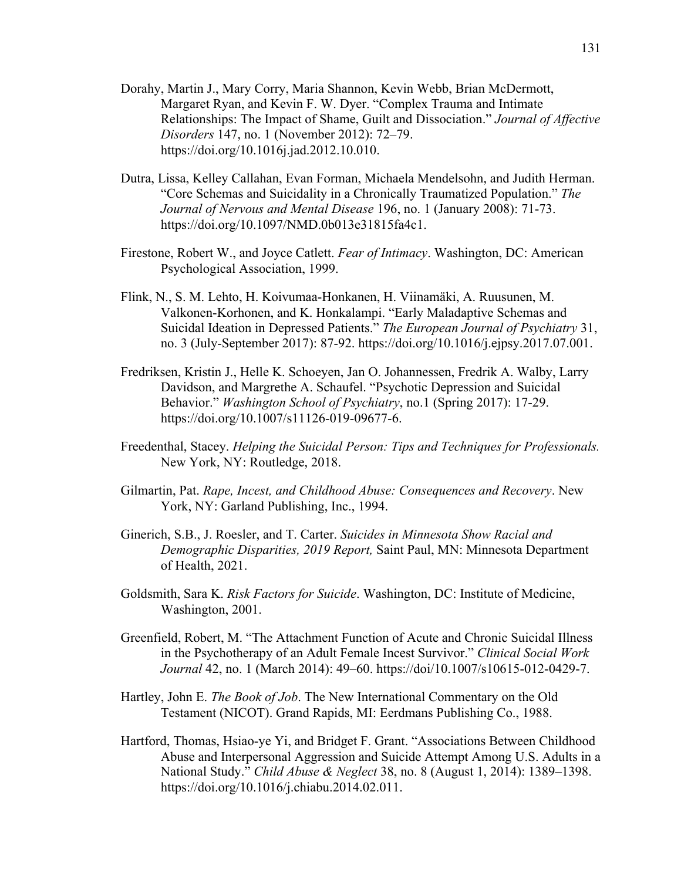- Dorahy, Martin J., Mary Corry, Maria Shannon, Kevin Webb, Brian McDermott, Margaret Ryan, and Kevin F. W. Dyer. "Complex Trauma and Intimate Relationships: The Impact of Shame, Guilt and Dissociation." *Journal of Affective Disorders* 147, no. 1 (November 2012): 72–79. https://doi.org/10.1016j.jad.2012.10.010.
- Dutra, Lissa, Kelley Callahan, Evan Forman, Michaela Mendelsohn, and Judith Herman. "Core Schemas and Suicidality in a Chronically Traumatized Population." *The Journal of Nervous and Mental Disease* 196, no. 1 (January 2008): 71-73. https://doi.org/10.1097/NMD.0b013e31815fa4c1.
- Firestone, Robert W., and Joyce Catlett. *Fear of Intimacy*. Washington, DC: American Psychological Association, 1999.
- Flink, N., S. M. Lehto, H. Koivumaa-Honkanen, H. Viinamäki, A. Ruusunen, M. Valkonen-Korhonen, and K. Honkalampi. "Early Maladaptive Schemas and Suicidal Ideation in Depressed Patients." *The European Journal of Psychiatry* 31, no. 3 (July-September 2017): 87-92. https://doi.org/10.1016/j.ejpsy.2017.07.001.
- Fredriksen, Kristin J., Helle K. Schoeyen, Jan O. Johannessen, Fredrik A. Walby, Larry Davidson, and Margrethe A. Schaufel. "Psychotic Depression and Suicidal Behavior." *Washington School of Psychiatry*, no.1 (Spring 2017): 17-29. https://doi.org/10.1007/s11126-019-09677-6.
- Freedenthal, Stacey. *Helping the Suicidal Person: Tips and Techniques for Professionals.* New York, NY: Routledge, 2018.
- Gilmartin, Pat. *Rape, Incest, and Childhood Abuse: Consequences and Recovery*. New York, NY: Garland Publishing, Inc., 1994.
- Ginerich, S.B., J. Roesler, and T. Carter. *Suicides in Minnesota Show Racial and Demographic Disparities, 2019 Report,* Saint Paul, MN: Minnesota Department of Health, 2021.
- Goldsmith, Sara K. *Risk Factors for Suicide*. Washington, DC: Institute of Medicine, Washington, 2001.
- Greenfield, Robert, M. "The Attachment Function of Acute and Chronic Suicidal Illness in the Psychotherapy of an Adult Female Incest Survivor." *Clinical Social Work Journal* 42, no. 1 (March 2014): 49–60. https://doi/10.1007/s10615-012-0429-7.
- Hartley, John E. *The Book of Job*. The New International Commentary on the Old Testament (NICOT). Grand Rapids, MI: Eerdmans Publishing Co., 1988.
- Hartford, Thomas, Hsiao-ye Yi, and Bridget F. Grant. "Associations Between Childhood Abuse and Interpersonal Aggression and Suicide Attempt Among U.S. Adults in a National Study." *Child Abuse & Neglect* 38, no. 8 (August 1, 2014): 1389–1398. https://doi.org/10.1016/j.chiabu.2014.02.011.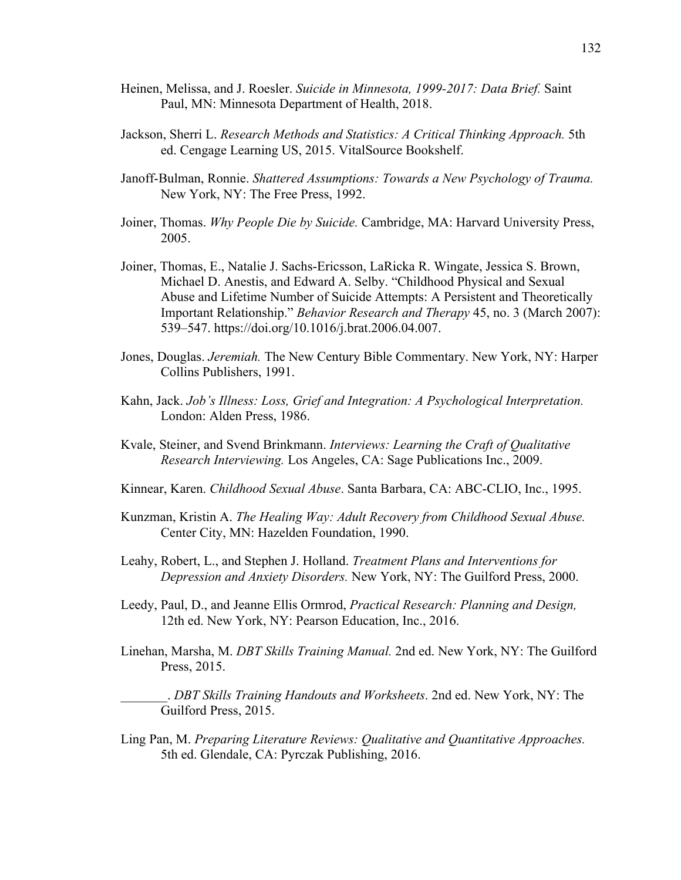- Heinen, Melissa, and J. Roesler. *Suicide in Minnesota, 1999-2017: Data Brief.* Saint Paul, MN: Minnesota Department of Health, 2018.
- Jackson, Sherri L. *Research Methods and Statistics: A Critical Thinking Approach.* 5th ed. Cengage Learning US, 2015. VitalSource Bookshelf.
- Janoff-Bulman, Ronnie. *Shattered Assumptions: Towards a New Psychology of Trauma.*  New York, NY: The Free Press, 1992.
- Joiner, Thomas. *Why People Die by Suicide.* Cambridge, MA: Harvard University Press, 2005.
- Joiner, Thomas, E., Natalie J. Sachs-Ericsson, LaRicka R. Wingate, Jessica S. Brown, Michael D. Anestis, and Edward A. Selby. "Childhood Physical and Sexual Abuse and Lifetime Number of Suicide Attempts: A Persistent and Theoretically Important Relationship." *Behavior Research and Therapy* 45, no. 3 (March 2007): 539–547. https://doi.org/10.1016/j.brat.2006.04.007.
- Jones, Douglas. *Jeremiah.* The New Century Bible Commentary. New York, NY: Harper Collins Publishers, 1991.
- Kahn, Jack. *Job's Illness: Loss, Grief and Integration: A Psychological Interpretation.*  London: Alden Press, 1986.
- Kvale, Steiner, and Svend Brinkmann. *Interviews: Learning the Craft of Qualitative Research Interviewing.* Los Angeles, CA: Sage Publications Inc., 2009.
- Kinnear, Karen. *Childhood Sexual Abuse*. Santa Barbara, CA: ABC-CLIO, Inc., 1995.
- Kunzman, Kristin A. *The Healing Way: Adult Recovery from Childhood Sexual Abuse.*  Center City, MN: Hazelden Foundation, 1990.
- Leahy, Robert, L., and Stephen J. Holland. *Treatment Plans and Interventions for Depression and Anxiety Disorders.* New York, NY: The Guilford Press, 2000.
- Leedy, Paul, D., and Jeanne Ellis Ormrod, *Practical Research: Planning and Design,*  12th ed. New York, NY: Pearson Education, Inc., 2016.
- Linehan, Marsha, M. *DBT Skills Training Manual.* 2nd ed. New York, NY: The Guilford Press, 2015.
	- \_\_\_\_\_\_\_. *DBT Skills Training Handouts and Worksheets*. 2nd ed. New York, NY: The Guilford Press, 2015.
- Ling Pan, M. *Preparing Literature Reviews: Qualitative and Quantitative Approaches.*  5th ed. Glendale, CA: Pyrczak Publishing, 2016.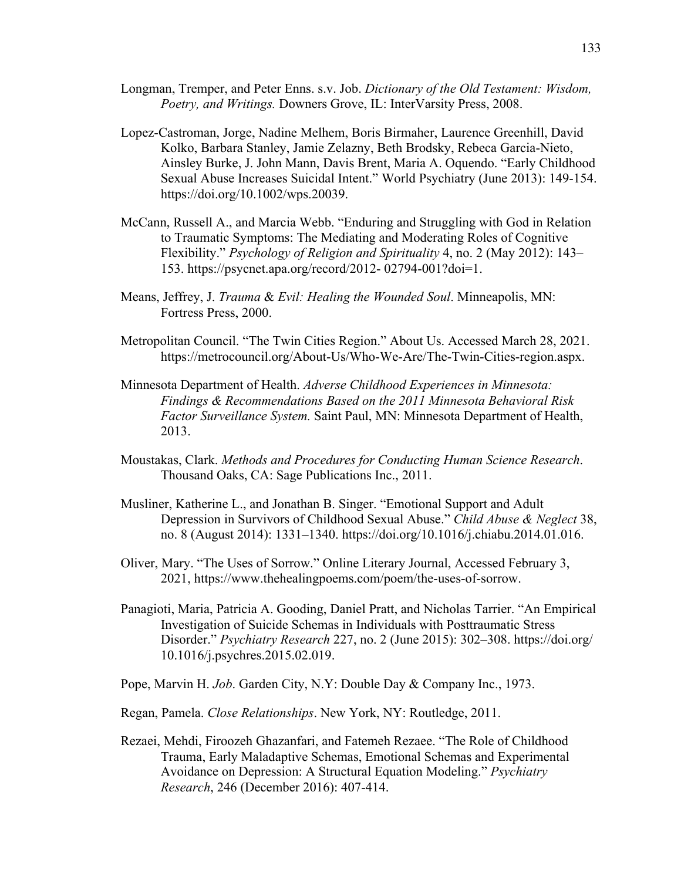- Longman, Tremper, and Peter Enns. s.v. Job. *Dictionary of the Old Testament: Wisdom, Poetry, and Writings.* Downers Grove, IL: InterVarsity Press, 2008.
- Lopez-Castroman, Jorge, Nadine Melhem, Boris Birmaher, Laurence Greenhill, David Kolko, Barbara Stanley, Jamie Zelazny, Beth Brodsky, Rebeca Garcia-Nieto, Ainsley Burke, J. John Mann, Davis Brent, Maria A. Oquendo. "Early Childhood Sexual Abuse Increases Suicidal Intent." World Psychiatry (June 2013): 149-154. https://doi.org/10.1002/wps.20039.
- McCann, Russell A., and Marcia Webb. "Enduring and Struggling with God in Relation to Traumatic Symptoms: The Mediating and Moderating Roles of Cognitive Flexibility." *Psychology of Religion and Spirituality* 4, no. 2 (May 2012): 143– 153. https://psycnet.apa.org/record/2012- 02794-001?doi=1.
- Means, Jeffrey, J. *Trauma* & *Evil: Healing the Wounded Soul*. Minneapolis, MN: Fortress Press, 2000.
- Metropolitan Council. "The Twin Cities Region." About Us. Accessed March 28, 2021. https://metrocouncil.org/About-Us/Who-We-Are/The-Twin-Cities-region.aspx.
- Minnesota Department of Health. *Adverse Childhood Experiences in Minnesota: Findings & Recommendations Based on the 2011 Minnesota Behavioral Risk Factor Surveillance System.* Saint Paul, MN: Minnesota Department of Health, 2013.
- Moustakas, Clark. *Methods and Procedures for Conducting Human Science Research*. Thousand Oaks, CA: Sage Publications Inc., 2011.
- Musliner, Katherine L., and Jonathan B. Singer. "Emotional Support and Adult Depression in Survivors of Childhood Sexual Abuse." *Child Abuse & Neglect* 38, no. 8 (August 2014): 1331–1340. https://doi.org/10.1016/j.chiabu.2014.01.016.
- Oliver, Mary. "The Uses of Sorrow." Online Literary Journal, Accessed February 3, 2021, https://www.thehealingpoems.com/poem/the-uses-of-sorrow.
- Panagioti, Maria, Patricia A. Gooding, Daniel Pratt, and Nicholas Tarrier. "An Empirical Investigation of Suicide Schemas in Individuals with Posttraumatic Stress Disorder." *Psychiatry Research* 227, no. 2 (June 2015): 302–308. https://doi.org/ 10.1016/j.psychres.2015.02.019.
- Pope, Marvin H. *Job*. Garden City, N.Y: Double Day & Company Inc., 1973.
- Regan, Pamela. *Close Relationships*. New York, NY: Routledge, 2011.
- Rezaei, Mehdi, Firoozeh Ghazanfari, and Fatemeh Rezaee. "The Role of Childhood Trauma, Early Maladaptive Schemas, Emotional Schemas and Experimental Avoidance on Depression: A Structural Equation Modeling." *Psychiatry Research*, 246 (December 2016): 407-414.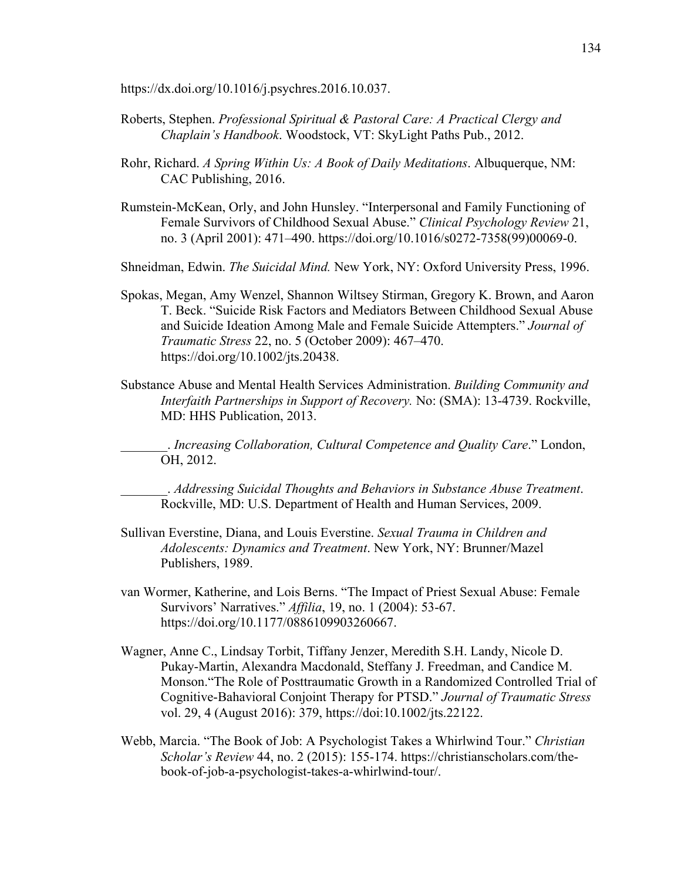https://dx.doi.org/10.1016/j.psychres.2016.10.037.

- Roberts, Stephen. *Professional Spiritual & Pastoral Care: A Practical Clergy and Chaplain's Handbook*. Woodstock, VT: SkyLight Paths Pub., 2012.
- Rohr, Richard. *A Spring Within Us: A Book of Daily Meditations*. Albuquerque, NM: CAC Publishing, 2016.
- Rumstein-McKean, Orly, and John Hunsley. "Interpersonal and Family Functioning of Female Survivors of Childhood Sexual Abuse." *Clinical Psychology Review* 21, no. 3 (April 2001): 471–490. https://doi.org/10.1016/s0272-7358(99)00069-0.

Shneidman, Edwin. *The Suicidal Mind.* New York, NY: Oxford University Press, 1996.

- Spokas, Megan, Amy Wenzel, Shannon Wiltsey Stirman, Gregory K. Brown, and Aaron T. Beck. "Suicide Risk Factors and Mediators Between Childhood Sexual Abuse and Suicide Ideation Among Male and Female Suicide Attempters." *Journal of Traumatic Stress* 22, no. 5 (October 2009): 467–470. https://doi.org/10.1002/jts.20438.
- Substance Abuse and Mental Health Services Administration. *Building Community and Interfaith Partnerships in Support of Recovery.* No: (SMA): 13-4739. Rockville, MD: HHS Publication, 2013.

\_\_\_\_\_\_\_. *Increasing Collaboration, Cultural Competence and Quality Care*." London, OH, 2012.

\_\_\_\_\_\_\_. *Addressing Suicidal Thoughts and Behaviors in Substance Abuse Treatment*. Rockville, MD: U.S. Department of Health and Human Services, 2009.

- Sullivan Everstine, Diana, and Louis Everstine. *Sexual Trauma in Children and Adolescents: Dynamics and Treatment*. New York, NY: Brunner/Mazel Publishers, 1989.
- van Wormer, Katherine, and Lois Berns. "The Impact of Priest Sexual Abuse: Female Survivors' Narratives." *Affilia*, 19, no. 1 (2004): 53-67. https://doi.org/10.1177/0886109903260667.
- Wagner, Anne C., Lindsay Torbit, Tiffany Jenzer, Meredith S.H. Landy, Nicole D. Pukay-Martin, Alexandra Macdonald, Steffany J. Freedman, and Candice M. Monson."The Role of Posttraumatic Growth in a Randomized Controlled Trial of Cognitive-Bahavioral Conjoint Therapy for PTSD." *Journal of Traumatic Stress*  vol. 29, 4 (August 2016): 379, https://doi:10.1002/jts.22122.
- Webb, Marcia. "The Book of Job: A Psychologist Takes a Whirlwind Tour." *Christian Scholar's Review* 44, no. 2 (2015): 155-174. https://christianscholars.com/thebook-of-job-a-psychologist-takes-a-whirlwind-tour/.